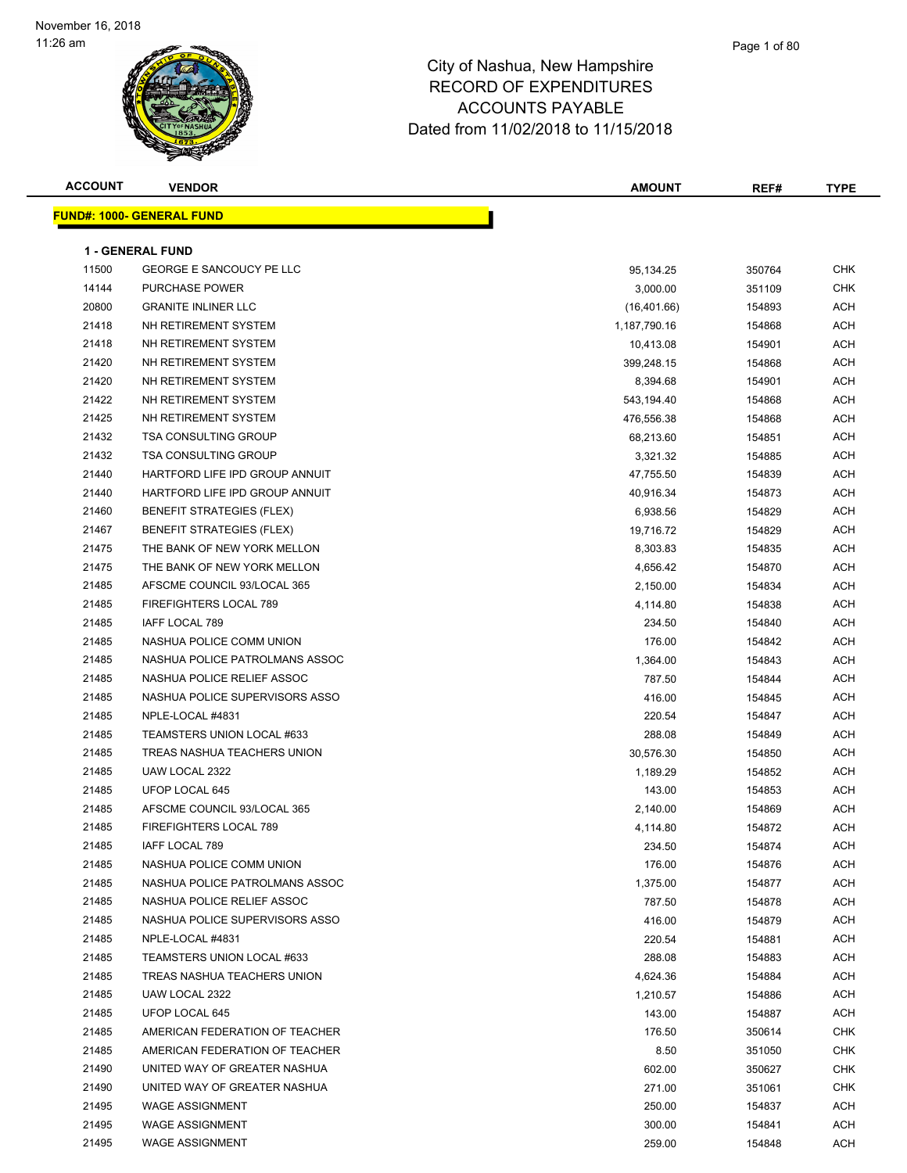#### Page 1 of 80

| <b>ACCOUNT</b> | <b>VENDOR</b>                    | <b>AMOUNT</b> | REF#   | <b>TYPE</b> |
|----------------|----------------------------------|---------------|--------|-------------|
|                | <b>FUND#: 1000- GENERAL FUND</b> |               |        |             |
|                |                                  |               |        |             |
|                | <b>1 - GENERAL FUND</b>          |               |        |             |
| 11500          | <b>GEORGE E SANCOUCY PE LLC</b>  | 95,134.25     | 350764 | <b>CHK</b>  |
| 14144          | <b>PURCHASE POWER</b>            | 3,000.00      | 351109 | <b>CHK</b>  |
| 20800          | <b>GRANITE INLINER LLC</b>       | (16,401.66)   | 154893 | ACH         |
| 21418          | NH RETIREMENT SYSTEM             | 1,187,790.16  | 154868 | ACH         |
| 21418          | NH RETIREMENT SYSTEM             | 10,413.08     | 154901 | ACH         |
| 21420          | NH RETIREMENT SYSTEM             | 399,248.15    | 154868 | ACH         |
| 21420          | NH RETIREMENT SYSTEM             | 8,394.68      | 154901 | ACH         |
| 21422          | NH RETIREMENT SYSTEM             | 543,194.40    | 154868 | ACH         |
| 21425          | NH RETIREMENT SYSTEM             | 476,556.38    | 154868 | ACH         |
| 21432          | <b>TSA CONSULTING GROUP</b>      | 68,213.60     | 154851 | ACH         |
| 21432          | <b>TSA CONSULTING GROUP</b>      | 3,321.32      | 154885 | ACH         |
| 21440          | HARTFORD LIFE IPD GROUP ANNUIT   | 47,755.50     | 154839 | ACH         |
| 21440          | HARTFORD LIFE IPD GROUP ANNUIT   | 40,916.34     | 154873 | ACH         |
| 21460          | <b>BENEFIT STRATEGIES (FLEX)</b> | 6,938.56      | 154829 | ACH         |
| 21467          | <b>BENEFIT STRATEGIES (FLEX)</b> | 19,716.72     | 154829 | ACH         |
| 21475          | THE BANK OF NEW YORK MELLON      | 8,303.83      | 154835 | ACH         |
| 21475          | THE BANK OF NEW YORK MELLON      | 4,656.42      | 154870 | ACH         |
| 21485          | AFSCME COUNCIL 93/LOCAL 365      | 2,150.00      | 154834 | ACH         |
| 21485          | FIREFIGHTERS LOCAL 789           | 4,114.80      | 154838 | ACH         |
| 21485          | IAFF LOCAL 789                   | 234.50        | 154840 | ACH         |
| 21485          | NASHUA POLICE COMM UNION         | 176.00        | 154842 | ACH         |
| 21485          | NASHUA POLICE PATROLMANS ASSOC   | 1,364.00      | 154843 | ACH         |
| 21485          | NASHUA POLICE RELIEF ASSOC       | 787.50        | 154844 | ACH         |
| 21485          | NASHUA POLICE SUPERVISORS ASSO   | 416.00        | 154845 | ACH         |
| 21485          | NPLE-LOCAL #4831                 | 220.54        | 154847 | ACH         |
| 21485          | TEAMSTERS UNION LOCAL #633       | 288.08        | 154849 | ACH         |
| 21485          | TREAS NASHUA TEACHERS UNION      | 30,576.30     | 154850 | ACH         |
| 21485          | UAW LOCAL 2322                   | 1,189.29      | 154852 | ACH         |
| 21485          | UFOP LOCAL 645                   | 143.00        | 154853 | ACH         |
| 21485          | AFSCME COUNCIL 93/LOCAL 365      | 2,140.00      | 154869 | ACH         |
| 21485          | <b>FIREFIGHTERS LOCAL 789</b>    | 4,114.80      | 154872 | ACH         |
| 21485          | IAFF LOCAL 789                   | 234.50        | 154874 | ACH         |
| 21485          | NASHUA POLICE COMM UNION         | 176.00        | 154876 | ACH         |
| 21485          | NASHUA POLICE PATROLMANS ASSOC   | 1,375.00      | 154877 | ACH         |
| 21485          | NASHUA POLICE RELIEF ASSOC       | 787.50        | 154878 | ACH         |
| 21485          | NASHUA POLICE SUPERVISORS ASSO   | 416.00        | 154879 | ACH         |
| 21485          | NPLE-LOCAL #4831                 | 220.54        | 154881 | ACH         |
| 21485          | TEAMSTERS UNION LOCAL #633       | 288.08        | 154883 | ACH         |
| 21485          | TREAS NASHUA TEACHERS UNION      | 4,624.36      | 154884 | ACH         |
| 21485          | UAW LOCAL 2322                   | 1,210.57      | 154886 | ACH         |
| 21485          | UFOP LOCAL 645                   | 143.00        | 154887 | ACH         |
| 21485          | AMERICAN FEDERATION OF TEACHER   | 176.50        | 350614 | <b>CHK</b>  |
| 21485          | AMERICAN FEDERATION OF TEACHER   | 8.50          | 351050 | <b>CHK</b>  |
| 21490          | UNITED WAY OF GREATER NASHUA     | 602.00        | 350627 | <b>CHK</b>  |
| 21490          | UNITED WAY OF GREATER NASHUA     | 271.00        | 351061 | <b>CHK</b>  |
| 21495          | <b>WAGE ASSIGNMENT</b>           | 250.00        | 154837 | ACH         |
| 21495          | <b>WAGE ASSIGNMENT</b>           | 300.00        | 154841 | ACH         |
| 21495          | <b>WAGE ASSIGNMENT</b>           | 259.00        | 154848 | <b>ACH</b>  |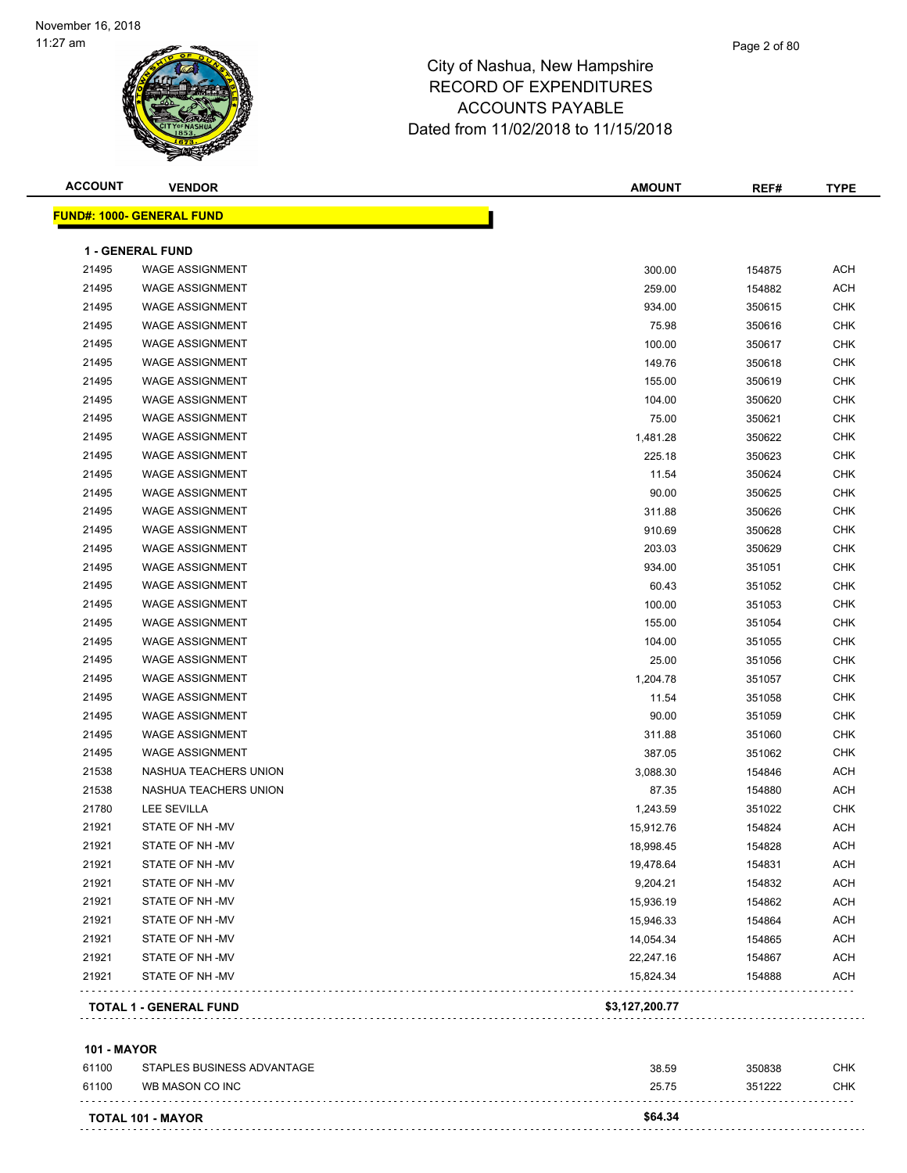| <b>ACCOUNT</b> | <b>VENDOR</b>                    | <b>AMOUNT</b>  | REF#   | <b>TYPE</b> |
|----------------|----------------------------------|----------------|--------|-------------|
|                | <b>FUND#: 1000- GENERAL FUND</b> |                |        |             |
|                | <b>1 - GENERAL FUND</b>          |                |        |             |
| 21495          | <b>WAGE ASSIGNMENT</b>           | 300.00         | 154875 | <b>ACH</b>  |
| 21495          | <b>WAGE ASSIGNMENT</b>           | 259.00         | 154882 | <b>ACH</b>  |
| 21495          | <b>WAGE ASSIGNMENT</b>           | 934.00         | 350615 | <b>CHK</b>  |
| 21495          | <b>WAGE ASSIGNMENT</b>           | 75.98          | 350616 | <b>CHK</b>  |
| 21495          | <b>WAGE ASSIGNMENT</b>           | 100.00         | 350617 | <b>CHK</b>  |
| 21495          | <b>WAGE ASSIGNMENT</b>           | 149.76         | 350618 | <b>CHK</b>  |
| 21495          | <b>WAGE ASSIGNMENT</b>           | 155.00         | 350619 | <b>CHK</b>  |
| 21495          | <b>WAGE ASSIGNMENT</b>           | 104.00         | 350620 | <b>CHK</b>  |
| 21495          | <b>WAGE ASSIGNMENT</b>           | 75.00          | 350621 | <b>CHK</b>  |
| 21495          | <b>WAGE ASSIGNMENT</b>           | 1,481.28       | 350622 | <b>CHK</b>  |
| 21495          | <b>WAGE ASSIGNMENT</b>           | 225.18         | 350623 | <b>CHK</b>  |
| 21495          | <b>WAGE ASSIGNMENT</b>           | 11.54          | 350624 | <b>CHK</b>  |
| 21495          | <b>WAGE ASSIGNMENT</b>           | 90.00          | 350625 | <b>CHK</b>  |
| 21495          | <b>WAGE ASSIGNMENT</b>           | 311.88         | 350626 | <b>CHK</b>  |
| 21495          | <b>WAGE ASSIGNMENT</b>           | 910.69         | 350628 | <b>CHK</b>  |
| 21495          | <b>WAGE ASSIGNMENT</b>           | 203.03         | 350629 | <b>CHK</b>  |
| 21495          | <b>WAGE ASSIGNMENT</b>           | 934.00         | 351051 | <b>CHK</b>  |
| 21495          | <b>WAGE ASSIGNMENT</b>           | 60.43          | 351052 | <b>CHK</b>  |
| 21495          | <b>WAGE ASSIGNMENT</b>           | 100.00         | 351053 | <b>CHK</b>  |
| 21495          | <b>WAGE ASSIGNMENT</b>           | 155.00         | 351054 | <b>CHK</b>  |
| 21495          | <b>WAGE ASSIGNMENT</b>           | 104.00         | 351055 | <b>CHK</b>  |
| 21495          | <b>WAGE ASSIGNMENT</b>           | 25.00          | 351056 | <b>CHK</b>  |
| 21495          | <b>WAGE ASSIGNMENT</b>           | 1,204.78       | 351057 | <b>CHK</b>  |
| 21495          | <b>WAGE ASSIGNMENT</b>           | 11.54          | 351058 | <b>CHK</b>  |
| 21495          | <b>WAGE ASSIGNMENT</b>           | 90.00          | 351059 | <b>CHK</b>  |
| 21495          | <b>WAGE ASSIGNMENT</b>           | 311.88         | 351060 | <b>CHK</b>  |
| 21495          | <b>WAGE ASSIGNMENT</b>           | 387.05         | 351062 | <b>CHK</b>  |
| 21538          | NASHUA TEACHERS UNION            | 3,088.30       | 154846 | <b>ACH</b>  |
| 21538          | NASHUA TEACHERS UNION            | 87.35          | 154880 | <b>ACH</b>  |
| 21780          | <b>LEE SEVILLA</b>               | 1,243.59       | 351022 | <b>CHK</b>  |
| 21921          | STATE OF NH-MV                   | 15,912.76      | 154824 | <b>ACH</b>  |
| 21921          | STATE OF NH -MV                  | 18,998.45      | 154828 | <b>ACH</b>  |
| 21921          | STATE OF NH-MV                   | 19,478.64      | 154831 | <b>ACH</b>  |
| 21921          | STATE OF NH-MV                   | 9,204.21       | 154832 | ACH         |
| 21921          | STATE OF NH -MV                  | 15,936.19      | 154862 | ACH         |
| 21921          | STATE OF NH-MV                   | 15,946.33      | 154864 | <b>ACH</b>  |
| 21921          | STATE OF NH -MV                  | 14,054.34      | 154865 | ACH         |
| 21921          | STATE OF NH-MV                   | 22,247.16      | 154867 | ACH         |
| 21921          | STATE OF NH-MV                   | 15,824.34      | 154888 | <b>ACH</b>  |
|                |                                  |                |        |             |
|                | <b>TOTAL 1 - GENERAL FUND</b>    | \$3,127,200.77 |        |             |

#### **101 - MAYOR**

| 61100 | STAPLES BUSINESS ADVANTAGE | 38.59   | 350838 | <b>CHK</b> |
|-------|----------------------------|---------|--------|------------|
| 61100 | WB MASON CO INC            | 25.75   | 351222 | CHK        |
|       | <b>TOTAL 101 - MAYOR</b>   | \$64.34 |        |            |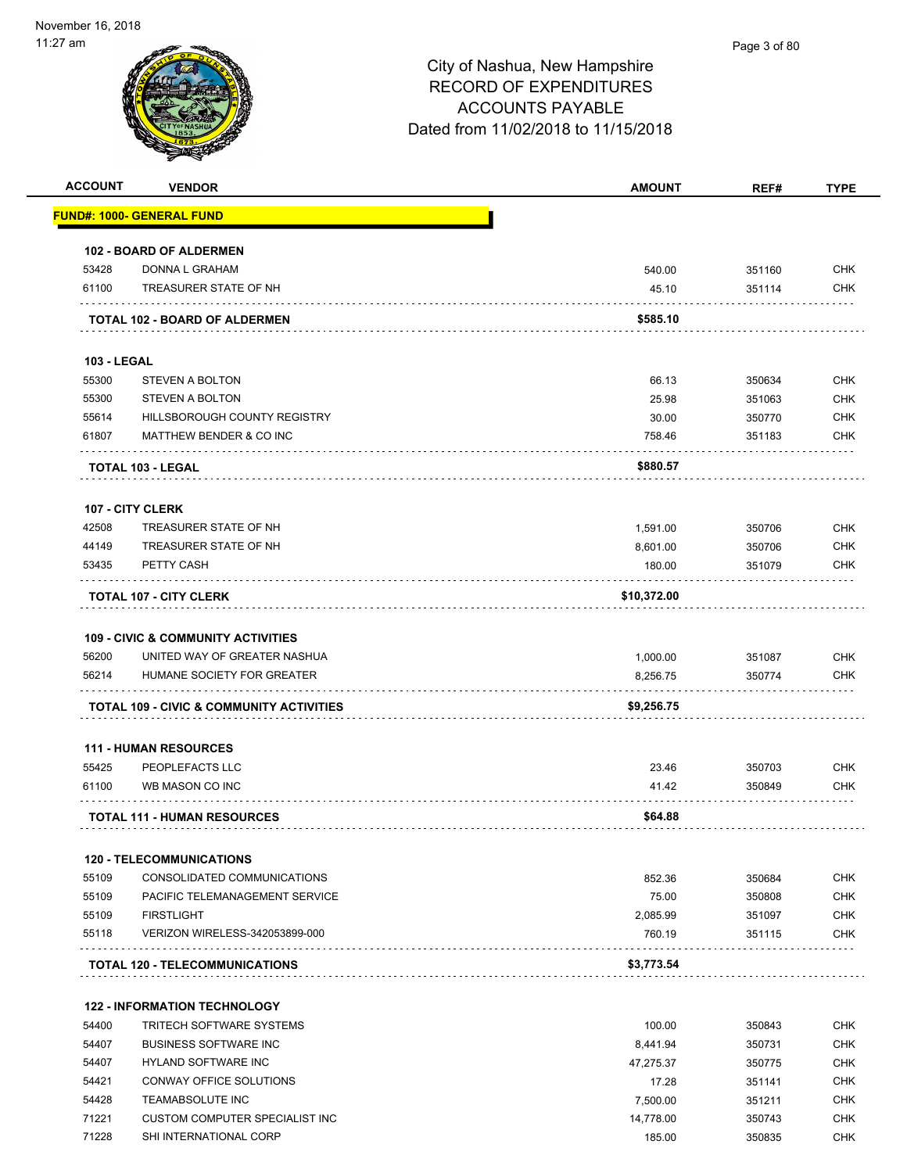

| <b>ACCOUNT</b>     | <b>VENDOR</b>                                       | <b>AMOUNT</b>     | REF#             | <b>TYPE</b> |
|--------------------|-----------------------------------------------------|-------------------|------------------|-------------|
|                    | <u> FUND#: 1000- GENERAL FUND</u>                   |                   |                  |             |
|                    | <b>102 - BOARD OF ALDERMEN</b>                      |                   |                  |             |
| 53428              | DONNA L GRAHAM                                      | 540.00            | 351160           | <b>CHK</b>  |
| 61100              | TREASURER STATE OF NH                               | 45.10             | 351114           | <b>CHK</b>  |
|                    | TOTAL 102 - BOARD OF ALDERMEN                       | \$585.10          |                  |             |
| <b>103 - LEGAL</b> |                                                     |                   |                  |             |
| 55300              | <b>STEVEN A BOLTON</b>                              | 66.13             | 350634           | <b>CHK</b>  |
| 55300              | <b>STEVEN A BOLTON</b>                              | 25.98             | 351063           | <b>CHK</b>  |
| 55614              | HILLSBOROUGH COUNTY REGISTRY                        | 30.00             | 350770           | CHK         |
| 61807              | MATTHEW BENDER & CO INC                             | 758.46            | 351183           | <b>CHK</b>  |
|                    | <b>TOTAL 103 - LEGAL</b>                            | \$880.57          |                  |             |
|                    | <b>107 - CITY CLERK</b>                             |                   |                  |             |
| 42508              | TREASURER STATE OF NH                               | 1,591.00          | 350706           | <b>CHK</b>  |
| 44149              | TREASURER STATE OF NH                               | 8,601.00          | 350706           | CHK         |
| 53435              | PETTY CASH                                          | 180.00            | 351079           | <b>CHK</b>  |
|                    | <b>TOTAL 107 - CITY CLERK</b>                       | \$10,372.00       |                  |             |
|                    | <b>109 - CIVIC &amp; COMMUNITY ACTIVITIES</b>       |                   |                  |             |
| 56200              | UNITED WAY OF GREATER NASHUA                        | 1,000.00          | 351087           | <b>CHK</b>  |
| 56214              | HUMANE SOCIETY FOR GREATER                          | 8,256.75          | 350774           | CHK         |
|                    | <b>TOTAL 109 - CIVIC &amp; COMMUNITY ACTIVITIES</b> | \$9,256.75        |                  |             |
|                    |                                                     |                   |                  |             |
|                    | <b>111 - HUMAN RESOURCES</b>                        |                   |                  |             |
| 55425              | PEOPLEFACTS LLC                                     | 23.46             | 350703           | <b>CHK</b>  |
| 61100              | WB MASON CO INC                                     | 41.42             | 350849           | CHK         |
|                    | <b>TOTAL 111 - HUMAN RESOURCES</b>                  | \$64.88           |                  |             |
|                    | <b>120 - TELECOMMUNICATIONS</b>                     |                   |                  |             |
| 55109              | CONSOLIDATED COMMUNICATIONS                         | 852.36            | 350684           | <b>CHK</b>  |
| 55109              | PACIFIC TELEMANAGEMENT SERVICE                      | 75.00             | 350808           | <b>CHK</b>  |
| 55109              | <b>FIRSTLIGHT</b>                                   | 2,085.99          | 351097           | <b>CHK</b>  |
| 55118              | VERIZON WIRELESS-342053899-000                      | 760.19            | 351115           | CHK         |
|                    | <b>TOTAL 120 - TELECOMMUNICATIONS</b>               | \$3,773.54        |                  |             |
|                    | <b>122 - INFORMATION TECHNOLOGY</b>                 |                   |                  |             |
| 54400              | <b>TRITECH SOFTWARE SYSTEMS</b>                     | 100.00            | 350843           | <b>CHK</b>  |
| 54407              | <b>BUSINESS SOFTWARE INC</b>                        | 8,441.94          | 350731           | <b>CHK</b>  |
| 54407              | HYLAND SOFTWARE INC                                 | 47,275.37         | 350775           | <b>CHK</b>  |
| 54421              | CONWAY OFFICE SOLUTIONS                             |                   |                  | <b>CHK</b>  |
| 54428              | TEAMABSOLUTE INC                                    | 17.28<br>7,500.00 | 351141<br>351211 | <b>CHK</b>  |
| 71221              | <b>CUSTOM COMPUTER SPECIALIST INC</b>               |                   |                  | <b>CHK</b>  |
| 71228              |                                                     | 14,778.00         | 350743           |             |
|                    | SHI INTERNATIONAL CORP                              | 185.00            | 350835           | <b>CHK</b>  |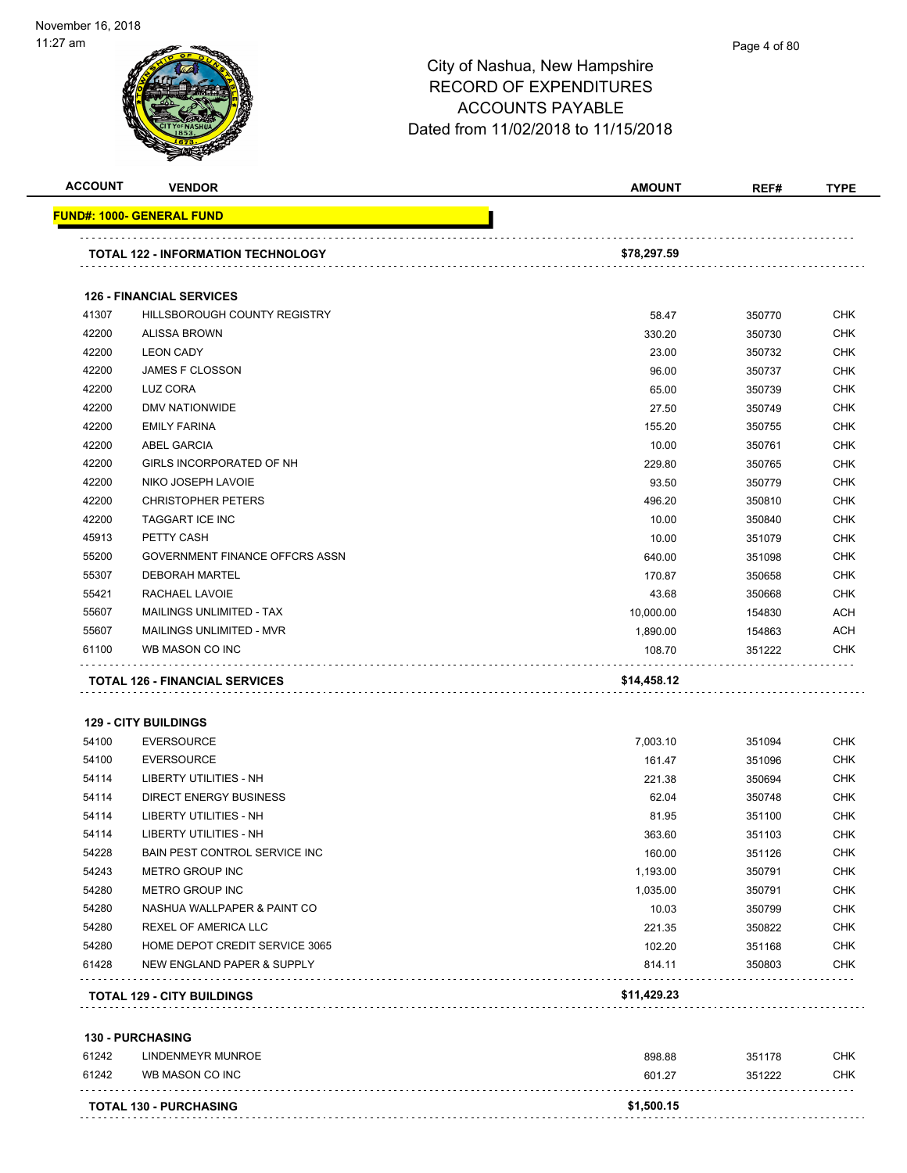|                | <b>VENDOR</b>                         | <b>AMOUNT</b>    | REF#             | <b>TYPE</b>                                                                                                                                                                                      |
|----------------|---------------------------------------|------------------|------------------|--------------------------------------------------------------------------------------------------------------------------------------------------------------------------------------------------|
|                | FUND#: 1000- GENERAL FUND             |                  |                  |                                                                                                                                                                                                  |
|                | TOTAL 122 - INFORMATION TECHNOLOGY    | \$78,297.59      |                  |                                                                                                                                                                                                  |
|                | <b>126 - FINANCIAL SERVICES</b>       |                  |                  |                                                                                                                                                                                                  |
| 41307          | HILLSBOROUGH COUNTY REGISTRY          | 58.47            | 350770           | <b>CHK</b>                                                                                                                                                                                       |
| 42200          | <b>ALISSA BROWN</b>                   | 330.20           | 350730           | <b>CHK</b>                                                                                                                                                                                       |
| 42200          | <b>LEON CADY</b>                      | 23.00            | 350732           | <b>CHK</b>                                                                                                                                                                                       |
| 42200          | <b>JAMES F CLOSSON</b>                | 96.00            | 350737           | <b>CHK</b>                                                                                                                                                                                       |
| 42200          | LUZ CORA                              | 65.00            | 350739           | <b>CHK</b>                                                                                                                                                                                       |
| 42200          | DMV NATIONWIDE                        | 27.50            | 350749           | <b>CHK</b>                                                                                                                                                                                       |
| 42200          | <b>EMILY FARINA</b>                   | 155.20           | 350755           | <b>CHK</b>                                                                                                                                                                                       |
| 42200          | <b>ABEL GARCIA</b>                    | 10.00            | 350761           | <b>CHK</b>                                                                                                                                                                                       |
| 42200          | GIRLS INCORPORATED OF NH              | 229.80           | 350765           | <b>CHK</b>                                                                                                                                                                                       |
| 42200          | NIKO JOSEPH LAVOIE                    | 93.50            | 350779           | <b>CHK</b>                                                                                                                                                                                       |
| 42200          | <b>CHRISTOPHER PETERS</b>             | 496.20           | 350810           | <b>CHK</b>                                                                                                                                                                                       |
| 42200          | <b>TAGGART ICE INC</b>                | 10.00            | 350840           | <b>CHK</b>                                                                                                                                                                                       |
| 45913          | PETTY CASH                            | 10.00            | 351079           | <b>CHK</b>                                                                                                                                                                                       |
| 55200          | GOVERNMENT FINANCE OFFCRS ASSN        | 640.00           | 351098           | <b>CHK</b>                                                                                                                                                                                       |
| 55307          | <b>DEBORAH MARTEL</b>                 | 170.87           | 350658           | <b>CHK</b>                                                                                                                                                                                       |
| 55421          | RACHAEL LAVOIE                        | 43.68            | 350668           | <b>CHK</b>                                                                                                                                                                                       |
| 55607          | MAILINGS UNLIMITED - TAX              | 10,000.00        | 154830           | <b>ACH</b>                                                                                                                                                                                       |
| 55607          | MAILINGS UNLIMITED - MVR              | 1,890.00         | 154863           | <b>ACH</b>                                                                                                                                                                                       |
| 61100          | WB MASON CO INC                       | 108.70           | 351222           | <b>CHK</b>                                                                                                                                                                                       |
|                |                                       |                  |                  |                                                                                                                                                                                                  |
|                |                                       |                  |                  |                                                                                                                                                                                                  |
|                | <b>TOTAL 126 - FINANCIAL SERVICES</b> | \$14,458.12      |                  |                                                                                                                                                                                                  |
|                | <b>129 - CITY BUILDINGS</b>           |                  |                  |                                                                                                                                                                                                  |
| 54100          | <b>EVERSOURCE</b>                     | 7,003.10         | 351094           |                                                                                                                                                                                                  |
| 54100          | <b>EVERSOURCE</b>                     | 161.47           | 351096           |                                                                                                                                                                                                  |
| 54114          | <b>LIBERTY UTILITIES - NH</b>         | 221.38           | 350694           |                                                                                                                                                                                                  |
| 54114          | <b>DIRECT ENERGY BUSINESS</b>         | 62.04            | 350748           |                                                                                                                                                                                                  |
| 54114          | <b>LIBERTY UTILITIES - NH</b>         | 81.95            | 351100           |                                                                                                                                                                                                  |
| 54114          | <b>LIBERTY UTILITIES - NH</b>         | 363.60           | 351103           |                                                                                                                                                                                                  |
| 54228          | BAIN PEST CONTROL SERVICE INC         | 160.00           | 351126           |                                                                                                                                                                                                  |
| 54243          | <b>METRO GROUP INC</b>                | 1,193.00         | 350791           |                                                                                                                                                                                                  |
|                | <b>METRO GROUP INC</b>                | 1,035.00         | 350791           |                                                                                                                                                                                                  |
| 54280<br>54280 | NASHUA WALLPAPER & PAINT CO           | 10.03            | 350799           |                                                                                                                                                                                                  |
|                | REXEL OF AMERICA LLC                  | 221.35           | 350822           |                                                                                                                                                                                                  |
| 54280<br>54280 | HOME DEPOT CREDIT SERVICE 3065        | 102.20           | 351168           |                                                                                                                                                                                                  |
| 61428          | NEW ENGLAND PAPER & SUPPLY            | 814.11           | 350803           |                                                                                                                                                                                                  |
|                | <b>TOTAL 129 - CITY BUILDINGS</b>     | \$11,429.23      |                  |                                                                                                                                                                                                  |
|                |                                       |                  |                  |                                                                                                                                                                                                  |
|                | 130 - PURCHASING                      |                  |                  |                                                                                                                                                                                                  |
| 61242<br>61242 | LINDENMEYR MUNROE<br>WB MASON CO INC  | 898.88<br>601.27 | 351178<br>351222 | <b>CHK</b><br><b>CHK</b><br><b>CHK</b><br><b>CHK</b><br>CHK<br><b>CHK</b><br><b>CHK</b><br><b>CHK</b><br><b>CHK</b><br><b>CHK</b><br><b>CHK</b><br><b>CHK</b><br><b>CHK</b><br>CHK<br><b>CHK</b> |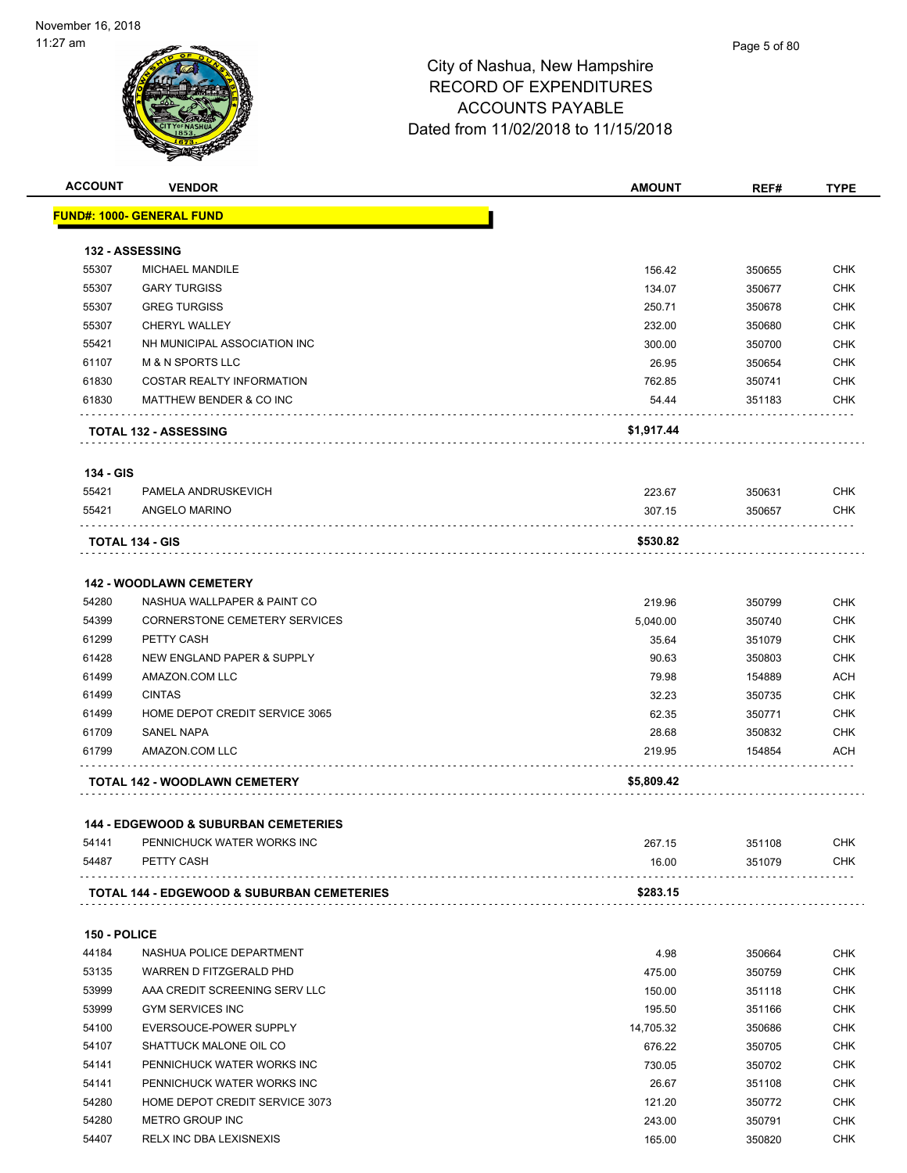| <b>ACCOUNT</b>        | <b>VENDOR</b>                                                                 | <b>AMOUNT</b> | REF#   | <b>TYPE</b>              |
|-----------------------|-------------------------------------------------------------------------------|---------------|--------|--------------------------|
|                       | <u> FUND#: 1000- GENERAL FUND</u>                                             |               |        |                          |
|                       | 132 - ASSESSING                                                               |               |        |                          |
| 55307                 | MICHAEL MANDILE                                                               | 156.42        | 350655 | <b>CHK</b>               |
| 55307                 | <b>GARY TURGISS</b>                                                           | 134.07        | 350677 | <b>CHK</b>               |
| 55307                 | <b>GREG TURGISS</b>                                                           | 250.71        | 350678 | <b>CHK</b>               |
| 55307                 | CHERYL WALLEY                                                                 | 232.00        | 350680 | <b>CHK</b>               |
| 55421                 | NH MUNICIPAL ASSOCIATION INC                                                  | 300.00        | 350700 | <b>CHK</b>               |
| 61107                 | <b>M &amp; N SPORTS LLC</b>                                                   | 26.95         | 350654 | <b>CHK</b>               |
| 61830                 | <b>COSTAR REALTY INFORMATION</b>                                              | 762.85        | 350741 | <b>CHK</b>               |
| 61830                 | MATTHEW BENDER & CO INC                                                       | 54.44         | 351183 | <b>CHK</b>               |
|                       | <b>TOTAL 132 - ASSESSING</b>                                                  | \$1,917.44    |        |                          |
| 134 - GIS             |                                                                               |               |        |                          |
| 55421                 | PAMELA ANDRUSKEVICH                                                           | 223.67        | 350631 | <b>CHK</b>               |
| 55421                 | ANGELO MARINO                                                                 | 307.15        | 350657 | CHK                      |
|                       | TOTAL 134 - GIS                                                               | \$530.82      |        |                          |
|                       |                                                                               |               |        |                          |
|                       | <b>142 - WOODLAWN CEMETERY</b>                                                |               |        |                          |
| 54280                 | NASHUA WALLPAPER & PAINT CO                                                   | 219.96        | 350799 | <b>CHK</b>               |
| 54399                 | <b>CORNERSTONE CEMETERY SERVICES</b>                                          | 5,040.00      | 350740 | <b>CHK</b>               |
| 61299                 | PETTY CASH                                                                    | 35.64         | 351079 | <b>CHK</b>               |
| 61428                 | NEW ENGLAND PAPER & SUPPLY                                                    | 90.63         | 350803 | <b>CHK</b>               |
| 61499                 | AMAZON.COM LLC                                                                | 79.98         | 154889 | <b>ACH</b>               |
| 61499                 | <b>CINTAS</b>                                                                 | 32.23         | 350735 | <b>CHK</b>               |
| 61499                 | HOME DEPOT CREDIT SERVICE 3065                                                | 62.35         | 350771 | <b>CHK</b>               |
| 61709                 | <b>SANEL NAPA</b>                                                             | 28.68         | 350832 | <b>CHK</b>               |
| 61799                 | AMAZON.COM LLC                                                                | 219.95        | 154854 | <b>ACH</b>               |
|                       | TOTAL 142 - WOODLAWN CEMETERY                                                 | \$5,809.42    |        |                          |
|                       |                                                                               |               |        |                          |
| 54141                 | <b>144 - EDGEWOOD &amp; SUBURBAN CEMETERIES</b><br>PENNICHUCK WATER WORKS INC | 267.15        | 351108 | <b>CHK</b>               |
| 54487                 | PETTY CASH                                                                    | 16.00         | 351079 | CHK                      |
|                       | TOTAL 144 - EDGEWOOD & SUBURBAN CEMETERIES                                    | \$283.15      |        |                          |
|                       |                                                                               |               |        |                          |
| 150 - POLICE<br>44184 | NASHUA POLICE DEPARTMENT                                                      |               |        |                          |
|                       |                                                                               | 4.98          | 350664 | <b>CHK</b><br><b>CHK</b> |
| 53135                 | WARREN D FITZGERALD PHD                                                       | 475.00        | 350759 |                          |
| 53999                 | AAA CREDIT SCREENING SERV LLC                                                 | 150.00        | 351118 | <b>CHK</b>               |
| 53999                 | <b>GYM SERVICES INC</b>                                                       | 195.50        | 351166 | <b>CHK</b>               |
| 54100                 | EVERSOUCE-POWER SUPPLY                                                        | 14,705.32     | 350686 | <b>CHK</b>               |
| 54107                 | SHATTUCK MALONE OIL CO                                                        | 676.22        | 350705 | <b>CHK</b>               |
| 54141                 | PENNICHUCK WATER WORKS INC                                                    | 730.05        | 350702 | <b>CHK</b>               |
| 54141                 | PENNICHUCK WATER WORKS INC                                                    | 26.67         | 351108 | <b>CHK</b>               |
| 54280                 | HOME DEPOT CREDIT SERVICE 3073                                                | 121.20        | 350772 | CHK                      |
| 54280                 | METRO GROUP INC                                                               | 243.00        | 350791 | <b>CHK</b>               |
| 54407                 | RELX INC DBA LEXISNEXIS                                                       | 165.00        | 350820 | <b>CHK</b>               |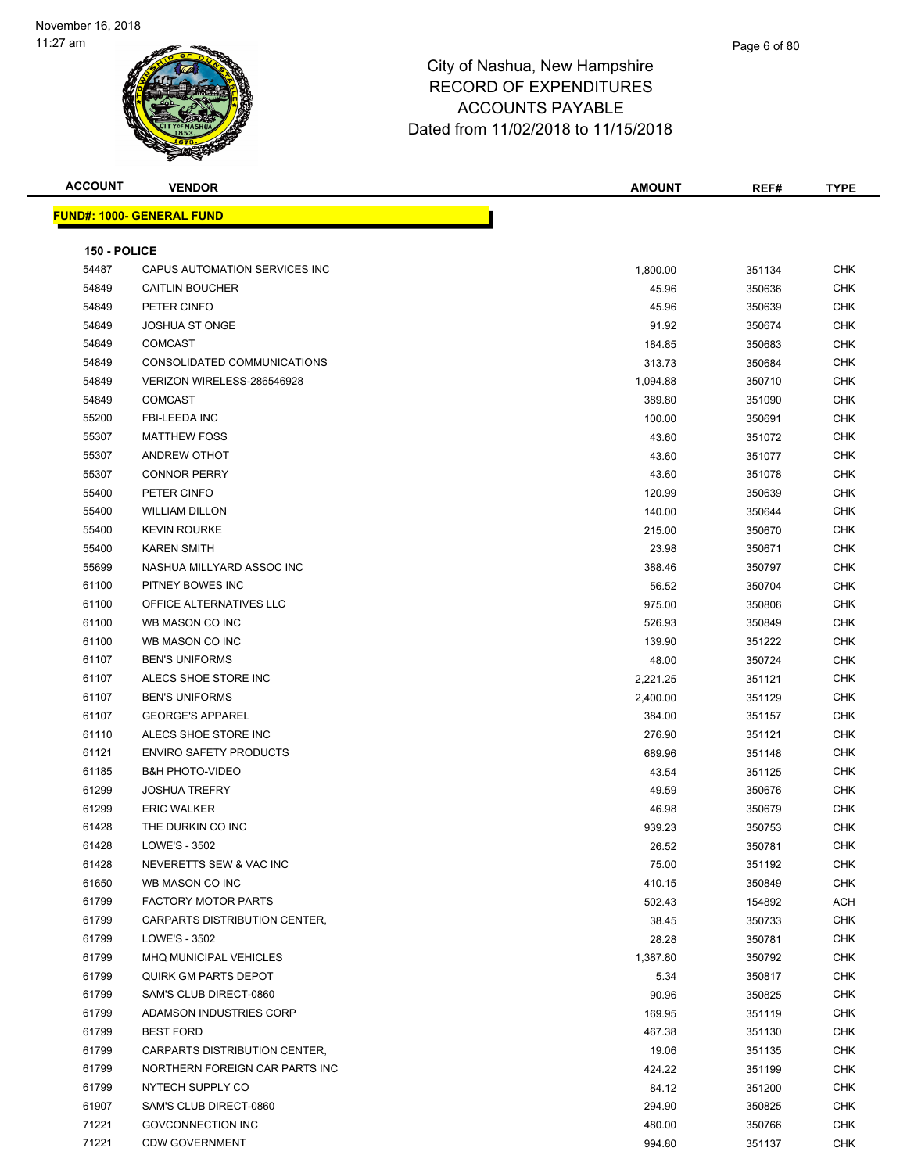

| <b>ACCOUNT</b> | <b>VENDOR</b>                    | <b>AMOUNT</b> | REF#   | <b>TYPE</b> |
|----------------|----------------------------------|---------------|--------|-------------|
|                | <b>FUND#: 1000- GENERAL FUND</b> |               |        |             |
|                |                                  |               |        |             |
| 150 - POLICE   |                                  |               |        |             |
| 54487          | CAPUS AUTOMATION SERVICES INC    | 1,800.00      | 351134 | <b>CHK</b>  |
| 54849          | <b>CAITLIN BOUCHER</b>           | 45.96         | 350636 | <b>CHK</b>  |
| 54849          | PETER CINFO                      | 45.96         | 350639 | <b>CHK</b>  |
| 54849          | <b>JOSHUA ST ONGE</b>            | 91.92         | 350674 | <b>CHK</b>  |
| 54849          | <b>COMCAST</b>                   | 184.85        | 350683 | <b>CHK</b>  |
| 54849          | CONSOLIDATED COMMUNICATIONS      | 313.73        | 350684 | <b>CHK</b>  |
| 54849          | VERIZON WIRELESS-286546928       | 1,094.88      | 350710 | <b>CHK</b>  |
| 54849          | <b>COMCAST</b>                   | 389.80        | 351090 | <b>CHK</b>  |
| 55200          | FBI-LEEDA INC                    | 100.00        | 350691 | <b>CHK</b>  |
| 55307          | <b>MATTHEW FOSS</b>              | 43.60         | 351072 | <b>CHK</b>  |
| 55307          | ANDREW OTHOT                     | 43.60         | 351077 | <b>CHK</b>  |
| 55307          | <b>CONNOR PERRY</b>              | 43.60         | 351078 | <b>CHK</b>  |
| 55400          | PETER CINFO                      | 120.99        | 350639 | CHK         |
| 55400          | <b>WILLIAM DILLON</b>            | 140.00        | 350644 | <b>CHK</b>  |
| 55400          | <b>KEVIN ROURKE</b>              | 215.00        | 350670 | <b>CHK</b>  |
| 55400          | <b>KAREN SMITH</b>               | 23.98         | 350671 | <b>CHK</b>  |
| 55699          | NASHUA MILLYARD ASSOC INC        | 388.46        | 350797 | <b>CHK</b>  |
| 61100          | PITNEY BOWES INC                 | 56.52         | 350704 | <b>CHK</b>  |
| 61100          | OFFICE ALTERNATIVES LLC          | 975.00        | 350806 | <b>CHK</b>  |
| 61100          | WB MASON CO INC                  | 526.93        | 350849 | <b>CHK</b>  |
| 61100          | WB MASON CO INC                  | 139.90        | 351222 | <b>CHK</b>  |
| 61107          | <b>BEN'S UNIFORMS</b>            | 48.00         | 350724 | <b>CHK</b>  |
| 61107          | ALECS SHOE STORE INC             | 2,221.25      | 351121 | <b>CHK</b>  |
| 61107          | <b>BEN'S UNIFORMS</b>            | 2,400.00      | 351129 | <b>CHK</b>  |
| 61107          | <b>GEORGE'S APPAREL</b>          | 384.00        | 351157 | <b>CHK</b>  |
| 61110          | ALECS SHOE STORE INC             | 276.90        | 351121 | <b>CHK</b>  |
| 61121          | <b>ENVIRO SAFETY PRODUCTS</b>    | 689.96        | 351148 | <b>CHK</b>  |
| 61185          | <b>B&amp;H PHOTO-VIDEO</b>       | 43.54         | 351125 | <b>CHK</b>  |
| 61299          | <b>JOSHUA TREFRY</b>             | 49.59         | 350676 | <b>CHK</b>  |
| 61299          | <b>ERIC WALKER</b>               | 46.98         | 350679 | <b>CHK</b>  |
| 61428          | THE DURKIN CO INC                | 939.23        | 350753 | <b>CHK</b>  |
| 61428          | LOWE'S - 3502                    | 26.52         | 350781 | <b>CHK</b>  |
| 61428          | NEVERETTS SEW & VAC INC          | 75.00         | 351192 | <b>CHK</b>  |
| 61650          | WB MASON CO INC                  | 410.15        | 350849 | <b>CHK</b>  |
| 61799          | <b>FACTORY MOTOR PARTS</b>       | 502.43        | 154892 | <b>ACH</b>  |
| 61799          | CARPARTS DISTRIBUTION CENTER,    | 38.45         | 350733 | <b>CHK</b>  |
| 61799          | LOWE'S - 3502                    | 28.28         | 350781 | <b>CHK</b>  |
| 61799          | MHQ MUNICIPAL VEHICLES           | 1,387.80      | 350792 | <b>CHK</b>  |
| 61799          | QUIRK GM PARTS DEPOT             | 5.34          | 350817 | <b>CHK</b>  |
| 61799          | SAM'S CLUB DIRECT-0860           | 90.96         | 350825 | <b>CHK</b>  |
| 61799          | ADAMSON INDUSTRIES CORP          | 169.95        | 351119 | <b>CHK</b>  |
| 61799          | <b>BEST FORD</b>                 | 467.38        | 351130 | <b>CHK</b>  |
| 61799          | CARPARTS DISTRIBUTION CENTER,    | 19.06         | 351135 | <b>CHK</b>  |
| 61799          | NORTHERN FOREIGN CAR PARTS INC   | 424.22        | 351199 | <b>CHK</b>  |
| 61799          | NYTECH SUPPLY CO                 | 84.12         | 351200 | <b>CHK</b>  |
| 61907          | SAM'S CLUB DIRECT-0860           | 294.90        | 350825 | <b>CHK</b>  |
| 71221          | GOVCONNECTION INC                | 480.00        | 350766 | <b>CHK</b>  |
| 71221          | <b>CDW GOVERNMENT</b>            | 994.80        | 351137 | <b>CHK</b>  |
|                |                                  |               |        |             |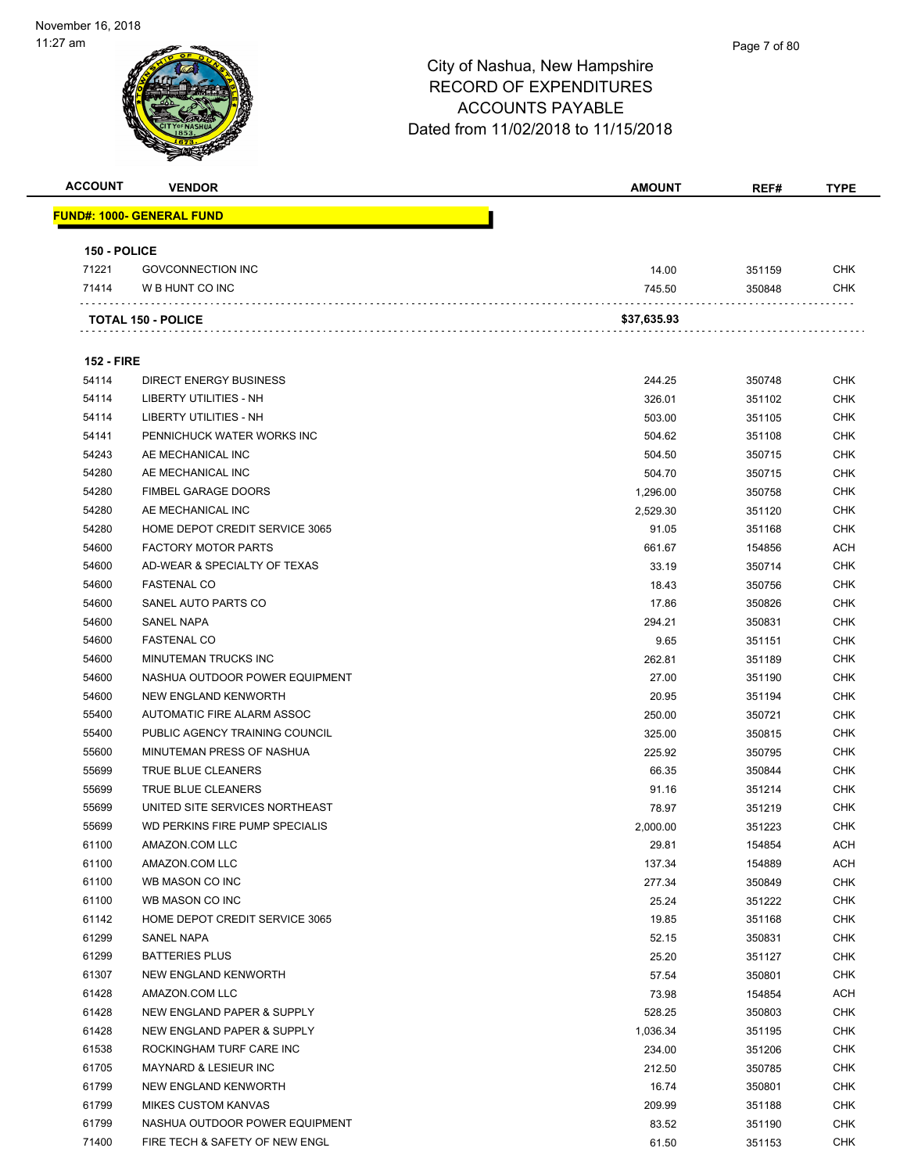#### Page 7 of 80

| <b>ACCOUNT</b>    | <b>VENDOR</b>                     | <b>AMOUNT</b> | REF#   | <b>TYPE</b> |
|-------------------|-----------------------------------|---------------|--------|-------------|
|                   | <u> FUND#: 1000- GENERAL FUND</u> |               |        |             |
|                   |                                   |               |        |             |
| 150 - POLICE      |                                   |               |        |             |
| 71221             | <b>GOVCONNECTION INC</b>          | 14.00         | 351159 | CHK         |
| 71414             | W B HUNT CO INC                   | 745.50        | 350848 | <b>CHK</b>  |
|                   | <b>TOTAL 150 - POLICE</b>         | \$37,635.93   |        |             |
| <b>152 - FIRE</b> |                                   |               |        |             |
| 54114             | <b>DIRECT ENERGY BUSINESS</b>     | 244.25        | 350748 | CHK         |
| 54114             | LIBERTY UTILITIES - NH            | 326.01        | 351102 | CHK         |
| 54114             | LIBERTY UTILITIES - NH            | 503.00        | 351105 | <b>CHK</b>  |
| 54141             | PENNICHUCK WATER WORKS INC        | 504.62        | 351108 | CHK         |
| 54243             | AE MECHANICAL INC                 | 504.50        | 350715 | <b>CHK</b>  |
| 54280             | AE MECHANICAL INC                 | 504.70        | 350715 | <b>CHK</b>  |
| 54280             | <b>FIMBEL GARAGE DOORS</b>        | 1,296.00      | 350758 | CHK         |
| 54280             | AE MECHANICAL INC                 | 2,529.30      | 351120 | <b>CHK</b>  |
| 54280             | HOME DEPOT CREDIT SERVICE 3065    | 91.05         | 351168 | <b>CHK</b>  |
| 54600             | <b>FACTORY MOTOR PARTS</b>        | 661.67        | 154856 | <b>ACH</b>  |
| 54600             | AD-WEAR & SPECIALTY OF TEXAS      | 33.19         | 350714 | CHK         |
| 54600             | <b>FASTENAL CO</b>                | 18.43         | 350756 | CHK         |
| 54600             | SANEL AUTO PARTS CO               | 17.86         | 350826 | CHK         |
| 54600             | <b>SANEL NAPA</b>                 | 294.21        | 350831 | <b>CHK</b>  |
| 54600             | <b>FASTENAL CO</b>                | 9.65          | 351151 | CHK         |
| 54600             | MINUTEMAN TRUCKS INC              | 262.81        | 351189 | <b>CHK</b>  |
| 54600             | NASHUA OUTDOOR POWER EQUIPMENT    | 27.00         | 351190 | <b>CHK</b>  |
| 54600             | NEW ENGLAND KENWORTH              | 20.95         | 351194 | CHK         |
| 55400             | AUTOMATIC FIRE ALARM ASSOC        | 250.00        | 350721 | <b>CHK</b>  |
| 55400             | PUBLIC AGENCY TRAINING COUNCIL    | 325.00        | 350815 | <b>CHK</b>  |
| 55600             | MINUTEMAN PRESS OF NASHUA         | 225.92        | 350795 | CHK         |
| 55699             | TRUE BLUE CLEANERS                | 66.35         | 350844 | <b>CHK</b>  |
| 55699             | TRUE BLUE CLEANERS                | 91.16         | 351214 | <b>CHK</b>  |
| 55699             | UNITED SITE SERVICES NORTHEAST    | 78.97         | 351219 | CHK         |
| 55699             | WD PERKINS FIRE PUMP SPECIALIS    | 2,000.00      | 351223 | CHK         |
| 61100             | AMAZON.COM LLC                    | 29.81         | 154854 | ACH         |
| 61100             | AMAZON.COM LLC                    | 137.34        | 154889 | <b>ACH</b>  |
| 61100             | WB MASON CO INC                   | 277.34        | 350849 | <b>CHK</b>  |
| 61100             | WB MASON CO INC                   | 25.24         | 351222 | <b>CHK</b>  |
| 61142             | HOME DEPOT CREDIT SERVICE 3065    | 19.85         | 351168 | <b>CHK</b>  |
| 61299             | <b>SANEL NAPA</b>                 | 52.15         | 350831 | <b>CHK</b>  |
| 61299             | <b>BATTERIES PLUS</b>             | 25.20         | 351127 | <b>CHK</b>  |
| 61307             | NEW ENGLAND KENWORTH              | 57.54         | 350801 | <b>CHK</b>  |
| 61428             | AMAZON.COM LLC                    | 73.98         | 154854 | ACH         |
| 61428             | NEW ENGLAND PAPER & SUPPLY        | 528.25        | 350803 | <b>CHK</b>  |
| 61428             | NEW ENGLAND PAPER & SUPPLY        | 1,036.34      | 351195 | <b>CHK</b>  |
| 61538             | ROCKINGHAM TURF CARE INC          | 234.00        | 351206 | <b>CHK</b>  |
| 61705             | <b>MAYNARD &amp; LESIEUR INC</b>  | 212.50        | 350785 | <b>CHK</b>  |
| 61799             | NEW ENGLAND KENWORTH              | 16.74         | 350801 | <b>CHK</b>  |
| 61799             | <b>MIKES CUSTOM KANVAS</b>        | 209.99        | 351188 | <b>CHK</b>  |
| 61799             | NASHUA OUTDOOR POWER EQUIPMENT    | 83.52         | 351190 | <b>CHK</b>  |
| 71400             | FIRE TECH & SAFETY OF NEW ENGL    | 61.50         | 351153 | <b>CHK</b>  |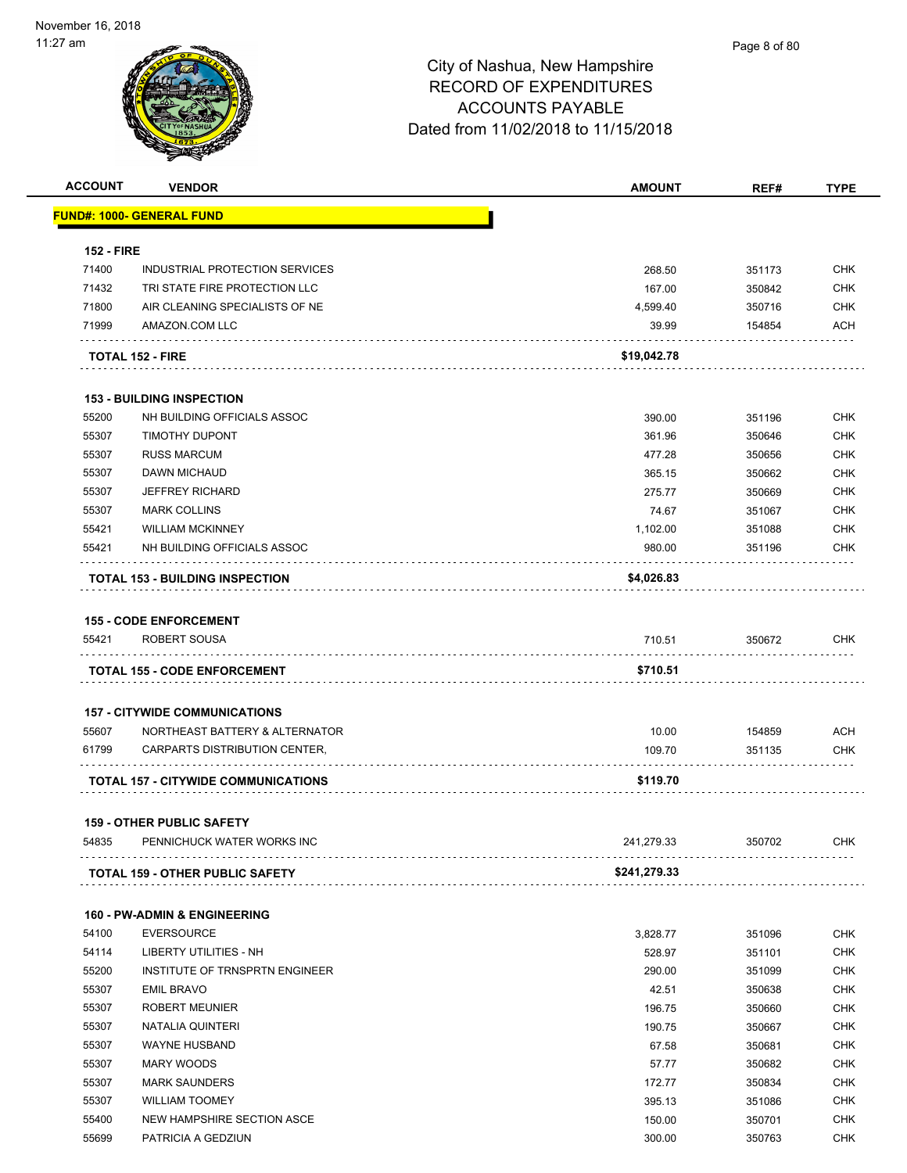

| <b>ACCOUNT</b>    | <b>VENDOR</b>                              | <b>AMOUNT</b> | REF#   | <b>TYPE</b>              |
|-------------------|--------------------------------------------|---------------|--------|--------------------------|
|                   | <u> FUND#: 1000- GENERAL FUND</u>          |               |        |                          |
|                   |                                            |               |        |                          |
| <b>152 - FIRE</b> | INDUSTRIAL PROTECTION SERVICES             |               |        |                          |
| 71400<br>71432    | TRI STATE FIRE PROTECTION LLC              | 268.50        | 351173 | <b>CHK</b><br><b>CHK</b> |
| 71800             | AIR CLEANING SPECIALISTS OF NE             | 167.00        | 350842 | <b>CHK</b>               |
| 71999             | AMAZON.COM LLC                             | 4,599.40      | 350716 | <b>ACH</b>               |
|                   |                                            | 39.99         | 154854 |                          |
|                   | <b>TOTAL 152 - FIRE</b>                    | \$19,042.78   |        |                          |
|                   | <b>153 - BUILDING INSPECTION</b>           |               |        |                          |
| 55200             | NH BUILDING OFFICIALS ASSOC                | 390.00        | 351196 | <b>CHK</b>               |
| 55307             | <b>TIMOTHY DUPONT</b>                      | 361.96        | 350646 | <b>CHK</b>               |
| 55307             | <b>RUSS MARCUM</b>                         | 477.28        | 350656 | <b>CHK</b>               |
| 55307             | <b>DAWN MICHAUD</b>                        | 365.15        | 350662 | <b>CHK</b>               |
| 55307             | <b>JEFFREY RICHARD</b>                     | 275.77        | 350669 | <b>CHK</b>               |
| 55307             | <b>MARK COLLINS</b>                        | 74.67         | 351067 | <b>CHK</b>               |
| 55421             | <b>WILLIAM MCKINNEY</b>                    | 1,102.00      | 351088 | <b>CHK</b>               |
| 55421             | NH BUILDING OFFICIALS ASSOC                | 980.00        | 351196 | <b>CHK</b>               |
|                   | <b>TOTAL 153 - BUILDING INSPECTION</b>     | \$4,026.83    |        |                          |
|                   |                                            |               |        |                          |
|                   | <b>155 - CODE ENFORCEMENT</b>              |               |        |                          |
| 55421             | ROBERT SOUSA                               | 710.51        | 350672 | <b>CHK</b>               |
|                   | <b>TOTAL 155 - CODE ENFORCEMENT</b>        | \$710.51      |        |                          |
|                   |                                            |               |        |                          |
|                   | <b>157 - CITYWIDE COMMUNICATIONS</b>       |               |        |                          |
| 55607             | NORTHEAST BATTERY & ALTERNATOR             | 10.00         | 154859 | <b>ACH</b>               |
| 61799             | CARPARTS DISTRIBUTION CENTER,              | 109.70        | 351135 | <b>CHK</b>               |
|                   | <b>TOTAL 157 - CITYWIDE COMMUNICATIONS</b> | \$119.70      |        |                          |
|                   |                                            |               |        |                          |
|                   | <b>159 - OTHER PUBLIC SAFETY</b>           |               |        |                          |
| 54835             | PENNICHUCK WATER WORKS INC                 | 241,279.33    | 350702 | <b>CHK</b>               |
|                   | <b>TOTAL 159 - OTHER PUBLIC SAFETY</b>     | \$241,279.33  |        |                          |
|                   | <b>160 - PW-ADMIN &amp; ENGINEERING</b>    |               |        |                          |
| 54100             | <b>EVERSOURCE</b>                          | 3,828.77      | 351096 | <b>CHK</b>               |
| 54114             | LIBERTY UTILITIES - NH                     | 528.97        | 351101 | <b>CHK</b>               |
| 55200             | INSTITUTE OF TRNSPRTN ENGINEER             | 290.00        | 351099 | <b>CHK</b>               |
| 55307             | <b>EMIL BRAVO</b>                          | 42.51         | 350638 | <b>CHK</b>               |
| 55307             | <b>ROBERT MEUNIER</b>                      | 196.75        | 350660 | <b>CHK</b>               |
| 55307             | NATALIA QUINTERI                           | 190.75        | 350667 | <b>CHK</b>               |
| 55307             | <b>WAYNE HUSBAND</b>                       | 67.58         | 350681 | <b>CHK</b>               |
| 55307             | MARY WOODS                                 | 57.77         | 350682 | <b>CHK</b>               |
| 55307             | <b>MARK SAUNDERS</b>                       | 172.77        | 350834 | <b>CHK</b>               |
| 55307             | <b>WILLIAM TOOMEY</b>                      | 395.13        | 351086 | <b>CHK</b>               |
| 55400             | NEW HAMPSHIRE SECTION ASCE                 | 150.00        | 350701 | <b>CHK</b>               |
| 55699             | PATRICIA A GEDZIUN                         | 300.00        | 350763 | <b>CHK</b>               |
|                   |                                            |               |        |                          |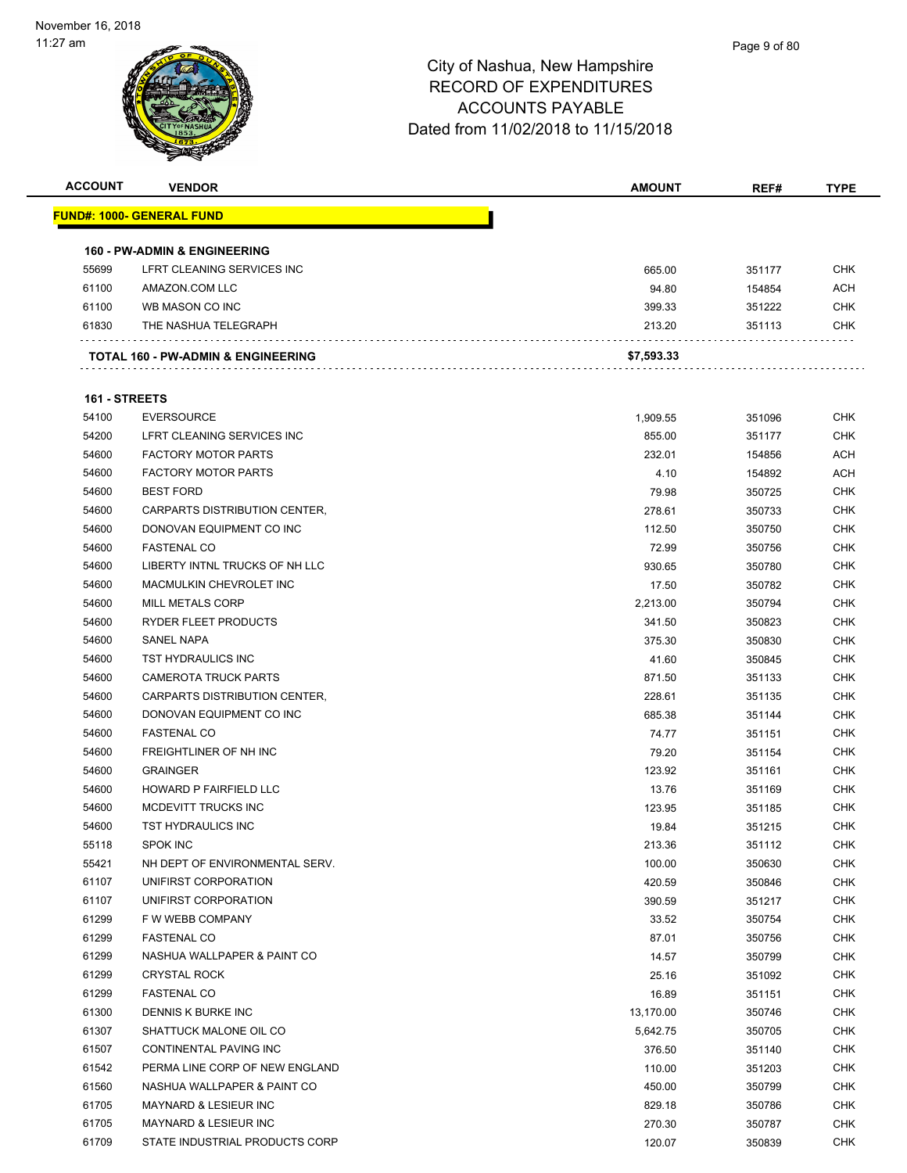| <b>ACCOUNT</b> | <b>VENDOR</b>                                 | <b>AMOUNT</b>  | REF#   | <b>TYPE</b> |
|----------------|-----------------------------------------------|----------------|--------|-------------|
|                | <u> FUND#: 1000- GENERAL FUND</u>             |                |        |             |
|                | <b>160 - PW-ADMIN &amp; ENGINEERING</b>       |                |        |             |
| 55699          | LFRT CLEANING SERVICES INC                    | 665.00         | 351177 | <b>CHK</b>  |
| 61100          | AMAZON.COM LLC                                | 94.80          | 154854 | <b>ACH</b>  |
| 61100          | WB MASON CO INC                               | 399.33         | 351222 | <b>CHK</b>  |
| 61830          | THE NASHUA TELEGRAPH                          | 213.20         | 351113 | <b>CHK</b>  |
|                | <b>TOTAL 160 - PW-ADMIN &amp; ENGINEERING</b> | \$7,593.33     |        |             |
| 161 - STREETS  |                                               |                |        |             |
| 54100          | <b>EVERSOURCE</b>                             | 1,909.55       | 351096 | <b>CHK</b>  |
| 54200          | LFRT CLEANING SERVICES INC                    | 855.00         | 351177 | <b>CHK</b>  |
| 54600          | <b>FACTORY MOTOR PARTS</b>                    | 232.01         | 154856 | <b>ACH</b>  |
| 54600          | <b>FACTORY MOTOR PARTS</b>                    | 4.10           | 154892 | ACH         |
| 54600          | <b>BEST FORD</b>                              | 79.98          | 350725 | <b>CHK</b>  |
| 54600          | CARPARTS DISTRIBUTION CENTER,                 | 278.61         | 350733 | <b>CHK</b>  |
| 54600          | DONOVAN EQUIPMENT CO INC                      | 112.50         | 350750 | <b>CHK</b>  |
| 54600          | <b>FASTENAL CO</b>                            | 72.99          | 350756 | <b>CHK</b>  |
| 54600          | LIBERTY INTNL TRUCKS OF NH LLC                | 930.65         | 350780 | <b>CHK</b>  |
| 54600          | MACMULKIN CHEVROLET INC                       | 17.50          | 350782 | CHK         |
| 54600          | <b>MILL METALS CORP</b>                       | 2,213.00       | 350794 | <b>CHK</b>  |
| 54600          | RYDER FLEET PRODUCTS                          | 341.50         | 350823 | <b>CHK</b>  |
| 54600          | SANEL NAPA                                    | 375.30         | 350830 | <b>CHK</b>  |
| 54600          | TST HYDRAULICS INC                            | 41.60          | 350845 | <b>CHK</b>  |
| 54600          | <b>CAMEROTA TRUCK PARTS</b>                   | 871.50         | 351133 | <b>CHK</b>  |
| 54600          | CARPARTS DISTRIBUTION CENTER,                 | 228.61         | 351135 | <b>CHK</b>  |
| 54600          | DONOVAN EQUIPMENT CO INC                      | 685.38         | 351144 | <b>CHK</b>  |
| 54600          | <b>FASTENAL CO</b>                            | 74.77          | 351151 | <b>CHK</b>  |
| 54600          | FREIGHTLINER OF NH INC                        | 79.20          | 351154 | <b>CHK</b>  |
| 54600          | <b>GRAINGER</b>                               | 123.92         | 351161 | <b>CHK</b>  |
| 54600          | HOWARD P FAIRFIELD LLC                        | 13.76          | 351169 | <b>CHK</b>  |
| 54600          | MCDEVITT TRUCKS INC                           | 123.95         | 351185 | <b>CHK</b>  |
| 54600          | TST HYDRAULICS INC                            | 19.84          | 351215 | <b>CHK</b>  |
| 55118          | SPOK INC                                      | 213.36         | 351112 | <b>CHK</b>  |
| 55421          | NH DEPT OF ENVIRONMENTAL SERV.                |                | 350630 | <b>CHK</b>  |
| 61107          | UNIFIRST CORPORATION                          | 100.00         |        | <b>CHK</b>  |
| 61107          |                                               | 420.59         | 350846 | <b>CHK</b>  |
| 61299          | UNIFIRST CORPORATION<br>F W WEBB COMPANY      | 390.59         | 351217 | <b>CHK</b>  |
| 61299          | <b>FASTENAL CO</b>                            | 33.52<br>87.01 | 350754 | <b>CHK</b>  |
| 61299          |                                               |                | 350756 | <b>CHK</b>  |
| 61299          | NASHUA WALLPAPER & PAINT CO                   | 14.57          | 350799 |             |
|                | <b>CRYSTAL ROCK</b>                           | 25.16          | 351092 | <b>CHK</b>  |
| 61299          | <b>FASTENAL CO</b>                            | 16.89          | 351151 | <b>CHK</b>  |
| 61300          | DENNIS K BURKE INC                            | 13,170.00      | 350746 | <b>CHK</b>  |
| 61307          | SHATTUCK MALONE OIL CO                        | 5,642.75       | 350705 | <b>CHK</b>  |
| 61507          | CONTINENTAL PAVING INC                        | 376.50         | 351140 | <b>CHK</b>  |
| 61542          | PERMA LINE CORP OF NEW ENGLAND                | 110.00         | 351203 | <b>CHK</b>  |
| 61560          | NASHUA WALLPAPER & PAINT CO                   | 450.00         | 350799 | <b>CHK</b>  |
| 61705          | MAYNARD & LESIEUR INC                         | 829.18         | 350786 | <b>CHK</b>  |
| 61705          | MAYNARD & LESIEUR INC                         | 270.30         | 350787 | <b>CHK</b>  |
| 61709          | STATE INDUSTRIAL PRODUCTS CORP                | 120.07         | 350839 | <b>CHK</b>  |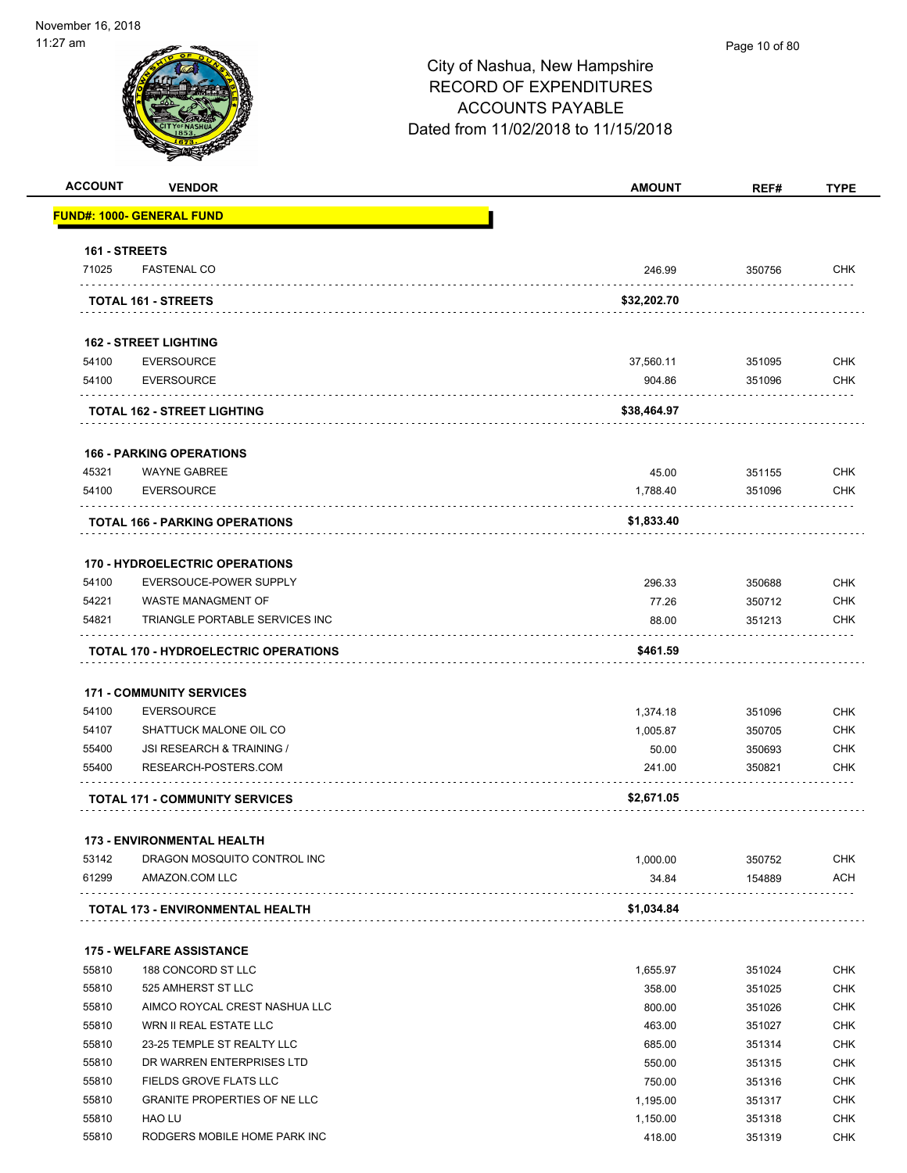| <b>ACCOUNT</b> | <b>VENDOR</b>                                     | <b>AMOUNT</b>     | REF#             | <b>TYPE</b>              |
|----------------|---------------------------------------------------|-------------------|------------------|--------------------------|
|                | FUND#: 1000- GENERAL FUND                         |                   |                  |                          |
| 161 - STREETS  |                                                   |                   |                  |                          |
| 71025          | <b>FASTENAL CO</b>                                | 246.99            | 350756           | <b>CHK</b>               |
|                | TOTAL 161 - STREETS                               | \$32,202.70       |                  |                          |
|                | <b>162 - STREET LIGHTING</b>                      |                   |                  |                          |
| 54100          | <b>EVERSOURCE</b>                                 | 37,560.11         | 351095           | <b>CHK</b>               |
| 54100          | <b>EVERSOURCE</b>                                 | 904.86            | 351096           | <b>CHK</b>               |
|                | <b>TOTAL 162 - STREET LIGHTING</b>                | \$38,464.97       |                  |                          |
|                |                                                   |                   |                  |                          |
|                | <b>166 - PARKING OPERATIONS</b>                   |                   |                  |                          |
| 45321<br>54100 | <b>WAYNE GABREE</b><br><b>EVERSOURCE</b>          | 45.00<br>1,788.40 | 351155<br>351096 | <b>CHK</b><br><b>CHK</b> |
|                |                                                   |                   |                  |                          |
|                | TOTAL 166 - PARKING OPERATIONS                    | \$1,833.40        |                  |                          |
|                | <b>170 - HYDROELECTRIC OPERATIONS</b>             |                   |                  |                          |
| 54100          | EVERSOUCE-POWER SUPPLY                            | 296.33            | 350688           | <b>CHK</b>               |
| 54221          | <b>WASTE MANAGMENT OF</b>                         | 77.26             | 350712           | <b>CHK</b>               |
| 54821          | TRIANGLE PORTABLE SERVICES INC                    | 88.00             | 351213           | <b>CHK</b>               |
|                | TOTAL 170 - HYDROELECTRIC OPERATIONS              | \$461.59          |                  |                          |
|                |                                                   |                   |                  |                          |
|                | <b>171 - COMMUNITY SERVICES</b>                   |                   |                  |                          |
| 54100          | <b>EVERSOURCE</b>                                 | 1,374.18          | 351096           | <b>CHK</b>               |
| 54107          | SHATTUCK MALONE OIL CO                            | 1,005.87          | 350705           | <b>CHK</b>               |
| 55400<br>55400 | JSI RESEARCH & TRAINING /<br>RESEARCH-POSTERS.COM | 50.00<br>241.00   | 350693<br>350821 | <b>CHK</b><br><b>CHK</b> |
|                |                                                   |                   |                  |                          |
|                | <b>TOTAL 171 - COMMUNITY SERVICES</b>             | \$2,671.05        |                  |                          |
|                | <b>173 - ENVIRONMENTAL HEALTH</b>                 |                   |                  |                          |
| 53142          | DRAGON MOSQUITO CONTROL INC                       | 1,000.00          | 350752           | <b>CHK</b>               |
| 61299          | AMAZON.COM LLC                                    | 34.84             | 154889           | <b>ACH</b>               |
|                | <b>TOTAL 173 - ENVIRONMENTAL HEALTH</b>           | \$1,034.84        |                  |                          |
|                | <b>175 - WELFARE ASSISTANCE</b>                   |                   |                  |                          |
| 55810          | 188 CONCORD ST LLC                                | 1,655.97          | 351024           | <b>CHK</b>               |
| 55810          | 525 AMHERST ST LLC                                | 358.00            | 351025           | <b>CHK</b>               |
| 55810          | AIMCO ROYCAL CREST NASHUA LLC                     | 800.00            | 351026           | <b>CHK</b>               |
| 55810          | WRN II REAL ESTATE LLC                            | 463.00            | 351027           | <b>CHK</b>               |
| 55810          | 23-25 TEMPLE ST REALTY LLC                        | 685.00            | 351314           | <b>CHK</b>               |
| 55810          | DR WARREN ENTERPRISES LTD                         | 550.00            | 351315           | <b>CHK</b>               |
| 55810          | FIELDS GROVE FLATS LLC                            | 750.00            | 351316           | <b>CHK</b>               |
| 55810          | <b>GRANITE PROPERTIES OF NE LLC</b>               | 1,195.00          | 351317           | <b>CHK</b>               |
| 55810          | <b>HAO LU</b>                                     | 1,150.00          | 351318           | <b>CHK</b>               |
| 55810          | RODGERS MOBILE HOME PARK INC                      | 418.00            | 351319           | <b>CHK</b>               |
|                |                                                   |                   |                  |                          |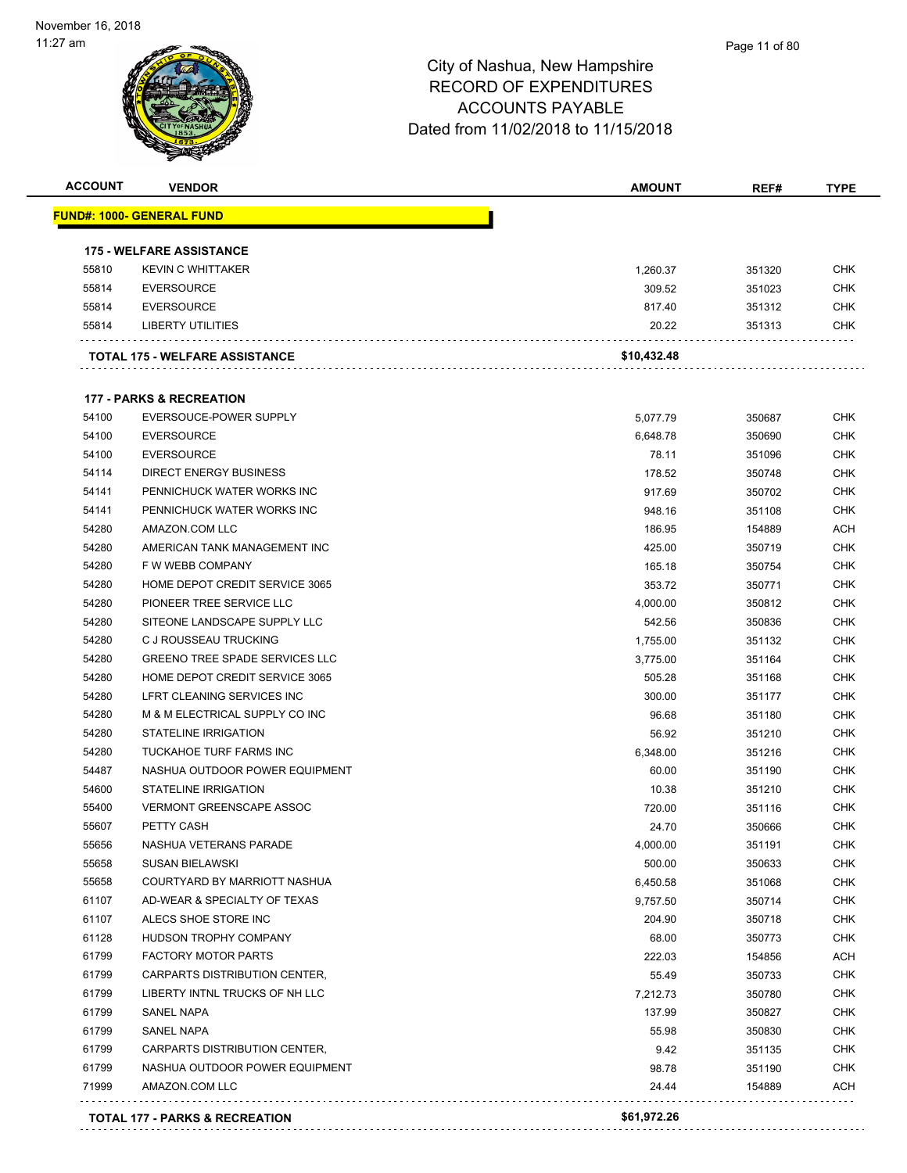| <b>ACCOUNT</b> | <b>VENDOR</b>                         | <b>AMOUNT</b> | REF#   | <b>TYPE</b> |
|----------------|---------------------------------------|---------------|--------|-------------|
|                | <u> FUND#: 1000- GENERAL FUND</u>     |               |        |             |
|                | <b>175 - WELFARE ASSISTANCE</b>       |               |        |             |
| 55810          | <b>KEVIN C WHITTAKER</b>              | 1,260.37      | 351320 | <b>CHK</b>  |
| 55814          | <b>EVERSOURCE</b>                     | 309.52        | 351023 | <b>CHK</b>  |
| 55814          | <b>EVERSOURCE</b>                     | 817.40        | 351312 | <b>CHK</b>  |
| 55814          | LIBERTY UTILITIES                     | 20.22         | 351313 | <b>CHK</b>  |
|                | <b>TOTAL 175 - WELFARE ASSISTANCE</b> | \$10,432.48   |        |             |
|                | <b>177 - PARKS &amp; RECREATION</b>   |               |        |             |
| 54100          | EVERSOUCE-POWER SUPPLY                | 5,077.79      | 350687 | <b>CHK</b>  |
| 54100          | <b>EVERSOURCE</b>                     | 6,648.78      | 350690 | <b>CHK</b>  |
| 54100          | <b>EVERSOURCE</b>                     | 78.11         | 351096 | <b>CHK</b>  |
| 54114          | <b>DIRECT ENERGY BUSINESS</b>         | 178.52        | 350748 | <b>CHK</b>  |
| 54141          | PENNICHUCK WATER WORKS INC            | 917.69        | 350702 | <b>CHK</b>  |
| 54141          | PENNICHUCK WATER WORKS INC            | 948.16        | 351108 | <b>CHK</b>  |
| 54280          | AMAZON.COM LLC                        | 186.95        | 154889 | <b>ACH</b>  |
| 54280          | AMERICAN TANK MANAGEMENT INC          | 425.00        | 350719 | <b>CHK</b>  |
| 54280          | F W WEBB COMPANY                      | 165.18        | 350754 | <b>CHK</b>  |
| 54280          | HOME DEPOT CREDIT SERVICE 3065        | 353.72        | 350771 | <b>CHK</b>  |
| 54280          | PIONEER TREE SERVICE LLC              | 4,000.00      | 350812 | <b>CHK</b>  |
| 54280          | SITEONE LANDSCAPE SUPPLY LLC          | 542.56        | 350836 | <b>CHK</b>  |
| 54280          | C J ROUSSEAU TRUCKING                 | 1,755.00      | 351132 | <b>CHK</b>  |
| 54280          | <b>GREENO TREE SPADE SERVICES LLC</b> | 3,775.00      | 351164 | <b>CHK</b>  |
| 54280          | HOME DEPOT CREDIT SERVICE 3065        | 505.28        | 351168 | <b>CHK</b>  |
| 54280          | LFRT CLEANING SERVICES INC            | 300.00        | 351177 | <b>CHK</b>  |
| 54280          | M & M ELECTRICAL SUPPLY CO INC        | 96.68         | 351180 | <b>CHK</b>  |
| 54280          | <b>STATELINE IRRIGATION</b>           | 56.92         | 351210 | <b>CHK</b>  |
| 54280          | TUCKAHOE TURF FARMS INC               | 6,348.00      | 351216 | <b>CHK</b>  |
| 54487          | NASHUA OUTDOOR POWER EQUIPMENT        | 60.00         | 351190 | <b>CHK</b>  |
| 54600          | <b>STATELINE IRRIGATION</b>           | 10.38         | 351210 | <b>CHK</b>  |
| 55400          | <b>VERMONT GREENSCAPE ASSOC</b>       | 720.00        | 351116 | <b>CHK</b>  |
| 55607          | PETTY CASH                            | 24.70         | 350666 | <b>CHK</b>  |
| 55656          | NASHUA VETERANS PARADE                | 4,000.00      | 351191 | <b>CHK</b>  |
| 55658          | SUSAN BIELAWSKI                       | 500.00        | 350633 | <b>CHK</b>  |
| 55658          | COURTYARD BY MARRIOTT NASHUA          | 6,450.58      | 351068 | <b>CHK</b>  |
| 61107          | AD-WEAR & SPECIALTY OF TEXAS          | 9,757.50      | 350714 | <b>CHK</b>  |
| 61107          | ALECS SHOE STORE INC                  | 204.90        | 350718 | <b>CHK</b>  |
| 61128          | HUDSON TROPHY COMPANY                 | 68.00         | 350773 | <b>CHK</b>  |
| 61799          | <b>FACTORY MOTOR PARTS</b>            | 222.03        | 154856 | <b>ACH</b>  |
| 61799          | CARPARTS DISTRIBUTION CENTER,         | 55.49         | 350733 | <b>CHK</b>  |
| 61799          | LIBERTY INTNL TRUCKS OF NH LLC        | 7,212.73      | 350780 | <b>CHK</b>  |
| 61799          | <b>SANEL NAPA</b>                     | 137.99        | 350827 | <b>CHK</b>  |
| 61799          | <b>SANEL NAPA</b>                     | 55.98         | 350830 | <b>CHK</b>  |
| 61799          | CARPARTS DISTRIBUTION CENTER,         | 9.42          | 351135 | <b>CHK</b>  |
| 61799          | NASHUA OUTDOOR POWER EQUIPMENT        | 98.78         | 351190 | <b>CHK</b>  |
| 71999          | AMAZON.COM LLC                        | 24.44         | 154889 | <b>ACH</b>  |
|                | TOTAL 177 - PARKS & RECREATION        | \$61,972.26   |        |             |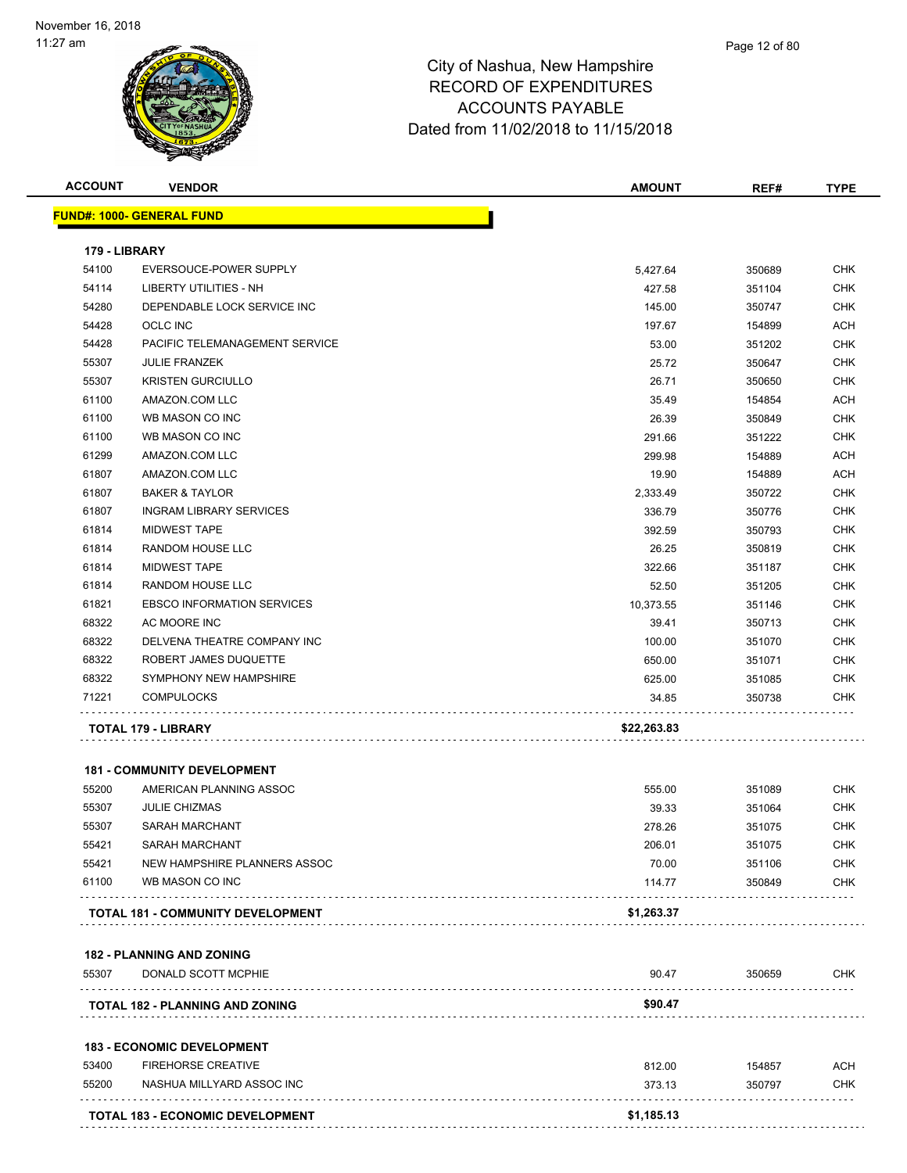| <b>ACCOUNT</b> | <b>VENDOR</b>                                                 | <b>AMOUNT</b>   | REF#             | <b>TYPE</b> |
|----------------|---------------------------------------------------------------|-----------------|------------------|-------------|
|                | <b>FUND#: 1000- GENERAL FUND</b>                              |                 |                  |             |
| 179 - LIBRARY  |                                                               |                 |                  |             |
| 54100          | EVERSOUCE-POWER SUPPLY                                        | 5,427.64        | 350689           | <b>CHK</b>  |
| 54114          | LIBERTY UTILITIES - NH                                        | 427.58          | 351104           | <b>CHK</b>  |
| 54280          | DEPENDABLE LOCK SERVICE INC                                   | 145.00          | 350747           | <b>CHK</b>  |
| 54428          | <b>OCLC INC</b>                                               | 197.67          | 154899           | ACH         |
| 54428          | PACIFIC TELEMANAGEMENT SERVICE                                | 53.00           | 351202           | <b>CHK</b>  |
| 55307          | <b>JULIE FRANZEK</b>                                          | 25.72           | 350647           | CHK         |
| 55307          | <b>KRISTEN GURCIULLO</b>                                      | 26.71           | 350650           | <b>CHK</b>  |
| 61100          | AMAZON.COM LLC                                                | 35.49           | 154854           | ACH         |
| 61100          | WB MASON CO INC                                               | 26.39           | 350849           | CHK         |
| 61100          | WB MASON CO INC                                               | 291.66          | 351222           | <b>CHK</b>  |
| 61299          | AMAZON.COM LLC                                                | 299.98          | 154889           | ACH         |
| 61807          | AMAZON.COM LLC                                                | 19.90           | 154889           | ACH         |
| 61807          | <b>BAKER &amp; TAYLOR</b>                                     | 2,333.49        | 350722           | <b>CHK</b>  |
| 61807          | <b>INGRAM LIBRARY SERVICES</b>                                | 336.79          | 350776           | <b>CHK</b>  |
| 61814          | <b>MIDWEST TAPE</b>                                           | 392.59          | 350793           | <b>CHK</b>  |
| 61814          | <b>RANDOM HOUSE LLC</b>                                       | 26.25           | 350819           | <b>CHK</b>  |
| 61814          | <b>MIDWEST TAPE</b>                                           | 322.66          | 351187           | <b>CHK</b>  |
| 61814          | <b>RANDOM HOUSE LLC</b>                                       | 52.50           | 351205           | <b>CHK</b>  |
| 61821          | <b>EBSCO INFORMATION SERVICES</b>                             | 10,373.55       | 351146           | <b>CHK</b>  |
| 68322          | AC MOORE INC                                                  | 39.41           | 350713           | <b>CHK</b>  |
| 68322          | DELVENA THEATRE COMPANY INC                                   | 100.00          | 351070           | <b>CHK</b>  |
| 68322          | ROBERT JAMES DUQUETTE                                         | 650.00          | 351071           | <b>CHK</b>  |
| 68322          | SYMPHONY NEW HAMPSHIRE                                        | 625.00          | 351085           | <b>CHK</b>  |
| 71221          | <b>COMPULOCKS</b>                                             | 34.85           | 350738           | <b>CHK</b>  |
|                | TOTAL 179 - LIBRARY                                           | \$22,263.83     |                  |             |
|                |                                                               |                 |                  |             |
| 55200          | <b>181 - COMMUNITY DEVELOPMENT</b><br>AMERICAN PLANNING ASSOC |                 |                  | <b>CHK</b>  |
| 55307          | <b>JULIE CHIZMAS</b>                                          | 555.00<br>39.33 | 351089<br>351064 | <b>CHK</b>  |
| 55307          | <b>SARAH MARCHANT</b>                                         | 278.26          | 351075           | <b>CHK</b>  |
| 55421          | <b>SARAH MARCHANT</b>                                         | 206.01          | 351075           | <b>CHK</b>  |
| 55421          | <b>NEW HAMPSHIRE PLANNERS ASSOC</b>                           | 70.00           | 351106           | <b>CHK</b>  |
| 61100          | WB MASON CO INC                                               | 114.77          | 350849           | <b>CHK</b>  |
|                | TOTAL 181 - COMMUNITY DEVELOPMENT                             | \$1,263.37      |                  |             |
|                |                                                               |                 |                  |             |
|                | <b>182 - PLANNING AND ZONING</b>                              |                 |                  |             |
| 55307          | DONALD SCOTT MCPHIE                                           | 90.47           | 350659           | <b>CHK</b>  |
|                | <b>TOTAL 182 - PLANNING AND ZONING</b>                        | \$90.47         |                  |             |
|                | <b>183 - ECONOMIC DEVELOPMENT</b>                             |                 |                  |             |
| 53400          | <b>FIREHORSE CREATIVE</b>                                     | 812.00          | 154857           | <b>ACH</b>  |
| 55200          | NASHUA MILLYARD ASSOC INC                                     | 373.13          | 350797           | <b>CHK</b>  |
|                | TOTAL 183 - ECONOMIC DEVELOPMENT                              | \$1,185.13      |                  |             |
|                |                                                               |                 |                  |             |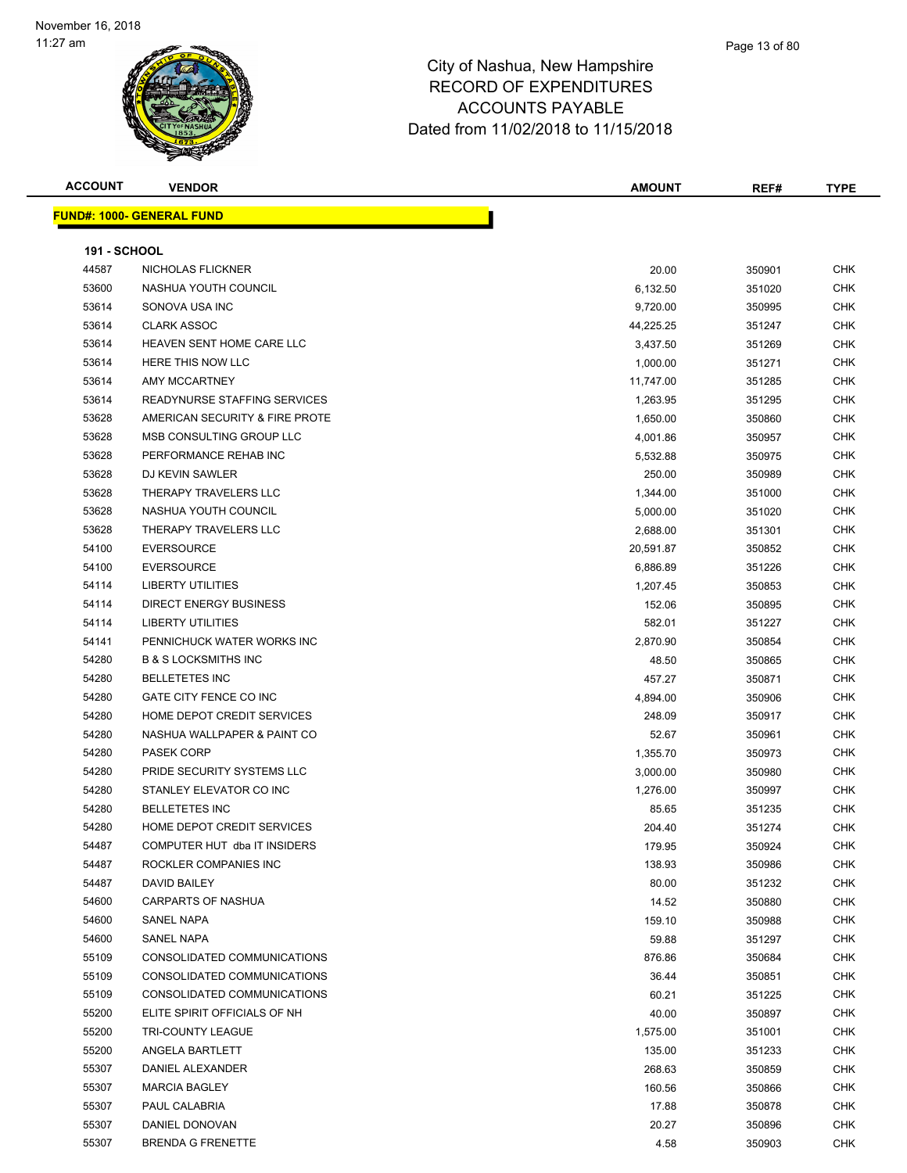#### Page 13 of 80

| <b>ACCOUNT</b>      | <b>VENDOR</b>                    | <b>AMOUNT</b> | REF#   | <b>TYPE</b> |
|---------------------|----------------------------------|---------------|--------|-------------|
|                     | <b>FUND#: 1000- GENERAL FUND</b> |               |        |             |
|                     |                                  |               |        |             |
| <b>191 - SCHOOL</b> |                                  |               |        |             |
| 44587               | NICHOLAS FLICKNER                | 20.00         | 350901 | <b>CHK</b>  |
| 53600               | NASHUA YOUTH COUNCIL             | 6,132.50      | 351020 | CHK         |
| 53614               | SONOVA USA INC                   | 9,720.00      | 350995 | CHK         |
| 53614               | <b>CLARK ASSOC</b>               | 44,225.25     | 351247 | <b>CHK</b>  |
| 53614               | HEAVEN SENT HOME CARE LLC        | 3,437.50      | 351269 | CHK         |
| 53614               | HERE THIS NOW LLC                | 1,000.00      | 351271 | CHK         |
| 53614               | <b>AMY MCCARTNEY</b>             | 11,747.00     | 351285 | <b>CHK</b>  |
| 53614               | READYNURSE STAFFING SERVICES     | 1,263.95      | 351295 | CHK         |
| 53628               | AMERICAN SECURITY & FIRE PROTE   | 1,650.00      | 350860 | CHK         |
| 53628               | MSB CONSULTING GROUP LLC         | 4,001.86      | 350957 | CHK         |
| 53628               | PERFORMANCE REHAB INC            | 5,532.88      | 350975 | CHK         |
| 53628               | DJ KEVIN SAWLER                  | 250.00        | 350989 | CHK         |
| 53628               | THERAPY TRAVELERS LLC            | 1,344.00      | 351000 | CHK         |
| 53628               | NASHUA YOUTH COUNCIL             | 5,000.00      | 351020 | CHK         |
| 53628               | THERAPY TRAVELERS LLC            | 2,688.00      | 351301 | <b>CHK</b>  |
| 54100               | <b>EVERSOURCE</b>                | 20,591.87     | 350852 | <b>CHK</b>  |
| 54100               | <b>EVERSOURCE</b>                | 6,886.89      | 351226 | <b>CHK</b>  |
| 54114               | <b>LIBERTY UTILITIES</b>         | 1,207.45      | 350853 | <b>CHK</b>  |
| 54114               | <b>DIRECT ENERGY BUSINESS</b>    | 152.06        | 350895 | CHK         |
| 54114               | <b>LIBERTY UTILITIES</b>         | 582.01        | 351227 | <b>CHK</b>  |
| 54141               | PENNICHUCK WATER WORKS INC       | 2,870.90      | 350854 | CHK         |
| 54280               | <b>B &amp; S LOCKSMITHS INC</b>  | 48.50         | 350865 | <b>CHK</b>  |
| 54280               | <b>BELLETETES INC</b>            | 457.27        | 350871 | <b>CHK</b>  |
| 54280               | GATE CITY FENCE CO INC           | 4,894.00      | 350906 | CHK         |
| 54280               | HOME DEPOT CREDIT SERVICES       | 248.09        | 350917 | CHK         |
| 54280               | NASHUA WALLPAPER & PAINT CO      | 52.67         | 350961 | <b>CHK</b>  |
| 54280               | <b>PASEK CORP</b>                | 1,355.70      | 350973 | <b>CHK</b>  |
| 54280               | PRIDE SECURITY SYSTEMS LLC       | 3,000.00      | 350980 | CHK         |
| 54280               | STANLEY ELEVATOR CO INC          | 1,276.00      | 350997 | <b>CHK</b>  |
| 54280               | <b>BELLETETES INC</b>            | 85.65         | 351235 | <b>CHK</b>  |
| 54280               | HOME DEPOT CREDIT SERVICES       | 204.40        | 351274 | <b>CHK</b>  |
| 54487               | COMPUTER HUT dba IT INSIDERS     | 179.95        | 350924 | <b>CHK</b>  |
| 54487               | ROCKLER COMPANIES INC            | 138.93        | 350986 | <b>CHK</b>  |
| 54487               | <b>DAVID BAILEY</b>              | 80.00         | 351232 | CHK         |
| 54600               | CARPARTS OF NASHUA               | 14.52         | 350880 | <b>CHK</b>  |
| 54600               | SANEL NAPA                       | 159.10        | 350988 | <b>CHK</b>  |
| 54600               | SANEL NAPA                       | 59.88         | 351297 | <b>CHK</b>  |
| 55109               | CONSOLIDATED COMMUNICATIONS      | 876.86        | 350684 | <b>CHK</b>  |
| 55109               | CONSOLIDATED COMMUNICATIONS      | 36.44         | 350851 | CHK         |
| 55109               | CONSOLIDATED COMMUNICATIONS      | 60.21         | 351225 | CHK         |
| 55200               | ELITE SPIRIT OFFICIALS OF NH     | 40.00         | 350897 | CHK         |
| 55200               | <b>TRI-COUNTY LEAGUE</b>         | 1,575.00      | 351001 | CHK         |
| 55200               | ANGELA BARTLETT                  | 135.00        | 351233 | CHK         |
| 55307               | DANIEL ALEXANDER                 | 268.63        | 350859 | <b>CHK</b>  |
| 55307               | <b>MARCIA BAGLEY</b>             | 160.56        | 350866 | CHK         |
| 55307               | PAUL CALABRIA                    | 17.88         | 350878 | CHK         |
| 55307               | DANIEL DONOVAN                   | 20.27         | 350896 | CHK         |
| 55307               | <b>BRENDA G FRENETTE</b>         | 4.58          | 350903 | CHK         |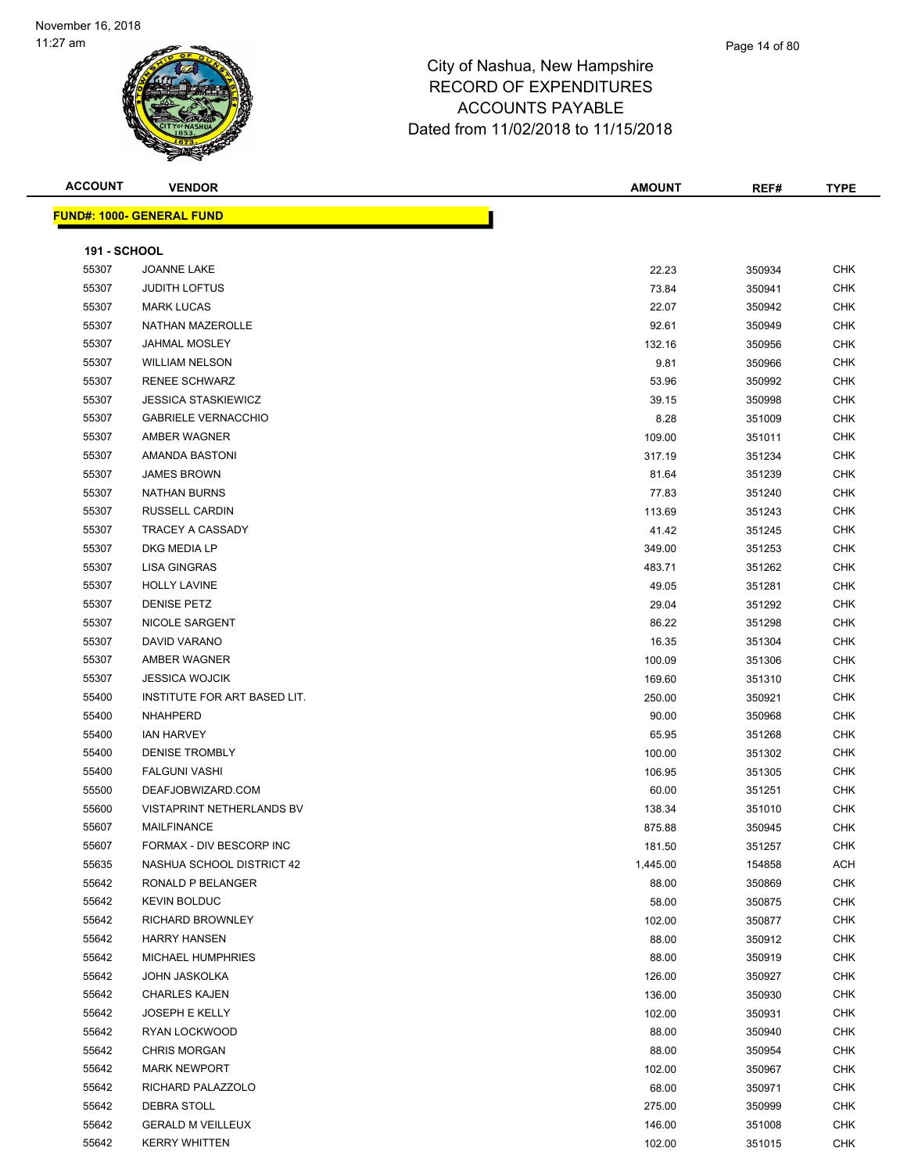| <b>ACCOUNT</b>      | <b>VENDOR</b>                    | <b>AMOUNT</b> | REF#   | <b>TYPE</b>              |
|---------------------|----------------------------------|---------------|--------|--------------------------|
|                     | <b>FUND#: 1000- GENERAL FUND</b> |               |        |                          |
|                     |                                  |               |        |                          |
| <b>191 - SCHOOL</b> | JOANNE LAKE                      |               |        |                          |
| 55307<br>55307      | <b>JUDITH LOFTUS</b>             | 22.23         | 350934 | <b>CHK</b><br><b>CHK</b> |
|                     |                                  | 73.84         | 350941 |                          |
| 55307               | <b>MARK LUCAS</b>                | 22.07         | 350942 | <b>CHK</b>               |
| 55307               | NATHAN MAZEROLLE                 | 92.61         | 350949 | <b>CHK</b>               |
| 55307               | JAHMAL MOSLEY                    | 132.16        | 350956 | <b>CHK</b>               |
| 55307               | <b>WILLIAM NELSON</b>            | 9.81          | 350966 | <b>CHK</b>               |
| 55307               | <b>RENEE SCHWARZ</b>             | 53.96         | 350992 | <b>CHK</b>               |
| 55307               | <b>JESSICA STASKIEWICZ</b>       | 39.15         | 350998 | <b>CHK</b>               |
| 55307               | <b>GABRIELE VERNACCHIO</b>       | 8.28          | 351009 | <b>CHK</b>               |
| 55307               | AMBER WAGNER                     | 109.00        | 351011 | <b>CHK</b>               |
| 55307               | AMANDA BASTONI                   | 317.19        | 351234 | <b>CHK</b>               |
| 55307               | <b>JAMES BROWN</b>               | 81.64         | 351239 | <b>CHK</b>               |
| 55307               | <b>NATHAN BURNS</b>              | 77.83         | 351240 | <b>CHK</b>               |
| 55307               | RUSSELL CARDIN                   | 113.69        | 351243 | <b>CHK</b>               |
| 55307               | TRACEY A CASSADY                 | 41.42         | 351245 | <b>CHK</b>               |
| 55307               | DKG MEDIA LP                     | 349.00        | 351253 | <b>CHK</b>               |
| 55307               | <b>LISA GINGRAS</b>              | 483.71        | 351262 | <b>CHK</b>               |
| 55307               | <b>HOLLY LAVINE</b>              | 49.05         | 351281 | <b>CHK</b>               |
| 55307               | <b>DENISE PETZ</b>               | 29.04         | 351292 | <b>CHK</b>               |
| 55307               | NICOLE SARGENT                   | 86.22         | 351298 | <b>CHK</b>               |
| 55307               | DAVID VARANO                     | 16.35         | 351304 | <b>CHK</b>               |
| 55307               | AMBER WAGNER                     | 100.09        | 351306 | <b>CHK</b>               |
| 55307               | <b>JESSICA WOJCIK</b>            | 169.60        | 351310 | <b>CHK</b>               |
| 55400               | INSTITUTE FOR ART BASED LIT.     | 250.00        | 350921 | <b>CHK</b>               |
| 55400               | NHAHPERD                         | 90.00         | 350968 | <b>CHK</b>               |
| 55400               | <b>IAN HARVEY</b>                | 65.95         | 351268 | <b>CHK</b>               |
| 55400               | <b>DENISE TROMBLY</b>            | 100.00        | 351302 | <b>CHK</b>               |
| 55400               | <b>FALGUNI VASHI</b>             | 106.95        | 351305 | <b>CHK</b>               |
| 55500               | DEAFJOBWIZARD.COM                | 60.00         | 351251 | <b>CHK</b>               |
| 55600               | <b>VISTAPRINT NETHERLANDS BV</b> | 138.34        | 351010 | <b>CHK</b>               |
| 55607               | <b>MAILFINANCE</b>               | 875.88        | 350945 | <b>CHK</b>               |
| 55607               | FORMAX - DIV BESCORP INC         | 181.50        | 351257 | <b>CHK</b>               |
| 55635               | NASHUA SCHOOL DISTRICT 42        | 1,445.00      | 154858 | <b>ACH</b>               |
| 55642               | RONALD P BELANGER                | 88.00         | 350869 | <b>CHK</b>               |
| 55642               | <b>KEVIN BOLDUC</b>              | 58.00         | 350875 | <b>CHK</b>               |
| 55642               | RICHARD BROWNLEY                 | 102.00        | 350877 | <b>CHK</b>               |
| 55642               | <b>HARRY HANSEN</b>              | 88.00         | 350912 | <b>CHK</b>               |
| 55642               | MICHAEL HUMPHRIES                | 88.00         | 350919 | <b>CHK</b>               |
| 55642               | JOHN JASKOLKA                    | 126.00        | 350927 | <b>CHK</b>               |
| 55642               | <b>CHARLES KAJEN</b>             | 136.00        | 350930 | <b>CHK</b>               |
| 55642               | JOSEPH E KELLY                   | 102.00        | 350931 | <b>CHK</b>               |

 RYAN LOCKWOOD 88.00 350940 CHK CHRIS MORGAN 88.00 350954 CHK 55642 MARK NEWPORT **102.00** 350967 CHK RICHARD PALAZZOLO 68.00 350971 CHK DEBRA STOLL 275.00 350999 CHK GERALD M VEILLEUX 146.00 351008 CHK KERRY WHITTEN 102.00 351015 CHK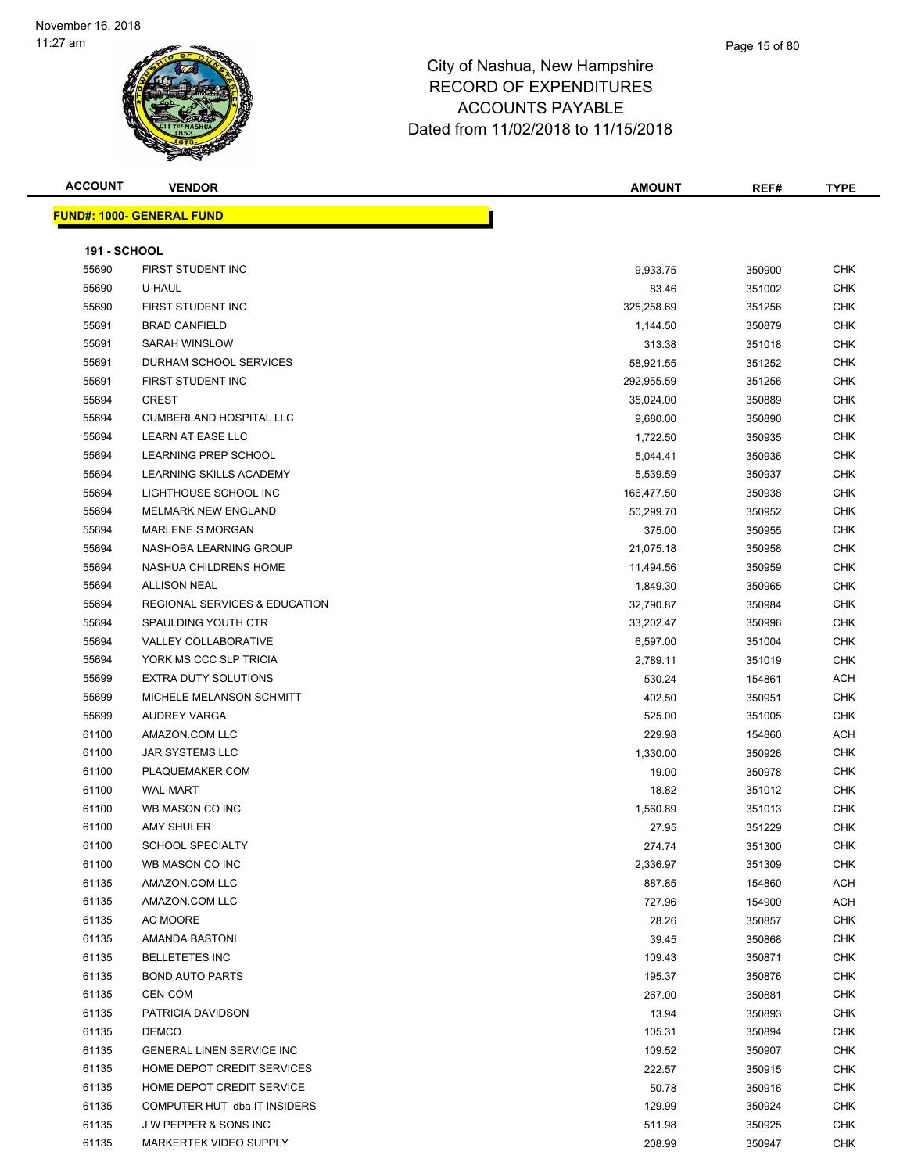| <b>ACCOUNT</b> |  |
|----------------|--|
|----------------|--|

**FUND#: 1000- GENERAL FUND**

| ACCOUNT             | <b>VENDOR</b>                    | <b>AMOUNT</b> | REF#   | <b>TYPE</b> |
|---------------------|----------------------------------|---------------|--------|-------------|
|                     | <u> IND#: 1000- GENERAL FUND</u> |               |        |             |
| <b>191 - SCHOOL</b> |                                  |               |        |             |
| 55690               | FIRST STUDENT INC.               | 993375        | 350900 | <b>CHK</b>  |

| <b>191 - SCHOOL</b> |                                          |                |                  |                   |
|---------------------|------------------------------------------|----------------|------------------|-------------------|
| 55690               | FIRST STUDENT INC                        | 9,933.75       | 350900           | <b>CHK</b>        |
| 55690               | U-HAUL                                   | 83.46          | 351002           | <b>CHK</b>        |
| 55690               | FIRST STUDENT INC                        | 325,258.69     | 351256           | <b>CHK</b>        |
| 55691               | <b>BRAD CANFIELD</b>                     | 1,144.50       | 350879           | CHK               |
| 55691               | <b>SARAH WINSLOW</b>                     | 313.38         | 351018           | <b>CHK</b>        |
| 55691               | DURHAM SCHOOL SERVICES                   | 58,921.55      | 351252           | <b>CHK</b>        |
| 55691               | FIRST STUDENT INC                        | 292,955.59     | 351256           | CHK               |
| 55694               | CREST                                    | 35,024.00      | 350889           | <b>CHK</b>        |
| 55694               | <b>CUMBERLAND HOSPITAL LLC</b>           | 9,680.00       | 350890           | <b>CHK</b>        |
| 55694               | <b>LEARN AT EASE LLC</b>                 | 1,722.50       | 350935           | <b>CHK</b>        |
| 55694               | LEARNING PREP SCHOOL                     | 5,044.41       | 350936           | CHK               |
| 55694               | LEARNING SKILLS ACADEMY                  | 5,539.59       | 350937           | <b>CHK</b>        |
| 55694               | LIGHTHOUSE SCHOOL INC                    | 166,477.50     | 350938           | <b>CHK</b>        |
| 55694               | MELMARK NEW ENGLAND                      | 50,299.70      | 350952           | <b>CHK</b>        |
| 55694               | <b>MARLENE S MORGAN</b>                  | 375.00         | 350955           | <b>CHK</b>        |
| 55694               | NASHOBA LEARNING GROUP                   | 21,075.18      | 350958           | <b>CHK</b>        |
| 55694               | NASHUA CHILDRENS HOME                    | 11,494.56      | 350959           | <b>CHK</b>        |
| 55694               | <b>ALLISON NEAL</b>                      | 1,849.30       | 350965           | <b>CHK</b>        |
| 55694               | <b>REGIONAL SERVICES &amp; EDUCATION</b> | 32,790.87      | 350984           | <b>CHK</b>        |
| 55694               | SPAULDING YOUTH CTR                      | 33,202.47      | 350996           | <b>CHK</b>        |
| 55694               | <b>VALLEY COLLABORATIVE</b>              | 6,597.00       | 351004           | <b>CHK</b>        |
| 55694               | YORK MS CCC SLP TRICIA                   | 2,789.11       | 351019           | <b>CHK</b>        |
| 55699               | <b>EXTRA DUTY SOLUTIONS</b>              | 530.24         | 154861           | ACH               |
| 55699               | MICHELE MELANSON SCHMITT                 | 402.50         | 350951           | <b>CHK</b>        |
| 55699               | AUDREY VARGA                             | 525.00         | 351005           | <b>CHK</b>        |
| 61100               | AMAZON.COM LLC                           | 229.98         | 154860           | ACH               |
| 61100               | JAR SYSTEMS LLC                          | 1,330.00       | 350926           | <b>CHK</b>        |
| 61100               | PLAQUEMAKER.COM                          | 19.00          | 350978           | <b>CHK</b>        |
| 61100               | WAL-MART                                 | 18.82          | 351012           | <b>CHK</b>        |
| 61100               | WB MASON CO INC                          | 1,560.89       | 351013           | <b>CHK</b>        |
| 61100               | <b>AMY SHULER</b>                        | 27.95          | 351229           | <b>CHK</b>        |
| 61100               | <b>SCHOOL SPECIALTY</b>                  | 274.74         | 351300           | <b>CHK</b>        |
| 61100               | WB MASON CO INC                          | 2,336.97       | 351309           | <b>CHK</b>        |
| 61135               | AMAZON.COM LLC<br>AMAZON.COM LLC         | 887.85         | 154860           | ACH               |
| 61135<br>61135      | AC MOORE                                 | 727.96         | 154900           | ACH               |
| 61135               | AMANDA BASTONI                           | 28.26<br>39.45 | 350857<br>350868 | CHK<br><b>CHK</b> |
| 61135               | <b>BELLETETES INC</b>                    | 109.43         |                  | CHK               |
| 61135               | <b>BOND AUTO PARTS</b>                   | 195.37         | 350871<br>350876 | <b>CHK</b>        |
| 61135               | CEN-COM                                  | 267.00         | 350881           | CHK               |
| 61135               | PATRICIA DAVIDSON                        | 13.94          | 350893           | CHK               |
| 61135               | <b>DEMCO</b>                             | 105.31         | 350894           | CHK               |
| 61135               | GENERAL LINEN SERVICE INC                | 109.52         | 350907           | CHK               |
| 61135               | HOME DEPOT CREDIT SERVICES               | 222.57         | 350915           | CHK               |
| 61135               | HOME DEPOT CREDIT SERVICE                | 50.78          | 350916           | CHK               |
| 61135               | COMPUTER HUT dba IT INSIDERS             | 129.99         | 350924           | CHK               |
| 61135               | J W PEPPER & SONS INC                    | 511.98         | 350925           | CHK               |
| 61135               | MARKERTEK VIDEO SUPPLY                   | 208.99         | 350947           | <b>CHK</b>        |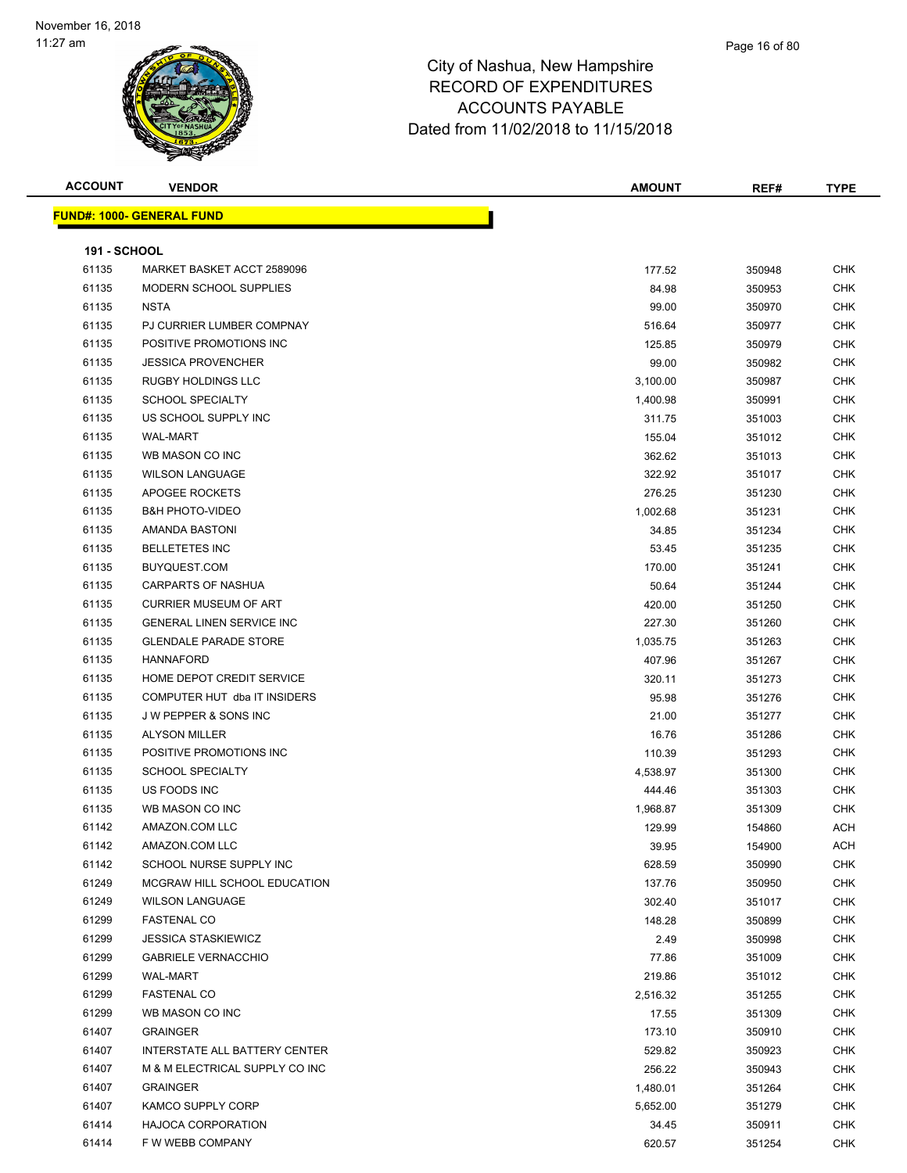| <b>FUND#: 1000- GENERAL FUND</b><br><b>191 - SCHOOL</b><br><b>CHK</b><br>61135<br>MARKET BASKET ACCT 2589096<br>177.52<br>350948<br>61135<br>MODERN SCHOOL SUPPLIES<br>84.98<br>CHK<br>350953<br><b>NSTA</b><br>61135<br>99.00<br><b>CHK</b><br>350970<br>61135<br>PJ CURRIER LUMBER COMPNAY<br>CHK<br>516.64<br>350977<br>61135<br>POSITIVE PROMOTIONS INC<br><b>CHK</b><br>125.85<br>350979<br>61135<br><b>JESSICA PROVENCHER</b><br>CHK<br>99.00<br>350982<br>61135<br>RUGBY HOLDINGS LLC<br>3,100.00<br>CHK<br>350987<br>61135<br><b>SCHOOL SPECIALTY</b><br>CHK<br>1,400.98<br>350991<br>61135<br>US SCHOOL SUPPLY INC<br>311.75<br>351003<br>CHK<br>61135<br><b>WAL-MART</b><br>CHK<br>155.04<br>351012<br>61135<br>WB MASON CO INC<br>CHK<br>362.62<br>351013<br>61135<br><b>WILSON LANGUAGE</b><br>322.92<br>351017<br>CHK<br>61135<br>APOGEE ROCKETS<br>CHK<br>276.25<br>351230<br>61135<br><b>B&amp;H PHOTO-VIDEO</b><br>1,002.68<br>351231<br>CHK<br>61135<br>AMANDA BASTONI<br>CHK<br>34.85<br>351234<br>61135<br><b>BELLETETES INC</b><br>53.45<br><b>CHK</b><br>351235<br>61135<br>BUYQUEST.COM<br>CHK<br>170.00<br>351241<br>61135<br><b>CARPARTS OF NASHUA</b><br>50.64<br>351244<br>CHK<br>61135<br><b>CURRIER MUSEUM OF ART</b><br>CHK<br>420.00<br>351250<br>61135<br>GENERAL LINEN SERVICE INC<br>227.30<br>351260<br>CHK<br>61135<br><b>GLENDALE PARADE STORE</b><br>CHK<br>1,035.75<br>351263<br>61135<br><b>HANNAFORD</b><br><b>CHK</b><br>407.96<br>351267<br>61135<br>HOME DEPOT CREDIT SERVICE<br>CHK<br>320.11<br>351273<br>61135<br>COMPUTER HUT dba IT INSIDERS<br>95.98<br><b>CHK</b><br>351276<br>61135<br><b>JW PEPPER &amp; SONS INC</b><br><b>CHK</b><br>21.00<br>351277<br>61135<br><b>ALYSON MILLER</b><br>CHK<br>16.76<br>351286<br><b>CHK</b><br>61135<br>POSITIVE PROMOTIONS INC<br>110.39<br>351293<br><b>CHK</b><br>61135<br><b>SCHOOL SPECIALTY</b><br>4,538.97<br>351300<br>61135<br>US FOODS INC<br>444.46<br>351303<br>CHK<br>61135<br>WB MASON CO INC<br>CHK<br>1,968.87<br>351309<br>129.99<br>ACH<br>61142<br>AMAZON.COM LLC<br>154860<br>61142<br>AMAZON.COM LLC<br>39.95<br>154900<br>ACH<br>61142<br>SCHOOL NURSE SUPPLY INC<br>628.59<br><b>CHK</b><br>350990<br><b>CHK</b><br>61249<br>MCGRAW HILL SCHOOL EDUCATION<br>137.76<br>350950<br>61249<br><b>WILSON LANGUAGE</b><br>302.40<br><b>CHK</b><br>351017<br>61299<br><b>FASTENAL CO</b><br><b>CHK</b><br>148.28<br>350899<br>61299<br><b>JESSICA STASKIEWICZ</b><br>2.49<br>350998<br>CHK<br>61299<br><b>CHK</b><br><b>GABRIELE VERNACCHIO</b><br>77.86<br>351009<br>61299<br>WAL-MART<br>219.86<br>CHK<br>351012<br>61299<br><b>FASTENAL CO</b><br>CHK<br>2,516.32<br>351255<br>61299<br>WB MASON CO INC<br>17.55<br>CHK<br>351309<br>61407<br><b>GRAINGER</b><br>173.10<br>350910<br>CHK<br>61407<br>INTERSTATE ALL BATTERY CENTER<br>529.82<br><b>CHK</b><br>350923<br>61407<br>256.22<br><b>CHK</b><br>M & M ELECTRICAL SUPPLY CO INC<br>350943<br>61407<br><b>GRAINGER</b><br>CHK<br>1,480.01<br>351264<br>61407<br>KAMCO SUPPLY CORP<br>5,652.00<br>351279<br>CHK<br>61414<br><b>HAJOCA CORPORATION</b><br>CHK<br>34.45<br>350911<br>61414<br>F W WEBB COMPANY<br><b>CHK</b><br>620.57<br>351254 | <b>ACCOUNT</b> | <b>VENDOR</b> | <b>AMOUNT</b> | REF# | <b>TYPE</b> |
|-----------------------------------------------------------------------------------------------------------------------------------------------------------------------------------------------------------------------------------------------------------------------------------------------------------------------------------------------------------------------------------------------------------------------------------------------------------------------------------------------------------------------------------------------------------------------------------------------------------------------------------------------------------------------------------------------------------------------------------------------------------------------------------------------------------------------------------------------------------------------------------------------------------------------------------------------------------------------------------------------------------------------------------------------------------------------------------------------------------------------------------------------------------------------------------------------------------------------------------------------------------------------------------------------------------------------------------------------------------------------------------------------------------------------------------------------------------------------------------------------------------------------------------------------------------------------------------------------------------------------------------------------------------------------------------------------------------------------------------------------------------------------------------------------------------------------------------------------------------------------------------------------------------------------------------------------------------------------------------------------------------------------------------------------------------------------------------------------------------------------------------------------------------------------------------------------------------------------------------------------------------------------------------------------------------------------------------------------------------------------------------------------------------------------------------------------------------------------------------------------------------------------------------------------------------------------------------------------------------------------------------------------------------------------------------------------------------------------------------------------------------------------------------------------------------------------------------------------------------------------------------------------------------------------------------------------------------------------------------------------------------------------------------------------------------------------------------------------------------------------------------------------------------------------------------------------------------------|----------------|---------------|---------------|------|-------------|
|                                                                                                                                                                                                                                                                                                                                                                                                                                                                                                                                                                                                                                                                                                                                                                                                                                                                                                                                                                                                                                                                                                                                                                                                                                                                                                                                                                                                                                                                                                                                                                                                                                                                                                                                                                                                                                                                                                                                                                                                                                                                                                                                                                                                                                                                                                                                                                                                                                                                                                                                                                                                                                                                                                                                                                                                                                                                                                                                                                                                                                                                                                                                                                                                                 |                |               |               |      |             |
|                                                                                                                                                                                                                                                                                                                                                                                                                                                                                                                                                                                                                                                                                                                                                                                                                                                                                                                                                                                                                                                                                                                                                                                                                                                                                                                                                                                                                                                                                                                                                                                                                                                                                                                                                                                                                                                                                                                                                                                                                                                                                                                                                                                                                                                                                                                                                                                                                                                                                                                                                                                                                                                                                                                                                                                                                                                                                                                                                                                                                                                                                                                                                                                                                 |                |               |               |      |             |
|                                                                                                                                                                                                                                                                                                                                                                                                                                                                                                                                                                                                                                                                                                                                                                                                                                                                                                                                                                                                                                                                                                                                                                                                                                                                                                                                                                                                                                                                                                                                                                                                                                                                                                                                                                                                                                                                                                                                                                                                                                                                                                                                                                                                                                                                                                                                                                                                                                                                                                                                                                                                                                                                                                                                                                                                                                                                                                                                                                                                                                                                                                                                                                                                                 |                |               |               |      |             |
|                                                                                                                                                                                                                                                                                                                                                                                                                                                                                                                                                                                                                                                                                                                                                                                                                                                                                                                                                                                                                                                                                                                                                                                                                                                                                                                                                                                                                                                                                                                                                                                                                                                                                                                                                                                                                                                                                                                                                                                                                                                                                                                                                                                                                                                                                                                                                                                                                                                                                                                                                                                                                                                                                                                                                                                                                                                                                                                                                                                                                                                                                                                                                                                                                 |                |               |               |      |             |
|                                                                                                                                                                                                                                                                                                                                                                                                                                                                                                                                                                                                                                                                                                                                                                                                                                                                                                                                                                                                                                                                                                                                                                                                                                                                                                                                                                                                                                                                                                                                                                                                                                                                                                                                                                                                                                                                                                                                                                                                                                                                                                                                                                                                                                                                                                                                                                                                                                                                                                                                                                                                                                                                                                                                                                                                                                                                                                                                                                                                                                                                                                                                                                                                                 |                |               |               |      |             |
|                                                                                                                                                                                                                                                                                                                                                                                                                                                                                                                                                                                                                                                                                                                                                                                                                                                                                                                                                                                                                                                                                                                                                                                                                                                                                                                                                                                                                                                                                                                                                                                                                                                                                                                                                                                                                                                                                                                                                                                                                                                                                                                                                                                                                                                                                                                                                                                                                                                                                                                                                                                                                                                                                                                                                                                                                                                                                                                                                                                                                                                                                                                                                                                                                 |                |               |               |      |             |
|                                                                                                                                                                                                                                                                                                                                                                                                                                                                                                                                                                                                                                                                                                                                                                                                                                                                                                                                                                                                                                                                                                                                                                                                                                                                                                                                                                                                                                                                                                                                                                                                                                                                                                                                                                                                                                                                                                                                                                                                                                                                                                                                                                                                                                                                                                                                                                                                                                                                                                                                                                                                                                                                                                                                                                                                                                                                                                                                                                                                                                                                                                                                                                                                                 |                |               |               |      |             |
|                                                                                                                                                                                                                                                                                                                                                                                                                                                                                                                                                                                                                                                                                                                                                                                                                                                                                                                                                                                                                                                                                                                                                                                                                                                                                                                                                                                                                                                                                                                                                                                                                                                                                                                                                                                                                                                                                                                                                                                                                                                                                                                                                                                                                                                                                                                                                                                                                                                                                                                                                                                                                                                                                                                                                                                                                                                                                                                                                                                                                                                                                                                                                                                                                 |                |               |               |      |             |
|                                                                                                                                                                                                                                                                                                                                                                                                                                                                                                                                                                                                                                                                                                                                                                                                                                                                                                                                                                                                                                                                                                                                                                                                                                                                                                                                                                                                                                                                                                                                                                                                                                                                                                                                                                                                                                                                                                                                                                                                                                                                                                                                                                                                                                                                                                                                                                                                                                                                                                                                                                                                                                                                                                                                                                                                                                                                                                                                                                                                                                                                                                                                                                                                                 |                |               |               |      |             |
|                                                                                                                                                                                                                                                                                                                                                                                                                                                                                                                                                                                                                                                                                                                                                                                                                                                                                                                                                                                                                                                                                                                                                                                                                                                                                                                                                                                                                                                                                                                                                                                                                                                                                                                                                                                                                                                                                                                                                                                                                                                                                                                                                                                                                                                                                                                                                                                                                                                                                                                                                                                                                                                                                                                                                                                                                                                                                                                                                                                                                                                                                                                                                                                                                 |                |               |               |      |             |
|                                                                                                                                                                                                                                                                                                                                                                                                                                                                                                                                                                                                                                                                                                                                                                                                                                                                                                                                                                                                                                                                                                                                                                                                                                                                                                                                                                                                                                                                                                                                                                                                                                                                                                                                                                                                                                                                                                                                                                                                                                                                                                                                                                                                                                                                                                                                                                                                                                                                                                                                                                                                                                                                                                                                                                                                                                                                                                                                                                                                                                                                                                                                                                                                                 |                |               |               |      |             |
|                                                                                                                                                                                                                                                                                                                                                                                                                                                                                                                                                                                                                                                                                                                                                                                                                                                                                                                                                                                                                                                                                                                                                                                                                                                                                                                                                                                                                                                                                                                                                                                                                                                                                                                                                                                                                                                                                                                                                                                                                                                                                                                                                                                                                                                                                                                                                                                                                                                                                                                                                                                                                                                                                                                                                                                                                                                                                                                                                                                                                                                                                                                                                                                                                 |                |               |               |      |             |
|                                                                                                                                                                                                                                                                                                                                                                                                                                                                                                                                                                                                                                                                                                                                                                                                                                                                                                                                                                                                                                                                                                                                                                                                                                                                                                                                                                                                                                                                                                                                                                                                                                                                                                                                                                                                                                                                                                                                                                                                                                                                                                                                                                                                                                                                                                                                                                                                                                                                                                                                                                                                                                                                                                                                                                                                                                                                                                                                                                                                                                                                                                                                                                                                                 |                |               |               |      |             |
|                                                                                                                                                                                                                                                                                                                                                                                                                                                                                                                                                                                                                                                                                                                                                                                                                                                                                                                                                                                                                                                                                                                                                                                                                                                                                                                                                                                                                                                                                                                                                                                                                                                                                                                                                                                                                                                                                                                                                                                                                                                                                                                                                                                                                                                                                                                                                                                                                                                                                                                                                                                                                                                                                                                                                                                                                                                                                                                                                                                                                                                                                                                                                                                                                 |                |               |               |      |             |
|                                                                                                                                                                                                                                                                                                                                                                                                                                                                                                                                                                                                                                                                                                                                                                                                                                                                                                                                                                                                                                                                                                                                                                                                                                                                                                                                                                                                                                                                                                                                                                                                                                                                                                                                                                                                                                                                                                                                                                                                                                                                                                                                                                                                                                                                                                                                                                                                                                                                                                                                                                                                                                                                                                                                                                                                                                                                                                                                                                                                                                                                                                                                                                                                                 |                |               |               |      |             |
|                                                                                                                                                                                                                                                                                                                                                                                                                                                                                                                                                                                                                                                                                                                                                                                                                                                                                                                                                                                                                                                                                                                                                                                                                                                                                                                                                                                                                                                                                                                                                                                                                                                                                                                                                                                                                                                                                                                                                                                                                                                                                                                                                                                                                                                                                                                                                                                                                                                                                                                                                                                                                                                                                                                                                                                                                                                                                                                                                                                                                                                                                                                                                                                                                 |                |               |               |      |             |
|                                                                                                                                                                                                                                                                                                                                                                                                                                                                                                                                                                                                                                                                                                                                                                                                                                                                                                                                                                                                                                                                                                                                                                                                                                                                                                                                                                                                                                                                                                                                                                                                                                                                                                                                                                                                                                                                                                                                                                                                                                                                                                                                                                                                                                                                                                                                                                                                                                                                                                                                                                                                                                                                                                                                                                                                                                                                                                                                                                                                                                                                                                                                                                                                                 |                |               |               |      |             |
|                                                                                                                                                                                                                                                                                                                                                                                                                                                                                                                                                                                                                                                                                                                                                                                                                                                                                                                                                                                                                                                                                                                                                                                                                                                                                                                                                                                                                                                                                                                                                                                                                                                                                                                                                                                                                                                                                                                                                                                                                                                                                                                                                                                                                                                                                                                                                                                                                                                                                                                                                                                                                                                                                                                                                                                                                                                                                                                                                                                                                                                                                                                                                                                                                 |                |               |               |      |             |
|                                                                                                                                                                                                                                                                                                                                                                                                                                                                                                                                                                                                                                                                                                                                                                                                                                                                                                                                                                                                                                                                                                                                                                                                                                                                                                                                                                                                                                                                                                                                                                                                                                                                                                                                                                                                                                                                                                                                                                                                                                                                                                                                                                                                                                                                                                                                                                                                                                                                                                                                                                                                                                                                                                                                                                                                                                                                                                                                                                                                                                                                                                                                                                                                                 |                |               |               |      |             |
|                                                                                                                                                                                                                                                                                                                                                                                                                                                                                                                                                                                                                                                                                                                                                                                                                                                                                                                                                                                                                                                                                                                                                                                                                                                                                                                                                                                                                                                                                                                                                                                                                                                                                                                                                                                                                                                                                                                                                                                                                                                                                                                                                                                                                                                                                                                                                                                                                                                                                                                                                                                                                                                                                                                                                                                                                                                                                                                                                                                                                                                                                                                                                                                                                 |                |               |               |      |             |
|                                                                                                                                                                                                                                                                                                                                                                                                                                                                                                                                                                                                                                                                                                                                                                                                                                                                                                                                                                                                                                                                                                                                                                                                                                                                                                                                                                                                                                                                                                                                                                                                                                                                                                                                                                                                                                                                                                                                                                                                                                                                                                                                                                                                                                                                                                                                                                                                                                                                                                                                                                                                                                                                                                                                                                                                                                                                                                                                                                                                                                                                                                                                                                                                                 |                |               |               |      |             |
|                                                                                                                                                                                                                                                                                                                                                                                                                                                                                                                                                                                                                                                                                                                                                                                                                                                                                                                                                                                                                                                                                                                                                                                                                                                                                                                                                                                                                                                                                                                                                                                                                                                                                                                                                                                                                                                                                                                                                                                                                                                                                                                                                                                                                                                                                                                                                                                                                                                                                                                                                                                                                                                                                                                                                                                                                                                                                                                                                                                                                                                                                                                                                                                                                 |                |               |               |      |             |
|                                                                                                                                                                                                                                                                                                                                                                                                                                                                                                                                                                                                                                                                                                                                                                                                                                                                                                                                                                                                                                                                                                                                                                                                                                                                                                                                                                                                                                                                                                                                                                                                                                                                                                                                                                                                                                                                                                                                                                                                                                                                                                                                                                                                                                                                                                                                                                                                                                                                                                                                                                                                                                                                                                                                                                                                                                                                                                                                                                                                                                                                                                                                                                                                                 |                |               |               |      |             |
|                                                                                                                                                                                                                                                                                                                                                                                                                                                                                                                                                                                                                                                                                                                                                                                                                                                                                                                                                                                                                                                                                                                                                                                                                                                                                                                                                                                                                                                                                                                                                                                                                                                                                                                                                                                                                                                                                                                                                                                                                                                                                                                                                                                                                                                                                                                                                                                                                                                                                                                                                                                                                                                                                                                                                                                                                                                                                                                                                                                                                                                                                                                                                                                                                 |                |               |               |      |             |
|                                                                                                                                                                                                                                                                                                                                                                                                                                                                                                                                                                                                                                                                                                                                                                                                                                                                                                                                                                                                                                                                                                                                                                                                                                                                                                                                                                                                                                                                                                                                                                                                                                                                                                                                                                                                                                                                                                                                                                                                                                                                                                                                                                                                                                                                                                                                                                                                                                                                                                                                                                                                                                                                                                                                                                                                                                                                                                                                                                                                                                                                                                                                                                                                                 |                |               |               |      |             |
|                                                                                                                                                                                                                                                                                                                                                                                                                                                                                                                                                                                                                                                                                                                                                                                                                                                                                                                                                                                                                                                                                                                                                                                                                                                                                                                                                                                                                                                                                                                                                                                                                                                                                                                                                                                                                                                                                                                                                                                                                                                                                                                                                                                                                                                                                                                                                                                                                                                                                                                                                                                                                                                                                                                                                                                                                                                                                                                                                                                                                                                                                                                                                                                                                 |                |               |               |      |             |
|                                                                                                                                                                                                                                                                                                                                                                                                                                                                                                                                                                                                                                                                                                                                                                                                                                                                                                                                                                                                                                                                                                                                                                                                                                                                                                                                                                                                                                                                                                                                                                                                                                                                                                                                                                                                                                                                                                                                                                                                                                                                                                                                                                                                                                                                                                                                                                                                                                                                                                                                                                                                                                                                                                                                                                                                                                                                                                                                                                                                                                                                                                                                                                                                                 |                |               |               |      |             |
|                                                                                                                                                                                                                                                                                                                                                                                                                                                                                                                                                                                                                                                                                                                                                                                                                                                                                                                                                                                                                                                                                                                                                                                                                                                                                                                                                                                                                                                                                                                                                                                                                                                                                                                                                                                                                                                                                                                                                                                                                                                                                                                                                                                                                                                                                                                                                                                                                                                                                                                                                                                                                                                                                                                                                                                                                                                                                                                                                                                                                                                                                                                                                                                                                 |                |               |               |      |             |
|                                                                                                                                                                                                                                                                                                                                                                                                                                                                                                                                                                                                                                                                                                                                                                                                                                                                                                                                                                                                                                                                                                                                                                                                                                                                                                                                                                                                                                                                                                                                                                                                                                                                                                                                                                                                                                                                                                                                                                                                                                                                                                                                                                                                                                                                                                                                                                                                                                                                                                                                                                                                                                                                                                                                                                                                                                                                                                                                                                                                                                                                                                                                                                                                                 |                |               |               |      |             |
|                                                                                                                                                                                                                                                                                                                                                                                                                                                                                                                                                                                                                                                                                                                                                                                                                                                                                                                                                                                                                                                                                                                                                                                                                                                                                                                                                                                                                                                                                                                                                                                                                                                                                                                                                                                                                                                                                                                                                                                                                                                                                                                                                                                                                                                                                                                                                                                                                                                                                                                                                                                                                                                                                                                                                                                                                                                                                                                                                                                                                                                                                                                                                                                                                 |                |               |               |      |             |
|                                                                                                                                                                                                                                                                                                                                                                                                                                                                                                                                                                                                                                                                                                                                                                                                                                                                                                                                                                                                                                                                                                                                                                                                                                                                                                                                                                                                                                                                                                                                                                                                                                                                                                                                                                                                                                                                                                                                                                                                                                                                                                                                                                                                                                                                                                                                                                                                                                                                                                                                                                                                                                                                                                                                                                                                                                                                                                                                                                                                                                                                                                                                                                                                                 |                |               |               |      |             |
|                                                                                                                                                                                                                                                                                                                                                                                                                                                                                                                                                                                                                                                                                                                                                                                                                                                                                                                                                                                                                                                                                                                                                                                                                                                                                                                                                                                                                                                                                                                                                                                                                                                                                                                                                                                                                                                                                                                                                                                                                                                                                                                                                                                                                                                                                                                                                                                                                                                                                                                                                                                                                                                                                                                                                                                                                                                                                                                                                                                                                                                                                                                                                                                                                 |                |               |               |      |             |
|                                                                                                                                                                                                                                                                                                                                                                                                                                                                                                                                                                                                                                                                                                                                                                                                                                                                                                                                                                                                                                                                                                                                                                                                                                                                                                                                                                                                                                                                                                                                                                                                                                                                                                                                                                                                                                                                                                                                                                                                                                                                                                                                                                                                                                                                                                                                                                                                                                                                                                                                                                                                                                                                                                                                                                                                                                                                                                                                                                                                                                                                                                                                                                                                                 |                |               |               |      |             |
|                                                                                                                                                                                                                                                                                                                                                                                                                                                                                                                                                                                                                                                                                                                                                                                                                                                                                                                                                                                                                                                                                                                                                                                                                                                                                                                                                                                                                                                                                                                                                                                                                                                                                                                                                                                                                                                                                                                                                                                                                                                                                                                                                                                                                                                                                                                                                                                                                                                                                                                                                                                                                                                                                                                                                                                                                                                                                                                                                                                                                                                                                                                                                                                                                 |                |               |               |      |             |
|                                                                                                                                                                                                                                                                                                                                                                                                                                                                                                                                                                                                                                                                                                                                                                                                                                                                                                                                                                                                                                                                                                                                                                                                                                                                                                                                                                                                                                                                                                                                                                                                                                                                                                                                                                                                                                                                                                                                                                                                                                                                                                                                                                                                                                                                                                                                                                                                                                                                                                                                                                                                                                                                                                                                                                                                                                                                                                                                                                                                                                                                                                                                                                                                                 |                |               |               |      |             |
|                                                                                                                                                                                                                                                                                                                                                                                                                                                                                                                                                                                                                                                                                                                                                                                                                                                                                                                                                                                                                                                                                                                                                                                                                                                                                                                                                                                                                                                                                                                                                                                                                                                                                                                                                                                                                                                                                                                                                                                                                                                                                                                                                                                                                                                                                                                                                                                                                                                                                                                                                                                                                                                                                                                                                                                                                                                                                                                                                                                                                                                                                                                                                                                                                 |                |               |               |      |             |
|                                                                                                                                                                                                                                                                                                                                                                                                                                                                                                                                                                                                                                                                                                                                                                                                                                                                                                                                                                                                                                                                                                                                                                                                                                                                                                                                                                                                                                                                                                                                                                                                                                                                                                                                                                                                                                                                                                                                                                                                                                                                                                                                                                                                                                                                                                                                                                                                                                                                                                                                                                                                                                                                                                                                                                                                                                                                                                                                                                                                                                                                                                                                                                                                                 |                |               |               |      |             |
|                                                                                                                                                                                                                                                                                                                                                                                                                                                                                                                                                                                                                                                                                                                                                                                                                                                                                                                                                                                                                                                                                                                                                                                                                                                                                                                                                                                                                                                                                                                                                                                                                                                                                                                                                                                                                                                                                                                                                                                                                                                                                                                                                                                                                                                                                                                                                                                                                                                                                                                                                                                                                                                                                                                                                                                                                                                                                                                                                                                                                                                                                                                                                                                                                 |                |               |               |      |             |
|                                                                                                                                                                                                                                                                                                                                                                                                                                                                                                                                                                                                                                                                                                                                                                                                                                                                                                                                                                                                                                                                                                                                                                                                                                                                                                                                                                                                                                                                                                                                                                                                                                                                                                                                                                                                                                                                                                                                                                                                                                                                                                                                                                                                                                                                                                                                                                                                                                                                                                                                                                                                                                                                                                                                                                                                                                                                                                                                                                                                                                                                                                                                                                                                                 |                |               |               |      |             |
|                                                                                                                                                                                                                                                                                                                                                                                                                                                                                                                                                                                                                                                                                                                                                                                                                                                                                                                                                                                                                                                                                                                                                                                                                                                                                                                                                                                                                                                                                                                                                                                                                                                                                                                                                                                                                                                                                                                                                                                                                                                                                                                                                                                                                                                                                                                                                                                                                                                                                                                                                                                                                                                                                                                                                                                                                                                                                                                                                                                                                                                                                                                                                                                                                 |                |               |               |      |             |
|                                                                                                                                                                                                                                                                                                                                                                                                                                                                                                                                                                                                                                                                                                                                                                                                                                                                                                                                                                                                                                                                                                                                                                                                                                                                                                                                                                                                                                                                                                                                                                                                                                                                                                                                                                                                                                                                                                                                                                                                                                                                                                                                                                                                                                                                                                                                                                                                                                                                                                                                                                                                                                                                                                                                                                                                                                                                                                                                                                                                                                                                                                                                                                                                                 |                |               |               |      |             |
|                                                                                                                                                                                                                                                                                                                                                                                                                                                                                                                                                                                                                                                                                                                                                                                                                                                                                                                                                                                                                                                                                                                                                                                                                                                                                                                                                                                                                                                                                                                                                                                                                                                                                                                                                                                                                                                                                                                                                                                                                                                                                                                                                                                                                                                                                                                                                                                                                                                                                                                                                                                                                                                                                                                                                                                                                                                                                                                                                                                                                                                                                                                                                                                                                 |                |               |               |      |             |
|                                                                                                                                                                                                                                                                                                                                                                                                                                                                                                                                                                                                                                                                                                                                                                                                                                                                                                                                                                                                                                                                                                                                                                                                                                                                                                                                                                                                                                                                                                                                                                                                                                                                                                                                                                                                                                                                                                                                                                                                                                                                                                                                                                                                                                                                                                                                                                                                                                                                                                                                                                                                                                                                                                                                                                                                                                                                                                                                                                                                                                                                                                                                                                                                                 |                |               |               |      |             |
|                                                                                                                                                                                                                                                                                                                                                                                                                                                                                                                                                                                                                                                                                                                                                                                                                                                                                                                                                                                                                                                                                                                                                                                                                                                                                                                                                                                                                                                                                                                                                                                                                                                                                                                                                                                                                                                                                                                                                                                                                                                                                                                                                                                                                                                                                                                                                                                                                                                                                                                                                                                                                                                                                                                                                                                                                                                                                                                                                                                                                                                                                                                                                                                                                 |                |               |               |      |             |
|                                                                                                                                                                                                                                                                                                                                                                                                                                                                                                                                                                                                                                                                                                                                                                                                                                                                                                                                                                                                                                                                                                                                                                                                                                                                                                                                                                                                                                                                                                                                                                                                                                                                                                                                                                                                                                                                                                                                                                                                                                                                                                                                                                                                                                                                                                                                                                                                                                                                                                                                                                                                                                                                                                                                                                                                                                                                                                                                                                                                                                                                                                                                                                                                                 |                |               |               |      |             |
|                                                                                                                                                                                                                                                                                                                                                                                                                                                                                                                                                                                                                                                                                                                                                                                                                                                                                                                                                                                                                                                                                                                                                                                                                                                                                                                                                                                                                                                                                                                                                                                                                                                                                                                                                                                                                                                                                                                                                                                                                                                                                                                                                                                                                                                                                                                                                                                                                                                                                                                                                                                                                                                                                                                                                                                                                                                                                                                                                                                                                                                                                                                                                                                                                 |                |               |               |      |             |
|                                                                                                                                                                                                                                                                                                                                                                                                                                                                                                                                                                                                                                                                                                                                                                                                                                                                                                                                                                                                                                                                                                                                                                                                                                                                                                                                                                                                                                                                                                                                                                                                                                                                                                                                                                                                                                                                                                                                                                                                                                                                                                                                                                                                                                                                                                                                                                                                                                                                                                                                                                                                                                                                                                                                                                                                                                                                                                                                                                                                                                                                                                                                                                                                                 |                |               |               |      |             |
|                                                                                                                                                                                                                                                                                                                                                                                                                                                                                                                                                                                                                                                                                                                                                                                                                                                                                                                                                                                                                                                                                                                                                                                                                                                                                                                                                                                                                                                                                                                                                                                                                                                                                                                                                                                                                                                                                                                                                                                                                                                                                                                                                                                                                                                                                                                                                                                                                                                                                                                                                                                                                                                                                                                                                                                                                                                                                                                                                                                                                                                                                                                                                                                                                 |                |               |               |      |             |
|                                                                                                                                                                                                                                                                                                                                                                                                                                                                                                                                                                                                                                                                                                                                                                                                                                                                                                                                                                                                                                                                                                                                                                                                                                                                                                                                                                                                                                                                                                                                                                                                                                                                                                                                                                                                                                                                                                                                                                                                                                                                                                                                                                                                                                                                                                                                                                                                                                                                                                                                                                                                                                                                                                                                                                                                                                                                                                                                                                                                                                                                                                                                                                                                                 |                |               |               |      |             |
|                                                                                                                                                                                                                                                                                                                                                                                                                                                                                                                                                                                                                                                                                                                                                                                                                                                                                                                                                                                                                                                                                                                                                                                                                                                                                                                                                                                                                                                                                                                                                                                                                                                                                                                                                                                                                                                                                                                                                                                                                                                                                                                                                                                                                                                                                                                                                                                                                                                                                                                                                                                                                                                                                                                                                                                                                                                                                                                                                                                                                                                                                                                                                                                                                 |                |               |               |      |             |
|                                                                                                                                                                                                                                                                                                                                                                                                                                                                                                                                                                                                                                                                                                                                                                                                                                                                                                                                                                                                                                                                                                                                                                                                                                                                                                                                                                                                                                                                                                                                                                                                                                                                                                                                                                                                                                                                                                                                                                                                                                                                                                                                                                                                                                                                                                                                                                                                                                                                                                                                                                                                                                                                                                                                                                                                                                                                                                                                                                                                                                                                                                                                                                                                                 |                |               |               |      |             |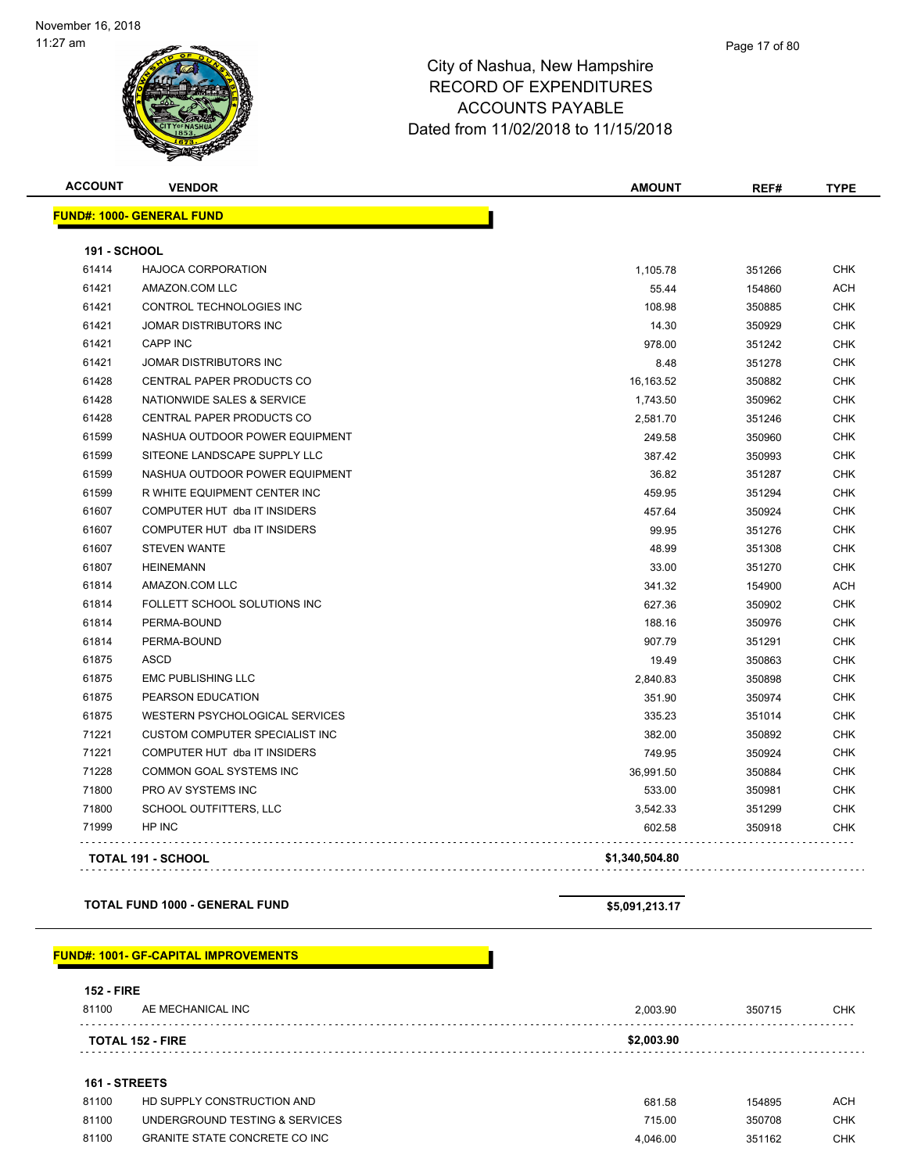

| <b>ACCOUNT</b>      | <b>VENDOR</b>                         | AMOUNT         | REF#   | <b>TYPE</b> |
|---------------------|---------------------------------------|----------------|--------|-------------|
|                     | <b>FUND#: 1000- GENERAL FUND</b>      |                |        |             |
| <b>191 - SCHOOL</b> |                                       |                |        |             |
| 61414               | <b>HAJOCA CORPORATION</b>             | 1,105.78       | 351266 | <b>CHK</b>  |
| 61421               | AMAZON.COM LLC                        | 55.44          | 154860 | <b>ACH</b>  |
| 61421               | CONTROL TECHNOLOGIES INC              | 108.98         | 350885 | <b>CHK</b>  |
| 61421               | <b>JOMAR DISTRIBUTORS INC</b>         | 14.30          | 350929 | <b>CHK</b>  |
| 61421               | <b>CAPP INC</b>                       | 978.00         | 351242 | <b>CHK</b>  |
| 61421               | JOMAR DISTRIBUTORS INC                | 8.48           | 351278 | <b>CHK</b>  |
| 61428               | <b>CENTRAL PAPER PRODUCTS CO</b>      | 16,163.52      | 350882 | <b>CHK</b>  |
| 61428               | NATIONWIDE SALES & SERVICE            | 1,743.50       | 350962 | <b>CHK</b>  |
| 61428               | CENTRAL PAPER PRODUCTS CO             | 2,581.70       | 351246 | <b>CHK</b>  |
| 61599               | NASHUA OUTDOOR POWER EQUIPMENT        | 249.58         | 350960 | <b>CHK</b>  |
| 61599               | SITEONE LANDSCAPE SUPPLY LLC          | 387.42         | 350993 | <b>CHK</b>  |
| 61599               | NASHUA OUTDOOR POWER EQUIPMENT        | 36.82          | 351287 | <b>CHK</b>  |
| 61599               | R WHITE EQUIPMENT CENTER INC          | 459.95         | 351294 | <b>CHK</b>  |
| 61607               | COMPUTER HUT dba IT INSIDERS          | 457.64         | 350924 | <b>CHK</b>  |
| 61607               | COMPUTER HUT dba IT INSIDERS          | 99.95          | 351276 | CHK         |
| 61607               | <b>STEVEN WANTE</b>                   | 48.99          | 351308 | CHK         |
| 61807               | <b>HEINEMANN</b>                      | 33.00          | 351270 | <b>CHK</b>  |
| 61814               | AMAZON.COM LLC                        | 341.32         | 154900 | ACH         |
| 61814               | FOLLETT SCHOOL SOLUTIONS INC          | 627.36         | 350902 | <b>CHK</b>  |
| 61814               | PERMA-BOUND                           | 188.16         | 350976 | CHK         |
| 61814               | PERMA-BOUND                           | 907.79         | 351291 | <b>CHK</b>  |
| 61875               | <b>ASCD</b>                           | 19.49          | 350863 | <b>CHK</b>  |
| 61875               | <b>EMC PUBLISHING LLC</b>             | 2,840.83       | 350898 | <b>CHK</b>  |
| 61875               | PEARSON EDUCATION                     | 351.90         | 350974 | <b>CHK</b>  |
| 61875               | WESTERN PSYCHOLOGICAL SERVICES        | 335.23         | 351014 | <b>CHK</b>  |
| 71221               | <b>CUSTOM COMPUTER SPECIALIST INC</b> | 382.00         | 350892 | <b>CHK</b>  |
| 71221               | COMPUTER HUT dba IT INSIDERS          | 749.95         | 350924 | <b>CHK</b>  |
| 71228               | COMMON GOAL SYSTEMS INC               | 36,991.50      | 350884 | <b>CHK</b>  |
| 71800               | PRO AV SYSTEMS INC                    | 533.00         | 350981 | <b>CHK</b>  |
| 71800               | SCHOOL OUTFITTERS, LLC                | 3,542.33       | 351299 | <b>CHK</b>  |
| 71999               | HP INC                                | 602.58         | 350918 | <b>CHK</b>  |
|                     | <b>TOTAL 191 - SCHOOL</b>             | \$1,340,504.80 |        |             |

**TOTAL FUND 1000 - GENERAL FUND \$5,091,213.17** 

#### **FUND#: 1001- GF-CAPITAL IMPROVEMENTS**

#### **152 - FIRE**

| 81100 | AE MECHANICAL INC            | 2,003.90   | 350715 | CHK |
|-------|------------------------------|------------|--------|-----|
|       | <b>TOTAL 152 - FIRE</b><br>. | \$2,003.90 |        |     |

#### **161 - STREETS**

| 81100 | HD SUPPLY CONSTRUCTION AND           | 681.58   | 154895 | ACH |
|-------|--------------------------------------|----------|--------|-----|
| 81100 | UNDERGROUND TESTING & SERVICES       | 715.00   | 350708 | CHK |
| 81100 | <b>GRANITE STATE CONCRETE CO INC</b> | 4.046.00 | 351162 | CHK |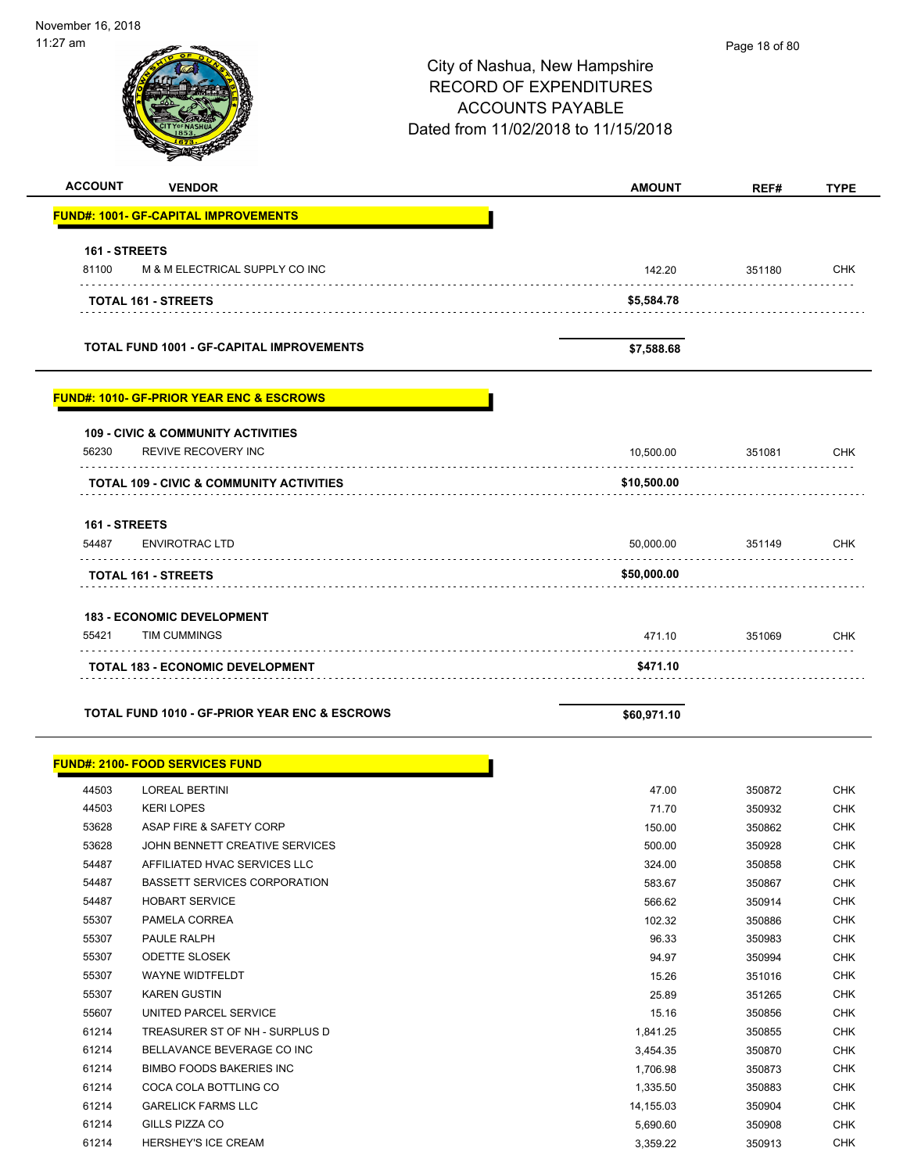| .                      |                                                                             | City of Nashua, New Hampshire<br><b>RECORD OF EXPENDITURES</b><br><b>ACCOUNTS PAYABLE</b><br>Dated from 11/02/2018 to 11/15/2018 | Page 18 or 80 |             |
|------------------------|-----------------------------------------------------------------------------|----------------------------------------------------------------------------------------------------------------------------------|---------------|-------------|
| <b>ACCOUNT</b>         | <b>VENDOR</b>                                                               | <b>AMOUNT</b>                                                                                                                    | REF#          | <b>TYPE</b> |
|                        | <b>FUND#: 1001- GF-CAPITAL IMPROVEMENTS</b>                                 |                                                                                                                                  |               |             |
| 161 - STREETS          |                                                                             |                                                                                                                                  |               |             |
| 81100                  | M & M ELECTRICAL SUPPLY CO INC                                              | 142.20                                                                                                                           | 351180        | <b>CHK</b>  |
|                        |                                                                             |                                                                                                                                  |               |             |
|                        | <b>TOTAL 161 - STREETS</b>                                                  | \$5,584.78                                                                                                                       |               |             |
|                        | <b>TOTAL FUND 1001 - GF-CAPITAL IMPROVEMENTS</b>                            | \$7,588.68                                                                                                                       |               |             |
|                        | <b>FUND#: 1010- GF-PRIOR YEAR ENC &amp; ESCROWS</b>                         |                                                                                                                                  |               |             |
| 56230                  | <b>109 - CIVIC &amp; COMMUNITY ACTIVITIES</b><br><b>REVIVE RECOVERY INC</b> | 10,500.00                                                                                                                        | 351081        | <b>CHK</b>  |
|                        | <b>TOTAL 109 - CIVIC &amp; COMMUNITY ACTIVITIES</b>                         | \$10,500.00                                                                                                                      |               |             |
|                        |                                                                             |                                                                                                                                  |               |             |
| 161 - STREETS<br>54487 | <b>ENVIROTRAC LTD</b>                                                       | 50,000.00                                                                                                                        | 351149        | <b>CHK</b>  |
|                        | TOTAL 161 - STREETS                                                         | \$50,000.00                                                                                                                      | .             |             |
|                        |                                                                             |                                                                                                                                  |               |             |
| 55421                  | <b>183 - ECONOMIC DEVELOPMENT</b><br><b>TIM CUMMINGS</b>                    | 471.10                                                                                                                           | 351069        | <b>CHK</b>  |
|                        |                                                                             |                                                                                                                                  |               |             |
|                        | <b>TOTAL 183 - ECONOMIC DEVELOPMENT</b>                                     | \$471.10                                                                                                                         |               |             |
|                        | TOTAL FUND 1010 - GF-PRIOR YEAR ENC & ESCROWS                               | \$60,971.10                                                                                                                      |               |             |
|                        | <b>FUND#: 2100- FOOD SERVICES FUND</b>                                      |                                                                                                                                  |               |             |
| 44503                  | <b>LOREAL BERTINI</b>                                                       | 47.00                                                                                                                            | 350872        | <b>CHK</b>  |
| 44503                  | <b>KERI LOPES</b>                                                           | 71.70                                                                                                                            | 350932        | <b>CHK</b>  |
| 53628                  | ASAP FIRE & SAFETY CORP                                                     | 150.00                                                                                                                           | 350862        | <b>CHK</b>  |
| 53628                  | JOHN BENNETT CREATIVE SERVICES                                              | 500.00                                                                                                                           | 350928        | <b>CHK</b>  |
| 54487                  | AFFILIATED HVAC SERVICES LLC                                                | 324.00                                                                                                                           | 350858        | <b>CHK</b>  |
| 54487                  | <b>BASSETT SERVICES CORPORATION</b>                                         | 583.67                                                                                                                           | 350867        | <b>CHK</b>  |
| 54487                  | <b>HOBART SERVICE</b>                                                       | 566.62                                                                                                                           | 350914        | <b>CHK</b>  |
| 55307                  | PAMELA CORREA                                                               | 102.32                                                                                                                           | 350886        | <b>CHK</b>  |
| 55307                  | PAULE RALPH                                                                 | 96.33                                                                                                                            | 350983        | <b>CHK</b>  |
| 55307                  | <b>ODETTE SLOSEK</b>                                                        | 94.97                                                                                                                            | 350994        | <b>CHK</b>  |
| 55307                  | WAYNE WIDTFELDT                                                             | 15.26                                                                                                                            | 351016        | <b>CHK</b>  |
| 55307                  | <b>KAREN GUSTIN</b>                                                         | 25.89                                                                                                                            | 351265        | <b>CHK</b>  |

55607 UNITED PARCEL SERVICE **15.16** CHK 61214 TREASURER ST OF NH - SURPLUS D 1,841.25 350855 CHK 61214 BELLAVANCE BEVERAGE CO INC **1999 1214** 3,454.35 350870 SHK 61214 BIMBO FOODS BAKERIES INC **1,706.98** 350873 CHK etial coca cola bottling control in the set of the set of the set of the set of the set of the set of the set of the set of the set of the set of the set of the set of the set of the set of the set of the set of the set of 61214 GARELICK FARMS LLC 14,155.03 350904 CHK 61214 GILLS PIZZA CO 5,690.60 350908 CHK 61214 HERSHEY'S ICE CREAM 3,359.22 350913 CHK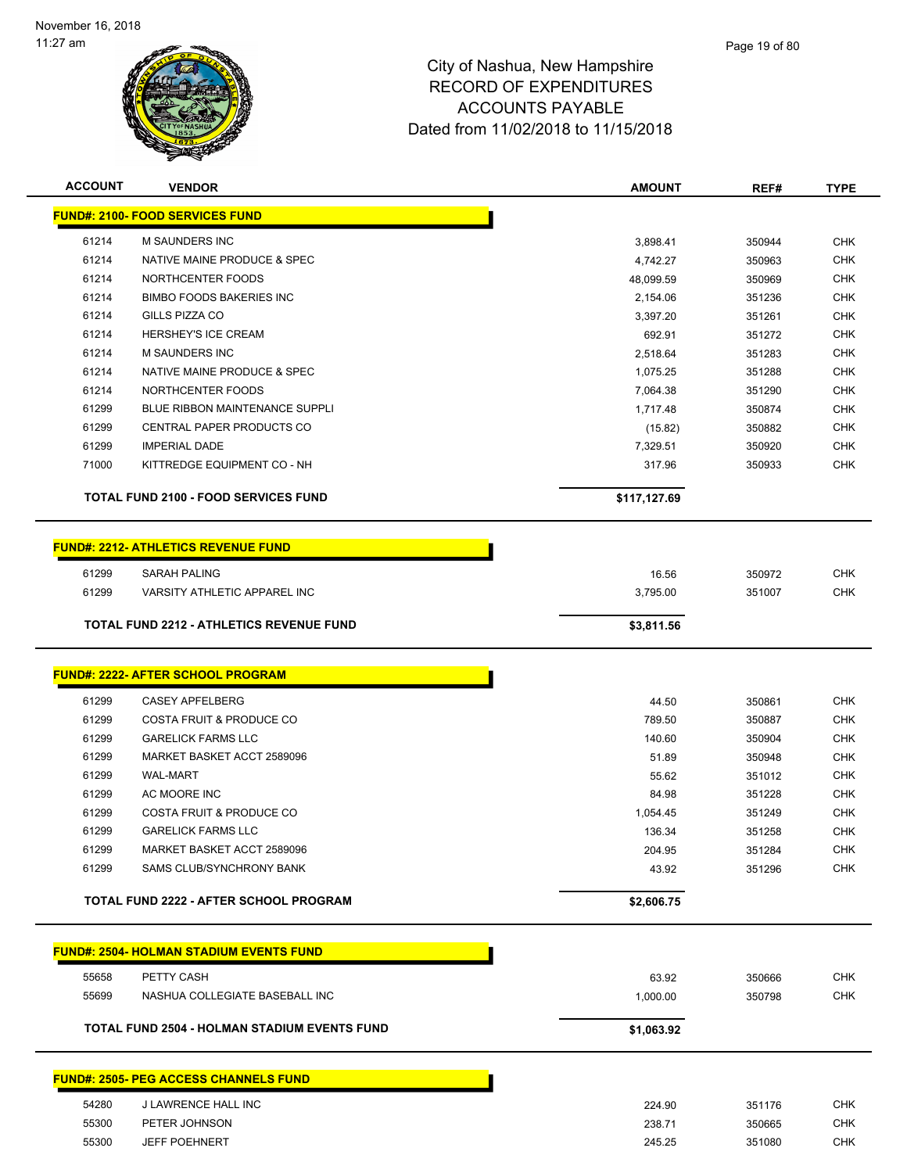

| <b>ACCOUNT</b> | <b>VENDOR</b>                                                    | <b>AMOUNT</b>      | REF#             | <b>TYPE</b>              |
|----------------|------------------------------------------------------------------|--------------------|------------------|--------------------------|
|                | <b>FUND#: 2100- FOOD SERVICES FUND</b>                           |                    |                  |                          |
| 61214          | M SAUNDERS INC                                                   | 3,898.41           | 350944           | <b>CHK</b>               |
| 61214          | NATIVE MAINE PRODUCE & SPEC                                      | 4,742.27           | 350963           | <b>CHK</b>               |
| 61214          | NORTHCENTER FOODS                                                | 48,099.59          | 350969           | <b>CHK</b>               |
| 61214          | <b>BIMBO FOODS BAKERIES INC</b>                                  | 2,154.06           | 351236           | <b>CHK</b>               |
| 61214          | <b>GILLS PIZZA CO</b>                                            | 3,397.20           | 351261           | <b>CHK</b>               |
| 61214          | <b>HERSHEY'S ICE CREAM</b>                                       | 692.91             | 351272           | <b>CHK</b>               |
| 61214          | M SAUNDERS INC                                                   | 2,518.64           | 351283           | <b>CHK</b>               |
| 61214          | NATIVE MAINE PRODUCE & SPEC                                      | 1,075.25           | 351288           | <b>CHK</b>               |
| 61214          | NORTHCENTER FOODS                                                | 7,064.38           | 351290           | <b>CHK</b>               |
| 61299          | <b>BLUE RIBBON MAINTENANCE SUPPLI</b>                            | 1,717.48           | 350874           | <b>CHK</b>               |
| 61299          | CENTRAL PAPER PRODUCTS CO                                        | (15.82)            | 350882           | <b>CHK</b>               |
| 61299          | <b>IMPERIAL DADE</b>                                             | 7,329.51           | 350920           | <b>CHK</b>               |
| 71000          | KITTREDGE EQUIPMENT CO - NH                                      | 317.96             | 350933           | <b>CHK</b>               |
|                | <b>TOTAL FUND 2100 - FOOD SERVICES FUND</b>                      | \$117,127.69       |                  |                          |
|                | <b>FUND#: 2212- ATHLETICS REVENUE FUND</b>                       |                    |                  |                          |
| 61299          | <b>SARAH PALING</b>                                              | 16.56              | 350972           | <b>CHK</b>               |
| 61299          | VARSITY ATHLETIC APPAREL INC                                     | 3,795.00           | 351007           | <b>CHK</b>               |
|                | <b>TOTAL FUND 2212 - ATHLETICS REVENUE FUND</b>                  | \$3,811.56         |                  |                          |
|                |                                                                  |                    |                  |                          |
|                | <b>FUND#: 2222- AFTER SCHOOL PROGRAM</b>                         |                    |                  |                          |
|                |                                                                  |                    |                  |                          |
| 61299          | <b>CASEY APFELBERG</b>                                           | 44.50              | 350861           | <b>CHK</b>               |
| 61299<br>61299 | <b>COSTA FRUIT &amp; PRODUCE CO</b><br><b>GARELICK FARMS LLC</b> | 789.50             | 350887           | <b>CHK</b>               |
|                |                                                                  | 140.60             | 350904           | <b>CHK</b>               |
| 61299<br>61299 | MARKET BASKET ACCT 2589096                                       | 51.89              | 350948           | <b>CHK</b><br><b>CHK</b> |
|                | <b>WAL-MART</b>                                                  | 55.62              | 351012           |                          |
| 61299          | AC MOORE INC                                                     | 84.98              | 351228           | <b>CHK</b>               |
| 61299<br>61299 | COSTA FRUIT & PRODUCE CO                                         | 1,054.45<br>136.34 | 351249<br>351258 | <b>CHK</b>               |
|                | <b>GARELICK FARMS LLC</b><br>MARKET BASKET ACCT 2589096          |                    |                  | <b>CHK</b>               |
| 61299<br>61299 | SAMS CLUB/SYNCHRONY BANK                                         | 204.95<br>43.92    | 351284<br>351296 | <b>CHK</b><br><b>CHK</b> |
|                |                                                                  |                    |                  |                          |
|                | <b>TOTAL FUND 2222 - AFTER SCHOOL PROGRAM</b>                    | \$2,606.75         |                  |                          |
|                | <b>FUND#: 2504- HOLMAN STADIUM EVENTS FUND</b>                   |                    |                  |                          |
| 55658          | PETTY CASH                                                       | 63.92              | 350666           | <b>CHK</b>               |
| 55699          | NASHUA COLLEGIATE BASEBALL INC                                   | 1,000.00           | 350798           | <b>CHK</b>               |
|                | <b>TOTAL FUND 2504 - HOLMAN STADIUM EVENTS FUND</b>              | \$1,063.92         |                  |                          |
|                | <b>FUND#: 2505- PEG ACCESS CHANNELS FUND</b>                     |                    |                  |                          |
|                |                                                                  |                    |                  |                          |
| 54280          | J LAWRENCE HALL INC                                              | 224.90             | 351176           | <b>CHK</b>               |
| 55300          | PETER JOHNSON                                                    | 238.71             | 350665           | <b>CHK</b>               |
| 55300          | <b>JEFF POEHNERT</b>                                             | 245.25             | 351080           | <b>CHK</b>               |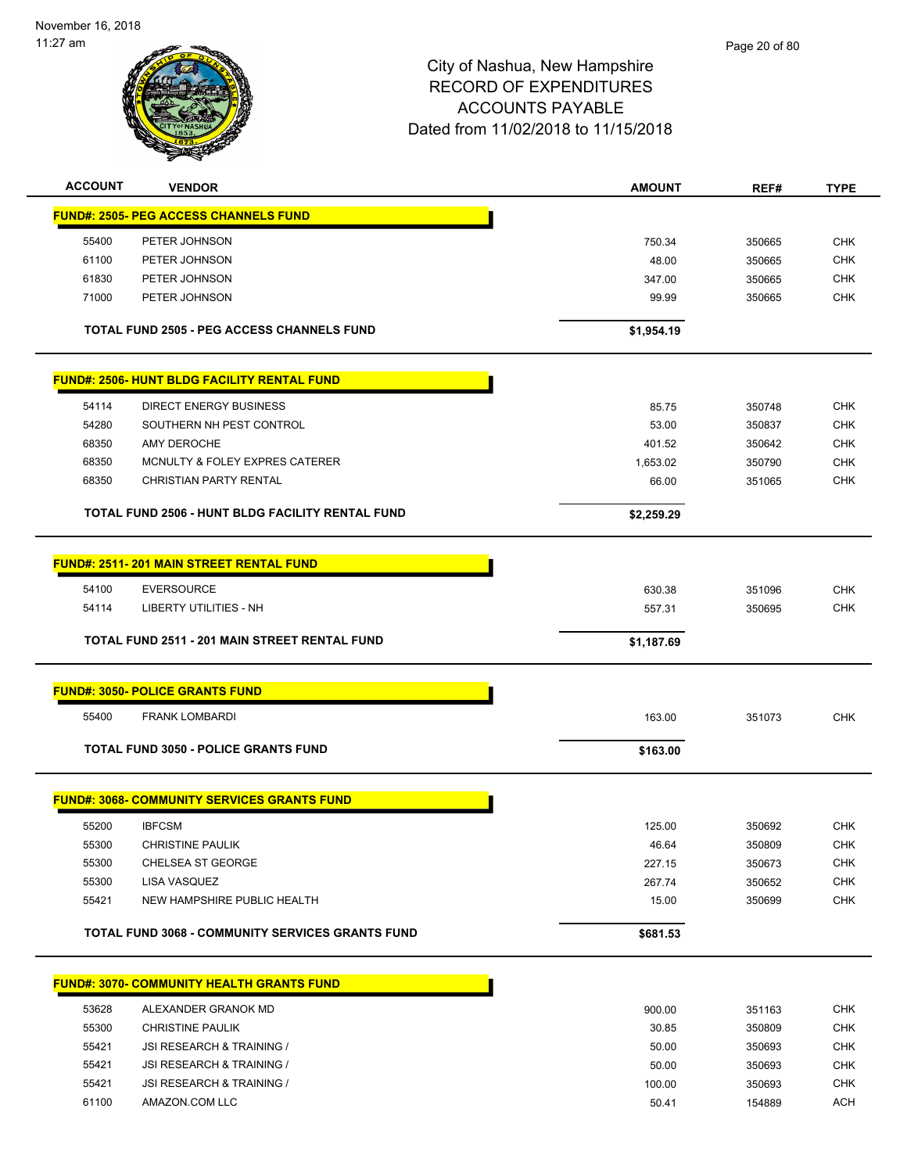

| <b>ACCOUNT</b> | <b>VENDOR</b>                                           | <b>AMOUNT</b> | REF#   | <b>TYPE</b>              |
|----------------|---------------------------------------------------------|---------------|--------|--------------------------|
|                | <b>FUND#: 2505- PEG ACCESS CHANNELS FUND</b>            |               |        |                          |
| 55400          | PETER JOHNSON                                           | 750.34        | 350665 | <b>CHK</b>               |
| 61100          | PETER JOHNSON                                           | 48.00         | 350665 | <b>CHK</b>               |
| 61830          | PETER JOHNSON                                           | 347.00        | 350665 | <b>CHK</b>               |
| 71000          | PETER JOHNSON                                           | 99.99         | 350665 | <b>CHK</b>               |
|                |                                                         |               |        |                          |
|                | <b>TOTAL FUND 2505 - PEG ACCESS CHANNELS FUND</b>       | \$1,954.19    |        |                          |
|                | <b>FUND#: 2506- HUNT BLDG FACILITY RENTAL FUND</b>      |               |        |                          |
| 54114          | <b>DIRECT ENERGY BUSINESS</b>                           | 85.75         | 350748 | <b>CHK</b>               |
| 54280          | SOUTHERN NH PEST CONTROL                                | 53.00         | 350837 | <b>CHK</b>               |
| 68350          | AMY DEROCHE                                             | 401.52        | 350642 | <b>CHK</b>               |
| 68350          | MCNULTY & FOLEY EXPRES CATERER                          | 1,653.02      | 350790 | <b>CHK</b>               |
| 68350          | <b>CHRISTIAN PARTY RENTAL</b>                           | 66.00         | 351065 | <b>CHK</b>               |
|                | TOTAL FUND 2506 - HUNT BLDG FACILITY RENTAL FUND        | \$2,259.29    |        |                          |
|                | <b>FUND#: 2511-201 MAIN STREET RENTAL FUND</b>          |               |        |                          |
|                |                                                         |               |        |                          |
| 54100<br>54114 | <b>EVERSOURCE</b><br><b>LIBERTY UTILITIES - NH</b>      | 630.38        | 351096 | <b>CHK</b><br><b>CHK</b> |
|                |                                                         | 557.31        | 350695 |                          |
|                | TOTAL FUND 2511 - 201 MAIN STREET RENTAL FUND           | \$1,187.69    |        |                          |
|                | <b>FUND#: 3050- POLICE GRANTS FUND</b>                  |               |        |                          |
| 55400          | <b>FRANK LOMBARDI</b>                                   | 163.00        | 351073 | <b>CHK</b>               |
|                | <b>TOTAL FUND 3050 - POLICE GRANTS FUND</b>             | \$163.00      |        |                          |
|                | <b>FUND#: 3068- COMMUNITY SERVICES GRANTS FUND</b>      |               |        |                          |
| 55200          | <b>IBFCSM</b>                                           | 125.00        | 350692 | CHK                      |
| 55300          | CHRISTINE PAULIK                                        | 46.64         | 350809 | CHK                      |
| 55300          | CHELSEA ST GEORGE                                       | 227.15        | 350673 | <b>CHK</b>               |
| 55300          | LISA VASQUEZ                                            | 267.74        | 350652 | <b>CHK</b>               |
| 55421          | NEW HAMPSHIRE PUBLIC HEALTH                             | 15.00         | 350699 | <b>CHK</b>               |
|                | <b>TOTAL FUND 3068 - COMMUNITY SERVICES GRANTS FUND</b> | \$681.53      |        |                          |
|                | <b>FUND#: 3070- COMMUNITY HEALTH GRANTS FUND</b>        |               |        |                          |
|                |                                                         |               |        |                          |
| 53628          | ALEXANDER GRANOK MD                                     | 900.00        | 351163 | <b>CHK</b>               |
| 55300          | <b>CHRISTINE PAULIK</b>                                 | 30.85         | 350809 | <b>CHK</b>               |
| 55421          | JSI RESEARCH & TRAINING /                               | 50.00         | 350693 | <b>CHK</b>               |
| 55421          | JSI RESEARCH & TRAINING /                               | 50.00         | 350693 | <b>CHK</b>               |
| 55421          | JSI RESEARCH & TRAINING /                               | 100.00        | 350693 | <b>CHK</b>               |

61100 AMAZON.COM LLC 50.41 154889 ACH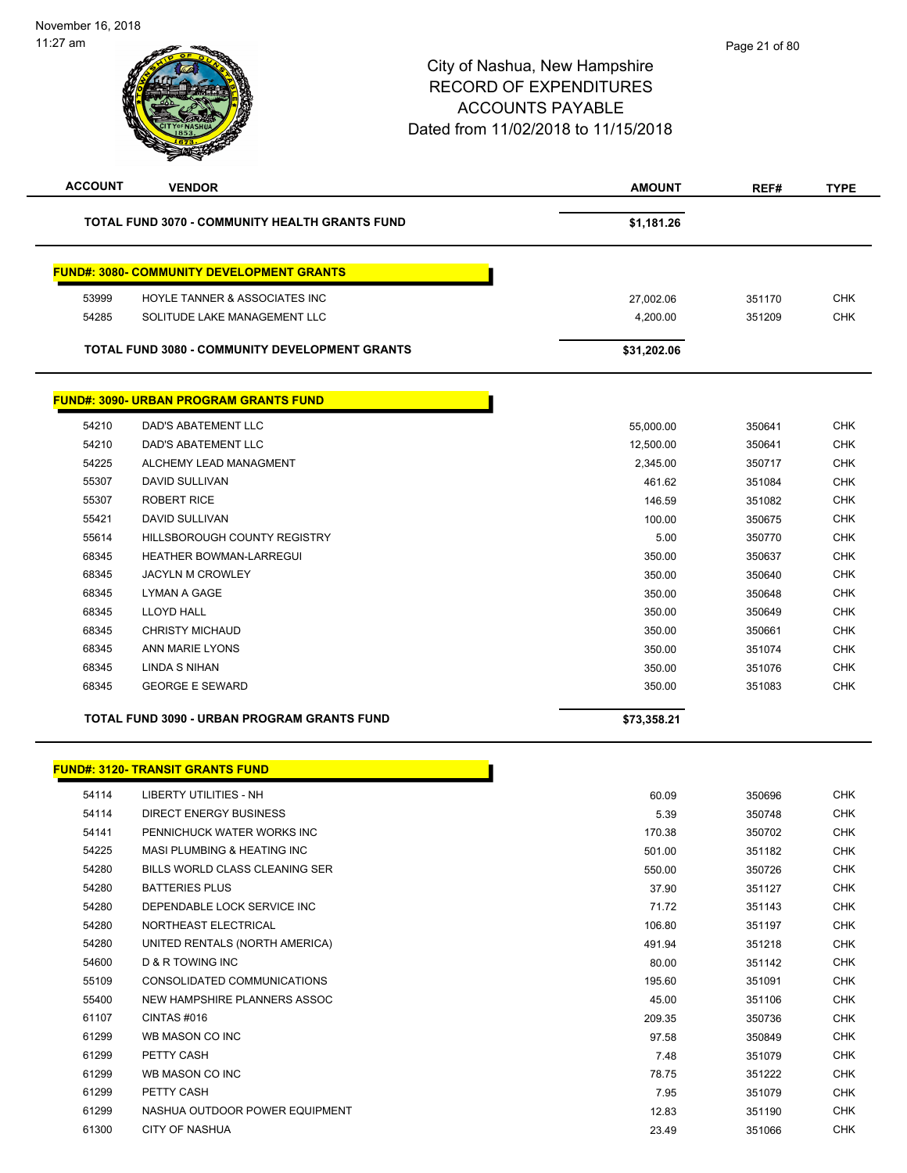| <b>ACCOUNT</b> | <b>VENDOR</b>                                         | <b>AMOUNT</b> | REF#   | <b>TYPE</b> |
|----------------|-------------------------------------------------------|---------------|--------|-------------|
|                | TOTAL FUND 3070 - COMMUNITY HEALTH GRANTS FUND        | \$1,181.26    |        |             |
|                | <b>FUND#: 3080- COMMUNITY DEVELOPMENT GRANTS</b>      |               |        |             |
| 53999          | HOYLE TANNER & ASSOCIATES INC                         | 27,002.06     | 351170 | <b>CHK</b>  |
| 54285          | SOLITUDE LAKE MANAGEMENT LLC                          | 4,200.00      | 351209 | <b>CHK</b>  |
|                | <b>TOTAL FUND 3080 - COMMUNITY DEVELOPMENT GRANTS</b> | \$31,202.06   |        |             |
|                | <b>FUND#: 3090- URBAN PROGRAM GRANTS FUND</b>         |               |        |             |
| 54210          | DAD'S ABATEMENT LLC                                   | 55,000.00     | 350641 | <b>CHK</b>  |
| 54210          | DAD'S ABATEMENT LLC                                   | 12,500.00     | 350641 | <b>CHK</b>  |
| 54225          | ALCHEMY LEAD MANAGMENT                                | 2,345.00      | 350717 | <b>CHK</b>  |
| 55307          | <b>DAVID SULLIVAN</b>                                 | 461.62        | 351084 | <b>CHK</b>  |
| 55307          | <b>ROBERT RICE</b>                                    | 146.59        | 351082 | <b>CHK</b>  |
| 55421          | <b>DAVID SULLIVAN</b>                                 | 100.00        | 350675 | <b>CHK</b>  |
| 55614          | HILLSBOROUGH COUNTY REGISTRY                          | 5.00          | 350770 | <b>CHK</b>  |
| 68345          | <b>HEATHER BOWMAN-LARREGUI</b>                        | 350.00        | 350637 | <b>CHK</b>  |
| 68345          | <b>JACYLN M CROWLEY</b>                               | 350.00        | 350640 | <b>CHK</b>  |
| 68345          | LYMAN A GAGE                                          | 350.00        | 350648 | <b>CHK</b>  |
| 68345          | LLOYD HALL                                            | 350.00        | 350649 | <b>CHK</b>  |
| 68345          | <b>CHRISTY MICHAUD</b>                                | 350.00        | 350661 | <b>CHK</b>  |
| 68345          | ANN MARIE LYONS                                       | 350.00        | 351074 | <b>CHK</b>  |
| 68345          | LINDA S NIHAN                                         | 350.00        | 351076 | <b>CHK</b>  |
| 68345          | <b>GEORGE E SEWARD</b>                                | 350.00        | 351083 | <b>CHK</b>  |
|                | TOTAL FUND 3090 - URBAN PROGRAM GRANTS FUND           | \$73,358.21   |        |             |
|                | <b>FUND#: 3120- TRANSIT GRANTS FUND</b>               |               |        |             |
| 54114          | <b>LIBERTY UTILITIES - NH</b>                         | 60.09         | 350696 | <b>CHK</b>  |
| 54114          | <b>DIRECT ENERGY BUSINESS</b>                         | 5.39          | 350748 | <b>CHK</b>  |
| 54141          | PENNICHUCK WATER WORKS INC                            | 170.38        | 350702 | <b>CHK</b>  |
| 54225          | MASI PLUMBING & HEATING INC                           | 501.00        | 351182 | <b>CHK</b>  |
| 54280          | BILLS WORLD CLASS CLEANING SER                        | 550.00        | 350726 | <b>CHK</b>  |
| 54280          | <b>BATTERIES PLUS</b>                                 | 37.90         | 351127 | <b>CHK</b>  |
| 54280          | DEPENDABLE LOCK SERVICE INC                           | 71.72         | 351143 | <b>CHK</b>  |
| 54280          | NORTHEAST ELECTRICAL                                  | 106.80        | 351197 | <b>CHK</b>  |
| 54280          | UNITED RENTALS (NORTH AMERICA)                        | 491.94        | 351218 | <b>CHK</b>  |
| 54600          | D & R TOWING INC                                      | 80.00         | 351142 | <b>CHK</b>  |
| 55109          | CONSOLIDATED COMMUNICATIONS                           | 195.60        | 351091 | <b>CHK</b>  |
| 55400          | NEW HAMPSHIRE PLANNERS ASSOC                          | 45.00         | 351106 | <b>CHK</b>  |
| 61107          | CINTAS#016                                            | 209.35        | 350736 | <b>CHK</b>  |
| 61299          | WB MASON CO INC                                       | 97.58         | 350849 | <b>CHK</b>  |
| 61299          | PETTY CASH                                            | 7.48          | 351079 | <b>CHK</b>  |
| 61299          | WB MASON CO INC                                       | 78.75         | 351222 | <b>CHK</b>  |
| 61299          | PETTY CASH                                            | 7.95          | 351079 | <b>CHK</b>  |
| 61299          | NASHUA OUTDOOR POWER EQUIPMENT                        | 12.83         | 351190 | <b>CHK</b>  |
| 61300          | CITY OF NASHUA                                        | 23.49         | 351066 | <b>CHK</b>  |
|                |                                                       |               |        |             |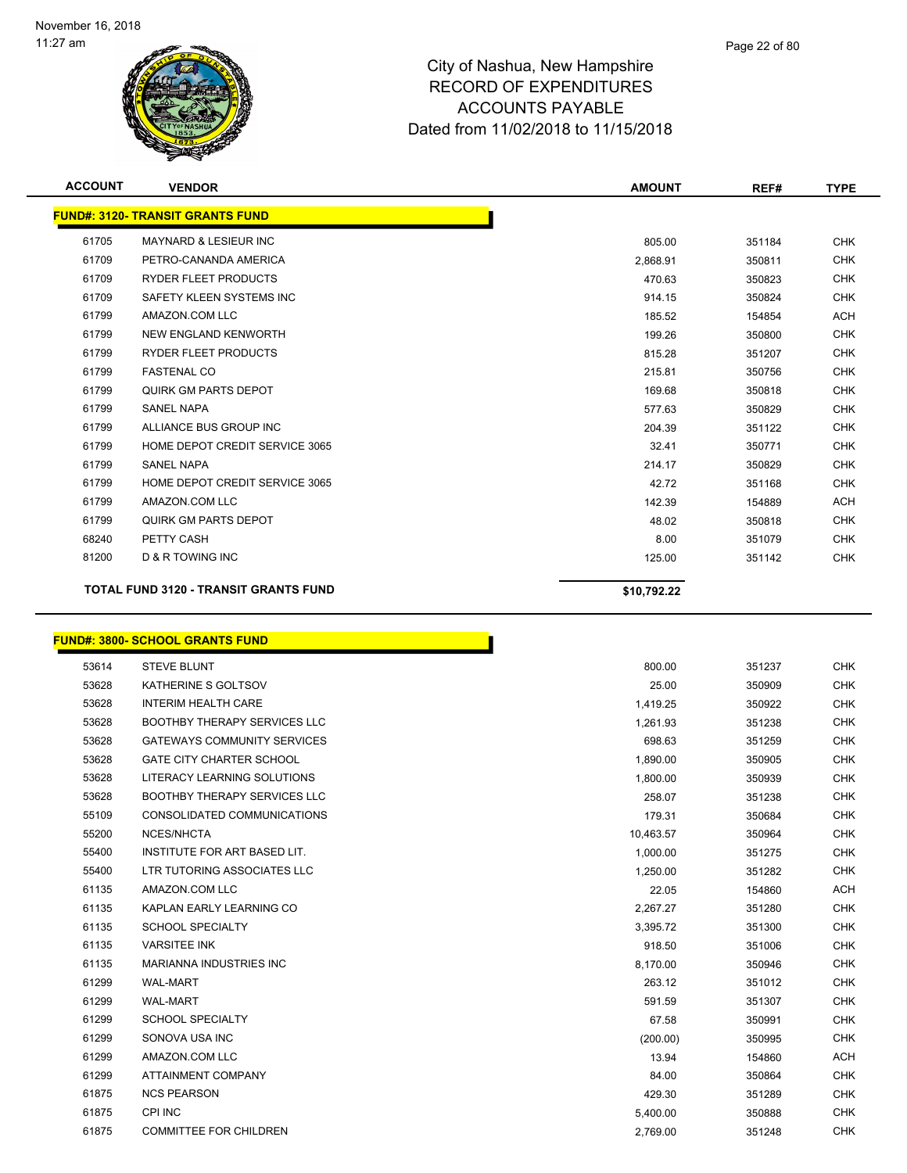

| <b>ACCOUNT</b> | <b>VENDOR</b>                                | <b>AMOUNT</b> | REF#   | <b>TYPE</b> |
|----------------|----------------------------------------------|---------------|--------|-------------|
|                | <b>FUND#: 3120- TRANSIT GRANTS FUND</b>      |               |        |             |
| 61705          | <b>MAYNARD &amp; LESIEUR INC</b>             | 805.00        | 351184 | <b>CHK</b>  |
| 61709          | PETRO-CANANDA AMERICA                        | 2,868.91      | 350811 | <b>CHK</b>  |
| 61709          | <b>RYDER FLEET PRODUCTS</b>                  | 470.63        | 350823 | <b>CHK</b>  |
| 61709          | SAFETY KLEEN SYSTEMS INC                     | 914.15        | 350824 | <b>CHK</b>  |
| 61799          | AMAZON.COM LLC                               | 185.52        | 154854 | <b>ACH</b>  |
| 61799          | NEW ENGLAND KENWORTH                         | 199.26        | 350800 | <b>CHK</b>  |
| 61799          | <b>RYDER FLEET PRODUCTS</b>                  | 815.28        | 351207 | <b>CHK</b>  |
| 61799          | <b>FASTENAL CO</b>                           | 215.81        | 350756 | <b>CHK</b>  |
| 61799          | <b>QUIRK GM PARTS DEPOT</b>                  | 169.68        | 350818 | <b>CHK</b>  |
| 61799          | <b>SANEL NAPA</b>                            | 577.63        | 350829 | <b>CHK</b>  |
| 61799          | ALLIANCE BUS GROUP INC                       | 204.39        | 351122 | <b>CHK</b>  |
| 61799          | HOME DEPOT CREDIT SERVICE 3065               | 32.41         | 350771 | <b>CHK</b>  |
| 61799          | <b>SANEL NAPA</b>                            | 214.17        | 350829 | <b>CHK</b>  |
| 61799          | HOME DEPOT CREDIT SERVICE 3065               | 42.72         | 351168 | <b>CHK</b>  |
| 61799          | AMAZON.COM LLC                               | 142.39        | 154889 | <b>ACH</b>  |
| 61799          | QUIRK GM PARTS DEPOT                         | 48.02         | 350818 | <b>CHK</b>  |
| 68240          | PETTY CASH                                   | 8.00          | 351079 | <b>CHK</b>  |
| 81200          | <b>D &amp; R TOWING INC</b>                  | 125.00        | 351142 | <b>CHK</b>  |
|                | <b>TOTAL FUND 3120 - TRANSIT GRANTS FUND</b> | \$10,792.22   |        |             |

#### **FUND#: 3800- SCHOOL GRANTS FUND**

| 53614 | <b>STEVE BLUNT</b>                  | 800.00    | 351237 | CHK        |
|-------|-------------------------------------|-----------|--------|------------|
| 53628 | KATHERINE S GOLTSOV                 | 25.00     | 350909 | <b>CHK</b> |
| 53628 | <b>INTERIM HEALTH CARE</b>          | 1,419.25  | 350922 | <b>CHK</b> |
| 53628 | <b>BOOTHBY THERAPY SERVICES LLC</b> | 1,261.93  | 351238 | <b>CHK</b> |
| 53628 | <b>GATEWAYS COMMUNITY SERVICES</b>  | 698.63    | 351259 | <b>CHK</b> |
| 53628 | <b>GATE CITY CHARTER SCHOOL</b>     | 1,890.00  | 350905 | <b>CHK</b> |
| 53628 | LITERACY LEARNING SOLUTIONS         | 1,800.00  | 350939 | <b>CHK</b> |
| 53628 | <b>BOOTHBY THERAPY SERVICES LLC</b> | 258.07    | 351238 | <b>CHK</b> |
| 55109 | CONSOLIDATED COMMUNICATIONS         | 179.31    | 350684 | <b>CHK</b> |
| 55200 | NCES/NHCTA                          | 10,463.57 | 350964 | <b>CHK</b> |
| 55400 | INSTITUTE FOR ART BASED LIT.        | 1,000.00  | 351275 | <b>CHK</b> |
| 55400 | LTR TUTORING ASSOCIATES LLC         | 1,250.00  | 351282 | <b>CHK</b> |
| 61135 | AMAZON.COM LLC                      | 22.05     | 154860 | <b>ACH</b> |
| 61135 | KAPLAN EARLY LEARNING CO            | 2,267.27  | 351280 | <b>CHK</b> |
| 61135 | <b>SCHOOL SPECIALTY</b>             | 3,395.72  | 351300 | <b>CHK</b> |
| 61135 | <b>VARSITEE INK</b>                 | 918.50    | 351006 | <b>CHK</b> |
| 61135 | <b>MARIANNA INDUSTRIES INC</b>      | 8,170.00  | 350946 | <b>CHK</b> |
| 61299 | <b>WAL-MART</b>                     | 263.12    | 351012 | <b>CHK</b> |
| 61299 | <b>WAL-MART</b>                     | 591.59    | 351307 | <b>CHK</b> |
| 61299 | <b>SCHOOL SPECIALTY</b>             | 67.58     | 350991 | <b>CHK</b> |
| 61299 | SONOVA USA INC                      | (200.00)  | 350995 | <b>CHK</b> |
| 61299 | AMAZON.COM LLC                      | 13.94     | 154860 | <b>ACH</b> |
| 61299 | <b>ATTAINMENT COMPANY</b>           | 84.00     | 350864 | <b>CHK</b> |
| 61875 | <b>NCS PEARSON</b>                  | 429.30    | 351289 | <b>CHK</b> |
| 61875 | <b>CPI INC</b>                      | 5,400.00  | 350888 | <b>CHK</b> |
| 61875 | <b>COMMITTEE FOR CHILDREN</b>       | 2.769.00  | 351248 | <b>CHK</b> |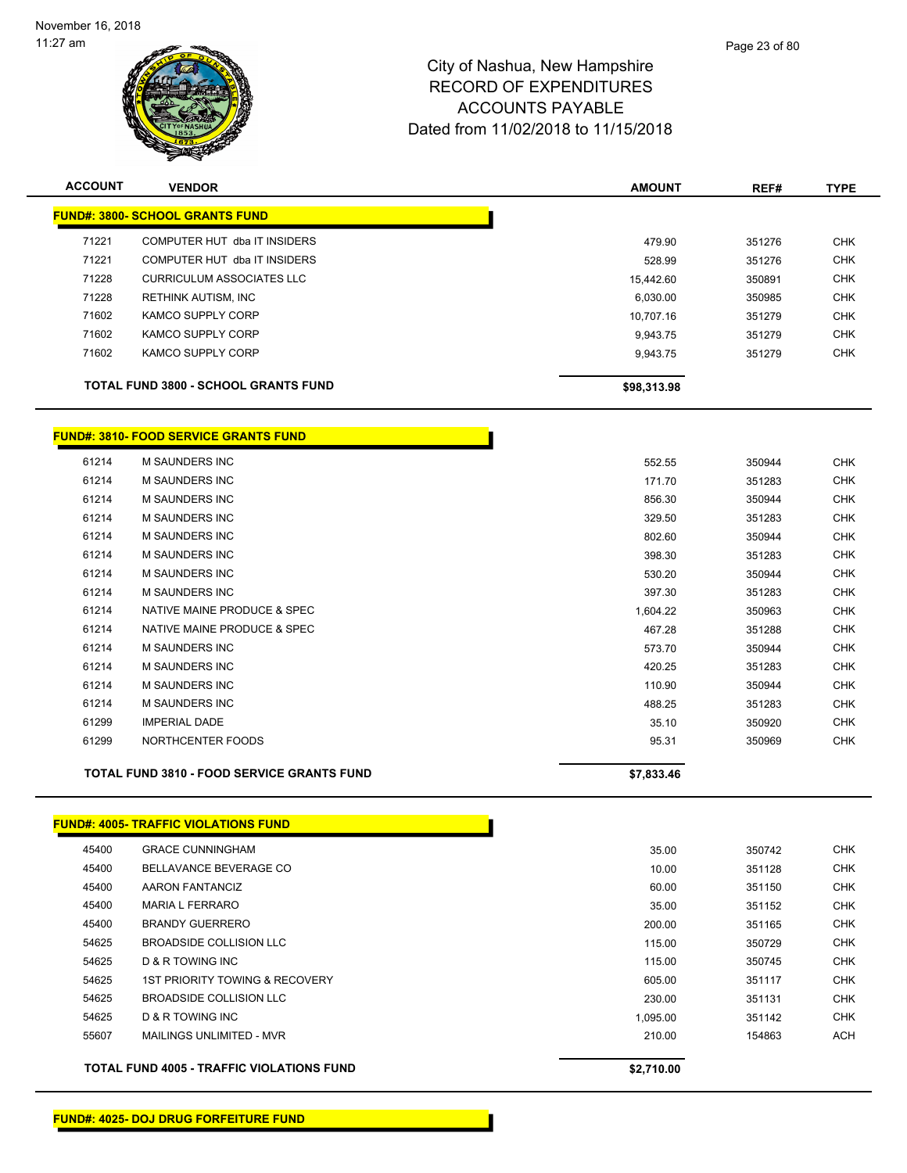

| <b>ACCOUNT</b> | <b>VENDOR</b>                               | <b>AMOUNT</b> | REF#   | <b>TYPE</b> |
|----------------|---------------------------------------------|---------------|--------|-------------|
|                | <b>FUND#: 3800- SCHOOL GRANTS FUND</b>      |               |        |             |
| 71221          | COMPUTER HUT dba IT INSIDERS                | 479.90        | 351276 | <b>CHK</b>  |
| 71221          | COMPUTER HUT dba IT INSIDERS                | 528.99        | 351276 | <b>CHK</b>  |
| 71228          | <b>CURRICULUM ASSOCIATES LLC</b>            | 15.442.60     | 350891 | <b>CHK</b>  |
| 71228          | RETHINK AUTISM, INC                         | 6,030.00      | 350985 | <b>CHK</b>  |
| 71602          | <b>KAMCO SUPPLY CORP</b>                    | 10.707.16     | 351279 | <b>CHK</b>  |
| 71602          | KAMCO SUPPLY CORP                           | 9.943.75      | 351279 | <b>CHK</b>  |
| 71602          | KAMCO SUPPLY CORP                           | 9.943.75      | 351279 | <b>CHK</b>  |
|                | <b>TOTAL FUND 3800 - SCHOOL GRANTS FUND</b> | \$98,313.98   |        |             |

#### **FUND#: 3810- FOOD SERVICE GRANTS FUND**

| <b>TOTAL FUND 3810 - FOOD SERVICE GRANTS FUND</b> | \$7,833.46 |        |            |
|---------------------------------------------------|------------|--------|------------|
| NORTHCENTER FOODS                                 | 95.31      | 350969 | <b>CHK</b> |
| <b>IMPERIAL DADE</b>                              | 35.10      | 350920 | <b>CHK</b> |
| <b>M SAUNDERS INC</b>                             | 488.25     | 351283 | <b>CHK</b> |
| M SAUNDERS INC                                    | 110.90     | 350944 | CHK        |
| M SAUNDERS INC                                    | 420.25     | 351283 | CHK        |
| M SAUNDERS INC                                    | 573.70     | 350944 | <b>CHK</b> |
| NATIVE MAINE PRODUCE & SPEC                       | 467.28     | 351288 | <b>CHK</b> |
| NATIVE MAINE PRODUCE & SPEC                       | 1,604.22   | 350963 | <b>CHK</b> |
| M SAUNDERS INC                                    | 397.30     | 351283 | <b>CHK</b> |
| M SAUNDERS INC                                    | 530.20     | 350944 | <b>CHK</b> |
| M SAUNDERS INC                                    | 398.30     | 351283 | <b>CHK</b> |
| <b>M SAUNDERS INC</b>                             | 802.60     | 350944 | <b>CHK</b> |
| <b>M SAUNDERS INC</b>                             | 329.50     | 351283 | <b>CHK</b> |
| <b>M SAUNDERS INC</b>                             | 856.30     | 350944 | <b>CHK</b> |
| M SAUNDERS INC                                    | 171.70     | 351283 | <b>CHK</b> |
| <b>M SAUNDERS INC</b>                             | 552.55     | 350944 | <b>CHK</b> |
|                                                   |            |        |            |

**FUND#: 4005- TRAFFIC VIOLATIONS FUND** GRACE CUNNINGHAM 35.00 350742 CHK 45400 BELLAVANCE BEVERAGE CO **10.00** 351128 CHK AARON FANTANCIZ 60.00 351150 CHK MARIA L FERRARO 35.00 351152 CHK BRANDY GUERRERO 200.00 351165 CHK BROADSIDE COLLISION LLC 115.00 350729 CHK D & R TOWING INC 115.00 350745 CHK 1ST PRIORITY TOWING & RECOVERY 605.00 351117 CHK BROADSIDE COLLISION LLC 230.00 351131 CHK D & R TOWING INC 1,095.00 351142 CHK MAILINGS UNLIMITED - MVR 210.00 154863 ACH

**TOTAL FUND 4005 - TRAFFIC VIOLATIONS FUND \$2,710.00** 

Page 23 of 80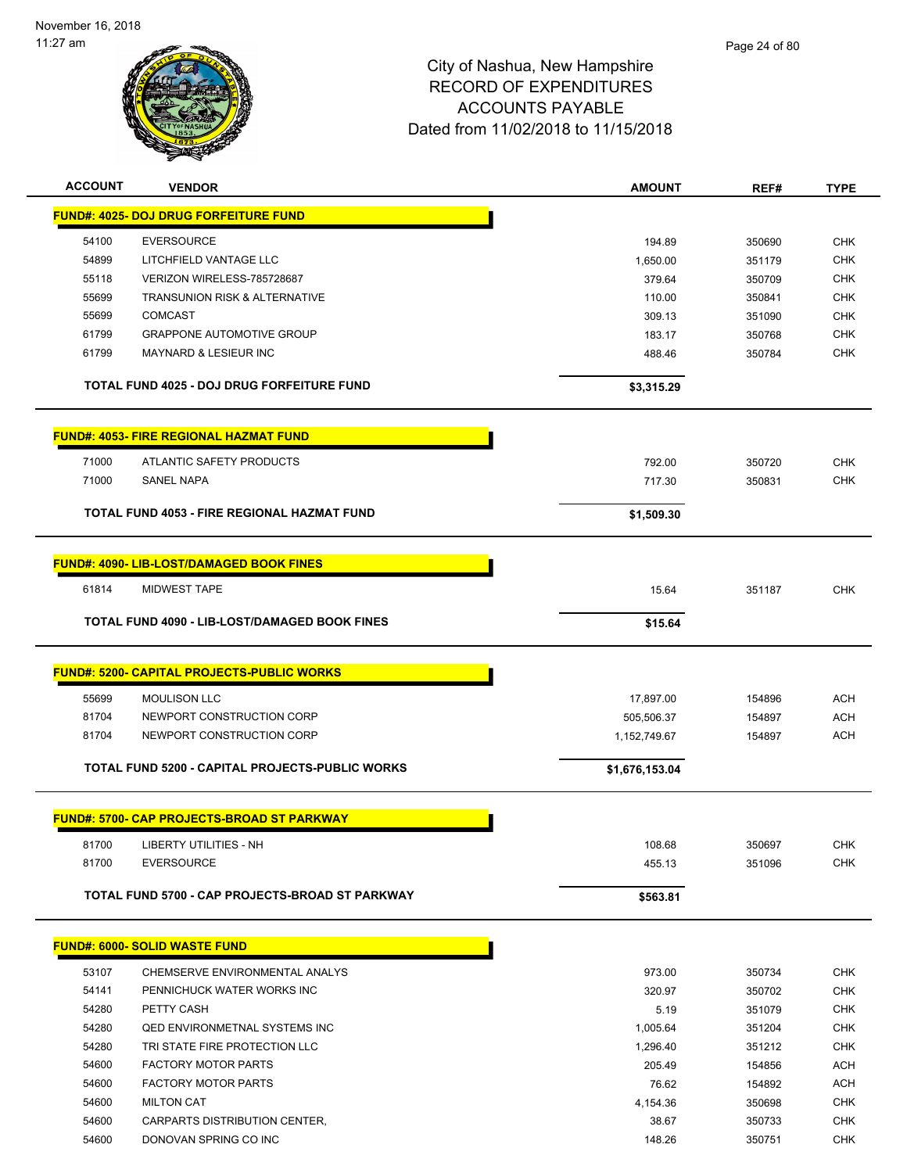

| <b>ACCOUNT</b> | <b>VENDOR</b>                                     | <b>AMOUNT</b>    | REF#             | <b>TYPE</b> |
|----------------|---------------------------------------------------|------------------|------------------|-------------|
|                | <b>FUND#: 4025- DOJ DRUG FORFEITURE FUND</b>      |                  |                  |             |
| 54100          | <b>EVERSOURCE</b>                                 | 194.89           | 350690           | <b>CHK</b>  |
| 54899          | LITCHFIELD VANTAGE LLC                            | 1,650.00         | 351179           | <b>CHK</b>  |
| 55118          | VERIZON WIRELESS-785728687                        | 379.64           | 350709           | <b>CHK</b>  |
| 55699          | <b>TRANSUNION RISK &amp; ALTERNATIVE</b>          | 110.00           | 350841           | <b>CHK</b>  |
| 55699          | <b>COMCAST</b>                                    | 309.13           | 351090           | <b>CHK</b>  |
| 61799          | <b>GRAPPONE AUTOMOTIVE GROUP</b>                  | 183.17           | 350768           | <b>CHK</b>  |
| 61799          | <b>MAYNARD &amp; LESIEUR INC</b>                  | 488.46           | 350784           | <b>CHK</b>  |
|                | TOTAL FUND 4025 - DOJ DRUG FORFEITURE FUND        | \$3,315.29       |                  |             |
|                | <b>FUND#: 4053- FIRE REGIONAL HAZMAT FUND</b>     |                  |                  |             |
| 71000          | ATLANTIC SAFETY PRODUCTS                          | 792.00           | 350720           | <b>CHK</b>  |
| 71000          | <b>SANEL NAPA</b>                                 | 717.30           | 350831           | <b>CHK</b>  |
|                |                                                   |                  |                  |             |
|                | TOTAL FUND 4053 - FIRE REGIONAL HAZMAT FUND       | \$1,509.30       |                  |             |
|                | <b>FUND#: 4090- LIB-LOST/DAMAGED BOOK FINES</b>   |                  |                  |             |
| 61814          |                                                   | 15.64            |                  | <b>CHK</b>  |
|                | <b>MIDWEST TAPE</b>                               |                  | 351187           |             |
|                | TOTAL FUND 4090 - LIB-LOST/DAMAGED BOOK FINES     | \$15.64          |                  |             |
|                | <b>FUND#: 5200- CAPITAL PROJECTS-PUBLIC WORKS</b> |                  |                  |             |
|                |                                                   |                  |                  |             |
| 55699          | <b>MOULISON LLC</b>                               | 17,897.00        | 154896           | <b>ACH</b>  |
| 81704          | NEWPORT CONSTRUCTION CORP                         | 505,506.37       | 154897           | <b>ACH</b>  |
| 81704          | NEWPORT CONSTRUCTION CORP                         | 1,152,749.67     | 154897           | <b>ACH</b>  |
|                | TOTAL FUND 5200 - CAPITAL PROJECTS-PUBLIC WORKS   | \$1,676,153.04   |                  |             |
|                | <b>FUND#: 5700- CAP PROJECTS-BROAD ST PARKWAY</b> |                  |                  |             |
|                |                                                   |                  |                  |             |
| 81700          | LIBERTY UTILITIES - NH                            | 108.68           | 350697           | <b>CHK</b>  |
| 81700          | <b>EVERSOURCE</b>                                 | 455.13           | 351096           | <b>CHK</b>  |
|                | TOTAL FUND 5700 - CAP PROJECTS-BROAD ST PARKWAY   | \$563.81         |                  |             |
|                | <b>FUND#: 6000- SOLID WASTE FUND</b>              |                  |                  |             |
| 53107          | CHEMSERVE ENVIRONMENTAL ANALYS                    |                  |                  | <b>CHK</b>  |
| 54141          | PENNICHUCK WATER WORKS INC                        | 973.00<br>320.97 | 350734           | <b>CHK</b>  |
| 54280          | PETTY CASH                                        | 5.19             | 350702<br>351079 | <b>CHK</b>  |
| 54280          | <b>QED ENVIRONMETNAL SYSTEMS INC</b>              | 1,005.64         | 351204           | <b>CHK</b>  |
| 54280          | TRI STATE FIRE PROTECTION LLC                     | 1,296.40         | 351212           | <b>CHK</b>  |
| 54600          | <b>FACTORY MOTOR PARTS</b>                        | 205.49           | 154856           | ACH         |
| 54600          | <b>FACTORY MOTOR PARTS</b>                        | 76.62            | 154892           | ACH         |
| 54600          | <b>MILTON CAT</b>                                 | 4,154.36         | 350698           | <b>CHK</b>  |
| 54600          | CARPARTS DISTRIBUTION CENTER,                     | 38.67            | 350733           | <b>CHK</b>  |
| 54600          | DONOVAN SPRING CO INC                             | 148.26           | 350751           | <b>CHK</b>  |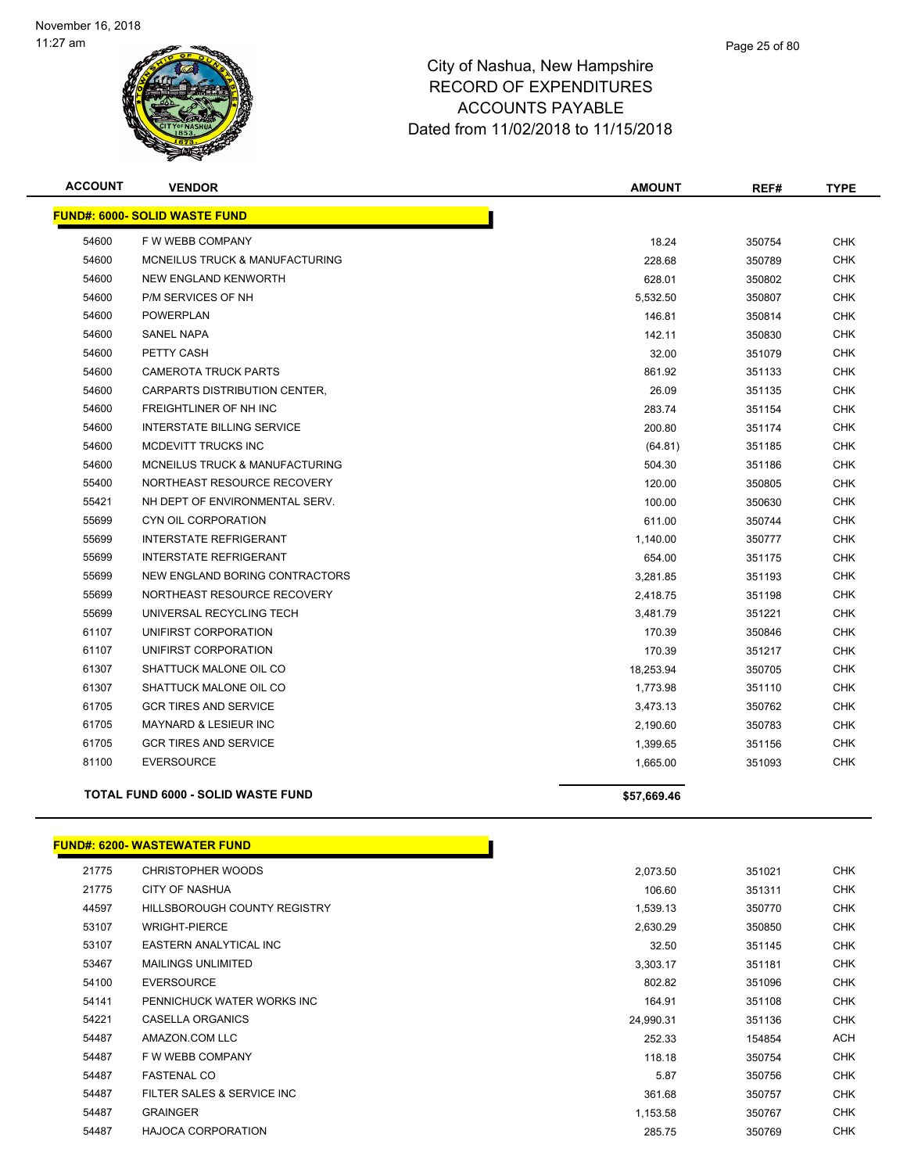

| <b>ACCOUNT</b> | <b>VENDOR</b>                             | <b>AMOUNT</b> | REF#   | <b>TYPE</b> |
|----------------|-------------------------------------------|---------------|--------|-------------|
|                | <b>FUND#: 6000- SOLID WASTE FUND</b>      |               |        |             |
| 54600          | F W WEBB COMPANY                          | 18.24         | 350754 | <b>CHK</b>  |
| 54600          | MCNEILUS TRUCK & MANUFACTURING            | 228.68        | 350789 | <b>CHK</b>  |
| 54600          | NEW ENGLAND KENWORTH                      | 628.01        | 350802 | CHK         |
| 54600          | P/M SERVICES OF NH                        | 5,532.50      | 350807 | <b>CHK</b>  |
| 54600          | <b>POWERPLAN</b>                          | 146.81        | 350814 | <b>CHK</b>  |
| 54600          | <b>SANEL NAPA</b>                         | 142.11        | 350830 | <b>CHK</b>  |
| 54600          | PETTY CASH                                | 32.00         | 351079 | <b>CHK</b>  |
| 54600          | <b>CAMEROTA TRUCK PARTS</b>               | 861.92        | 351133 | <b>CHK</b>  |
| 54600          | CARPARTS DISTRIBUTION CENTER,             | 26.09         | 351135 | <b>CHK</b>  |
| 54600          | FREIGHTLINER OF NH INC                    | 283.74        | 351154 | <b>CHK</b>  |
| 54600          | <b>INTERSTATE BILLING SERVICE</b>         | 200.80        | 351174 | <b>CHK</b>  |
| 54600          | MCDEVITT TRUCKS INC                       | (64.81)       | 351185 | <b>CHK</b>  |
| 54600          | <b>MCNEILUS TRUCK &amp; MANUFACTURING</b> | 504.30        | 351186 | <b>CHK</b>  |
| 55400          | NORTHEAST RESOURCE RECOVERY               | 120.00        | 350805 | <b>CHK</b>  |
| 55421          | NH DEPT OF ENVIRONMENTAL SERV.            | 100.00        | 350630 | <b>CHK</b>  |
| 55699          | CYN OIL CORPORATION                       | 611.00        | 350744 | <b>CHK</b>  |
| 55699          | <b>INTERSTATE REFRIGERANT</b>             | 1,140.00      | 350777 | <b>CHK</b>  |
| 55699          | <b>INTERSTATE REFRIGERANT</b>             | 654.00        | 351175 | <b>CHK</b>  |
| 55699          | NEW ENGLAND BORING CONTRACTORS            | 3,281.85      | 351193 | <b>CHK</b>  |
| 55699          | NORTHEAST RESOURCE RECOVERY               | 2,418.75      | 351198 | <b>CHK</b>  |
| 55699          | UNIVERSAL RECYCLING TECH                  | 3,481.79      | 351221 | <b>CHK</b>  |
| 61107          | UNIFIRST CORPORATION                      | 170.39        | 350846 | <b>CHK</b>  |
| 61107          | UNIFIRST CORPORATION                      | 170.39        | 351217 | <b>CHK</b>  |
| 61307          | SHATTUCK MALONE OIL CO                    | 18,253.94     | 350705 | CHK         |
| 61307          | SHATTUCK MALONE OIL CO                    | 1,773.98      | 351110 | <b>CHK</b>  |
| 61705          | <b>GCR TIRES AND SERVICE</b>              | 3,473.13      | 350762 | <b>CHK</b>  |
| 61705          | MAYNARD & LESIEUR INC                     | 2,190.60      | 350783 | <b>CHK</b>  |
| 61705          | <b>GCR TIRES AND SERVICE</b>              | 1,399.65      | 351156 | <b>CHK</b>  |
| 81100          | <b>EVERSOURCE</b>                         | 1,665.00      | 351093 | <b>CHK</b>  |
|                | <b>TOTAL FUND 6000 - SOLID WASTE FUND</b> | \$57,669.46   |        |             |
|                |                                           |               |        |             |

#### **FUND#: 6200- WASTEWATER FUND**

| 21775 | CHRISTOPHER WOODS            | 2,073.50  | 351021 | <b>CHK</b> |
|-------|------------------------------|-----------|--------|------------|
| 21775 | CITY OF NASHUA               | 106.60    | 351311 | <b>CHK</b> |
| 44597 | HILLSBOROUGH COUNTY REGISTRY | 1,539.13  | 350770 | <b>CHK</b> |
| 53107 | <b>WRIGHT-PIERCE</b>         | 2,630.29  | 350850 | <b>CHK</b> |
| 53107 | EASTERN ANALYTICAL INC       | 32.50     | 351145 | <b>CHK</b> |
| 53467 | <b>MAILINGS UNLIMITED</b>    | 3,303.17  | 351181 | <b>CHK</b> |
| 54100 | <b>EVERSOURCE</b>            | 802.82    | 351096 | <b>CHK</b> |
| 54141 | PENNICHUCK WATER WORKS INC   | 164.91    | 351108 | <b>CHK</b> |
| 54221 | <b>CASELLA ORGANICS</b>      | 24,990.31 | 351136 | <b>CHK</b> |
| 54487 | AMAZON.COM LLC               | 252.33    | 154854 | <b>ACH</b> |
| 54487 | F W WEBB COMPANY             | 118.18    | 350754 | <b>CHK</b> |
| 54487 | <b>FASTENAL CO</b>           | 5.87      | 350756 | <b>CHK</b> |
| 54487 | FILTER SALES & SERVICE INC   | 361.68    | 350757 | <b>CHK</b> |
| 54487 | <b>GRAINGER</b>              | 1,153.58  | 350767 | <b>CHK</b> |
| 54487 | <b>HAJOCA CORPORATION</b>    | 285.75    | 350769 | <b>CHK</b> |
|       |                              |           |        |            |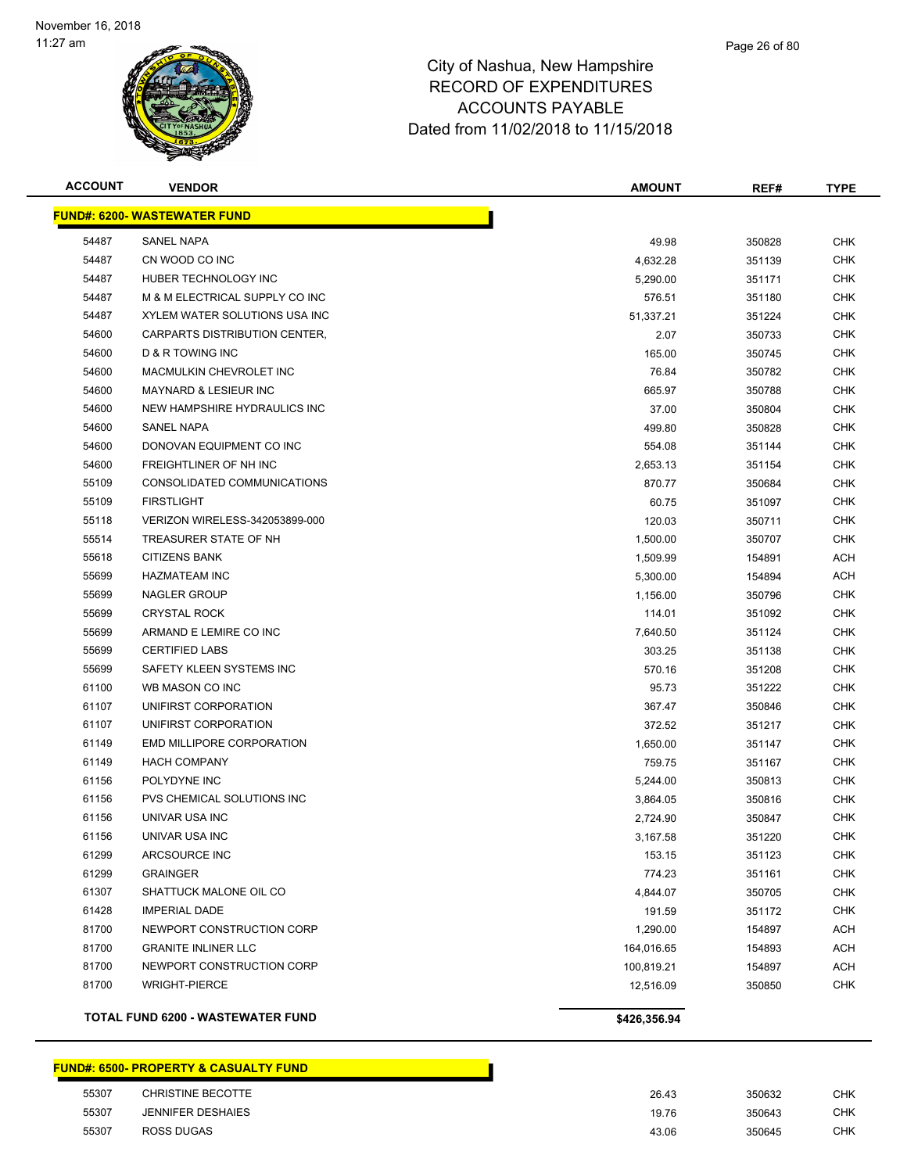

| <b>ACCOUNT</b> | <b>VENDOR</b>                       | <b>AMOUNT</b> | REF#   | <b>TYPE</b> |
|----------------|-------------------------------------|---------------|--------|-------------|
|                | <b>FUND#: 6200- WASTEWATER FUND</b> |               |        |             |
| 54487          | <b>SANEL NAPA</b>                   | 49.98         | 350828 | <b>CHK</b>  |
| 54487          | CN WOOD CO INC                      | 4,632.28      | 351139 | <b>CHK</b>  |
| 54487          | HUBER TECHNOLOGY INC                | 5,290.00      | 351171 | <b>CHK</b>  |
| 54487          | M & M ELECTRICAL SUPPLY CO INC      | 576.51        | 351180 | CHK         |
| 54487          | XYLEM WATER SOLUTIONS USA INC       | 51,337.21     | 351224 | <b>CHK</b>  |
| 54600          | CARPARTS DISTRIBUTION CENTER,       | 2.07          | 350733 | <b>CHK</b>  |
| 54600          | D & R TOWING INC                    | 165.00        | 350745 | <b>CHK</b>  |
| 54600          | MACMULKIN CHEVROLET INC             | 76.84         | 350782 | <b>CHK</b>  |
| 54600          | <b>MAYNARD &amp; LESIEUR INC</b>    | 665.97        | 350788 | CHK         |
| 54600          | NEW HAMPSHIRE HYDRAULICS INC        | 37.00         | 350804 | CHK         |
| 54600          | <b>SANEL NAPA</b>                   | 499.80        | 350828 | CHK         |
| 54600          | DONOVAN EQUIPMENT CO INC            | 554.08        | 351144 | CHK         |
| 54600          | FREIGHTLINER OF NH INC              | 2,653.13      | 351154 | <b>CHK</b>  |
| 55109          | CONSOLIDATED COMMUNICATIONS         | 870.77        | 350684 | <b>CHK</b>  |
| 55109          | <b>FIRSTLIGHT</b>                   | 60.75         | 351097 | CHK         |
| 55118          | VERIZON WIRELESS-342053899-000      | 120.03        | 350711 | <b>CHK</b>  |
| 55514          | TREASURER STATE OF NH               | 1,500.00      | 350707 | <b>CHK</b>  |
| 55618          | <b>CITIZENS BANK</b>                | 1,509.99      | 154891 | ACH         |
| 55699          | <b>HAZMATEAM INC</b>                | 5,300.00      | 154894 | <b>ACH</b>  |
| 55699          | NAGLER GROUP                        | 1,156.00      | 350796 | CHK         |
| 55699          | <b>CRYSTAL ROCK</b>                 | 114.01        | 351092 | <b>CHK</b>  |
| 55699          | ARMAND E LEMIRE CO INC              | 7,640.50      | 351124 | <b>CHK</b>  |
| 55699          | <b>CERTIFIED LABS</b>               | 303.25        | 351138 | <b>CHK</b>  |
| 55699          | SAFETY KLEEN SYSTEMS INC            | 570.16        | 351208 | <b>CHK</b>  |
| 61100          | WB MASON CO INC                     | 95.73         | 351222 | <b>CHK</b>  |
| 61107          | UNIFIRST CORPORATION                | 367.47        | 350846 | CHK         |
| 61107          | UNIFIRST CORPORATION                | 372.52        | 351217 | <b>CHK</b>  |
| 61149          | EMD MILLIPORE CORPORATION           | 1,650.00      | 351147 | <b>CHK</b>  |
| 61149          | <b>HACH COMPANY</b>                 | 759.75        | 351167 | <b>CHK</b>  |
| 61156          | POLYDYNE INC                        | 5,244.00      | 350813 | <b>CHK</b>  |
| 61156          | PVS CHEMICAL SOLUTIONS INC          | 3,864.05      | 350816 | CHK         |
| 61156          | UNIVAR USA INC                      | 2,724.90      | 350847 | <b>CHK</b>  |
| 61156          | UNIVAR USA INC                      | 3,167.58      | 351220 | <b>CHK</b>  |
| 61299          | ARCSOURCE INC                       | 153.15        | 351123 | <b>CHK</b>  |
| 61299          | <b>GRAINGER</b>                     | 774.23        | 351161 | <b>CHK</b>  |
| 61307          | SHATTUCK MALONE OIL CO              | 4,844.07      | 350705 | <b>CHK</b>  |
| 61428          | <b>IMPERIAL DADE</b>                | 191.59        | 351172 | <b>CHK</b>  |
| 81700          | NEWPORT CONSTRUCTION CORP           | 1,290.00      | 154897 | <b>ACH</b>  |
| 81700          | <b>GRANITE INLINER LLC</b>          | 164,016.65    | 154893 | ACH         |
| 81700          | NEWPORT CONSTRUCTION CORP           | 100,819.21    | 154897 | <b>ACH</b>  |
| 81700          | <b>WRIGHT-PIERCE</b>                | 12,516.09     | 350850 | <b>CHK</b>  |
|                | TOTAL FUND 6200 - WASTEWATER FUND   | \$426,356.94  |        |             |

#### **FUND#: 6500- PROPERTY & CASUALTY FUND**

| 55307 | <b>CHRISTINE BECOTTE</b> | 26.43 | 350632 | СНК |
|-------|--------------------------|-------|--------|-----|
| 55307 | <b>JENNIFER DESHAIES</b> | 19.76 | 350643 | СНК |
| 55307 | ROSS DUGAS               | 43.06 | 350645 | СНК |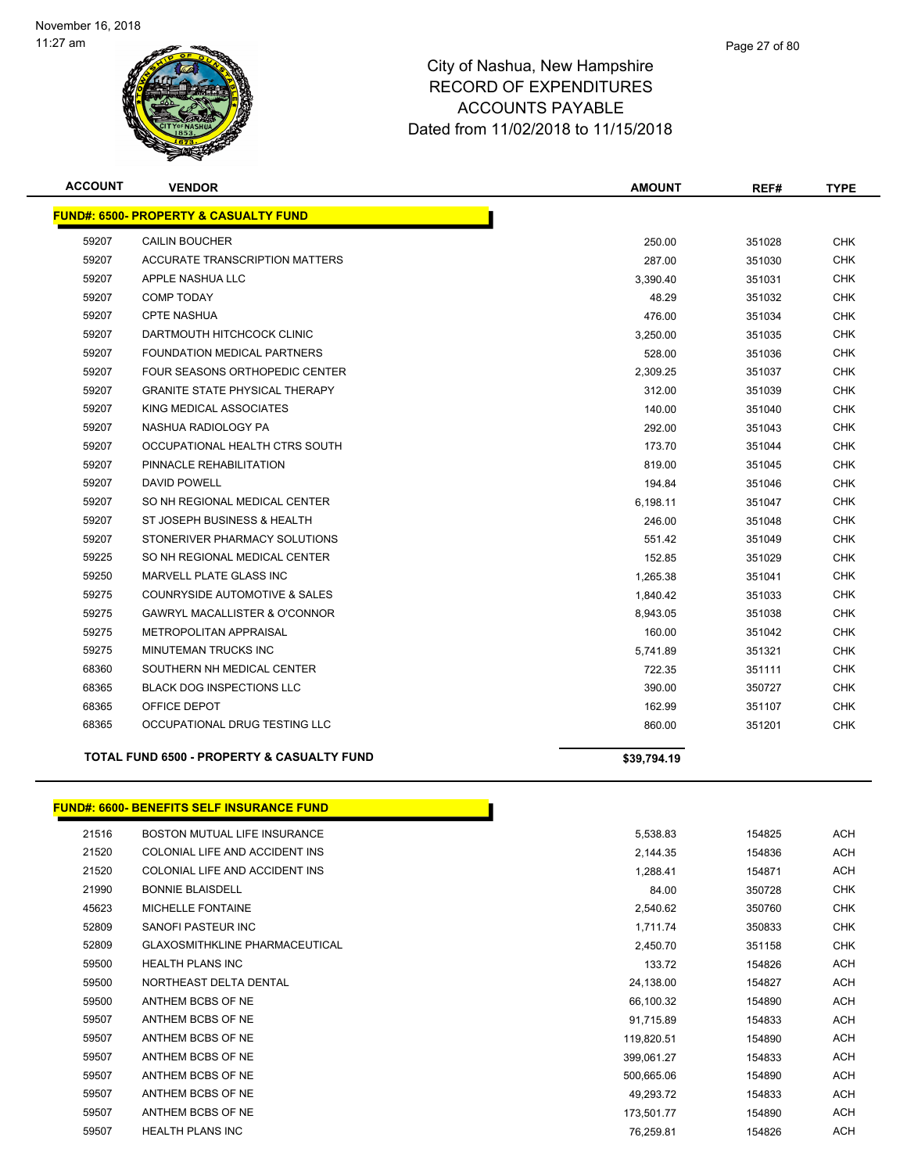

| <b>ACCOUNT</b> | <b>VENDOR</b>                                         | <b>AMOUNT</b> | REF#   | <b>TYPE</b> |
|----------------|-------------------------------------------------------|---------------|--------|-------------|
|                | <b>FUND#: 6500- PROPERTY &amp; CASUALTY FUND</b>      |               |        |             |
| 59207          | <b>CAILIN BOUCHER</b>                                 | 250.00        | 351028 | <b>CHK</b>  |
| 59207          | <b>ACCURATE TRANSCRIPTION MATTERS</b>                 | 287.00        | 351030 | <b>CHK</b>  |
| 59207          | APPLE NASHUA LLC                                      | 3.390.40      | 351031 | <b>CHK</b>  |
| 59207          | <b>COMP TODAY</b>                                     | 48.29         | 351032 | <b>CHK</b>  |
| 59207          | <b>CPTE NASHUA</b>                                    | 476.00        | 351034 | <b>CHK</b>  |
| 59207          | DARTMOUTH HITCHCOCK CLINIC                            | 3,250.00      | 351035 | <b>CHK</b>  |
| 59207          | <b>FOUNDATION MEDICAL PARTNERS</b>                    | 528.00        | 351036 | <b>CHK</b>  |
| 59207          | FOUR SEASONS ORTHOPEDIC CENTER                        | 2,309.25      | 351037 | CHK.        |
| 59207          | <b>GRANITE STATE PHYSICAL THERAPY</b>                 | 312.00        | 351039 | <b>CHK</b>  |
| 59207          | KING MEDICAL ASSOCIATES                               | 140.00        | 351040 | <b>CHK</b>  |
| 59207          | NASHUA RADIOLOGY PA                                   | 292.00        | 351043 | <b>CHK</b>  |
| 59207          | OCCUPATIONAL HEALTH CTRS SOUTH                        | 173.70        | 351044 | <b>CHK</b>  |
| 59207          | PINNACLE REHABILITATION                               | 819.00        | 351045 | <b>CHK</b>  |
| 59207          | <b>DAVID POWELL</b>                                   | 194.84        | 351046 | CHK.        |
| 59207          | SO NH REGIONAL MEDICAL CENTER                         | 6,198.11      | 351047 | <b>CHK</b>  |
| 59207          | ST JOSEPH BUSINESS & HEALTH                           | 246.00        | 351048 | <b>CHK</b>  |
| 59207          | STONERIVER PHARMACY SOLUTIONS                         | 551.42        | 351049 | <b>CHK</b>  |
| 59225          | SO NH REGIONAL MEDICAL CENTER                         | 152.85        | 351029 | <b>CHK</b>  |
| 59250          | MARVELL PLATE GLASS INC                               | 1,265.38      | 351041 | <b>CHK</b>  |
| 59275          | <b>COUNRYSIDE AUTOMOTIVE &amp; SALES</b>              | 1,840.42      | 351033 | CHK         |
| 59275          | <b>GAWRYL MACALLISTER &amp; O'CONNOR</b>              | 8,943.05      | 351038 | <b>CHK</b>  |
| 59275          | METROPOLITAN APPRAISAL                                | 160.00        | 351042 | <b>CHK</b>  |
| 59275          | MINUTEMAN TRUCKS INC                                  | 5,741.89      | 351321 | <b>CHK</b>  |
| 68360          | SOUTHERN NH MEDICAL CENTER                            | 722.35        | 351111 | <b>CHK</b>  |
| 68365          | <b>BLACK DOG INSPECTIONS LLC</b>                      | 390.00        | 350727 | <b>CHK</b>  |
| 68365          | OFFICE DEPOT                                          | 162.99        | 351107 | <b>CHK</b>  |
| 68365          | OCCUPATIONAL DRUG TESTING LLC                         | 860.00        | 351201 | <b>CHK</b>  |
|                | <b>TOTAL FUND 6500 - PROPERTY &amp; CASUALTY FUND</b> | \$39,794.19   |        |             |
|                |                                                       |               |        |             |

#### **FUND#: 6600- BENEFITS SELF INSURANCE FUND**

| 21516 | BOSTON MUTUAL LIFE INSURANCE          | 5,538.83   | 154825 | ACH        |
|-------|---------------------------------------|------------|--------|------------|
| 21520 | COLONIAL LIFE AND ACCIDENT INS        | 2,144.35   | 154836 | ACH        |
| 21520 | COLONIAL LIFE AND ACCIDENT INS        | 1,288.41   | 154871 | ACH        |
| 21990 | <b>BONNIE BLAISDELL</b>               | 84.00      | 350728 | <b>CHK</b> |
| 45623 | <b>MICHELLE FONTAINE</b>              | 2,540.62   | 350760 | <b>CHK</b> |
| 52809 | SANOFI PASTEUR INC                    | 1,711.74   | 350833 | <b>CHK</b> |
| 52809 | <b>GLAXOSMITHKLINE PHARMACEUTICAL</b> | 2,450.70   | 351158 | CHK        |
| 59500 | <b>HEALTH PLANS INC</b>               | 133.72     | 154826 | ACH        |
| 59500 | NORTHEAST DELTA DENTAL                | 24,138.00  | 154827 | ACH        |
| 59500 | ANTHEM BCBS OF NE                     | 66,100.32  | 154890 | <b>ACH</b> |
| 59507 | ANTHEM BCBS OF NE                     | 91,715.89  | 154833 | ACH        |
| 59507 | ANTHEM BCBS OF NE                     | 119,820.51 | 154890 | ACH        |
| 59507 | ANTHEM BCBS OF NE                     | 399,061.27 | 154833 | ACH        |
| 59507 | ANTHEM BCBS OF NE                     | 500,665.06 | 154890 | <b>ACH</b> |
| 59507 | ANTHEM BCBS OF NE                     | 49,293.72  | 154833 | <b>ACH</b> |
| 59507 | ANTHEM BCBS OF NE                     | 173,501.77 | 154890 | ACH        |
| 59507 | <b>HEALTH PLANS INC</b>               | 76,259.81  | 154826 | ACH        |

Т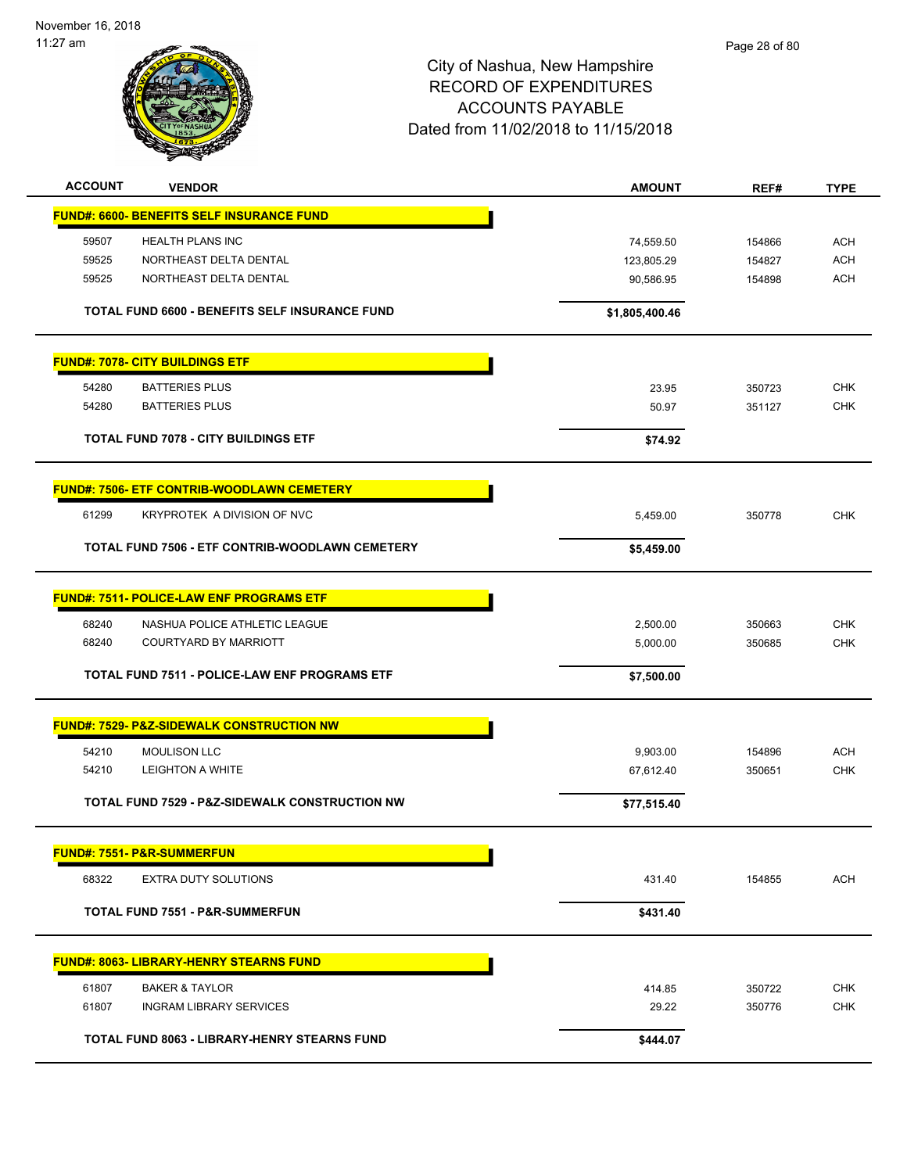| <b>ACCOUNT</b> | <b>VENDOR</b>                                             | <b>AMOUNT</b>  | REF#   | <b>TYPE</b> |
|----------------|-----------------------------------------------------------|----------------|--------|-------------|
|                | <b>FUND#: 6600- BENEFITS SELF INSURANCE FUND</b>          |                |        |             |
| 59507          | HEALTH PLANS INC                                          | 74,559.50      | 154866 | <b>ACH</b>  |
| 59525          | NORTHEAST DELTA DENTAL                                    | 123,805.29     | 154827 | <b>ACH</b>  |
| 59525          | NORTHEAST DELTA DENTAL                                    | 90,586.95      | 154898 | <b>ACH</b>  |
|                | TOTAL FUND 6600 - BENEFITS SELF INSURANCE FUND            | \$1,805,400.46 |        |             |
|                | <b>FUND#: 7078- CITY BUILDINGS ETF</b>                    |                |        |             |
| 54280          | <b>BATTERIES PLUS</b>                                     | 23.95          | 350723 | <b>CHK</b>  |
| 54280          | <b>BATTERIES PLUS</b>                                     | 50.97          | 351127 | <b>CHK</b>  |
|                | <b>TOTAL FUND 7078 - CITY BUILDINGS ETF</b>               | \$74.92        |        |             |
|                | <b>FUND#: 7506- ETF CONTRIB-WOODLAWN CEMETERY</b>         |                |        |             |
| 61299          | KRYPROTEK A DIVISION OF NVC                               | 5,459.00       | 350778 | <b>CHK</b>  |
|                | TOTAL FUND 7506 - ETF CONTRIB-WOODLAWN CEMETERY           | \$5,459.00     |        |             |
|                | <b>FUND#: 7511- POLICE-LAW ENF PROGRAMS ETF</b>           |                |        |             |
| 68240          | NASHUA POLICE ATHLETIC LEAGUE                             | 2,500.00       | 350663 | <b>CHK</b>  |
| 68240          | <b>COURTYARD BY MARRIOTT</b>                              | 5,000.00       | 350685 | <b>CHK</b>  |
|                |                                                           |                |        |             |
|                | TOTAL FUND 7511 - POLICE-LAW ENF PROGRAMS ETF             | \$7,500.00     |        |             |
|                | <b>FUND#: 7529- P&amp;Z-SIDEWALK CONSTRUCTION NW</b>      |                |        |             |
| 54210          | <b>MOULISON LLC</b>                                       | 9,903.00       | 154896 | <b>ACH</b>  |
| 54210          | <b>LEIGHTON A WHITE</b>                                   | 67,612.40      | 350651 | <b>CHK</b>  |
|                | <b>TOTAL FUND 7529 - P&amp;Z-SIDEWALK CONSTRUCTION NW</b> | \$77,515.40    |        |             |
|                | <b>FUND#: 7551- P&amp;R-SUMMERFUN</b>                     |                |        |             |
| 68322          | <b>EXTRA DUTY SOLUTIONS</b>                               | 431.40         | 154855 | <b>ACH</b>  |
|                | <b>TOTAL FUND 7551 - P&amp;R-SUMMERFUN</b>                | \$431.40       |        |             |
|                | <b>FUND#: 8063- LIBRARY-HENRY STEARNS FUND</b>            |                |        |             |
| 61807          | <b>BAKER &amp; TAYLOR</b>                                 | 414.85         | 350722 | <b>CHK</b>  |
| 61807          | <b>INGRAM LIBRARY SERVICES</b>                            | 29.22          | 350776 | <b>CHK</b>  |
|                |                                                           |                |        |             |
|                | TOTAL FUND 8063 - LIBRARY-HENRY STEARNS FUND              | \$444.07       |        |             |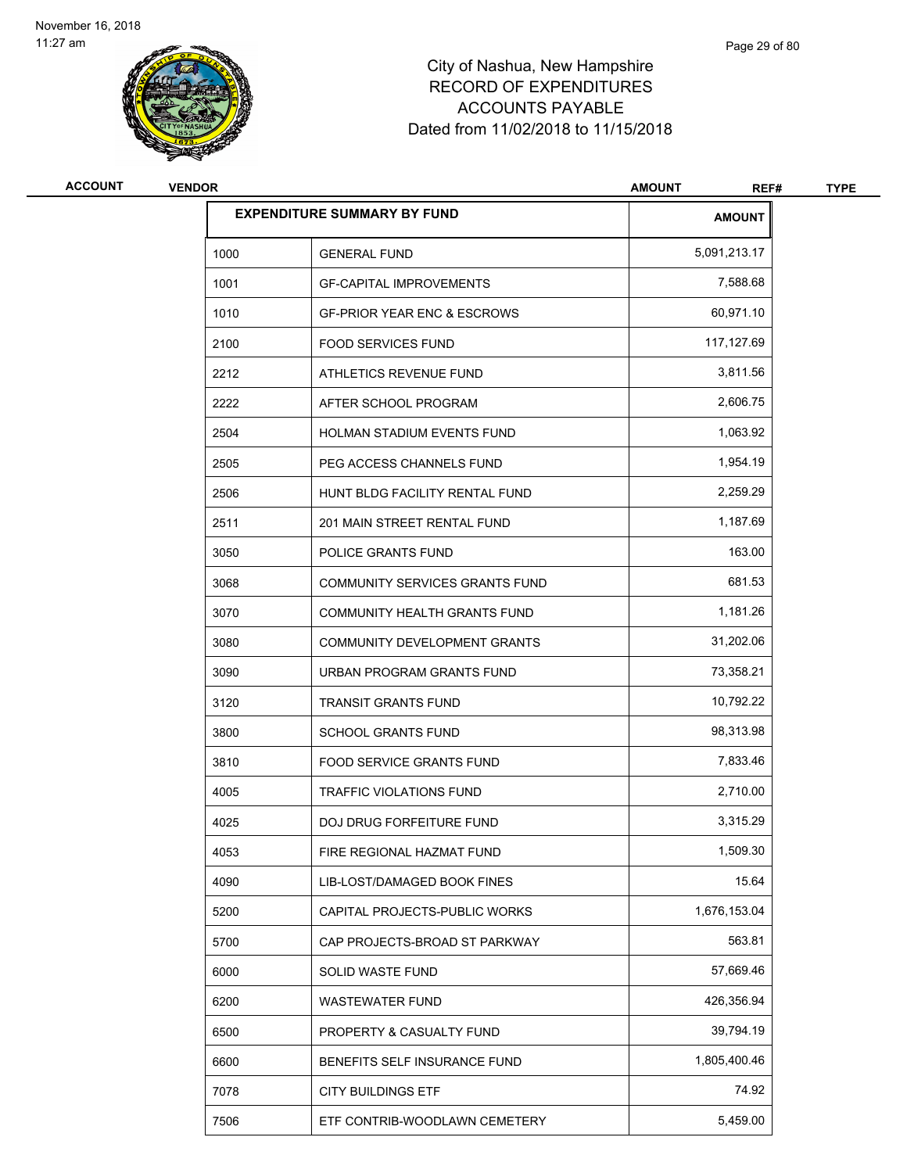

| <b>ACCOUNT</b> | <b>VENDOR</b> |                                        | <b>AMOUNT</b><br>REF# | <b>TYPE</b> |
|----------------|---------------|----------------------------------------|-----------------------|-------------|
|                |               | <b>EXPENDITURE SUMMARY BY FUND</b>     | <b>AMOUNT</b>         |             |
|                | 1000          | <b>GENERAL FUND</b>                    | 5,091,213.17          |             |
|                | 1001          | <b>GF-CAPITAL IMPROVEMENTS</b>         | 7,588.68              |             |
|                | 1010          | <b>GF-PRIOR YEAR ENC &amp; ESCROWS</b> | 60,971.10             |             |
|                | 2100          | <b>FOOD SERVICES FUND</b>              | 117,127.69            |             |
|                | 2212          | ATHLETICS REVENUE FUND                 | 3,811.56              |             |
|                | 2222          | AFTER SCHOOL PROGRAM                   | 2,606.75              |             |
|                | 2504          | <b>HOLMAN STADIUM EVENTS FUND</b>      | 1,063.92              |             |
|                | 2505          | PEG ACCESS CHANNELS FUND               | 1,954.19              |             |
|                | 2506          | HUNT BLDG FACILITY RENTAL FUND         | 2,259.29              |             |
|                | 2511          | 201 MAIN STREET RENTAL FUND            | 1,187.69              |             |
|                | 3050          | POLICE GRANTS FUND                     | 163.00                |             |
|                | 3068          | <b>COMMUNITY SERVICES GRANTS FUND</b>  | 681.53                |             |
|                | 3070          | COMMUNITY HEALTH GRANTS FUND           | 1,181.26              |             |
|                | 3080          | COMMUNITY DEVELOPMENT GRANTS           | 31,202.06             |             |
|                | 3090          | URBAN PROGRAM GRANTS FUND              | 73,358.21             |             |
|                | 3120          | <b>TRANSIT GRANTS FUND</b>             | 10,792.22             |             |
|                | 3800          | <b>SCHOOL GRANTS FUND</b>              | 98,313.98             |             |
|                | 3810          | <b>FOOD SERVICE GRANTS FUND</b>        | 7,833.46              |             |
|                | 4005          | TRAFFIC VIOLATIONS FUND                | 2,710.00              |             |
|                | 4025          | <b>DOJ DRUG FORFEITURE FUND</b>        | 3,315.29              |             |
|                | 4053          | FIRE REGIONAL HAZMAT FUND              | 1,509.30              |             |
|                | 4090          | LIB-LOST/DAMAGED BOOK FINES            | 15.64                 |             |
|                | 5200          | CAPITAL PROJECTS-PUBLIC WORKS          | 1,676,153.04          |             |
|                | 5700          | CAP PROJECTS-BROAD ST PARKWAY          | 563.81                |             |
|                | 6000          | SOLID WASTE FUND                       | 57,669.46             |             |
|                | 6200          | <b>WASTEWATER FUND</b>                 | 426,356.94            |             |
|                | 6500          | PROPERTY & CASUALTY FUND               | 39,794.19             |             |
|                | 6600          | BENEFITS SELF INSURANCE FUND           | 1,805,400.46          |             |
|                | 7078          | <b>CITY BUILDINGS ETF</b>              | 74.92                 |             |
|                | 7506          | ETF CONTRIB-WOODLAWN CEMETERY          | 5,459.00              |             |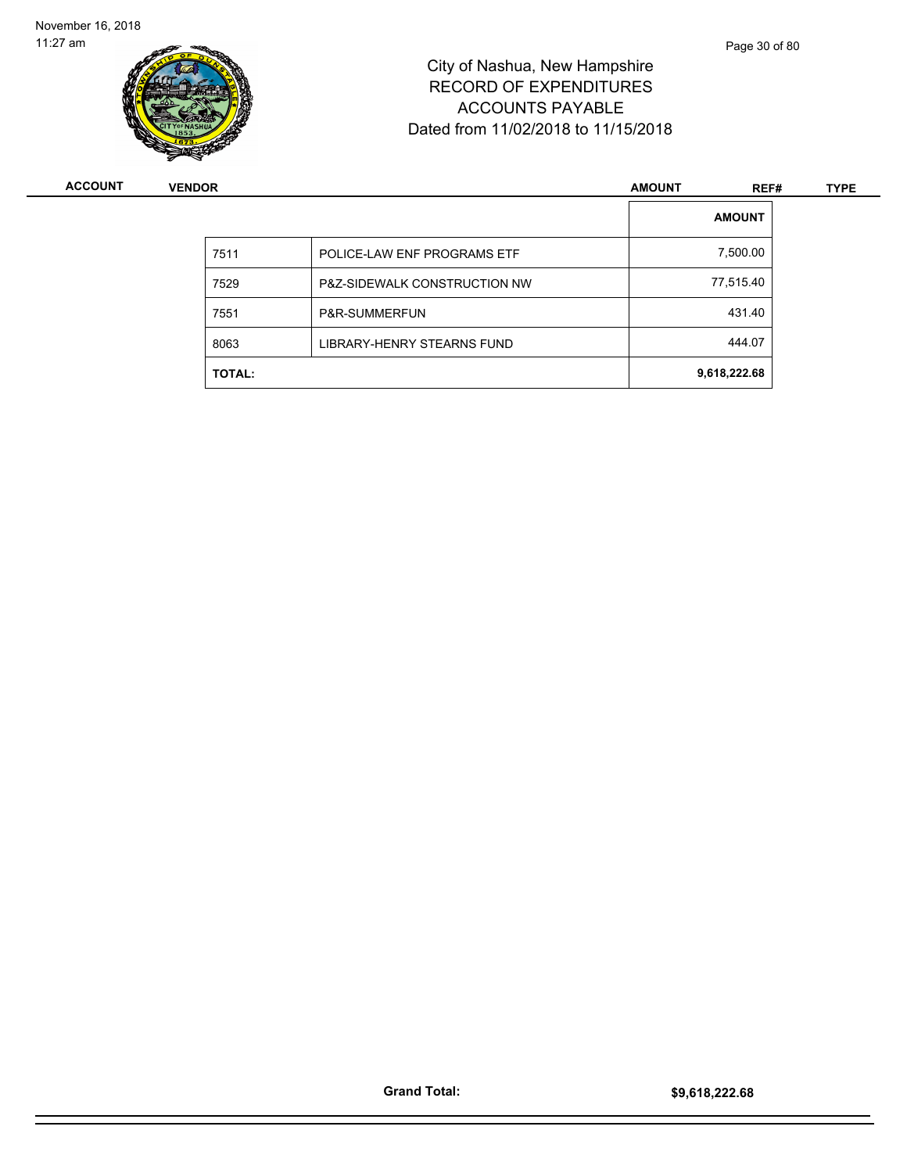

| <b>ACCOUNT</b> | <b>VENDOR</b> |                                         |  | REF#          | <b>TYPE</b> |
|----------------|---------------|-----------------------------------------|--|---------------|-------------|
|                |               |                                         |  | <b>AMOUNT</b> |             |
|                | 7511          | POLICE-LAW ENF PROGRAMS ETF             |  | 7,500.00      |             |
|                | 7529          | <b>P&amp;Z-SIDEWALK CONSTRUCTION NW</b> |  | 77,515.40     |             |
|                | 7551          | P&R-SUMMERFUN                           |  | 431.40        |             |
|                | 8063          | LIBRARY-HENRY STEARNS FUND              |  | 444.07        |             |
|                | <b>TOTAL:</b> |                                         |  | 9,618,222.68  |             |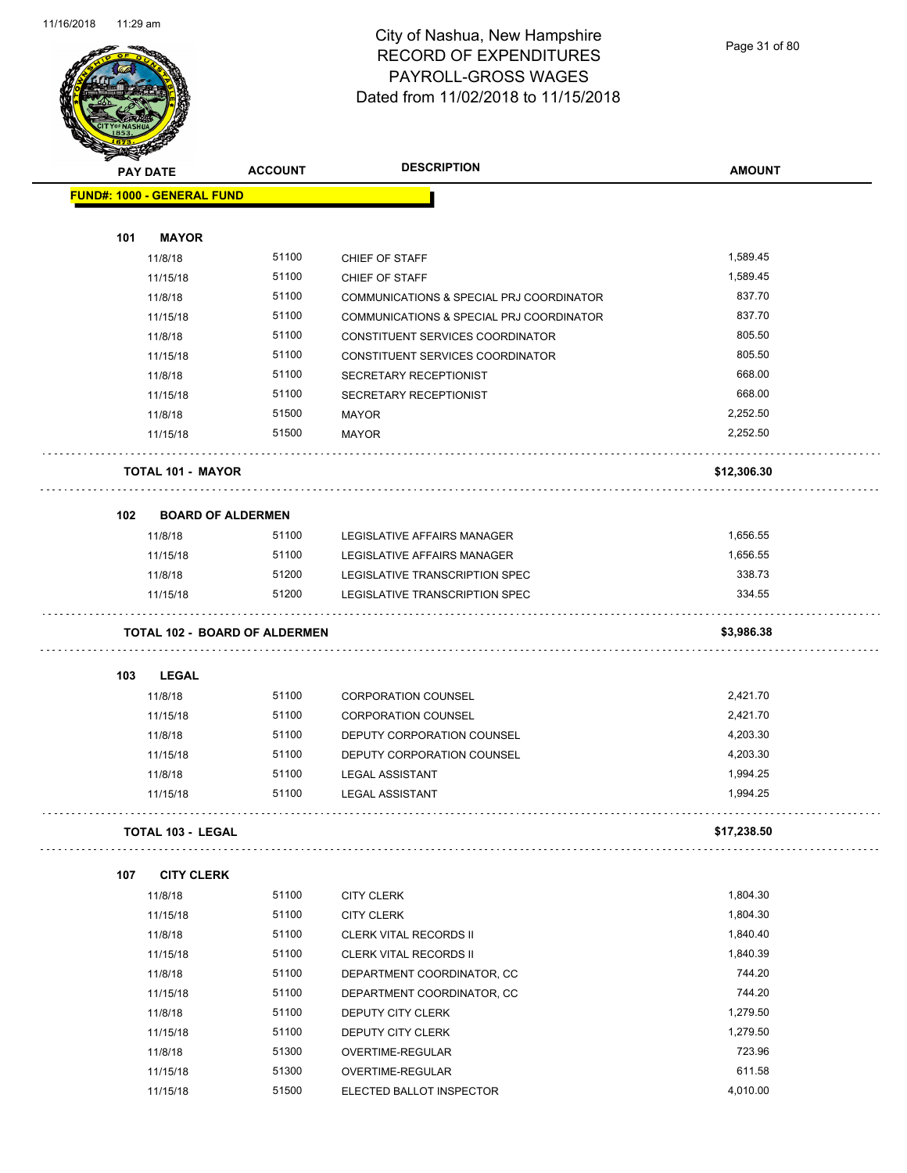

Page 31 of 80

| <b>TALERS</b> |                                      |                |                                          |               |  |
|---------------|--------------------------------------|----------------|------------------------------------------|---------------|--|
|               | <b>PAY DATE</b>                      | <b>ACCOUNT</b> | <b>DESCRIPTION</b>                       | <b>AMOUNT</b> |  |
|               | <b>FUND#: 1000 - GENERAL FUND</b>    |                |                                          |               |  |
|               |                                      |                |                                          |               |  |
| 101           | <b>MAYOR</b>                         |                |                                          |               |  |
|               | 11/8/18                              | 51100          | CHIEF OF STAFF                           | 1.589.45      |  |
|               | 11/15/18                             | 51100          | CHIEF OF STAFF                           | 1,589.45      |  |
|               | 11/8/18                              | 51100          | COMMUNICATIONS & SPECIAL PRJ COORDINATOR | 837.70        |  |
|               | 11/15/18                             | 51100          | COMMUNICATIONS & SPECIAL PRJ COORDINATOR | 837.70        |  |
|               | 11/8/18                              | 51100          | CONSTITUENT SERVICES COORDINATOR         | 805.50        |  |
|               | 11/15/18                             | 51100          | CONSTITUENT SERVICES COORDINATOR         | 805.50        |  |
|               | 11/8/18                              | 51100          | SECRETARY RECEPTIONIST                   | 668.00        |  |
|               | 11/15/18                             | 51100          | SECRETARY RECEPTIONIST                   | 668.00        |  |
|               | 11/8/18                              | 51500          | MAYOR                                    | 2,252.50      |  |
|               | 11/15/18                             | 51500          | <b>MAYOR</b>                             | 2,252.50      |  |
|               | <b>TOTAL 101 - MAYOR</b>             |                |                                          | \$12,306.30   |  |
| 102           | <b>BOARD OF ALDERMEN</b>             |                |                                          |               |  |
|               | 11/8/18                              | 51100          | LEGISLATIVE AFFAIRS MANAGER              | 1,656.55      |  |
|               | 11/15/18                             | 51100          | LEGISLATIVE AFFAIRS MANAGER              | 1,656.55      |  |
|               | 11/8/18                              | 51200          | LEGISLATIVE TRANSCRIPTION SPEC           | 338.73        |  |
|               | 11/15/18                             | 51200          | LEGISLATIVE TRANSCRIPTION SPEC           | 334.55        |  |
|               | <b>TOTAL 102 - BOARD OF ALDERMEN</b> |                |                                          | \$3,986.38    |  |
| 103           | LEGAL                                |                |                                          |               |  |
|               | 11/8/18                              | 51100          | <b>CORPORATION COUNSEL</b>               | 2,421.70      |  |
|               | 11/15/18                             | 51100          | <b>CORPORATION COUNSEL</b>               | 2,421.70      |  |
|               | 11/8/18                              | 51100          | DEPUTY CORPORATION COUNSEL               | 4,203.30      |  |
|               | 11/15/18                             | 51100          | DEPUTY CORPORATION COUNSEL               | 4,203.30      |  |
|               | 11/8/18                              | 51100          | <b>LEGAL ASSISTANT</b>                   | 1,994.25      |  |
|               | 11/15/18                             | 51100          | <b>LEGAL ASSISTANT</b>                   | 1,994.25      |  |
|               | TOTAL 103 - LEGAL                    |                |                                          | \$17,238.50   |  |
| 107           | <b>CITY CLERK</b>                    |                |                                          |               |  |
|               | 11/8/18                              | 51100          | <b>CITY CLERK</b>                        | 1,804.30      |  |
|               | 11/15/18                             | 51100          | <b>CITY CLERK</b>                        | 1,804.30      |  |
|               | 11/8/18                              | 51100          | <b>CLERK VITAL RECORDS II</b>            | 1,840.40      |  |
|               | 11/15/18                             | 51100          | <b>CLERK VITAL RECORDS II</b>            | 1,840.39      |  |
|               | 11/8/18                              | 51100          | DEPARTMENT COORDINATOR, CC               | 744.20        |  |
|               | 11/15/18                             | 51100          | DEPARTMENT COORDINATOR, CC               | 744.20        |  |
|               | 11/8/18                              | 51100          | DEPUTY CITY CLERK                        | 1,279.50      |  |
|               | 11/15/18                             | 51100          | DEPUTY CITY CLERK                        | 1,279.50      |  |
|               | 11/8/18                              | 51300          | OVERTIME-REGULAR                         | 723.96        |  |
|               | 11/15/18                             | 51300          | OVERTIME-REGULAR                         | 611.58        |  |
|               | 11/15/18                             | 51500          | ELECTED BALLOT INSPECTOR                 | 4,010.00      |  |
|               |                                      |                |                                          |               |  |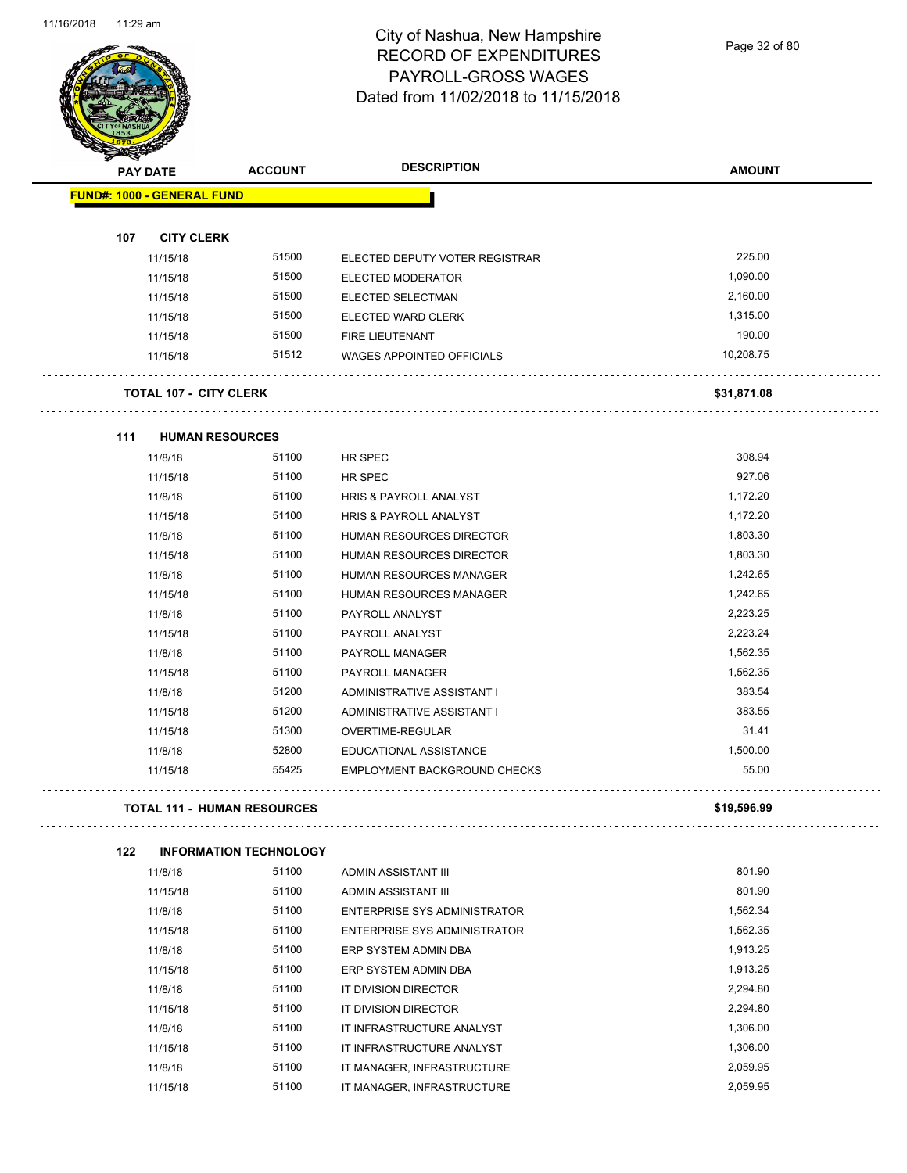Page 32 of 80

| <b>PAY DATE</b>                   | <b>ACCOUNT</b>                     | <b>DESCRIPTION</b>                  | <b>AMOUNT</b> |
|-----------------------------------|------------------------------------|-------------------------------------|---------------|
| <b>FUND#: 1000 - GENERAL FUND</b> |                                    |                                     |               |
| 107<br><b>CITY CLERK</b>          |                                    |                                     |               |
| 11/15/18                          | 51500                              | ELECTED DEPUTY VOTER REGISTRAR      | 225.00        |
| 11/15/18                          | 51500                              | <b>ELECTED MODERATOR</b>            | 1,090.00      |
| 11/15/18                          | 51500                              | ELECTED SELECTMAN                   | 2,160.00      |
| 11/15/18                          | 51500                              | <b>ELECTED WARD CLERK</b>           | 1,315.00      |
| 11/15/18                          | 51500                              | FIRE LIEUTENANT                     | 190.00        |
| 11/15/18                          | 51512                              | WAGES APPOINTED OFFICIALS           | 10,208.75     |
| <b>TOTAL 107 - CITY CLERK</b>     | .                                  |                                     | \$31,871.08   |
| 111                               | <b>HUMAN RESOURCES</b>             |                                     |               |
| 11/8/18                           | 51100                              | HR SPEC                             | 308.94        |
| 11/15/18                          | 51100                              | HR SPEC                             | 927.06        |
| 11/8/18                           | 51100                              | <b>HRIS &amp; PAYROLL ANALYST</b>   | 1,172.20      |
| 11/15/18                          | 51100                              | <b>HRIS &amp; PAYROLL ANALYST</b>   | 1,172.20      |
| 11/8/18                           | 51100                              | HUMAN RESOURCES DIRECTOR            | 1,803.30      |
| 11/15/18                          | 51100                              | HUMAN RESOURCES DIRECTOR            | 1,803.30      |
| 11/8/18                           | 51100                              | HUMAN RESOURCES MANAGER             | 1,242.65      |
| 11/15/18                          | 51100                              | HUMAN RESOURCES MANAGER             | 1,242.65      |
| 11/8/18                           | 51100                              | PAYROLL ANALYST                     | 2,223.25      |
| 11/15/18                          | 51100                              | PAYROLL ANALYST                     | 2,223.24      |
| 11/8/18                           | 51100                              | PAYROLL MANAGER                     | 1,562.35      |
| 11/15/18                          | 51100                              | PAYROLL MANAGER                     | 1,562.35      |
| 11/8/18                           | 51200                              | ADMINISTRATIVE ASSISTANT I          | 383.54        |
| 11/15/18                          | 51200                              | ADMINISTRATIVE ASSISTANT I          | 383.55        |
| 11/15/18                          | 51300                              | OVERTIME-REGULAR                    | 31.41         |
| 11/8/18                           | 52800                              | EDUCATIONAL ASSISTANCE              | 1,500.00      |
| 11/15/18                          | 55425                              | <b>EMPLOYMENT BACKGROUND CHECKS</b> | 55.00         |
|                                   | <b>TOTAL 111 - HUMAN RESOURCES</b> |                                     | \$19,596.99   |
| 122                               | <b>INFORMATION TECHNOLOGY</b>      |                                     |               |
| 11/8/18                           | 51100                              | ADMIN ASSISTANT III                 | 801.90        |
| 11/15/18                          | 51100                              | ADMIN ASSISTANT III                 | 801.90        |
| 11/8/18                           | 51100                              | <b>ENTERPRISE SYS ADMINISTRATOR</b> | 1,562.34      |
| 11/15/18                          | 51100                              | <b>ENTERPRISE SYS ADMINISTRATOR</b> | 1,562.35      |
| 11/8/18                           | 51100                              | ERP SYSTEM ADMIN DBA                | 1,913.25      |
| 11/15/18                          | 51100                              | ERP SYSTEM ADMIN DBA                | 1,913.25      |
| 11/8/18                           | 51100                              | IT DIVISION DIRECTOR                | 2,294.80      |
| 11/15/18                          | 51100                              | IT DIVISION DIRECTOR                | 2,294.80      |
| 11/8/18                           | 51100                              | IT INFRASTRUCTURE ANALYST           | 1,306.00      |

11/15/18 51100 IT INFRASTRUCTURE ANALYST 1,306.00 11/8/18 51100 IT MANAGER, INFRASTRUCTURE 2,059.95 11/15/18 51100 IT MANAGER, INFRASTRUCTURE 2,059.95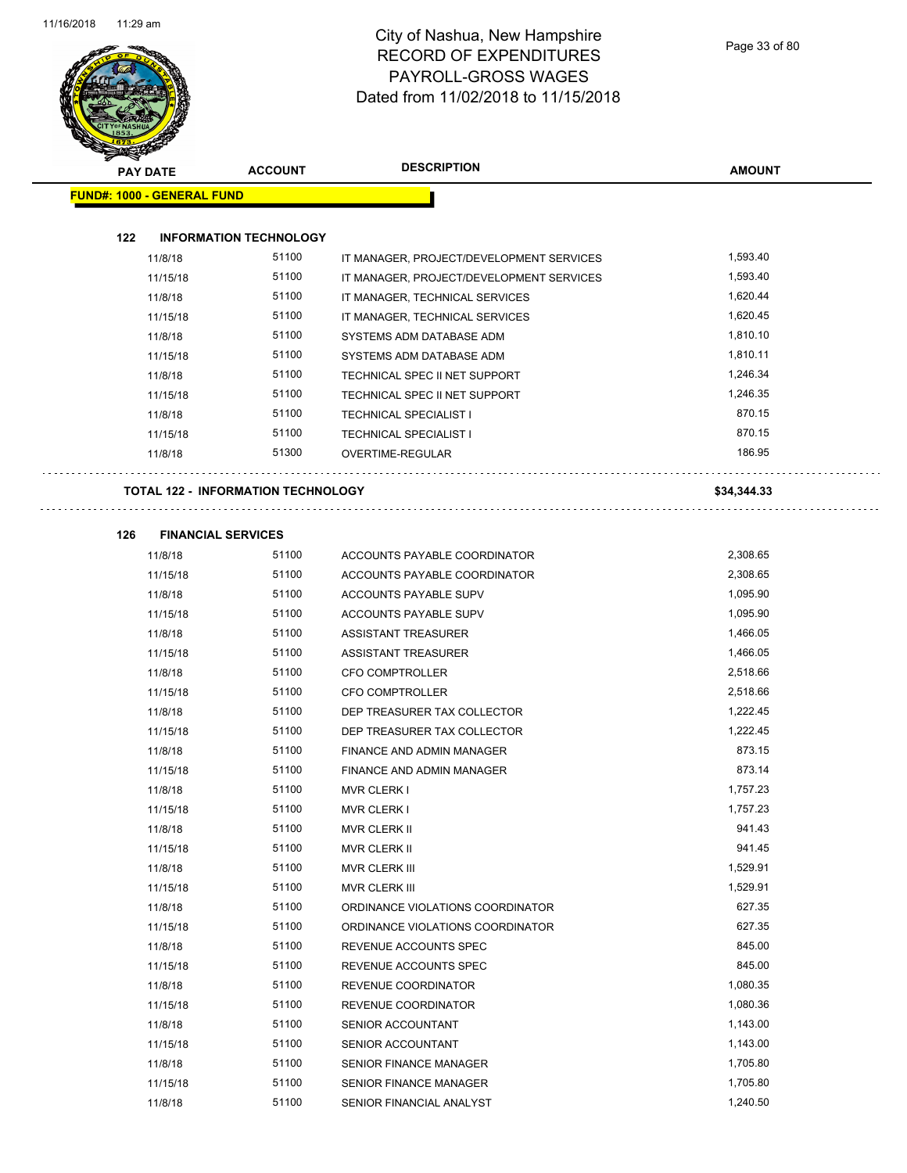

| <b>PAY DATE</b>                   | <b>ACCOUNT</b>                            | <b>DESCRIPTION</b>                       | <b>AMOUNT</b> |
|-----------------------------------|-------------------------------------------|------------------------------------------|---------------|
| <b>FUND#: 1000 - GENERAL FUND</b> |                                           |                                          |               |
| 122                               | <b>INFORMATION TECHNOLOGY</b>             |                                          |               |
| 11/8/18                           | 51100                                     | IT MANAGER, PROJECT/DEVELOPMENT SERVICES | 1,593.40      |
| 11/15/18                          | 51100                                     | IT MANAGER, PROJECT/DEVELOPMENT SERVICES | 1,593.40      |
| 11/8/18                           | 51100                                     | IT MANAGER, TECHNICAL SERVICES           | 1,620.44      |
| 11/15/18                          | 51100                                     | IT MANAGER, TECHNICAL SERVICES           | 1,620.45      |
| 11/8/18                           | 51100                                     | SYSTEMS ADM DATABASE ADM                 | 1,810.10      |
| 11/15/18                          | 51100                                     | SYSTEMS ADM DATABASE ADM                 | 1,810.11      |
| 11/8/18                           | 51100                                     | TECHNICAL SPEC II NET SUPPORT            | 1,246.34      |
| 11/15/18                          | 51100                                     | TECHNICAL SPEC II NET SUPPORT            | 1,246.35      |
| 11/8/18                           | 51100                                     | <b>TECHNICAL SPECIALIST I</b>            | 870.15        |
| 11/15/18                          | 51100                                     | <b>TECHNICAL SPECIALIST I</b>            | 870.15        |
| 11/8/18                           | 51300                                     | OVERTIME-REGULAR                         | 186.95        |
|                                   | <b>TOTAL 122 - INFORMATION TECHNOLOGY</b> |                                          | \$34,344.33   |
| 126                               | <b>FINANCIAL SERVICES</b>                 |                                          |               |
| 11/8/18                           | 51100                                     | ACCOUNTS PAYABLE COORDINATOR             | 2,308.65      |
| 11/15/18                          | 51100                                     | ACCOUNTS PAYABLE COORDINATOR             | 2,308.65      |
| 11/8/18                           | 51100                                     | ACCOUNTS PAYABLE SUPV                    | 1,095.90      |
| 11/15/18                          | 51100                                     | ACCOUNTS PAYABLE SUPV                    | 1,095.90      |
| 11/8/18                           | 51100                                     | ASSISTANT TREASURER                      | 1,466.05      |
| 11/15/18                          | 51100                                     | ASSISTANT TREASURER                      | 1,466.05      |
| 11/8/18                           | 51100                                     | <b>CFO COMPTROLLER</b>                   | 2,518.66      |
| 11/15/18                          | 51100                                     | <b>CFO COMPTROLLER</b>                   | 2,518.66      |
| 11/8/18                           | 51100                                     | DEP TREASURER TAX COLLECTOR              | 1,222.45      |
| 11/15/18                          | 51100                                     | DEP TREASURER TAX COLLECTOR              | 1,222.45      |
| 11/8/18                           | 51100                                     | FINANCE AND ADMIN MANAGER                | 873.15        |
| 11/15/18                          | 51100                                     | FINANCE AND ADMIN MANAGER                | 873.14        |
| 11/8/18                           | 51100                                     | <b>MVR CLERK I</b>                       | 1,757.23      |
| 11/15/18                          | 51100                                     | <b>MVR CLERK I</b>                       | 1,757.23      |
| 11/8/18                           | 51100                                     | MVR CLERK II                             | 941.43        |
| 11/15/18                          | 51100                                     | <b>MVR CLERK II</b>                      | 941.45        |
| 11/8/18                           | 51100                                     | MVR CLERK III                            | 1,529.91      |
| 11/15/18                          | 51100                                     | MVR CLERK III                            | 1,529.91      |
| 11/8/18                           | 51100                                     | ORDINANCE VIOLATIONS COORDINATOR         | 627.35        |
| 11/15/18                          | 51100                                     | ORDINANCE VIOLATIONS COORDINATOR         | 627.35        |
| 11/8/18                           | 51100                                     | REVENUE ACCOUNTS SPEC                    | 845.00        |
| 11/15/18                          | 51100                                     | REVENUE ACCOUNTS SPEC                    | 845.00        |
| 11/8/18                           | 51100                                     | REVENUE COORDINATOR                      | 1,080.35      |
| 11/15/18                          | 51100                                     | REVENUE COORDINATOR                      | 1,080.36      |
| 11/8/18                           | 51100                                     | SENIOR ACCOUNTANT                        | 1,143.00      |
| 11/15/18                          | 51100                                     | SENIOR ACCOUNTANT                        | 1,143.00      |
| 11/8/18                           | 51100                                     | SENIOR FINANCE MANAGER                   | 1,705.80      |
| 11/15/18                          | 51100                                     | SENIOR FINANCE MANAGER                   | 1,705.80      |
| 11/8/18                           | 51100                                     | SENIOR FINANCIAL ANALYST                 | 1,240.50      |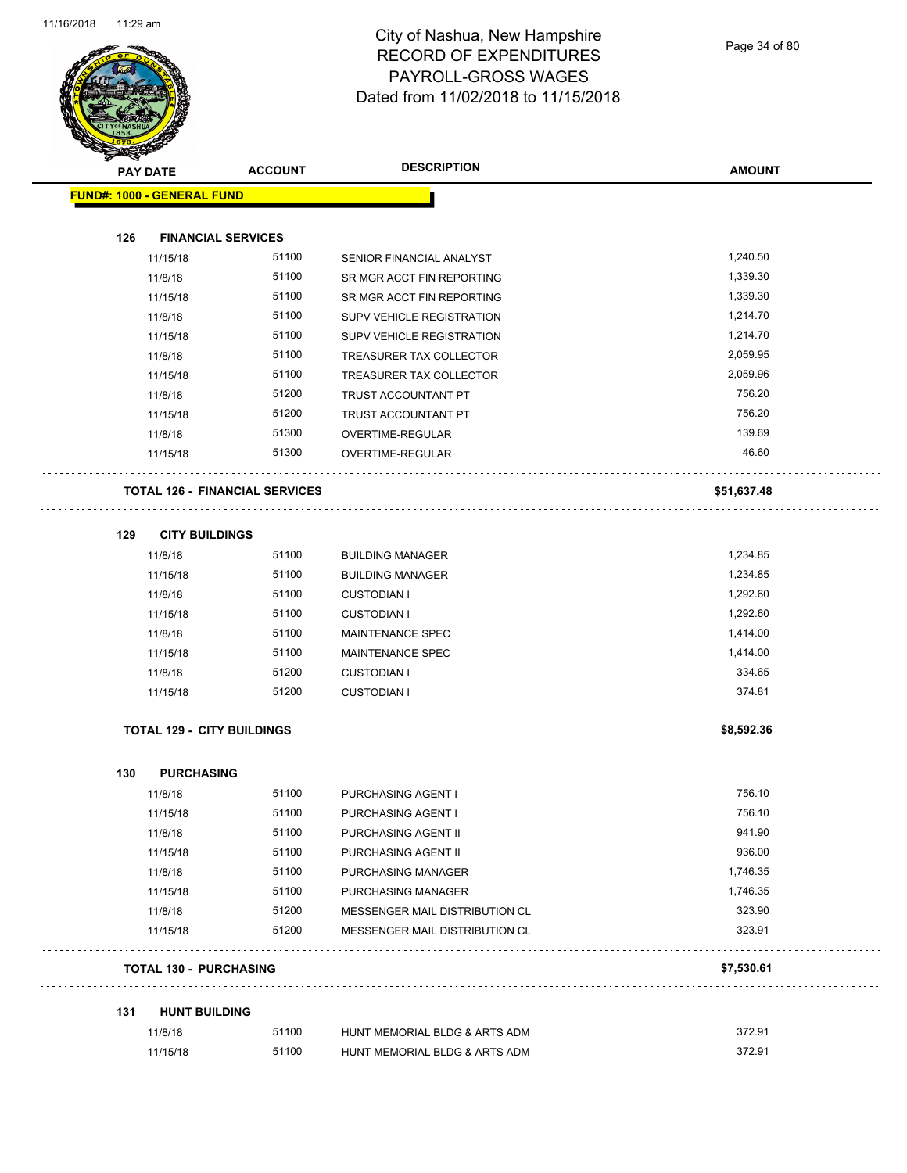

Page 34 of 80

|     | <b>PAY DATE</b>                   | <b>ACCOUNT</b>                        | <b>DESCRIPTION</b>             | <b>AMOUNT</b> |
|-----|-----------------------------------|---------------------------------------|--------------------------------|---------------|
|     | <b>FUND#: 1000 - GENERAL FUND</b> |                                       |                                |               |
| 126 | <b>FINANCIAL SERVICES</b>         |                                       |                                |               |
|     | 11/15/18                          | 51100                                 | SENIOR FINANCIAL ANALYST       | 1,240.50      |
|     | 11/8/18                           | 51100                                 | SR MGR ACCT FIN REPORTING      | 1,339.30      |
|     | 11/15/18                          | 51100                                 | SR MGR ACCT FIN REPORTING      | 1,339.30      |
|     | 11/8/18                           | 51100                                 | SUPV VEHICLE REGISTRATION      | 1,214.70      |
|     | 11/15/18                          | 51100                                 | SUPV VEHICLE REGISTRATION      | 1,214.70      |
|     | 11/8/18                           | 51100                                 | TREASURER TAX COLLECTOR        | 2,059.95      |
|     | 11/15/18                          | 51100                                 | TREASURER TAX COLLECTOR        | 2,059.96      |
|     | 11/8/18                           | 51200                                 | TRUST ACCOUNTANT PT            | 756.20        |
|     | 11/15/18                          | 51200                                 | TRUST ACCOUNTANT PT            | 756.20        |
|     | 11/8/18                           | 51300                                 | OVERTIME-REGULAR               | 139.69        |
|     | 11/15/18                          | 51300                                 | OVERTIME-REGULAR               | 46.60         |
|     |                                   | <b>TOTAL 126 - FINANCIAL SERVICES</b> |                                | \$51,637.48   |
| 129 | <b>CITY BUILDINGS</b>             |                                       |                                |               |
|     | 11/8/18                           | 51100                                 | <b>BUILDING MANAGER</b>        | 1,234.85      |
|     | 11/15/18                          | 51100                                 | <b>BUILDING MANAGER</b>        | 1,234.85      |
|     | 11/8/18                           | 51100                                 | <b>CUSTODIAN I</b>             | 1,292.60      |
|     | 11/15/18                          | 51100                                 | <b>CUSTODIAN I</b>             | 1,292.60      |
|     | 11/8/18                           | 51100                                 | <b>MAINTENANCE SPEC</b>        | 1,414.00      |
|     | 11/15/18                          | 51100                                 | MAINTENANCE SPEC               | 1,414.00      |
|     | 11/8/18                           | 51200                                 | <b>CUSTODIAN I</b>             | 334.65        |
|     | 11/15/18                          | 51200                                 | <b>CUSTODIAN I</b>             | 374.81        |
|     | <b>TOTAL 129 - CITY BUILDINGS</b> |                                       |                                | \$8,592.36    |
| 130 | <b>PURCHASING</b>                 |                                       |                                |               |
|     | 11/8/18                           | 51100                                 | PURCHASING AGENT I             | 756.10        |
|     | 11/15/18                          | 51100                                 | PURCHASING AGENT I             | 756.10        |
|     | 11/8/18                           | 51100                                 | PURCHASING AGENT II            | 941.90        |
|     | 11/15/18                          | 51100                                 | PURCHASING AGENT II            | 936.00        |
|     | 11/8/18                           | 51100                                 | PURCHASING MANAGER             | 1,746.35      |
|     | 11/15/18                          | 51100                                 | PURCHASING MANAGER             | 1,746.35      |
|     | 11/8/18                           | 51200                                 | MESSENGER MAIL DISTRIBUTION CL | 323.90        |
|     | 11/15/18                          | 51200                                 | MESSENGER MAIL DISTRIBUTION CL | 323.91        |
|     | <b>TOTAL 130 - PURCHASING</b>     |                                       |                                | \$7,530.61    |
| 131 | <b>HUNT BUILDING</b>              |                                       |                                |               |
|     | 11/8/18                           | 51100                                 | HUNT MEMORIAL BLDG & ARTS ADM  | 372.91        |
|     |                                   |                                       |                                |               |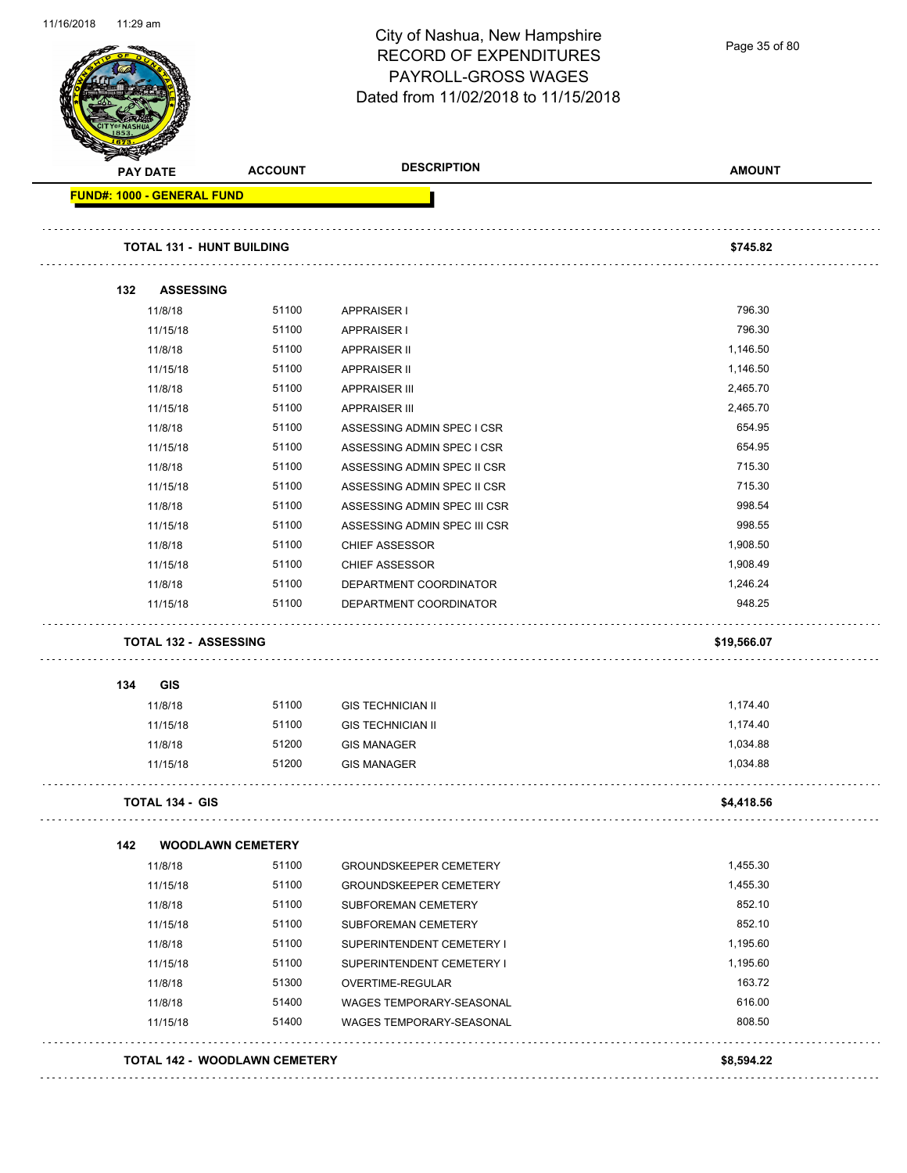

Page 35 of 80

| <b>PAY DATE</b>                   | <b>ACCOUNT</b>           | <b>DESCRIPTION</b>            | <b>AMOUNT</b> |
|-----------------------------------|--------------------------|-------------------------------|---------------|
| <b>FUND#: 1000 - GENERAL FUND</b> |                          |                               |               |
| <b>TOTAL 131 - HUNT BUILDING</b>  |                          |                               | \$745.82      |
|                                   |                          |                               |               |
| 132<br><b>ASSESSING</b>           |                          |                               |               |
| 11/8/18                           | 51100                    | <b>APPRAISER I</b>            | 796.30        |
| 11/15/18                          | 51100                    | <b>APPRAISER I</b>            | 796.30        |
| 11/8/18                           | 51100                    | <b>APPRAISER II</b>           | 1,146.50      |
| 11/15/18                          | 51100                    | <b>APPRAISER II</b>           | 1,146.50      |
| 11/8/18                           | 51100                    | <b>APPRAISER III</b>          | 2,465.70      |
| 11/15/18                          | 51100                    | <b>APPRAISER III</b>          | 2,465.70      |
| 11/8/18                           | 51100                    | ASSESSING ADMIN SPEC I CSR    | 654.95        |
| 11/15/18                          | 51100                    | ASSESSING ADMIN SPEC I CSR    | 654.95        |
| 11/8/18                           | 51100                    | ASSESSING ADMIN SPEC II CSR   | 715.30        |
| 11/15/18                          | 51100                    | ASSESSING ADMIN SPEC II CSR   | 715.30        |
| 11/8/18                           | 51100                    | ASSESSING ADMIN SPEC III CSR  | 998.54        |
| 11/15/18                          | 51100                    | ASSESSING ADMIN SPEC III CSR  | 998.55        |
| 11/8/18                           | 51100                    | <b>CHIEF ASSESSOR</b>         | 1,908.50      |
| 11/15/18                          | 51100                    | <b>CHIEF ASSESSOR</b>         | 1,908.49      |
| 11/8/18                           | 51100                    | DEPARTMENT COORDINATOR        | 1,246.24      |
| 11/15/18                          | 51100                    | DEPARTMENT COORDINATOR        | 948.25        |
| <b>TOTAL 132 - ASSESSING</b>      |                          |                               | \$19,566.07   |
| 134<br><b>GIS</b>                 |                          |                               |               |
| 11/8/18                           | 51100                    | <b>GIS TECHNICIAN II</b>      | 1,174.40      |
| 11/15/18                          | 51100                    | <b>GIS TECHNICIAN II</b>      | 1,174.40      |
| 11/8/18                           | 51200                    | <b>GIS MANAGER</b>            | 1,034.88      |
| 11/15/18                          | 51200                    | <b>GIS MANAGER</b>            | 1,034.88      |
| <b>TOTAL 134 - GIS</b>            |                          |                               | \$4,418.56    |
| 142                               | <b>WOODLAWN CEMETERY</b> |                               |               |
| 11/8/18                           | 51100                    | <b>GROUNDSKEEPER CEMETERY</b> | 1,455.30      |
| 11/15/18                          | 51100                    | <b>GROUNDSKEEPER CEMETERY</b> | 1,455.30      |
| 11/8/18                           | 51100                    | SUBFOREMAN CEMETERY           | 852.10        |
| 11/15/18                          | 51100                    | SUBFOREMAN CEMETERY           | 852.10        |
| 11/8/18                           | 51100                    | SUPERINTENDENT CEMETERY I     | 1,195.60      |
| 11/15/18                          | 51100                    | SUPERINTENDENT CEMETERY I     | 1,195.60      |
| 11/8/18                           | 51300                    | OVERTIME-REGULAR              | 163.72        |
|                                   | 51400                    | WAGES TEMPORARY-SEASONAL      | 616.00        |
| 11/8/18                           |                          |                               |               |
| 11/15/18                          | 51400                    | WAGES TEMPORARY-SEASONAL      | 808.50        |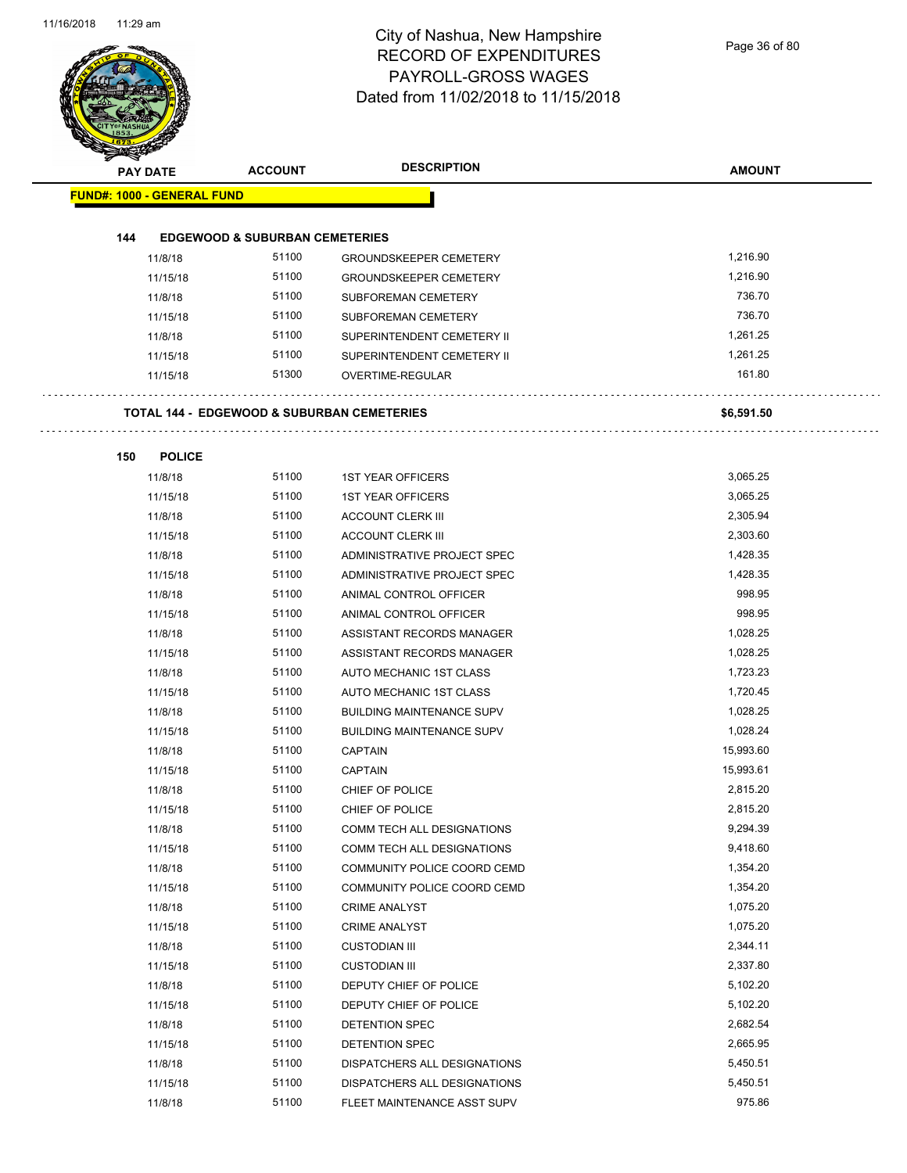Page 36 of 80

| <b>PAY DATE</b>                   |                          | <b>ACCOUNT</b>                             | <b>DESCRIPTION</b>               | <b>AMOUNT</b> |
|-----------------------------------|--------------------------|--------------------------------------------|----------------------------------|---------------|
| <b>FUND#: 1000 - GENERAL FUND</b> |                          |                                            |                                  |               |
| 144                               |                          | <b>EDGEWOOD &amp; SUBURBAN CEMETERIES</b>  |                                  |               |
|                                   | 11/8/18                  | 51100                                      | <b>GROUNDSKEEPER CEMETERY</b>    | 1,216.90      |
|                                   | 11/15/18                 | 51100                                      | <b>GROUNDSKEEPER CEMETERY</b>    | 1,216.90      |
|                                   | 11/8/18                  | 51100                                      | SUBFOREMAN CEMETERY              | 736.70        |
|                                   | 11/15/18                 | 51100                                      | SUBFOREMAN CEMETERY              | 736.70        |
|                                   | 11/8/18                  | 51100                                      | SUPERINTENDENT CEMETERY II       | 1,261.25      |
|                                   | 11/15/18                 | 51100                                      | SUPERINTENDENT CEMETERY II       | 1,261.25      |
|                                   | 11/15/18                 | 51300                                      | OVERTIME-REGULAR                 | 161.80        |
|                                   |                          | TOTAL 144 - EDGEWOOD & SUBURBAN CEMETERIES |                                  | \$6,591.50    |
|                                   |                          |                                            |                                  |               |
| 150                               | <b>POLICE</b><br>11/8/18 | 51100                                      | <b>1ST YEAR OFFICERS</b>         | 3,065.25      |
|                                   | 11/15/18                 | 51100                                      | <b>1ST YEAR OFFICERS</b>         | 3,065.25      |
|                                   | 11/8/18                  | 51100                                      | <b>ACCOUNT CLERK III</b>         | 2,305.94      |
|                                   | 11/15/18                 | 51100                                      | <b>ACCOUNT CLERK III</b>         | 2,303.60      |
|                                   | 11/8/18                  | 51100                                      | ADMINISTRATIVE PROJECT SPEC      | 1,428.35      |
|                                   | 11/15/18                 | 51100                                      | ADMINISTRATIVE PROJECT SPEC      | 1,428.35      |
|                                   | 11/8/18                  | 51100                                      | ANIMAL CONTROL OFFICER           | 998.95        |
|                                   | 11/15/18                 | 51100                                      | ANIMAL CONTROL OFFICER           | 998.95        |
|                                   | 11/8/18                  | 51100                                      | ASSISTANT RECORDS MANAGER        | 1,028.25      |
|                                   | 11/15/18                 | 51100                                      | ASSISTANT RECORDS MANAGER        | 1,028.25      |
|                                   | 11/8/18                  | 51100                                      | AUTO MECHANIC 1ST CLASS          | 1,723.23      |
|                                   | 11/15/18                 | 51100                                      | AUTO MECHANIC 1ST CLASS          | 1,720.45      |
|                                   | 11/8/18                  | 51100                                      | <b>BUILDING MAINTENANCE SUPV</b> | 1,028.25      |
|                                   | 11/15/18                 | 51100                                      | <b>BUILDING MAINTENANCE SUPV</b> | 1,028.24      |
|                                   | 11/8/18                  | 51100                                      | <b>CAPTAIN</b>                   | 15,993.60     |
|                                   | 11/15/18                 | 51100                                      | <b>CAPTAIN</b>                   | 15,993.61     |
|                                   | 11/8/18                  | 51100                                      | CHIEF OF POLICE                  | 2,815.20      |
|                                   | 11/15/18                 | 51100                                      | CHIEF OF POLICE                  | 2,815.20      |
|                                   | 11/8/18                  | 51100                                      | COMM TECH ALL DESIGNATIONS       | 9,294.39      |
|                                   | 11/15/18                 | 51100                                      | COMM TECH ALL DESIGNATIONS       | 9,418.60      |
|                                   | 11/8/18                  | 51100                                      | COMMUNITY POLICE COORD CEMD      | 1,354.20      |
|                                   | 11/15/18                 | 51100                                      | COMMUNITY POLICE COORD CEMD      | 1,354.20      |
|                                   | 11/8/18                  | 51100                                      | <b>CRIME ANALYST</b>             | 1,075.20      |
|                                   | 11/15/18                 | 51100                                      | <b>CRIME ANALYST</b>             | 1,075.20      |
|                                   | 11/8/18                  | 51100                                      | <b>CUSTODIAN III</b>             | 2,344.11      |
|                                   | 11/15/18                 | 51100                                      | <b>CUSTODIAN III</b>             | 2,337.80      |
|                                   | 11/8/18                  | 51100                                      | DEPUTY CHIEF OF POLICE           | 5,102.20      |
|                                   | 11/15/18                 | 51100                                      | DEPUTY CHIEF OF POLICE           | 5,102.20      |
|                                   | 11/8/18                  | 51100                                      | DETENTION SPEC                   | 2,682.54      |
|                                   | 11/15/18                 | 51100                                      | DETENTION SPEC                   | 2,665.95      |
|                                   | 11/8/18                  | 51100                                      | DISPATCHERS ALL DESIGNATIONS     | 5,450.51      |
|                                   | 11/15/18                 | 51100                                      | DISPATCHERS ALL DESIGNATIONS     | 5,450.51      |
|                                   |                          | 51100                                      |                                  | 975.86        |
|                                   | 11/8/18                  |                                            | FLEET MAINTENANCE ASST SUPV      |               |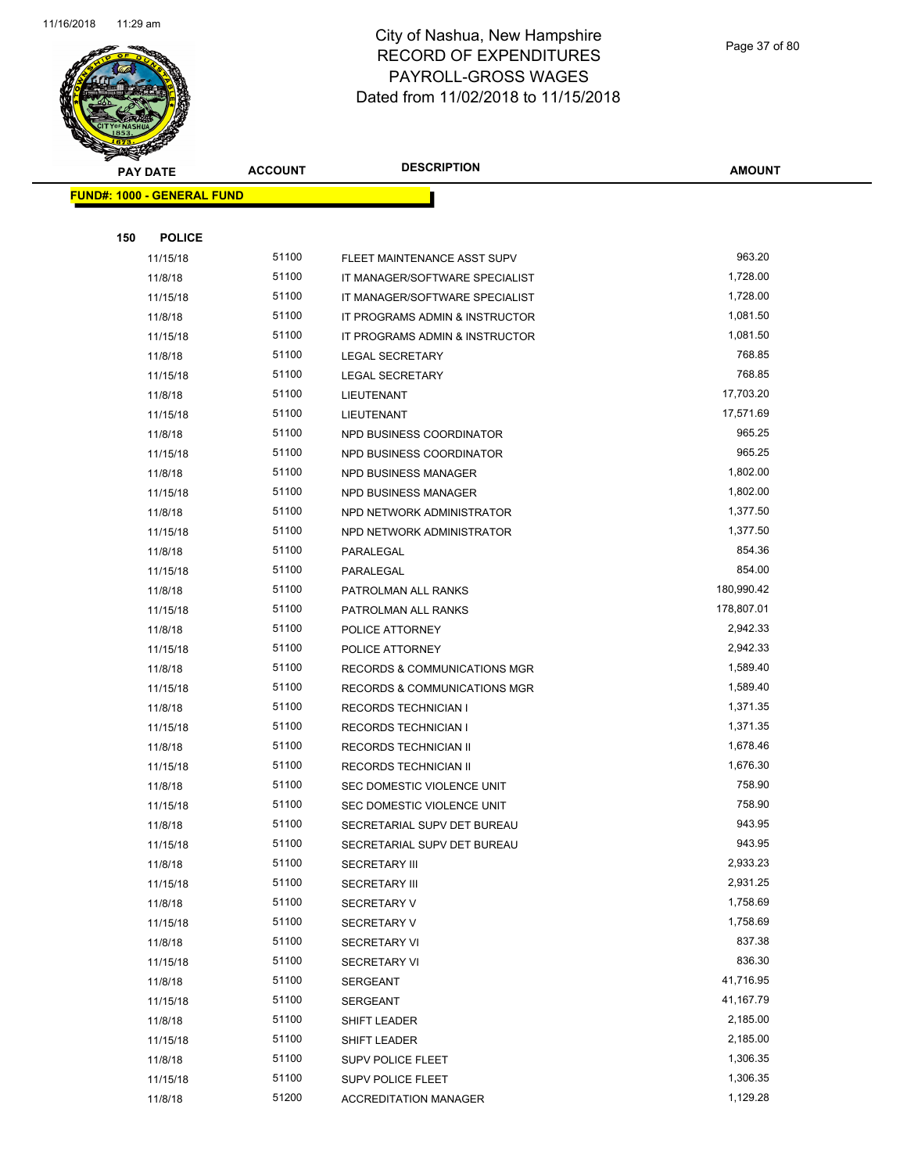

Page 37 of 80

| <b>PAY DATE</b>                   | <b>ACCOUNT</b> | <b>DESCRIPTION</b>                                  | <b>AMOUNT</b>    |
|-----------------------------------|----------------|-----------------------------------------------------|------------------|
| <b>FUND#: 1000 - GENERAL FUND</b> |                |                                                     |                  |
|                                   |                |                                                     |                  |
| 150<br><b>POLICE</b>              |                |                                                     |                  |
| 11/15/18                          | 51100          | FLEET MAINTENANCE ASST SUPV                         | 963.20           |
| 11/8/18                           | 51100          | IT MANAGER/SOFTWARE SPECIALIST                      | 1,728.00         |
| 11/15/18                          | 51100          | IT MANAGER/SOFTWARE SPECIALIST                      | 1,728.00         |
| 11/8/18                           | 51100          | IT PROGRAMS ADMIN & INSTRUCTOR                      | 1,081.50         |
| 11/15/18                          | 51100          | IT PROGRAMS ADMIN & INSTRUCTOR                      | 1,081.50         |
| 11/8/18                           | 51100          | <b>LEGAL SECRETARY</b>                              | 768.85           |
| 11/15/18                          | 51100          | <b>LEGAL SECRETARY</b>                              | 768.85           |
| 11/8/18                           | 51100          | LIEUTENANT                                          | 17,703.20        |
| 11/15/18                          | 51100          | LIEUTENANT                                          | 17,571.69        |
| 11/8/18                           | 51100          | NPD BUSINESS COORDINATOR                            | 965.25           |
| 11/15/18                          | 51100          | NPD BUSINESS COORDINATOR                            | 965.25           |
| 11/8/18                           | 51100          | NPD BUSINESS MANAGER                                | 1,802.00         |
| 11/15/18                          | 51100          | NPD BUSINESS MANAGER                                | 1,802.00         |
| 11/8/18                           | 51100          | NPD NETWORK ADMINISTRATOR                           | 1,377.50         |
| 11/15/18                          | 51100          | NPD NETWORK ADMINISTRATOR                           | 1,377.50         |
| 11/8/18                           | 51100          | PARALEGAL                                           | 854.36           |
| 11/15/18                          | 51100          | PARALEGAL                                           | 854.00           |
| 11/8/18                           | 51100          | PATROLMAN ALL RANKS                                 | 180,990.42       |
| 11/15/18                          | 51100          | PATROLMAN ALL RANKS                                 | 178,807.01       |
| 11/8/18                           | 51100          | POLICE ATTORNEY                                     | 2,942.33         |
| 11/15/18                          | 51100          | POLICE ATTORNEY                                     | 2,942.33         |
| 11/8/18                           | 51100          | <b>RECORDS &amp; COMMUNICATIONS MGR</b>             | 1,589.40         |
| 11/15/18                          | 51100          | <b>RECORDS &amp; COMMUNICATIONS MGR</b>             | 1,589.40         |
| 11/8/18                           | 51100          | <b>RECORDS TECHNICIAN I</b>                         | 1,371.35         |
| 11/15/18                          | 51100          | <b>RECORDS TECHNICIAN I</b>                         | 1,371.35         |
| 11/8/18                           | 51100          | RECORDS TECHNICIAN II                               | 1,678.46         |
| 11/15/18                          | 51100          | <b>RECORDS TECHNICIAN II</b>                        | 1,676.30         |
| 11/8/18                           | 51100          | SEC DOMESTIC VIOLENCE UNIT                          | 758.90           |
| 11/15/18                          | 51100<br>51100 | SEC DOMESTIC VIOLENCE UNIT                          | 758.90<br>943.95 |
| 11/8/18                           | 51100          | SECRETARIAL SUPV DET BUREAU                         | 943.95           |
| 11/15/18<br>11/8/18               | 51100          | SECRETARIAL SUPV DET BUREAU<br><b>SECRETARY III</b> | 2,933.23         |
| 11/15/18                          | 51100          | <b>SECRETARY III</b>                                | 2,931.25         |
| 11/8/18                           | 51100          | <b>SECRETARY V</b>                                  | 1,758.69         |
| 11/15/18                          | 51100          | <b>SECRETARY V</b>                                  | 1,758.69         |
| 11/8/18                           | 51100          | <b>SECRETARY VI</b>                                 | 837.38           |
| 11/15/18                          | 51100          | <b>SECRETARY VI</b>                                 | 836.30           |
| 11/8/18                           | 51100          | <b>SERGEANT</b>                                     | 41,716.95        |
| 11/15/18                          | 51100          | <b>SERGEANT</b>                                     | 41,167.79        |
| 11/8/18                           | 51100          | SHIFT LEADER                                        | 2,185.00         |
| 11/15/18                          | 51100          | SHIFT LEADER                                        | 2,185.00         |
| 11/8/18                           | 51100          | SUPV POLICE FLEET                                   | 1,306.35         |
| 11/15/18                          | 51100          | SUPV POLICE FLEET                                   | 1,306.35         |
| 11/8/18                           | 51200          | <b>ACCREDITATION MANAGER</b>                        | 1,129.28         |
|                                   |                |                                                     |                  |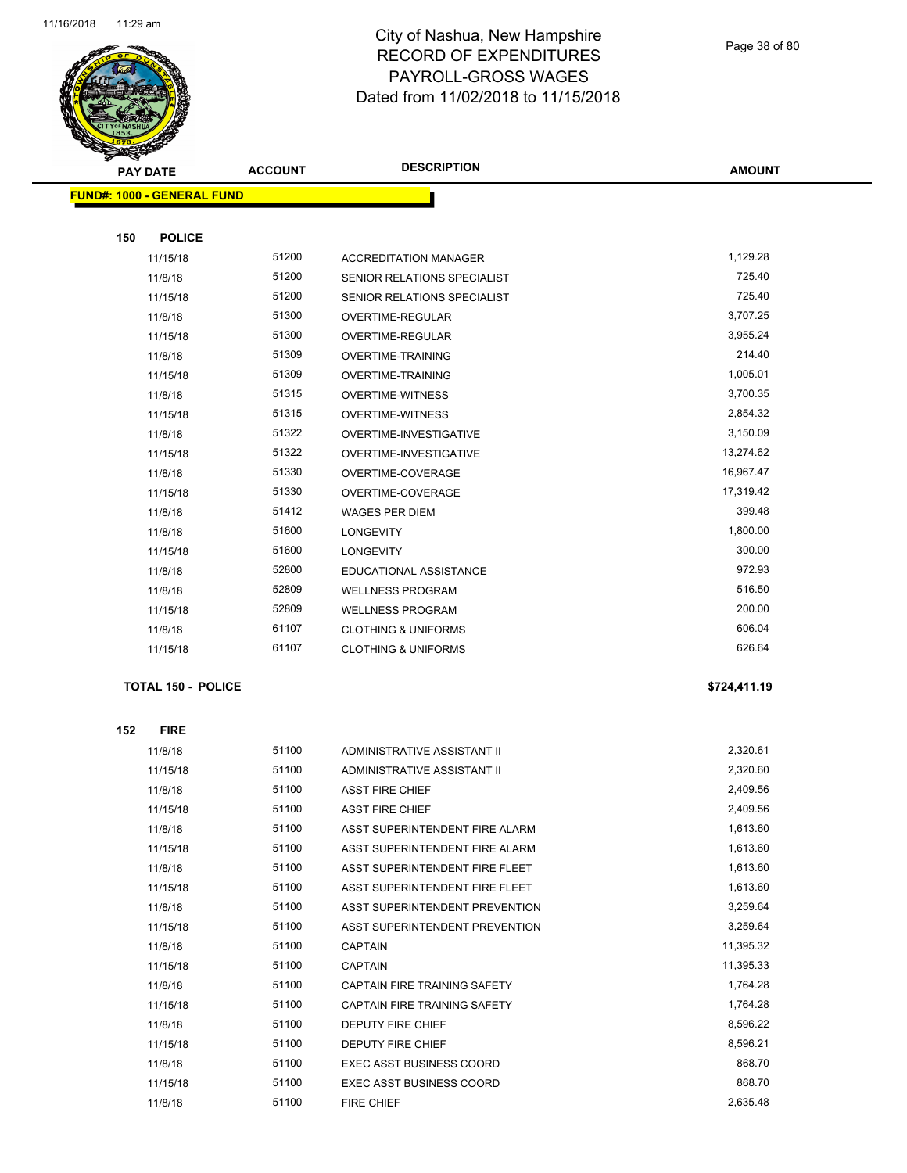

Page 38 of 80

| <b>STARBAN</b> |                                   |                |                                 |               |
|----------------|-----------------------------------|----------------|---------------------------------|---------------|
|                | <b>PAY DATE</b>                   | <b>ACCOUNT</b> | <b>DESCRIPTION</b>              | <b>AMOUNT</b> |
|                | <b>FUND#: 1000 - GENERAL FUND</b> |                |                                 |               |
|                |                                   |                |                                 |               |
| 150            | <b>POLICE</b>                     |                |                                 |               |
|                | 11/15/18                          | 51200          | <b>ACCREDITATION MANAGER</b>    | 1,129.28      |
|                | 11/8/18                           | 51200          | SENIOR RELATIONS SPECIALIST     | 725.40        |
|                | 11/15/18                          | 51200          | SENIOR RELATIONS SPECIALIST     | 725.40        |
|                | 11/8/18                           | 51300          | OVERTIME-REGULAR                | 3,707.25      |
|                | 11/15/18                          | 51300          | OVERTIME-REGULAR                | 3,955.24      |
|                | 11/8/18                           | 51309          | OVERTIME-TRAINING               | 214.40        |
|                | 11/15/18                          | 51309          | OVERTIME-TRAINING               | 1,005.01      |
|                | 11/8/18                           | 51315          | <b>OVERTIME-WITNESS</b>         | 3,700.35      |
|                | 11/15/18                          | 51315          | <b>OVERTIME-WITNESS</b>         | 2,854.32      |
|                | 11/8/18                           | 51322          | OVERTIME-INVESTIGATIVE          | 3,150.09      |
|                | 11/15/18                          | 51322          | OVERTIME-INVESTIGATIVE          | 13,274.62     |
|                | 11/8/18                           | 51330          | OVERTIME-COVERAGE               | 16,967.47     |
|                | 11/15/18                          | 51330          | OVERTIME-COVERAGE               | 17,319.42     |
|                | 11/8/18                           | 51412          | <b>WAGES PER DIEM</b>           | 399.48        |
|                | 11/8/18                           | 51600          | <b>LONGEVITY</b>                | 1,800.00      |
|                | 11/15/18                          | 51600          | <b>LONGEVITY</b>                | 300.00        |
|                | 11/8/18                           | 52800          | EDUCATIONAL ASSISTANCE          | 972.93        |
|                | 11/8/18                           | 52809          | <b>WELLNESS PROGRAM</b>         | 516.50        |
|                | 11/15/18                          | 52809          | <b>WELLNESS PROGRAM</b>         | 200.00        |
|                | 11/8/18                           | 61107          | <b>CLOTHING &amp; UNIFORMS</b>  | 606.04        |
|                | 11/15/18                          | 61107          | <b>CLOTHING &amp; UNIFORMS</b>  | 626.64        |
|                | <b>TOTAL 150 - POLICE</b>         |                |                                 | \$724,411.19  |
|                |                                   |                |                                 |               |
| 152            | <b>FIRE</b>                       |                |                                 |               |
|                | 11/8/18                           | 51100          | ADMINISTRATIVE ASSISTANT II     | 2,320.61      |
|                | 11/15/18                          | 51100          | ADMINISTRATIVE ASSISTANT II     | 2,320.60      |
|                | 11/8/18                           | 51100          | <b>ASST FIRE CHIEF</b>          | 2,409.56      |
|                | 11/15/18                          | 51100          | ASST FIRE CHIEF                 | 2,409.56      |
|                | 11/8/18                           | 51100          | ASST SUPERINTENDENT FIRE ALARM  | 1,613.60      |
|                | 11/15/18                          | 51100          | ASST SUPERINTENDENT FIRE ALARM  | 1,613.60      |
|                | 11/8/18                           | 51100          | ASST SUPERINTENDENT FIRE FLEET  | 1,613.60      |
|                | 11/15/18                          | 51100          | ASST SUPERINTENDENT FIRE FLEET  | 1,613.60      |
|                | 11/8/18                           | 51100          | ASST SUPERINTENDENT PREVENTION  | 3,259.64      |
|                | 11/15/18                          | 51100          | ASST SUPERINTENDENT PREVENTION  | 3,259.64      |
|                | 11/8/18                           | 51100          | <b>CAPTAIN</b>                  | 11,395.32     |
|                | 11/15/18                          | 51100          | <b>CAPTAIN</b>                  | 11,395.33     |
|                | 11/8/18                           | 51100          | CAPTAIN FIRE TRAINING SAFETY    | 1,764.28      |
|                | 11/15/18                          | 51100          | CAPTAIN FIRE TRAINING SAFETY    | 1,764.28      |
|                | 11/8/18                           | 51100          | DEPUTY FIRE CHIEF               | 8,596.22      |
|                | 11/15/18                          | 51100          | DEPUTY FIRE CHIEF               | 8,596.21      |
|                | 11/8/18                           | 51100          | <b>EXEC ASST BUSINESS COORD</b> | 868.70        |
|                | 11/15/18                          | 51100          | <b>EXEC ASST BUSINESS COORD</b> | 868.70        |
|                | 11/8/18                           | 51100          | FIRE CHIEF                      | 2,635.48      |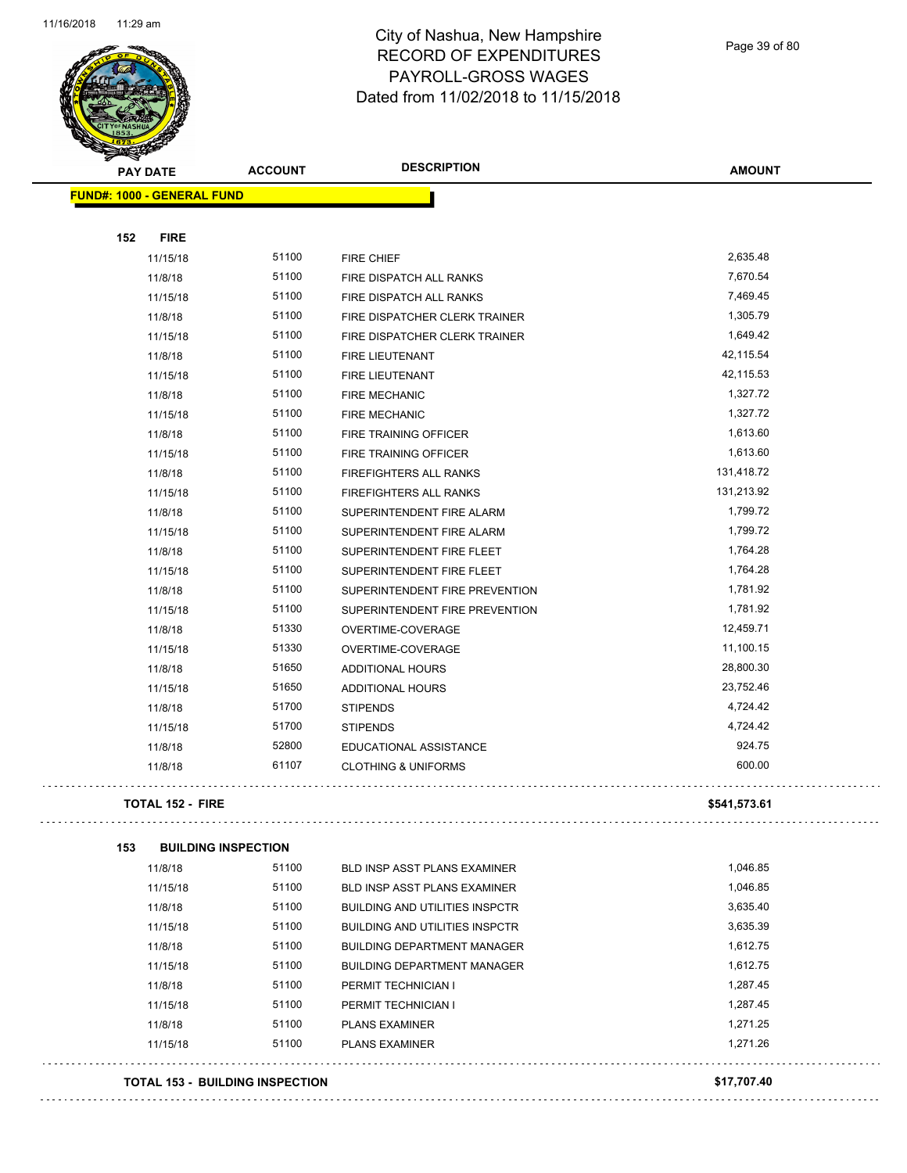

Page 39 of 80

| Ð<br>B.<br><b>PAY DATE</b>        | <b>ACCOUNT</b>                         | <b>DESCRIPTION</b>                    | <b>AMOUNT</b> |
|-----------------------------------|----------------------------------------|---------------------------------------|---------------|
| <b>FUND#: 1000 - GENERAL FUND</b> |                                        |                                       |               |
|                                   |                                        |                                       |               |
| 152<br><b>FIRE</b>                |                                        |                                       |               |
| 11/15/18                          | 51100                                  | <b>FIRE CHIEF</b>                     | 2,635.48      |
| 11/8/18                           | 51100                                  | FIRE DISPATCH ALL RANKS               | 7,670.54      |
| 11/15/18                          | 51100                                  | FIRE DISPATCH ALL RANKS               | 7,469.45      |
| 11/8/18                           | 51100                                  | FIRE DISPATCHER CLERK TRAINER         | 1,305.79      |
| 11/15/18                          | 51100                                  | FIRE DISPATCHER CLERK TRAINER         | 1,649.42      |
| 11/8/18                           | 51100                                  | FIRE LIEUTENANT                       | 42,115.54     |
| 11/15/18                          | 51100                                  | FIRE LIEUTENANT                       | 42,115.53     |
| 11/8/18                           | 51100                                  | <b>FIRE MECHANIC</b>                  | 1,327.72      |
| 11/15/18                          | 51100                                  | <b>FIRE MECHANIC</b>                  | 1,327.72      |
| 11/8/18                           | 51100                                  | FIRE TRAINING OFFICER                 | 1,613.60      |
| 11/15/18                          | 51100                                  | <b>FIRE TRAINING OFFICER</b>          | 1,613.60      |
| 11/8/18                           | 51100                                  | FIREFIGHTERS ALL RANKS                | 131,418.72    |
| 11/15/18                          | 51100                                  | FIREFIGHTERS ALL RANKS                | 131,213.92    |
| 11/8/18                           | 51100                                  | SUPERINTENDENT FIRE ALARM             | 1,799.72      |
| 11/15/18                          | 51100                                  | SUPERINTENDENT FIRE ALARM             | 1,799.72      |
| 11/8/18                           | 51100                                  | SUPERINTENDENT FIRE FLEET             | 1,764.28      |
| 11/15/18                          | 51100                                  | SUPERINTENDENT FIRE FLEET             | 1,764.28      |
| 11/8/18                           | 51100                                  | SUPERINTENDENT FIRE PREVENTION        | 1,781.92      |
| 11/15/18                          | 51100                                  | SUPERINTENDENT FIRE PREVENTION        | 1,781.92      |
| 11/8/18                           | 51330                                  | OVERTIME-COVERAGE                     | 12,459.71     |
| 11/15/18                          | 51330                                  | OVERTIME-COVERAGE                     | 11,100.15     |
| 11/8/18                           | 51650                                  | ADDITIONAL HOURS                      | 28,800.30     |
| 11/15/18                          | 51650                                  | ADDITIONAL HOURS                      | 23,752.46     |
| 11/8/18                           | 51700                                  | <b>STIPENDS</b>                       | 4,724.42      |
| 11/15/18                          | 51700                                  | <b>STIPENDS</b>                       | 4,724.42      |
| 11/8/18                           | 52800                                  | <b>EDUCATIONAL ASSISTANCE</b>         | 924.75        |
| 11/8/18                           | 61107                                  | <b>CLOTHING &amp; UNIFORMS</b>        | 600.00        |
| <b>TOTAL 152 - FIRE</b>           |                                        |                                       | \$541,573.61  |
| 153                               | <b>BUILDING INSPECTION</b>             |                                       |               |
| 11/8/18                           | 51100                                  | BLD INSP ASST PLANS EXAMINER          | 1,046.85      |
| 11/15/18                          | 51100                                  | <b>BLD INSP ASST PLANS EXAMINER</b>   | 1,046.85      |
| 11/8/18                           | 51100                                  | <b>BUILDING AND UTILITIES INSPCTR</b> | 3,635.40      |
| 11/15/18                          | 51100                                  | <b>BUILDING AND UTILITIES INSPCTR</b> | 3,635.39      |
| 11/8/18                           | 51100                                  | <b>BUILDING DEPARTMENT MANAGER</b>    | 1,612.75      |
| 11/15/18                          | 51100                                  | <b>BUILDING DEPARTMENT MANAGER</b>    | 1,612.75      |
| 11/8/18                           | 51100                                  | PERMIT TECHNICIAN I                   | 1,287.45      |
| 11/15/18                          | 51100                                  | PERMIT TECHNICIAN I                   | 1,287.45      |
| 11/8/18                           | 51100                                  | <b>PLANS EXAMINER</b>                 | 1,271.25      |
| 11/15/18                          | 51100                                  | <b>PLANS EXAMINER</b>                 | 1,271.26      |
|                                   | <b>TOTAL 153 - BUILDING INSPECTION</b> |                                       | \$17,707.40   |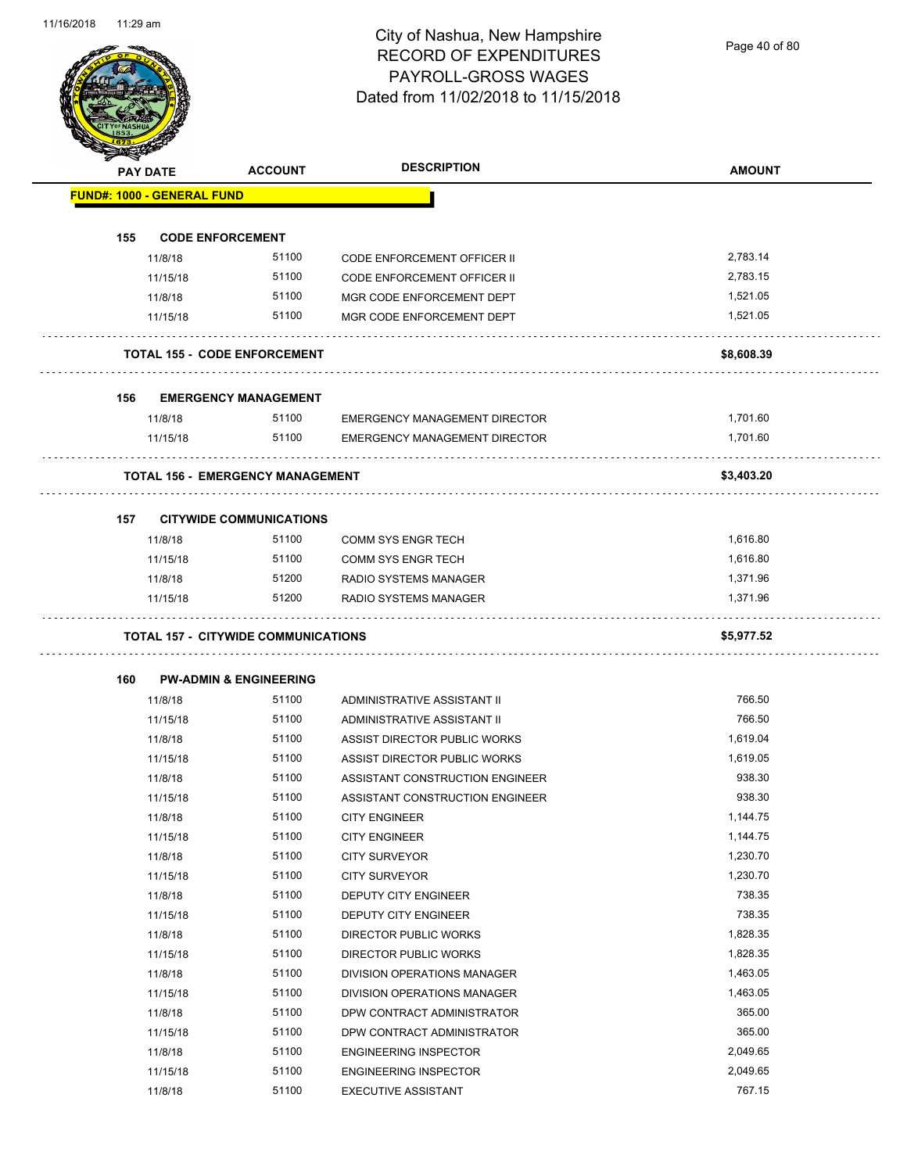Page 40 of 80

|     | <b>PAY DATE</b>                   | <b>ACCOUNT</b>                             | <b>DESCRIPTION</b>                                         | <b>AMOUNT</b>      |
|-----|-----------------------------------|--------------------------------------------|------------------------------------------------------------|--------------------|
|     | <b>FUND#: 1000 - GENERAL FUND</b> |                                            |                                                            |                    |
| 155 | <b>CODE ENFORCEMENT</b>           |                                            |                                                            |                    |
|     | 11/8/18                           | 51100                                      | <b>CODE ENFORCEMENT OFFICER II</b>                         | 2,783.14           |
|     | 11/15/18                          | 51100                                      | <b>CODE ENFORCEMENT OFFICER II</b>                         | 2,783.15           |
|     | 11/8/18                           | 51100                                      | MGR CODE ENFORCEMENT DEPT                                  | 1,521.05           |
|     | 11/15/18                          | 51100                                      | MGR CODE ENFORCEMENT DEPT                                  | 1.521.05           |
|     |                                   | <b>TOTAL 155 - CODE ENFORCEMENT</b>        |                                                            | \$8,608.39         |
|     |                                   |                                            |                                                            |                    |
| 156 |                                   | <b>EMERGENCY MANAGEMENT</b><br>51100       |                                                            |                    |
|     | 11/8/18                           |                                            | <b>EMERGENCY MANAGEMENT DIRECTOR</b>                       | 1,701.60           |
|     | 11/15/18                          | 51100                                      | <b>EMERGENCY MANAGEMENT DIRECTOR</b>                       | 1.701.60           |
|     |                                   | <b>TOTAL 156 - EMERGENCY MANAGEMENT</b>    |                                                            | \$3,403.20         |
| 157 |                                   | <b>CITYWIDE COMMUNICATIONS</b>             |                                                            |                    |
|     | 11/8/18                           | 51100                                      | <b>COMM SYS ENGR TECH</b>                                  | 1,616.80           |
|     | 11/15/18                          | 51100                                      | <b>COMM SYS ENGR TECH</b>                                  | 1,616.80           |
|     | 11/8/18                           | 51200                                      | RADIO SYSTEMS MANAGER                                      | 1,371.96           |
|     | 11/15/18                          | 51200                                      | RADIO SYSTEMS MANAGER                                      | 1,371.96           |
|     |                                   | <b>TOTAL 157 - CITYWIDE COMMUNICATIONS</b> |                                                            | \$5,977.52         |
| 160 |                                   | <b>PW-ADMIN &amp; ENGINEERING</b>          |                                                            |                    |
|     | 11/8/18                           | 51100                                      | ADMINISTRATIVE ASSISTANT II                                | 766.50             |
|     | 11/15/18                          | 51100                                      | ADMINISTRATIVE ASSISTANT II                                | 766.50             |
|     | 11/8/18                           | 51100                                      | ASSIST DIRECTOR PUBLIC WORKS                               | 1,619.04           |
|     | 11/15/18                          | 51100                                      | ASSIST DIRECTOR PUBLIC WORKS                               | 1,619.05           |
|     | 11/8/18                           | 51100                                      | ASSISTANT CONSTRUCTION ENGINEER                            | 938.30             |
|     | 11/15/18                          | 51100                                      | ASSISTANT CONSTRUCTION ENGINEER                            | 938.30             |
|     | 11/8/18                           | 51100                                      | <b>CITY ENGINEER</b>                                       | 1,144.75           |
|     | 11/15/18                          | 51100                                      | <b>CITY ENGINEER</b>                                       | 1,144.75           |
|     | 11/8/18                           | 51100                                      | <b>CITY SURVEYOR</b>                                       | 1,230.70           |
|     | 11/15/18                          | 51100                                      | <b>CITY SURVEYOR</b>                                       | 1,230.70           |
|     | 11/8/18                           | 51100                                      | <b>DEPUTY CITY ENGINEER</b>                                | 738.35             |
|     | 11/15/18                          | 51100                                      | DEPUTY CITY ENGINEER                                       | 738.35             |
|     | 11/8/18                           | 51100                                      | DIRECTOR PUBLIC WORKS                                      | 1,828.35           |
|     | 11/15/18                          | 51100                                      | DIRECTOR PUBLIC WORKS                                      | 1,828.35           |
|     |                                   | 51100                                      | DIVISION OPERATIONS MANAGER                                | 1,463.05           |
|     | 11/8/18                           | 51100                                      | DIVISION OPERATIONS MANAGER                                | 1,463.05           |
|     | 11/15/18                          |                                            |                                                            | 365.00             |
|     | 11/8/18                           | 51100                                      | DPW CONTRACT ADMINISTRATOR                                 | 365.00             |
|     | 11/15/18                          | 51100                                      | DPW CONTRACT ADMINISTRATOR                                 |                    |
|     | 11/8/18                           | 51100                                      | <b>ENGINEERING INSPECTOR</b>                               | 2,049.65           |
|     | 11/15/18<br>11/8/18               | 51100<br>51100                             | <b>ENGINEERING INSPECTOR</b><br><b>EXECUTIVE ASSISTANT</b> | 2,049.65<br>767.15 |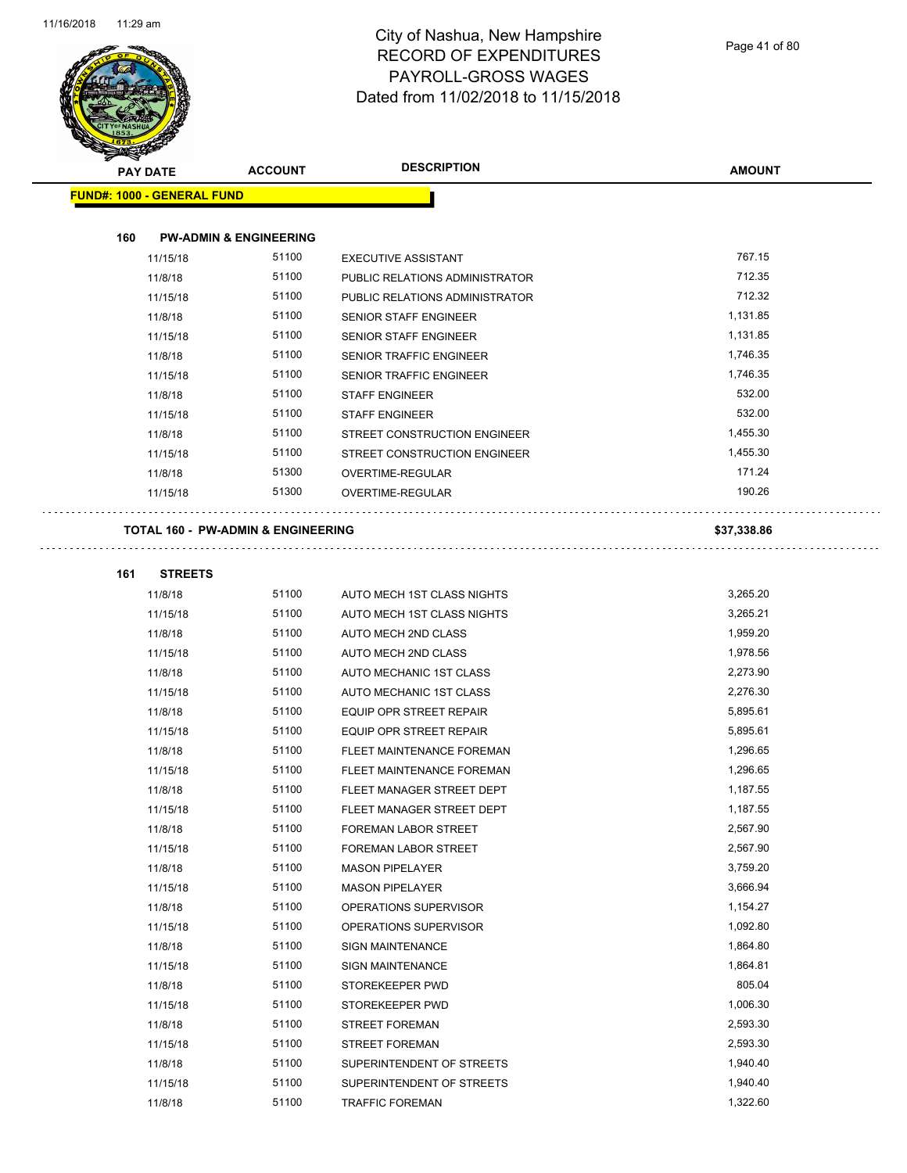

| T<br>$\tilde{\phantom{a}}$<br><b>PAY DATE</b> |                                   | <b>ACCOUNT</b>                                | <b>DESCRIPTION</b>             | <b>AMOUNT</b> |
|-----------------------------------------------|-----------------------------------|-----------------------------------------------|--------------------------------|---------------|
|                                               | <b>FUND#: 1000 - GENERAL FUND</b> |                                               |                                |               |
|                                               |                                   |                                               |                                |               |
| 160                                           |                                   | <b>PW-ADMIN &amp; ENGINEERING</b>             |                                |               |
|                                               | 11/15/18                          | 51100                                         | <b>EXECUTIVE ASSISTANT</b>     | 767.15        |
|                                               | 11/8/18                           | 51100                                         | PUBLIC RELATIONS ADMINISTRATOR | 712.35        |
|                                               | 11/15/18                          | 51100                                         | PUBLIC RELATIONS ADMINISTRATOR | 712.32        |
|                                               | 11/8/18                           | 51100                                         | SENIOR STAFF ENGINEER          | 1,131.85      |
|                                               | 11/15/18                          | 51100                                         | SENIOR STAFF ENGINEER          | 1,131.85      |
|                                               | 11/8/18                           | 51100                                         | <b>SENIOR TRAFFIC ENGINEER</b> | 1,746.35      |
|                                               | 11/15/18                          | 51100                                         | SENIOR TRAFFIC ENGINEER        | 1,746.35      |
|                                               | 11/8/18                           | 51100                                         | <b>STAFF ENGINEER</b>          | 532.00        |
|                                               | 11/15/18                          | 51100                                         | <b>STAFF ENGINEER</b>          | 532.00        |
|                                               | 11/8/18                           | 51100                                         | STREET CONSTRUCTION ENGINEER   | 1,455.30      |
|                                               | 11/15/18                          | 51100                                         | STREET CONSTRUCTION ENGINEER   | 1,455.30      |
|                                               | 11/8/18                           | 51300                                         | OVERTIME-REGULAR               | 171.24        |
|                                               | 11/15/18                          | 51300                                         | <b>OVERTIME-REGULAR</b>        | 190.26        |
|                                               |                                   | <b>TOTAL 160 - PW-ADMIN &amp; ENGINEERING</b> |                                | \$37,338.86   |
|                                               |                                   |                                               |                                |               |
| 161                                           | <b>STREETS</b>                    |                                               |                                |               |
|                                               | 11/8/18                           | 51100                                         | AUTO MECH 1ST CLASS NIGHTS     | 3,265.20      |
|                                               | 11/15/18                          | 51100                                         | AUTO MECH 1ST CLASS NIGHTS     | 3,265.21      |
|                                               | 11/8/18                           | 51100                                         | AUTO MECH 2ND CLASS            | 1,959.20      |
|                                               | 11/15/18                          | 51100                                         | AUTO MECH 2ND CLASS            | 1,978.56      |
|                                               | 11/8/18                           | 51100                                         | AUTO MECHANIC 1ST CLASS        | 2,273.90      |
|                                               | 11/15/18                          | 51100                                         | AUTO MECHANIC 1ST CLASS        | 2,276.30      |
|                                               | 11/8/18                           | 51100                                         | <b>EQUIP OPR STREET REPAIR</b> | 5,895.61      |
|                                               | 11/15/18                          | 51100                                         | <b>EQUIP OPR STREET REPAIR</b> | 5,895.61      |
|                                               | 11/8/18                           | 51100                                         | FLEET MAINTENANCE FOREMAN      | 1,296.65      |
|                                               | 11/15/18                          | 51100                                         | FLEET MAINTENANCE FOREMAN      | 1,296.65      |
|                                               | 11/8/18                           | 51100                                         | FLEET MANAGER STREET DEPT      | 1,187.55      |
|                                               | 11/15/18                          | 51100                                         | FLEET MANAGER STREET DEPT      | 1,187.55      |
|                                               | 11/8/18                           | 51100                                         | FOREMAN LABOR STREET           | 2,567.90      |
|                                               | 11/15/18                          | 51100                                         | <b>FOREMAN LABOR STREET</b>    | 2,567.90      |
|                                               | 11/8/18                           | 51100                                         | <b>MASON PIPELAYER</b>         | 3,759.20      |
|                                               | 11/15/18                          | 51100                                         | <b>MASON PIPELAYER</b>         | 3,666.94      |
|                                               | 11/8/18                           | 51100                                         | OPERATIONS SUPERVISOR          | 1,154.27      |

11/15/18 51100 OPERATIONS SUPERVISOR 1,092.80 11/8/18 51100 SIGN MAINTENANCE 1,864.80 11/15/18 51100 SIGN MAINTENANCE 1,864.81 11/8/18 51100 STOREKEEPER PWD 805.04 11/15/18 51100 STOREKEEPER PWD 1,006.30 11/8/18 51100 STREET FOREMAN 2,593.30 11/15/18 51100 STREET FOREMAN 2,593.30 11/8/18 51100 SUPERINTENDENT OF STREETS 1,940.40 11/15/18 51100 SUPERINTENDENT OF STREETS 1,940.40 11/8/18 51100 TRAFFIC FOREMAN 1,322.60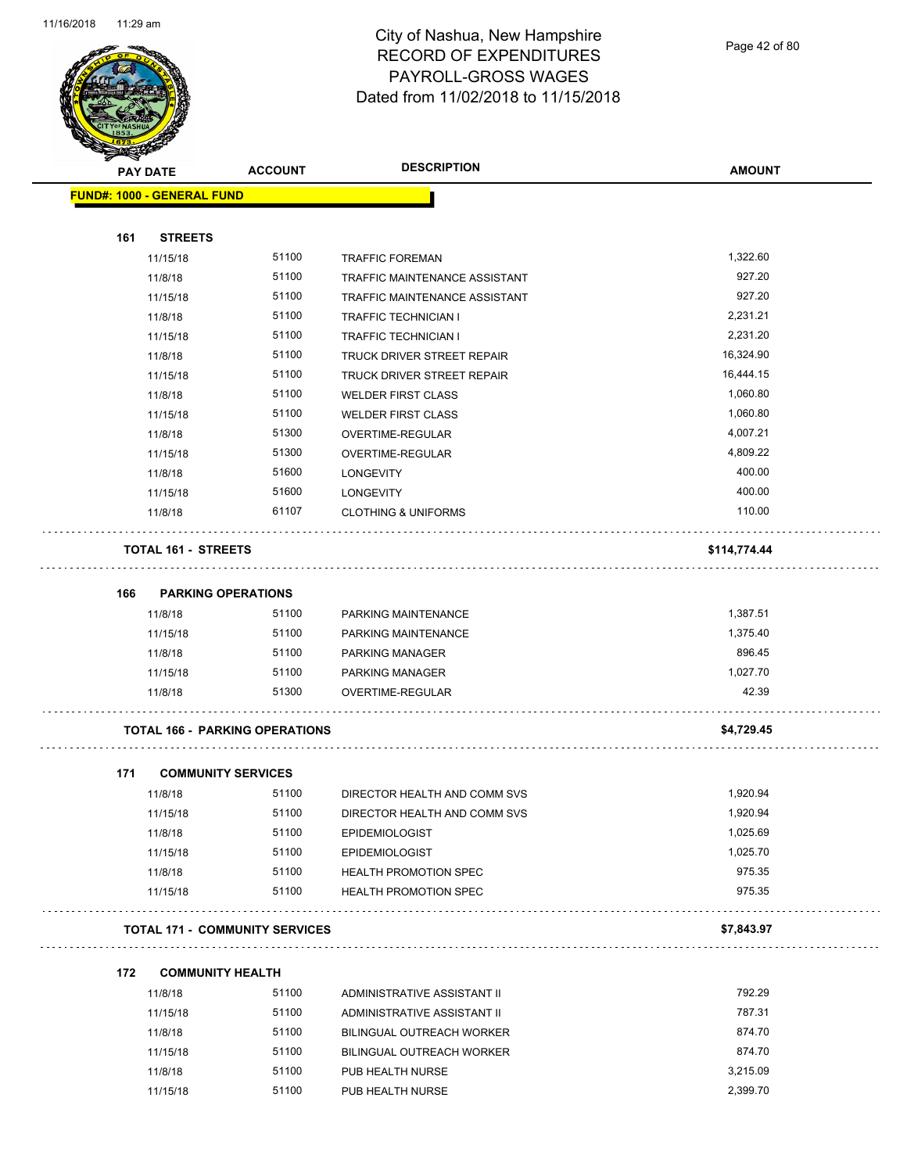

Page 42 of 80

| <b>SACTOR</b> |                                   |                                       |                                   |               |
|---------------|-----------------------------------|---------------------------------------|-----------------------------------|---------------|
|               | <b>PAY DATE</b>                   | <b>ACCOUNT</b>                        | <b>DESCRIPTION</b>                | <b>AMOUNT</b> |
|               | <b>FUND#: 1000 - GENERAL FUND</b> |                                       |                                   |               |
|               |                                   |                                       |                                   |               |
| 161           | <b>STREETS</b>                    |                                       |                                   |               |
|               | 11/15/18                          | 51100                                 | <b>TRAFFIC FOREMAN</b>            | 1,322.60      |
|               | 11/8/18                           | 51100                                 | TRAFFIC MAINTENANCE ASSISTANT     | 927.20        |
|               | 11/15/18                          | 51100                                 | TRAFFIC MAINTENANCE ASSISTANT     | 927.20        |
|               | 11/8/18                           | 51100                                 | <b>TRAFFIC TECHNICIAN I</b>       | 2,231.21      |
|               | 11/15/18                          | 51100                                 | <b>TRAFFIC TECHNICIAN I</b>       | 2,231.20      |
|               | 11/8/18                           | 51100                                 | <b>TRUCK DRIVER STREET REPAIR</b> | 16,324.90     |
|               | 11/15/18                          | 51100                                 | TRUCK DRIVER STREET REPAIR        | 16,444.15     |
|               | 11/8/18                           | 51100                                 | <b>WELDER FIRST CLASS</b>         | 1,060.80      |
|               | 11/15/18                          | 51100                                 | <b>WELDER FIRST CLASS</b>         | 1,060.80      |
|               | 11/8/18                           | 51300                                 | OVERTIME-REGULAR                  | 4,007.21      |
|               | 11/15/18                          | 51300                                 | OVERTIME-REGULAR                  | 4,809.22      |
|               | 11/8/18                           | 51600                                 | <b>LONGEVITY</b>                  | 400.00        |
|               | 11/15/18                          | 51600                                 | <b>LONGEVITY</b>                  | 400.00        |
|               | 11/8/18                           | 61107                                 | <b>CLOTHING &amp; UNIFORMS</b>    | 110.00        |
|               | <b>TOTAL 161 - STREETS</b>        |                                       |                                   | \$114,774.44  |
| 166           | <b>PARKING OPERATIONS</b>         |                                       |                                   |               |
|               | 11/8/18                           | 51100                                 | PARKING MAINTENANCE               | 1,387.51      |
|               | 11/15/18                          | 51100                                 | PARKING MAINTENANCE               | 1,375.40      |
|               | 11/8/18                           | 51100                                 | <b>PARKING MANAGER</b>            | 896.45        |
|               | 11/15/18                          | 51100                                 | <b>PARKING MANAGER</b>            | 1,027.70      |
|               | 11/8/18                           | 51300                                 | OVERTIME-REGULAR                  | 42.39         |
|               |                                   | <b>TOTAL 166 - PARKING OPERATIONS</b> |                                   | \$4,729.45    |
| 171           | <b>COMMUNITY SERVICES</b>         |                                       |                                   |               |
|               | 11/8/18                           | 51100                                 | DIRECTOR HEALTH AND COMM SVS      | 1,920.94      |
|               | 11/15/18                          | 51100                                 | DIRECTOR HEALTH AND COMM SVS      | 1,920.94      |
|               | 11/8/18                           | 51100                                 | <b>EPIDEMIOLOGIST</b>             | 1,025.69      |
|               | 11/15/18                          | 51100                                 | <b>EPIDEMIOLOGIST</b>             | 1,025.70      |
|               | 11/8/18                           | 51100                                 | HEALTH PROMOTION SPEC             | 975.35        |
|               | 11/15/18                          | 51100                                 | HEALTH PROMOTION SPEC             | 975.35        |
|               |                                   | <b>TOTAL 171 - COMMUNITY SERVICES</b> |                                   | \$7,843.97    |
| 172           | <b>COMMUNITY HEALTH</b>           |                                       |                                   |               |
|               | 11/8/18                           | 51100                                 | ADMINISTRATIVE ASSISTANT II       | 792.29        |
|               | 11/15/18                          | 51100                                 | ADMINISTRATIVE ASSISTANT II       | 787.31        |
|               | 11/8/18                           | 51100                                 | BILINGUAL OUTREACH WORKER         | 874.70        |
|               |                                   |                                       |                                   |               |

| 11/8/18  | 51100 | BILINGUAL OUTREACH WORKER | 874.70   |
|----------|-------|---------------------------|----------|
| 11/15/18 | 51100 | BILINGUAL OUTREACH WORKER | 874.70   |
| 11/8/18  | 51100 | PUB HEALTH NURSE          | 3.215.09 |
| 11/15/18 | 51100 | PUB HEALTH NURSE          | 2.399.70 |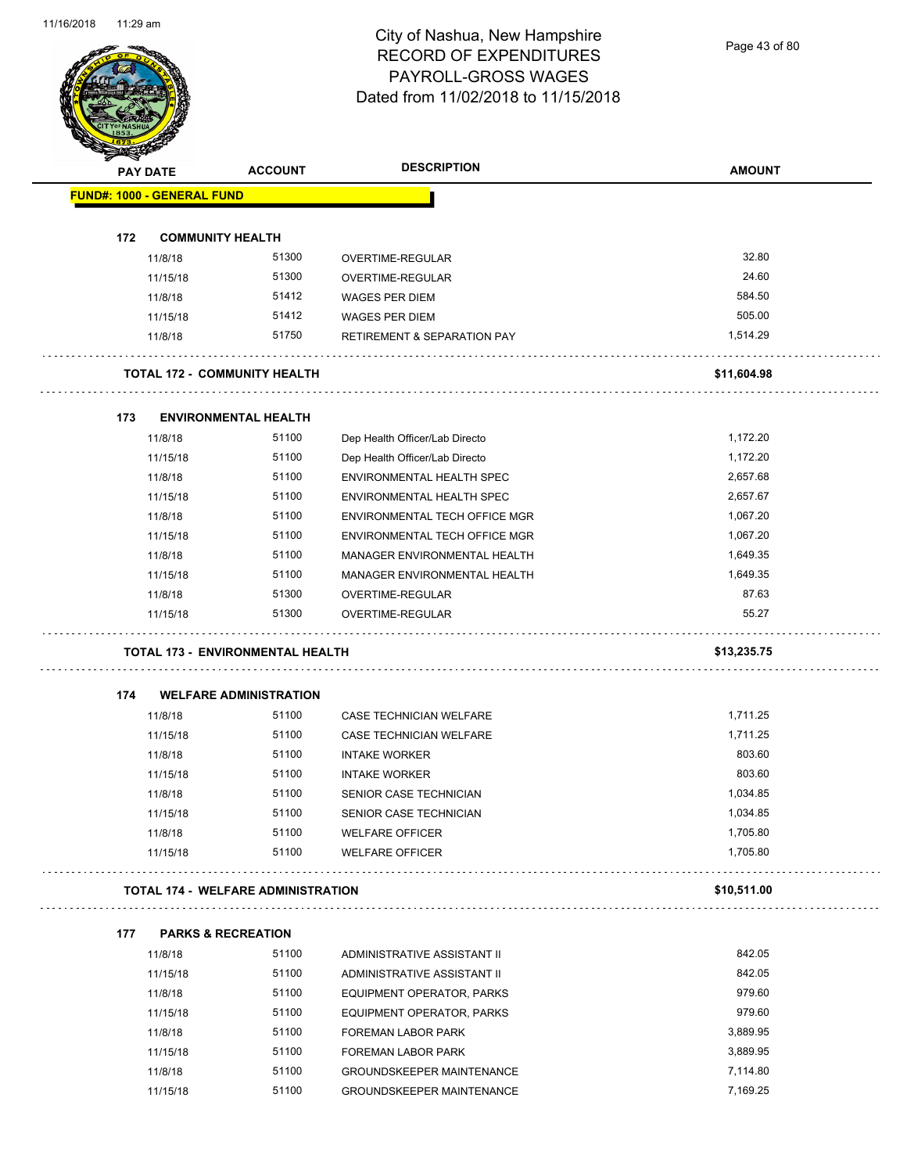Page 43 of 80

|     | <b>PAY DATE</b>                           | <b>ACCOUNT</b>                | <b>DESCRIPTION</b>                     | <b>AMOUNT</b> |
|-----|-------------------------------------------|-------------------------------|----------------------------------------|---------------|
|     | <b>FUND#: 1000 - GENERAL FUND</b>         |                               |                                        |               |
| 172 | <b>COMMUNITY HEALTH</b>                   |                               |                                        |               |
|     | 11/8/18                                   | 51300                         | OVERTIME-REGULAR                       | 32.80         |
|     | 11/15/18                                  | 51300                         | OVERTIME-REGULAR                       | 24.60         |
|     | 11/8/18                                   | 51412                         | <b>WAGES PER DIEM</b>                  | 584.50        |
|     | 11/15/18                                  | 51412                         | <b>WAGES PER DIEM</b>                  | 505.00        |
|     | 11/8/18                                   | 51750                         | <b>RETIREMENT &amp; SEPARATION PAY</b> | 1,514.29      |
|     | <b>TOTAL 172 - COMMUNITY HEALTH</b>       |                               |                                        | \$11,604.98   |
| 173 | <b>ENVIRONMENTAL HEALTH</b>               |                               |                                        |               |
|     | 11/8/18                                   | 51100                         | Dep Health Officer/Lab Directo         | 1,172.20      |
|     | 11/15/18                                  | 51100                         | Dep Health Officer/Lab Directo         | 1,172.20      |
|     | 11/8/18                                   | 51100                         | ENVIRONMENTAL HEALTH SPEC              | 2,657.68      |
|     | 11/15/18                                  | 51100                         | ENVIRONMENTAL HEALTH SPEC              | 2,657.67      |
|     | 11/8/18                                   | 51100                         | <b>ENVIRONMENTAL TECH OFFICE MGR</b>   | 1,067.20      |
|     | 11/15/18                                  | 51100                         | ENVIRONMENTAL TECH OFFICE MGR          | 1,067.20      |
|     | 11/8/18                                   | 51100                         | MANAGER ENVIRONMENTAL HEALTH           | 1,649.35      |
|     | 11/15/18                                  | 51100                         | MANAGER ENVIRONMENTAL HEALTH           | 1,649.35      |
|     | 11/8/18                                   | 51300                         | OVERTIME-REGULAR                       | 87.63         |
|     | 11/15/18                                  | 51300                         | OVERTIME-REGULAR                       | 55.27         |
|     | <b>TOTAL 173 - ENVIRONMENTAL HEALTH</b>   |                               |                                        | \$13,235.75   |
| 174 |                                           | <b>WELFARE ADMINISTRATION</b> |                                        |               |
|     | 11/8/18                                   | 51100                         | CASE TECHNICIAN WELFARE                | 1,711.25      |
|     | 11/15/18                                  | 51100                         | CASE TECHNICIAN WELFARE                | 1,711.25      |
|     | 11/8/18                                   | 51100                         | <b>INTAKE WORKER</b>                   | 803.60        |
|     | 11/15/18                                  | 51100                         | <b>INTAKE WORKER</b>                   | 803.60        |
|     | 11/8/18                                   | 51100                         | SENIOR CASE TECHNICIAN                 | 1,034.85      |
|     | 11/15/18                                  | 51100                         | SENIOR CASE TECHNICIAN                 | 1,034.85      |
|     | 11/8/18                                   | 51100                         | <b>WELFARE OFFICER</b>                 | 1,705.80      |
|     | 11/15/18                                  | 51100                         | <b>WELFARE OFFICER</b>                 | 1,705.80      |
|     | <b>TOTAL 174 - WELFARE ADMINISTRATION</b> |                               |                                        | \$10,511.00   |
| 177 | <b>PARKS &amp; RECREATION</b>             |                               |                                        |               |
|     | 11/8/18                                   | 51100                         | ADMINISTRATIVE ASSISTANT II            | 842.05        |
|     | 11/15/18                                  | 51100                         | ADMINISTRATIVE ASSISTANT II            | 842.05        |
|     | 11/8/18                                   | 51100                         | EQUIPMENT OPERATOR, PARKS              | 979.60        |
|     | 11/15/18                                  | 51100                         | EQUIPMENT OPERATOR, PARKS              | 979.60        |
|     | 11/8/18                                   | 51100                         | FOREMAN LABOR PARK                     | 3,889.95      |
|     | 11/15/18                                  | 51100                         | FOREMAN LABOR PARK                     | 3,889.95      |
|     | 11/8/18                                   | 51100                         | <b>GROUNDSKEEPER MAINTENANCE</b>       | 7,114.80      |
|     |                                           |                               |                                        |               |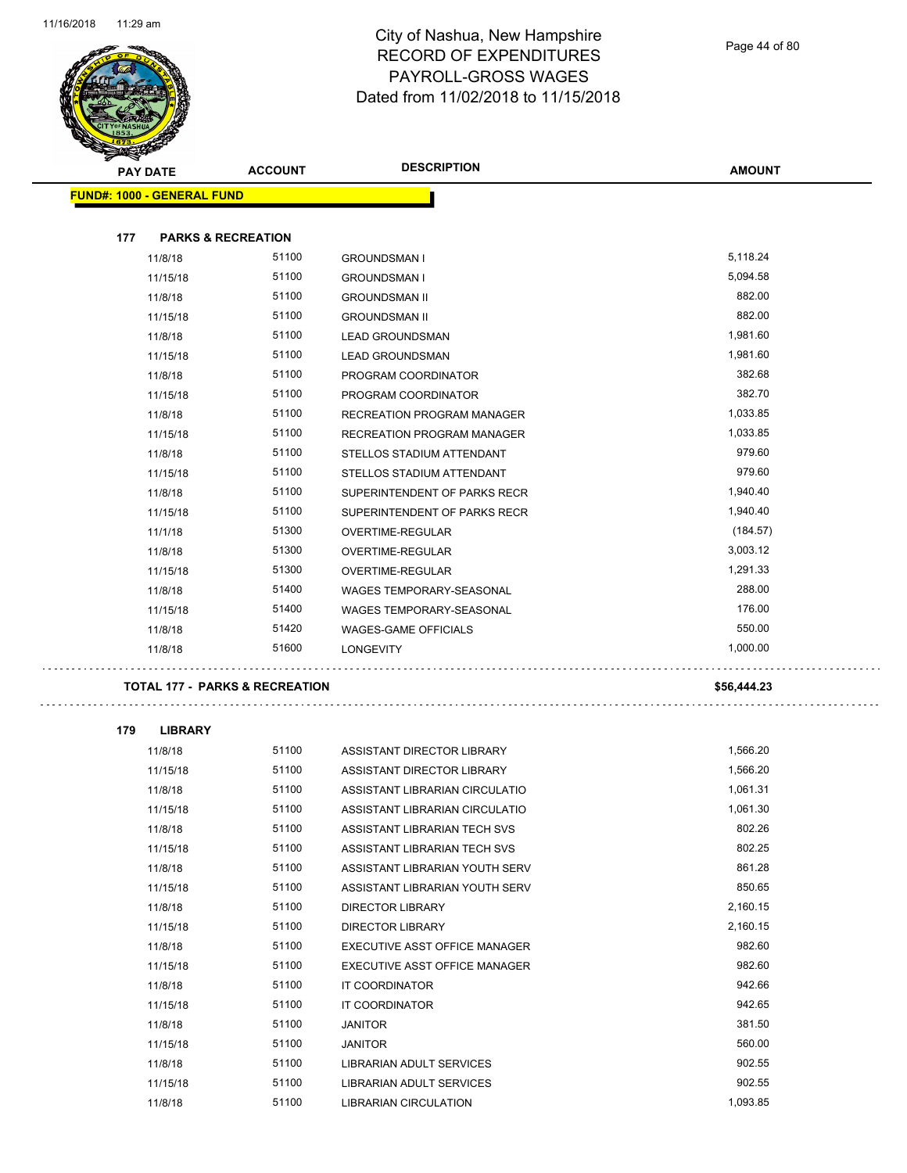

Page 44 of 80

|     | <b>PAY DATE</b>                           | <b>ACCOUNT</b> | <b>DESCRIPTION</b>                                | <b>AMOUNT</b>      |
|-----|-------------------------------------------|----------------|---------------------------------------------------|--------------------|
|     |                                           |                |                                                   |                    |
|     | <b>FUND#: 1000 - GENERAL FUND</b>         |                |                                                   |                    |
| 177 | <b>PARKS &amp; RECREATION</b>             |                |                                                   |                    |
|     | 11/8/18                                   | 51100          | <b>GROUNDSMAN I</b>                               | 5,118.24           |
|     | 11/15/18                                  | 51100          | <b>GROUNDSMAN I</b>                               | 5,094.58           |
|     | 11/8/18                                   | 51100          | <b>GROUNDSMAN II</b>                              | 882.00             |
|     | 11/15/18                                  | 51100          | <b>GROUNDSMAN II</b>                              | 882.00             |
|     | 11/8/18                                   | 51100          | <b>LEAD GROUNDSMAN</b>                            | 1,981.60           |
|     | 11/15/18                                  | 51100          | <b>LEAD GROUNDSMAN</b>                            | 1,981.60           |
|     | 11/8/18                                   | 51100          | PROGRAM COORDINATOR                               | 382.68             |
|     | 11/15/18                                  | 51100          | PROGRAM COORDINATOR                               | 382.70             |
|     | 11/8/18                                   | 51100          | RECREATION PROGRAM MANAGER                        | 1,033.85           |
|     | 11/15/18                                  | 51100          | RECREATION PROGRAM MANAGER                        | 1,033.85           |
|     | 11/8/18                                   | 51100          | STELLOS STADIUM ATTENDANT                         | 979.60             |
|     | 11/15/18                                  | 51100          | STELLOS STADIUM ATTENDANT                         | 979.60             |
|     | 11/8/18                                   | 51100          | SUPERINTENDENT OF PARKS RECR                      | 1,940.40           |
|     | 11/15/18                                  | 51100          | SUPERINTENDENT OF PARKS RECR                      | 1,940.40           |
|     | 11/1/18                                   | 51300          | OVERTIME-REGULAR                                  | (184.57)           |
|     | 11/8/18                                   | 51300          | OVERTIME-REGULAR                                  | 3,003.12           |
|     | 11/15/18                                  | 51300          | OVERTIME-REGULAR                                  | 1,291.33           |
|     | 11/8/18                                   | 51400          | WAGES TEMPORARY-SEASONAL                          | 288.00             |
|     | 11/15/18                                  | 51400          | WAGES TEMPORARY-SEASONAL                          | 176.00             |
|     | 11/8/18                                   | 51420          | <b>WAGES-GAME OFFICIALS</b>                       | 550.00             |
|     | 11/8/18                                   | 51600          | <b>LONGEVITY</b>                                  | 1,000.00           |
|     | <b>TOTAL 177 - PARKS &amp; RECREATION</b> |                |                                                   | \$56,444.23        |
| 179 | <b>LIBRARY</b>                            |                |                                                   |                    |
|     | 11/8/18                                   | 51100          | ASSISTANT DIRECTOR LIBRARY                        | 1,566.20           |
|     | 11/15/18                                  | 51100          | ASSISTANT DIRECTOR LIBRARY                        | 1,566.20           |
|     | 11/8/18                                   | 51100          | ASSISTANT LIBRARIAN CIRCULATIO                    | 1,061.31           |
|     | 11/15/18                                  | 51100          | ASSISTANT LIBRARIAN CIRCULATIO                    | 1,061.30           |
|     | 11/8/18                                   | 51100          | ASSISTANT LIBRARIAN TECH SVS                      | 802.26             |
|     | 11/15/18                                  | 51100          | ASSISTANT LIBRARIAN TECH SVS                      | 802.25             |
|     | 11/8/18                                   | 51100          | ASSISTANT LIBRARIAN YOUTH SERV                    | 861.28             |
|     | 11/15/18                                  | 51100          | ASSISTANT LIBRARIAN YOUTH SERV                    | 850.65             |
|     | 11/8/18                                   | 51100          | <b>DIRECTOR LIBRARY</b>                           | 2,160.15           |
|     | 11/15/18                                  | 51100          | <b>DIRECTOR LIBRARY</b>                           | 2,160.15           |
|     | 11/8/18                                   | 51100          | EXECUTIVE ASST OFFICE MANAGER                     | 982.60             |
|     | 11/15/18                                  | 51100          | EXECUTIVE ASST OFFICE MANAGER                     | 982.60             |
|     | 11/8/18                                   | 51100          | IT COORDINATOR                                    | 942.66             |
|     | 11/15/18                                  | 51100          | IT COORDINATOR                                    | 942.65             |
|     | 11/8/18                                   | 51100          | <b>JANITOR</b>                                    | 381.50             |
|     | 11/15/18                                  | 51100          | <b>JANITOR</b>                                    | 560.00             |
|     | 11/8/18                                   | 51100          | LIBRARIAN ADULT SERVICES                          | 902.55             |
|     |                                           |                |                                                   |                    |
|     |                                           |                |                                                   |                    |
|     | 11/15/18<br>11/8/18                       | 51100<br>51100 | LIBRARIAN ADULT SERVICES<br>LIBRARIAN CIRCULATION | 902.55<br>1,093.85 |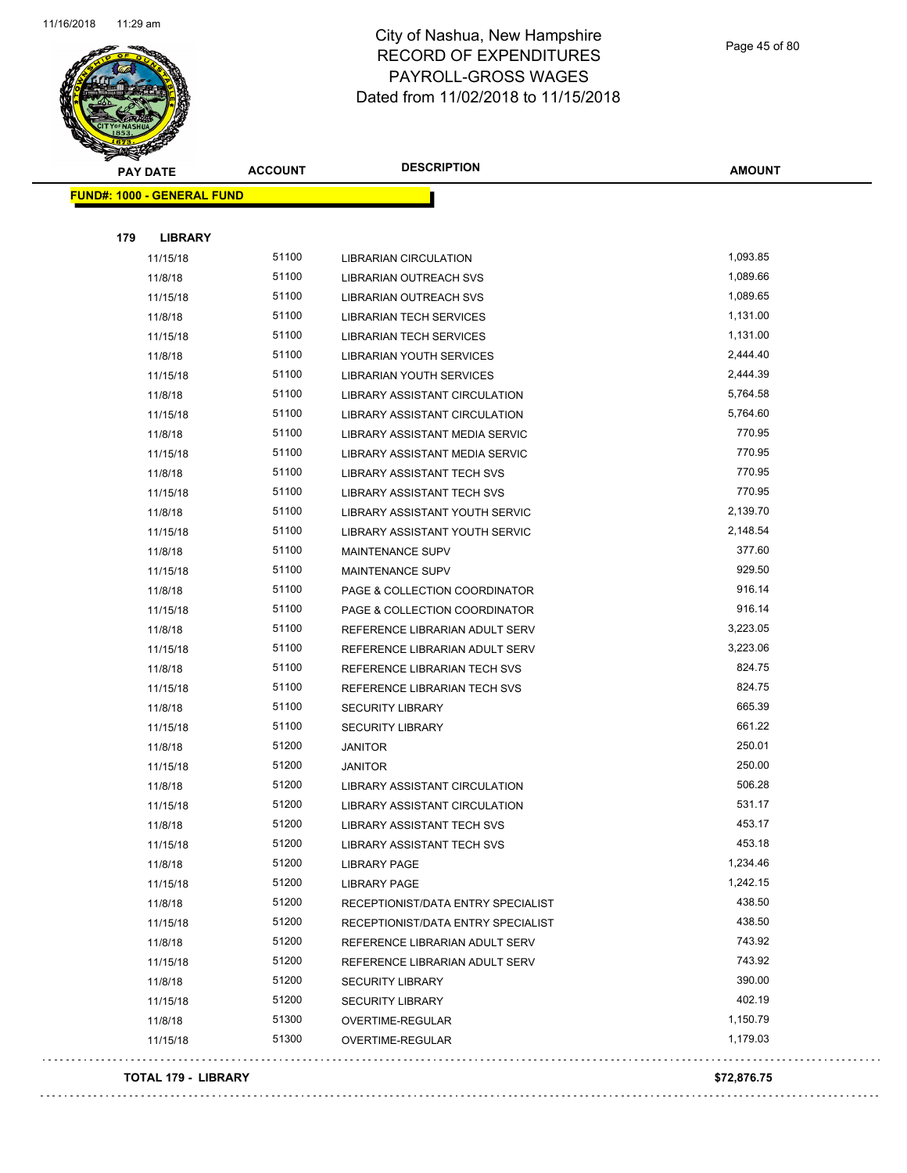

Page 45 of 80

| <b>SANGALL</b> |                                   |                |                                    |               |
|----------------|-----------------------------------|----------------|------------------------------------|---------------|
|                | <b>PAY DATE</b>                   | <b>ACCOUNT</b> | <b>DESCRIPTION</b>                 | <b>AMOUNT</b> |
|                | <b>FUND#: 1000 - GENERAL FUND</b> |                |                                    |               |
|                |                                   |                |                                    |               |
| 179            | <b>LIBRARY</b>                    |                |                                    |               |
|                | 11/15/18                          | 51100          | <b>LIBRARIAN CIRCULATION</b>       | 1,093.85      |
|                | 11/8/18                           | 51100          | LIBRARIAN OUTREACH SVS             | 1,089.66      |
|                | 11/15/18                          | 51100          | LIBRARIAN OUTREACH SVS             | 1,089.65      |
|                | 11/8/18                           | 51100          | <b>LIBRARIAN TECH SERVICES</b>     | 1,131.00      |
|                | 11/15/18                          | 51100          | <b>LIBRARIAN TECH SERVICES</b>     | 1,131.00      |
|                | 11/8/18                           | 51100          | LIBRARIAN YOUTH SERVICES           | 2,444.40      |
|                | 11/15/18                          | 51100          | LIBRARIAN YOUTH SERVICES           | 2,444.39      |
|                | 11/8/18                           | 51100          | LIBRARY ASSISTANT CIRCULATION      | 5,764.58      |
|                | 11/15/18                          | 51100          | LIBRARY ASSISTANT CIRCULATION      | 5,764.60      |
|                | 11/8/18                           | 51100          | LIBRARY ASSISTANT MEDIA SERVIC     | 770.95        |
|                | 11/15/18                          | 51100          | LIBRARY ASSISTANT MEDIA SERVIC     | 770.95        |
|                | 11/8/18                           | 51100          | LIBRARY ASSISTANT TECH SVS         | 770.95        |
|                | 11/15/18                          | 51100          | <b>LIBRARY ASSISTANT TECH SVS</b>  | 770.95        |
|                | 11/8/18                           | 51100          | LIBRARY ASSISTANT YOUTH SERVIC     | 2,139.70      |
|                | 11/15/18                          | 51100          | LIBRARY ASSISTANT YOUTH SERVIC     | 2,148.54      |
|                | 11/8/18                           | 51100          | <b>MAINTENANCE SUPV</b>            | 377.60        |
|                | 11/15/18                          | 51100          | <b>MAINTENANCE SUPV</b>            | 929.50        |
|                | 11/8/18                           | 51100          | PAGE & COLLECTION COORDINATOR      | 916.14        |
|                | 11/15/18                          | 51100          | PAGE & COLLECTION COORDINATOR      | 916.14        |
|                | 11/8/18                           | 51100          | REFERENCE LIBRARIAN ADULT SERV     | 3,223.05      |
|                | 11/15/18                          | 51100          | REFERENCE LIBRARIAN ADULT SERV     | 3,223.06      |
|                | 11/8/18                           | 51100          | REFERENCE LIBRARIAN TECH SVS       | 824.75        |
|                | 11/15/18                          | 51100          | REFERENCE LIBRARIAN TECH SVS       | 824.75        |
|                | 11/8/18                           | 51100          | <b>SECURITY LIBRARY</b>            | 665.39        |
|                | 11/15/18                          | 51100          | <b>SECURITY LIBRARY</b>            | 661.22        |
|                | 11/8/18                           | 51200          | <b>JANITOR</b>                     | 250.01        |
|                | 11/15/18                          | 51200          | <b>JANITOR</b>                     | 250.00        |
|                | 11/8/18                           | 51200          | LIBRARY ASSISTANT CIRCULATION      | 506.28        |
|                | 11/15/18                          | 51200          | LIBRARY ASSISTANT CIRCULATION      | 531.17        |
|                | 11/8/18                           | 51200          | LIBRARY ASSISTANT TECH SVS         | 453.17        |
|                | 11/15/18                          | 51200          | LIBRARY ASSISTANT TECH SVS         | 453.18        |
|                | 11/8/18                           | 51200          | <b>LIBRARY PAGE</b>                | 1,234.46      |
|                | 11/15/18                          | 51200          | <b>LIBRARY PAGE</b>                | 1,242.15      |
|                | 11/8/18                           | 51200          | RECEPTIONIST/DATA ENTRY SPECIALIST | 438.50        |
|                | 11/15/18                          | 51200          | RECEPTIONIST/DATA ENTRY SPECIALIST | 438.50        |
|                | 11/8/18                           | 51200          | REFERENCE LIBRARIAN ADULT SERV     | 743.92        |
|                | 11/15/18                          | 51200          | REFERENCE LIBRARIAN ADULT SERV     | 743.92        |
|                | 11/8/18                           | 51200          | <b>SECURITY LIBRARY</b>            | 390.00        |
|                | 11/15/18                          | 51200          | <b>SECURITY LIBRARY</b>            | 402.19        |
|                | 11/8/18                           | 51300          | OVERTIME-REGULAR                   | 1,150.79      |
|                | 11/15/18                          | 51300          | OVERTIME-REGULAR                   | 1,179.03      |
|                |                                   |                |                                    |               |

#### **TOTAL 179 - LIBRARY \$72,876.75**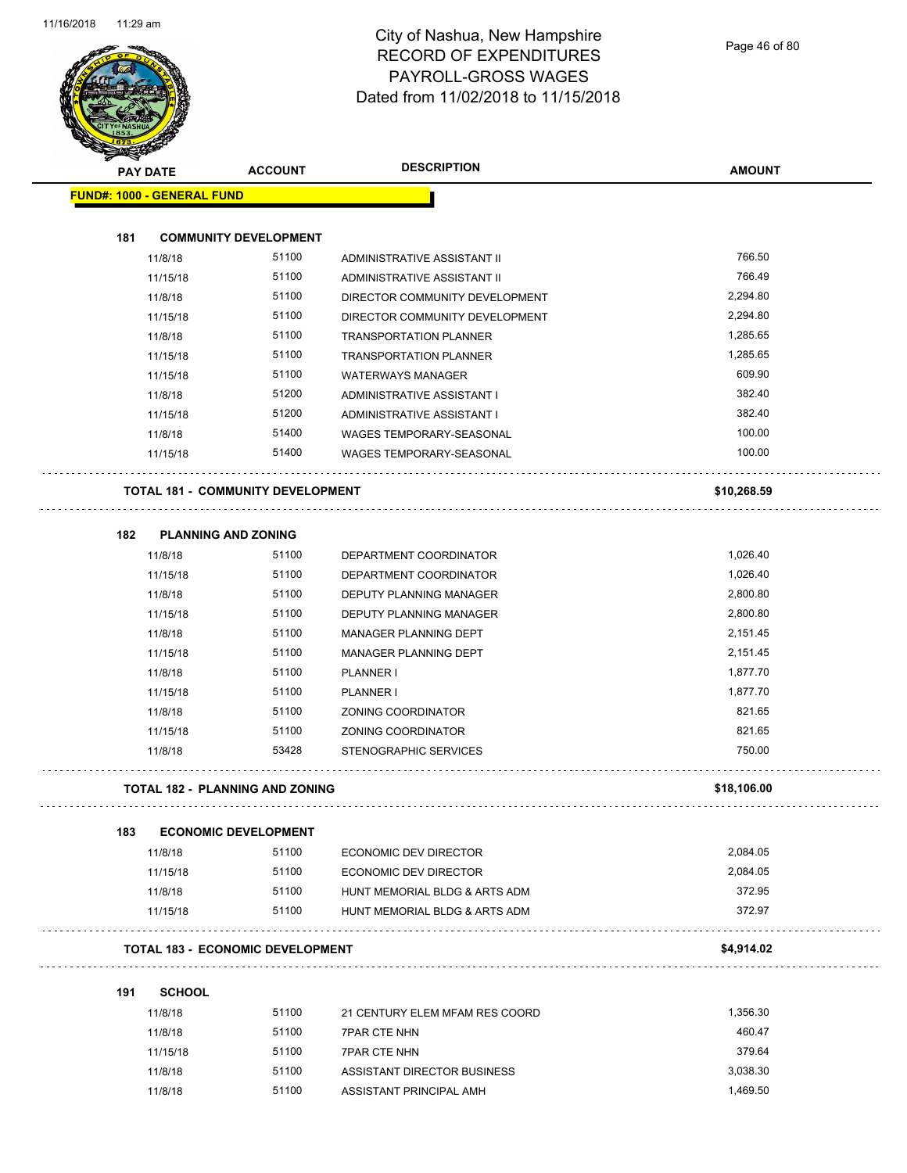

|     | <b>PAY DATE</b>                   | <b>ACCOUNT</b>                           | <b>DESCRIPTION</b>              | <b>AMOUNT</b> |
|-----|-----------------------------------|------------------------------------------|---------------------------------|---------------|
|     | <b>FUND#: 1000 - GENERAL FUND</b> |                                          |                                 |               |
| 181 |                                   | <b>COMMUNITY DEVELOPMENT</b>             |                                 |               |
|     | 11/8/18                           | 51100                                    | ADMINISTRATIVE ASSISTANT II     | 766.50        |
|     | 11/15/18                          | 51100                                    | ADMINISTRATIVE ASSISTANT II     | 766.49        |
|     | 11/8/18                           | 51100                                    | DIRECTOR COMMUNITY DEVELOPMENT  | 2,294.80      |
|     | 11/15/18                          | 51100                                    | DIRECTOR COMMUNITY DEVELOPMENT  | 2,294.80      |
|     | 11/8/18                           | 51100                                    | <b>TRANSPORTATION PLANNER</b>   | 1,285.65      |
|     | 11/15/18                          | 51100                                    | <b>TRANSPORTATION PLANNER</b>   | 1,285.65      |
|     | 11/15/18                          | 51100                                    | <b>WATERWAYS MANAGER</b>        | 609.90        |
|     | 11/8/18                           | 51200                                    | ADMINISTRATIVE ASSISTANT I      | 382.40        |
|     | 11/15/18                          | 51200                                    | ADMINISTRATIVE ASSISTANT I      | 382.40        |
|     | 11/8/18                           | 51400                                    | <b>WAGES TEMPORARY-SEASONAL</b> | 100.00        |
|     | 11/15/18                          | 51400                                    | <b>WAGES TEMPORARY-SEASONAL</b> | 100.00        |
|     |                                   | <b>TOTAL 181 - COMMUNITY DEVELOPMENT</b> |                                 | \$10,268.59   |
| 182 | <b>PLANNING AND ZONING</b>        |                                          |                                 |               |
|     | 11/8/18                           | 51100                                    | DEPARTMENT COORDINATOR          | 1,026.40      |
|     | 11/15/18                          | 51100                                    | DEPARTMENT COORDINATOR          | 1,026.40      |
|     | 11/8/18                           | 51100                                    | DEPUTY PLANNING MANAGER         | 2,800.80      |
|     | 11/15/18                          | 51100                                    | DEPUTY PLANNING MANAGER         | 2,800.80      |
|     | 11/8/18                           | 51100                                    | <b>MANAGER PLANNING DEPT</b>    | 2,151.45      |
|     | 11/15/18                          | 51100                                    | MANAGER PLANNING DEPT           | 2,151.45      |
|     | 11/8/18                           | 51100                                    | PLANNER I                       | 1,877.70      |
|     | 11/15/18                          | 51100                                    | <b>PLANNER I</b>                | 1,877.70      |
|     | 11/8/18                           | 51100                                    | ZONING COORDINATOR              | 821.65        |
|     | 11/15/18                          | 51100                                    | ZONING COORDINATOR              | 821.65        |
|     | 11/8/18                           | 53428                                    | <b>STENOGRAPHIC SERVICES</b>    | 750.00        |
|     |                                   | <b>TOTAL 182 - PLANNING AND ZONING</b>   |                                 | \$18,106.00   |
| 183 |                                   | <b>ECONOMIC DEVELOPMENT</b>              |                                 |               |
|     | 11/8/18                           | 51100                                    | <b>ECONOMIC DEV DIRECTOR</b>    | 2,084.05      |
|     | 11/15/18                          | 51100                                    | ECONOMIC DEV DIRECTOR           | 2,084.05      |
|     | 11/8/18                           | 51100                                    | HUNT MEMORIAL BLDG & ARTS ADM   | 372.95        |
|     | 11/15/18                          | 51100                                    | HUNT MEMORIAL BLDG & ARTS ADM   | 372.97        |
|     |                                   | <b>TOTAL 183 - ECONOMIC DEVELOPMENT</b>  |                                 | \$4,914.02    |
| 191 | <b>SCHOOL</b>                     |                                          |                                 |               |
|     | 11/8/18                           | 51100                                    | 21 CENTURY ELEM MFAM RES COORD  | 1,356.30      |
|     | 11/8/18                           | 51100                                    | <b>7PAR CTE NHN</b>             | 460.47        |

| 11/8/18  | 51100 | <b>7PAR CTE NHN</b>         | 460.47   |
|----------|-------|-----------------------------|----------|
| 11/15/18 | 51100 | <b>7PAR CTE NHN</b>         | 379.64   |
| 11/8/18  | 51100 | ASSISTANT DIRECTOR BUSINESS | 3,038.30 |
| 11/8/18  | 51100 | ASSISTANT PRINCIPAL AMH     | 1.469.50 |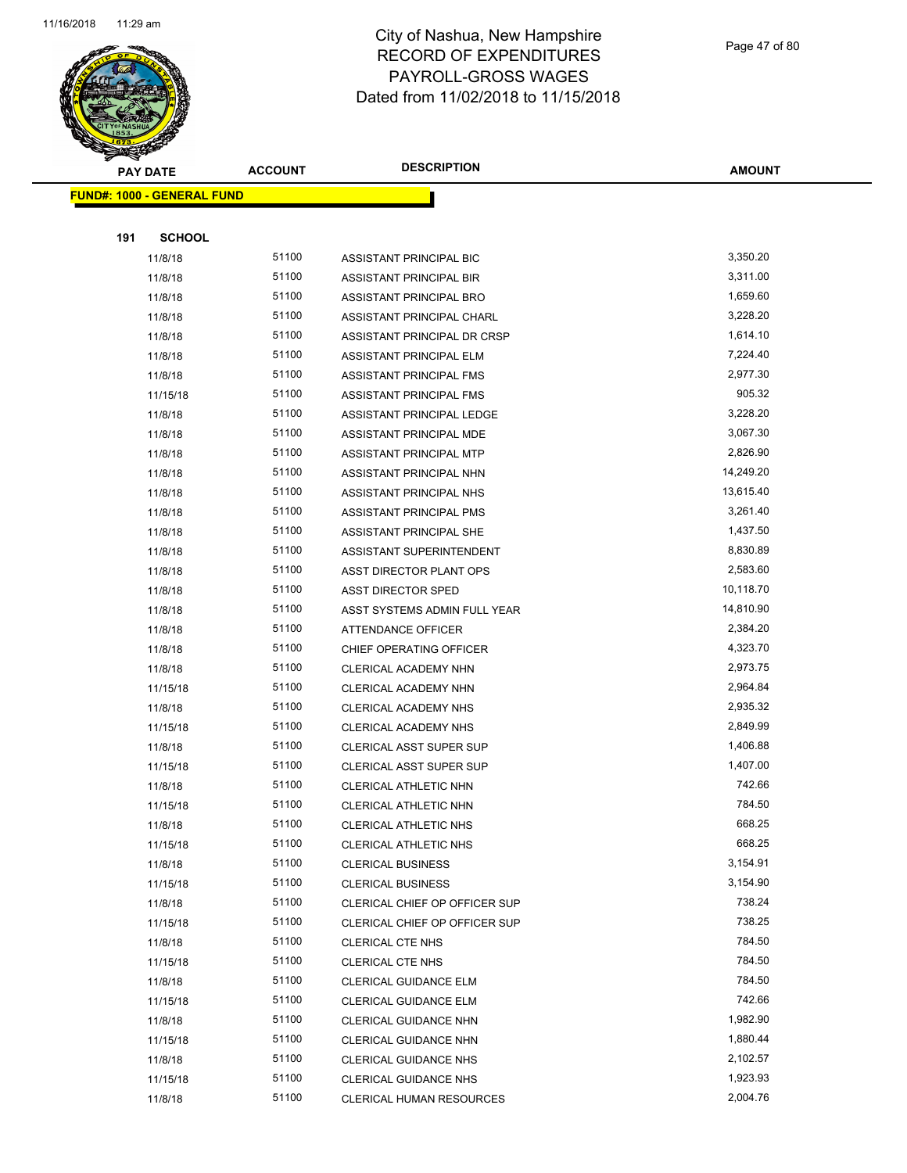

Page 47 of 80

|     | <b>PAY DATE</b>                   | <b>ACCOUNT</b> | <b>DESCRIPTION</b>              | <b>AMOUNT</b> |  |
|-----|-----------------------------------|----------------|---------------------------------|---------------|--|
|     | <b>FUND#: 1000 - GENERAL FUND</b> |                |                                 |               |  |
|     |                                   |                |                                 |               |  |
| 191 | <b>SCHOOL</b>                     |                |                                 |               |  |
|     | 11/8/18                           | 51100          | ASSISTANT PRINCIPAL BIC         | 3,350.20      |  |
|     | 11/8/18                           | 51100          | ASSISTANT PRINCIPAL BIR         | 3,311.00      |  |
|     | 11/8/18                           | 51100          | ASSISTANT PRINCIPAL BRO         | 1,659.60      |  |
|     | 11/8/18                           | 51100          | ASSISTANT PRINCIPAL CHARL       | 3,228.20      |  |
|     | 11/8/18                           | 51100          | ASSISTANT PRINCIPAL DR CRSP     | 1,614.10      |  |
|     | 11/8/18                           | 51100          | ASSISTANT PRINCIPAL ELM         | 7,224.40      |  |
|     | 11/8/18                           | 51100          | ASSISTANT PRINCIPAL FMS         | 2,977.30      |  |
|     | 11/15/18                          | 51100          | ASSISTANT PRINCIPAL FMS         | 905.32        |  |
|     | 11/8/18                           | 51100          | ASSISTANT PRINCIPAL LEDGE       | 3,228.20      |  |
|     | 11/8/18                           | 51100          | ASSISTANT PRINCIPAL MDE         | 3,067.30      |  |
|     | 11/8/18                           | 51100          | ASSISTANT PRINCIPAL MTP         | 2,826.90      |  |
|     | 11/8/18                           | 51100          | ASSISTANT PRINCIPAL NHN         | 14,249.20     |  |
|     | 11/8/18                           | 51100          | ASSISTANT PRINCIPAL NHS         | 13,615.40     |  |
|     | 11/8/18                           | 51100          | ASSISTANT PRINCIPAL PMS         | 3,261.40      |  |
|     | 11/8/18                           | 51100          | ASSISTANT PRINCIPAL SHE         | 1,437.50      |  |
|     | 11/8/18                           | 51100          | ASSISTANT SUPERINTENDENT        | 8,830.89      |  |
|     | 11/8/18                           | 51100          | ASST DIRECTOR PLANT OPS         | 2,583.60      |  |
|     | 11/8/18                           | 51100          | <b>ASST DIRECTOR SPED</b>       | 10,118.70     |  |
|     | 11/8/18                           | 51100          | ASST SYSTEMS ADMIN FULL YEAR    | 14,810.90     |  |
|     | 11/8/18                           | 51100          | <b>ATTENDANCE OFFICER</b>       | 2,384.20      |  |
|     | 11/8/18                           | 51100          | CHIEF OPERATING OFFICER         | 4,323.70      |  |
|     | 11/8/18                           | 51100          | CLERICAL ACADEMY NHN            | 2,973.75      |  |
|     | 11/15/18                          | 51100          | CLERICAL ACADEMY NHN            | 2,964.84      |  |
|     | 11/8/18                           | 51100          | CLERICAL ACADEMY NHS            | 2,935.32      |  |
|     | 11/15/18                          | 51100          | CLERICAL ACADEMY NHS            | 2,849.99      |  |
|     | 11/8/18                           | 51100          | <b>CLERICAL ASST SUPER SUP</b>  | 1,406.88      |  |
|     | 11/15/18                          | 51100          | <b>CLERICAL ASST SUPER SUP</b>  | 1,407.00      |  |
|     | 11/8/18                           | 51100          | CLERICAL ATHLETIC NHN           | 742.66        |  |
|     | 11/15/18                          | 51100          | CLERICAL ATHLETIC NHN           | 784.50        |  |
|     | 11/8/18                           | 51100          | CLERICAL ATHLETIC NHS           | 668.25        |  |
|     | 11/15/18                          | 51100          | <b>CLERICAL ATHLETIC NHS</b>    | 668.25        |  |
|     | 11/8/18                           | 51100          | <b>CLERICAL BUSINESS</b>        | 3,154.91      |  |
|     | 11/15/18                          | 51100          | <b>CLERICAL BUSINESS</b>        | 3,154.90      |  |
|     | 11/8/18                           | 51100          | CLERICAL CHIEF OP OFFICER SUP   | 738.24        |  |
|     | 11/15/18                          | 51100          | CLERICAL CHIEF OP OFFICER SUP   | 738.25        |  |
|     | 11/8/18                           | 51100          | <b>CLERICAL CTE NHS</b>         | 784.50        |  |
|     | 11/15/18                          | 51100          | <b>CLERICAL CTE NHS</b>         | 784.50        |  |
|     | 11/8/18                           | 51100          | CLERICAL GUIDANCE ELM           | 784.50        |  |
|     | 11/15/18                          | 51100          | CLERICAL GUIDANCE ELM           | 742.66        |  |
|     | 11/8/18                           | 51100          | CLERICAL GUIDANCE NHN           | 1,982.90      |  |
|     | 11/15/18                          | 51100          | CLERICAL GUIDANCE NHN           | 1,880.44      |  |
|     | 11/8/18                           | 51100          | <b>CLERICAL GUIDANCE NHS</b>    | 2,102.57      |  |
|     | 11/15/18                          | 51100          | CLERICAL GUIDANCE NHS           | 1,923.93      |  |
|     | 11/8/18                           | 51100          | <b>CLERICAL HUMAN RESOURCES</b> | 2,004.76      |  |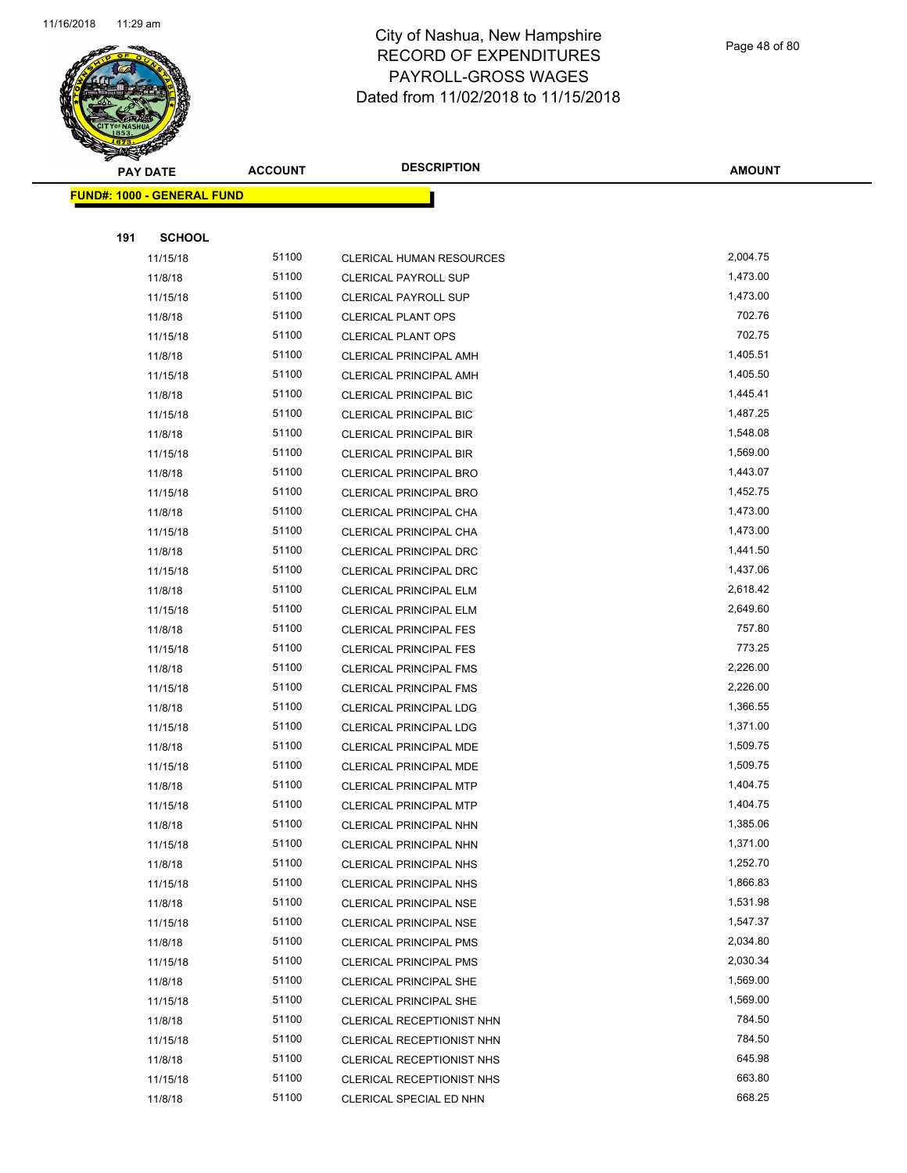

Page 48 of 80

|     | <b>PAY DATE</b>                   | <b>ACCOUNT</b> | <b>DESCRIPTION</b>                                             | <b>AMOUNT</b>        |
|-----|-----------------------------------|----------------|----------------------------------------------------------------|----------------------|
|     | <b>FUND#: 1000 - GENERAL FUND</b> |                |                                                                |                      |
|     |                                   |                |                                                                |                      |
| 191 | <b>SCHOOL</b>                     |                |                                                                |                      |
|     | 11/15/18                          | 51100          | <b>CLERICAL HUMAN RESOURCES</b>                                | 2,004.75             |
|     | 11/8/18                           | 51100          | <b>CLERICAL PAYROLL SUP</b>                                    | 1,473.00             |
|     | 11/15/18                          | 51100          | <b>CLERICAL PAYROLL SUP</b>                                    | 1,473.00             |
|     | 11/8/18                           | 51100          | <b>CLERICAL PLANT OPS</b>                                      | 702.76               |
|     | 11/15/18                          | 51100          | <b>CLERICAL PLANT OPS</b>                                      | 702.75               |
|     | 11/8/18                           | 51100          | <b>CLERICAL PRINCIPAL AMH</b>                                  | 1,405.51             |
|     | 11/15/18                          | 51100          | <b>CLERICAL PRINCIPAL AMH</b>                                  | 1,405.50             |
|     | 11/8/18                           | 51100          | <b>CLERICAL PRINCIPAL BIC</b>                                  | 1,445.41             |
|     | 11/15/18                          | 51100          | <b>CLERICAL PRINCIPAL BIC</b>                                  | 1,487.25             |
|     | 11/8/18                           | 51100          | <b>CLERICAL PRINCIPAL BIR</b>                                  | 1,548.08             |
|     | 11/15/18                          | 51100          | <b>CLERICAL PRINCIPAL BIR</b>                                  | 1,569.00             |
|     | 11/8/18                           | 51100          | <b>CLERICAL PRINCIPAL BRO</b>                                  | 1,443.07             |
|     | 11/15/18                          | 51100          | <b>CLERICAL PRINCIPAL BRO</b>                                  | 1,452.75             |
|     | 11/8/18                           | 51100          | CLERICAL PRINCIPAL CHA                                         | 1,473.00             |
|     | 11/15/18                          | 51100          | CLERICAL PRINCIPAL CHA                                         | 1,473.00             |
|     | 11/8/18                           | 51100          | <b>CLERICAL PRINCIPAL DRC</b>                                  | 1,441.50             |
|     | 11/15/18                          | 51100          | <b>CLERICAL PRINCIPAL DRC</b>                                  | 1,437.06             |
|     | 11/8/18                           | 51100          | <b>CLERICAL PRINCIPAL ELM</b>                                  | 2,618.42             |
|     | 11/15/18                          | 51100          | <b>CLERICAL PRINCIPAL ELM</b>                                  | 2,649.60             |
|     | 11/8/18                           | 51100          | <b>CLERICAL PRINCIPAL FES</b>                                  | 757.80               |
|     | 11/15/18                          | 51100          | <b>CLERICAL PRINCIPAL FES</b>                                  | 773.25               |
|     | 11/8/18                           | 51100          | <b>CLERICAL PRINCIPAL FMS</b>                                  | 2,226.00             |
|     | 11/15/18                          | 51100          | <b>CLERICAL PRINCIPAL FMS</b>                                  | 2,226.00             |
|     | 11/8/18                           | 51100          | <b>CLERICAL PRINCIPAL LDG</b>                                  | 1,366.55             |
|     | 11/15/18                          | 51100          | <b>CLERICAL PRINCIPAL LDG</b>                                  | 1,371.00             |
|     | 11/8/18                           | 51100          | CLERICAL PRINCIPAL MDE                                         | 1,509.75             |
|     | 11/15/18                          | 51100          | CLERICAL PRINCIPAL MDE                                         | 1,509.75             |
|     | 11/8/18                           | 51100          | <b>CLERICAL PRINCIPAL MTP</b>                                  | 1,404.75             |
|     | 11/15/18                          | 51100          | <b>CLERICAL PRINCIPAL MTP</b>                                  | 1,404.75             |
|     | 11/8/18                           | 51100          | <b>CLERICAL PRINCIPAL NHN</b>                                  | 1,385.06             |
|     | 11/15/18                          | 51100          | CLERICAL PRINCIPAL NHN                                         | 1,371.00<br>1,252.70 |
|     | 11/8/18                           | 51100          | <b>CLERICAL PRINCIPAL NHS</b>                                  |                      |
|     | 11/15/18                          | 51100          | <b>CLERICAL PRINCIPAL NHS</b>                                  | 1,866.83<br>1,531.98 |
|     | 11/8/18                           | 51100<br>51100 | <b>CLERICAL PRINCIPAL NSE</b><br><b>CLERICAL PRINCIPAL NSE</b> | 1,547.37             |
|     | 11/15/18<br>11/8/18               | 51100          | <b>CLERICAL PRINCIPAL PMS</b>                                  | 2,034.80             |
|     | 11/15/18                          | 51100          | <b>CLERICAL PRINCIPAL PMS</b>                                  | 2,030.34             |
|     | 11/8/18                           | 51100          | <b>CLERICAL PRINCIPAL SHE</b>                                  | 1,569.00             |
|     | 11/15/18                          | 51100          | <b>CLERICAL PRINCIPAL SHE</b>                                  | 1,569.00             |
|     | 11/8/18                           | 51100          | CLERICAL RECEPTIONIST NHN                                      | 784.50               |
|     | 11/15/18                          | 51100          | CLERICAL RECEPTIONIST NHN                                      | 784.50               |
|     | 11/8/18                           | 51100          | CLERICAL RECEPTIONIST NHS                                      | 645.98               |
|     | 11/15/18                          | 51100          | CLERICAL RECEPTIONIST NHS                                      | 663.80               |
|     | 11/8/18                           | 51100          | CLERICAL SPECIAL ED NHN                                        | 668.25               |
|     |                                   |                |                                                                |                      |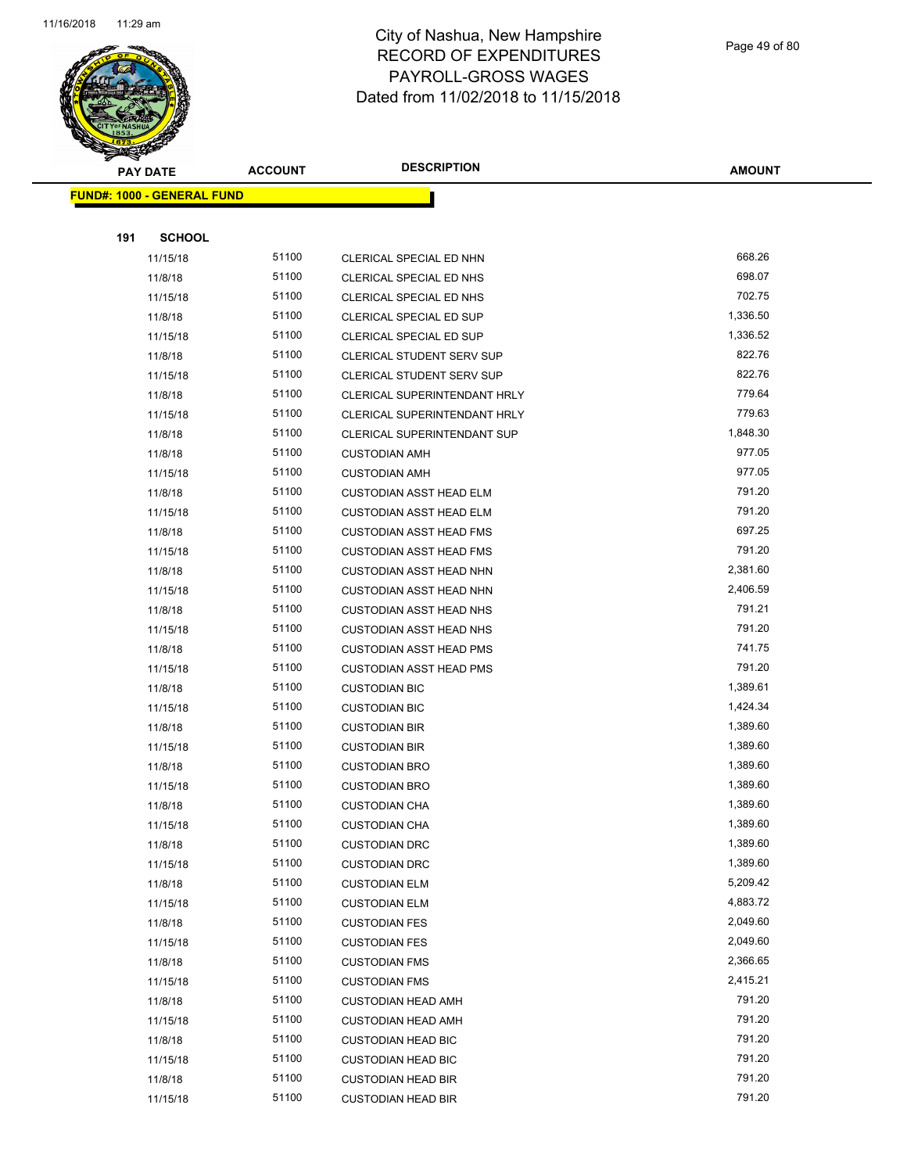

Page 49 of 80

|     | <b>PAY DATE</b>                   | <b>ACCOUNT</b> | <b>DESCRIPTION</b>                                     | <b>AMOUNT</b>        |
|-----|-----------------------------------|----------------|--------------------------------------------------------|----------------------|
|     | <b>FUND#: 1000 - GENERAL FUND</b> |                |                                                        |                      |
|     |                                   |                |                                                        |                      |
| 191 | <b>SCHOOL</b>                     |                |                                                        |                      |
|     | 11/15/18                          | 51100          | CLERICAL SPECIAL ED NHN                                | 668.26               |
|     | 11/8/18                           | 51100          | CLERICAL SPECIAL ED NHS                                | 698.07               |
|     | 11/15/18                          | 51100          | CLERICAL SPECIAL ED NHS                                | 702.75               |
|     | 11/8/18                           | 51100          | CLERICAL SPECIAL ED SUP                                | 1,336.50             |
|     | 11/15/18                          | 51100          | CLERICAL SPECIAL ED SUP                                | 1,336.52             |
|     | 11/8/18                           | 51100          | <b>CLERICAL STUDENT SERV SUP</b>                       | 822.76               |
|     | 11/15/18                          | 51100          | <b>CLERICAL STUDENT SERV SUP</b>                       | 822.76               |
|     | 11/8/18                           | 51100          | CLERICAL SUPERINTENDANT HRLY                           | 779.64               |
|     | 11/15/18                          | 51100          | CLERICAL SUPERINTENDANT HRLY                           | 779.63               |
|     | 11/8/18                           | 51100          | CLERICAL SUPERINTENDANT SUP                            | 1,848.30             |
|     | 11/8/18                           | 51100          | <b>CUSTODIAN AMH</b>                                   | 977.05               |
|     | 11/15/18                          | 51100          | <b>CUSTODIAN AMH</b>                                   | 977.05               |
|     | 11/8/18                           | 51100          | <b>CUSTODIAN ASST HEAD ELM</b>                         | 791.20               |
|     | 11/15/18                          | 51100          | <b>CUSTODIAN ASST HEAD ELM</b>                         | 791.20               |
|     | 11/8/18                           | 51100          | <b>CUSTODIAN ASST HEAD FMS</b>                         | 697.25               |
|     | 11/15/18                          | 51100          | <b>CUSTODIAN ASST HEAD FMS</b>                         | 791.20               |
|     | 11/8/18                           | 51100          | <b>CUSTODIAN ASST HEAD NHN</b>                         | 2,381.60             |
|     | 11/15/18                          | 51100          | <b>CUSTODIAN ASST HEAD NHN</b>                         | 2,406.59             |
|     | 11/8/18                           | 51100          | <b>CUSTODIAN ASST HEAD NHS</b>                         | 791.21               |
|     | 11/15/18                          | 51100          | <b>CUSTODIAN ASST HEAD NHS</b>                         | 791.20               |
|     | 11/8/18                           | 51100          | <b>CUSTODIAN ASST HEAD PMS</b>                         | 741.75               |
|     | 11/15/18                          | 51100          | <b>CUSTODIAN ASST HEAD PMS</b>                         | 791.20               |
|     | 11/8/18                           | 51100          | <b>CUSTODIAN BIC</b>                                   | 1,389.61             |
|     | 11/15/18                          | 51100          | <b>CUSTODIAN BIC</b>                                   | 1,424.34             |
|     | 11/8/18                           | 51100          | <b>CUSTODIAN BIR</b>                                   | 1,389.60             |
|     | 11/15/18                          | 51100          | <b>CUSTODIAN BIR</b>                                   | 1,389.60             |
|     | 11/8/18                           | 51100          | <b>CUSTODIAN BRO</b>                                   | 1,389.60             |
|     | 11/15/18                          | 51100          | <b>CUSTODIAN BRO</b>                                   | 1,389.60             |
|     | 11/8/18                           | 51100          | <b>CUSTODIAN CHA</b>                                   | 1,389.60             |
|     | 11/15/18                          | 51100          | <b>CUSTODIAN CHA</b>                                   | 1,389.60             |
|     | 11/8/18                           | 51100          | <b>CUSTODIAN DRC</b>                                   | 1,389.60             |
|     | 11/15/18                          | 51100          | <b>CUSTODIAN DRC</b>                                   | 1,389.60             |
|     | 11/8/18                           | 51100          | <b>CUSTODIAN ELM</b>                                   | 5,209.42             |
|     | 11/15/18                          | 51100          | <b>CUSTODIAN ELM</b>                                   | 4,883.72             |
|     | 11/8/18                           | 51100          | <b>CUSTODIAN FES</b>                                   | 2,049.60             |
|     | 11/15/18                          | 51100<br>51100 | <b>CUSTODIAN FES</b>                                   | 2,049.60<br>2,366.65 |
|     | 11/8/18                           |                | <b>CUSTODIAN FMS</b>                                   |                      |
|     | 11/15/18                          | 51100          | <b>CUSTODIAN FMS</b>                                   | 2,415.21<br>791.20   |
|     | 11/8/18                           | 51100<br>51100 | <b>CUSTODIAN HEAD AMH</b>                              | 791.20               |
|     | 11/15/18                          | 51100          | <b>CUSTODIAN HEAD AMH</b>                              | 791.20               |
|     | 11/8/18                           | 51100          | <b>CUSTODIAN HEAD BIC</b><br><b>CUSTODIAN HEAD BIC</b> | 791.20               |
|     | 11/15/18<br>11/8/18               | 51100          | <b>CUSTODIAN HEAD BIR</b>                              | 791.20               |
|     | 11/15/18                          | 51100          | <b>CUSTODIAN HEAD BIR</b>                              | 791.20               |
|     |                                   |                |                                                        |                      |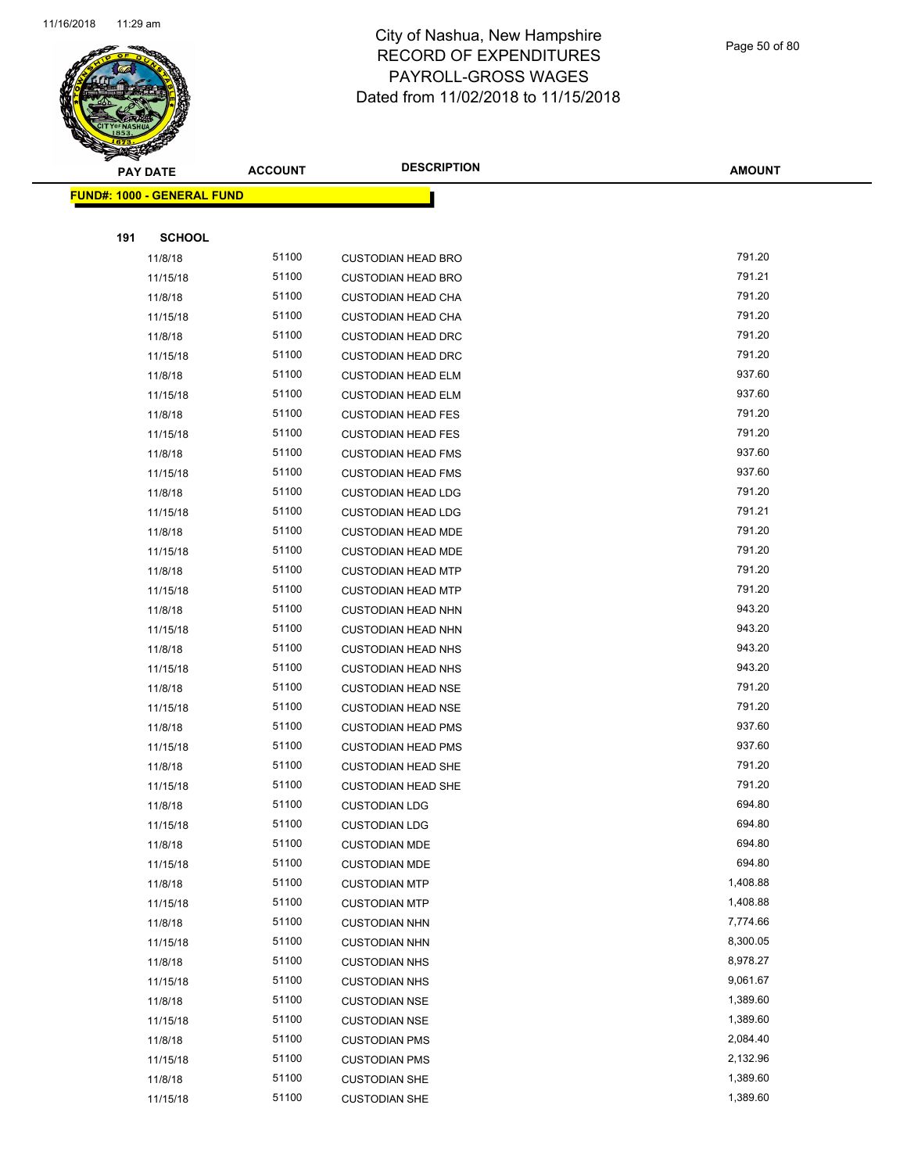

Page 50 of 80

| <b>PAY DATE</b>                   | <b>ACCOUNT</b> | <b>DESCRIPTION</b>        | <b>AMOUNT</b> |
|-----------------------------------|----------------|---------------------------|---------------|
| <b>FUND#: 1000 - GENERAL FUND</b> |                |                           |               |
|                                   |                |                           |               |
| 191<br><b>SCHOOL</b>              |                |                           |               |
| 11/8/18                           | 51100          | <b>CUSTODIAN HEAD BRO</b> | 791.20        |
| 11/15/18                          | 51100          | <b>CUSTODIAN HEAD BRO</b> | 791.21        |
| 11/8/18                           | 51100          | <b>CUSTODIAN HEAD CHA</b> | 791.20        |
| 11/15/18                          | 51100          | <b>CUSTODIAN HEAD CHA</b> | 791.20        |
| 11/8/18                           | 51100          | <b>CUSTODIAN HEAD DRC</b> | 791.20        |
| 11/15/18                          | 51100          | <b>CUSTODIAN HEAD DRC</b> | 791.20        |
| 11/8/18                           | 51100          | <b>CUSTODIAN HEAD ELM</b> | 937.60        |
| 11/15/18                          | 51100          | <b>CUSTODIAN HEAD ELM</b> | 937.60        |
| 11/8/18                           | 51100          | <b>CUSTODIAN HEAD FES</b> | 791.20        |
| 11/15/18                          | 51100          | <b>CUSTODIAN HEAD FES</b> | 791.20        |
| 11/8/18                           | 51100          | <b>CUSTODIAN HEAD FMS</b> | 937.60        |
| 11/15/18                          | 51100          | <b>CUSTODIAN HEAD FMS</b> | 937.60        |
| 11/8/18                           | 51100          | <b>CUSTODIAN HEAD LDG</b> | 791.20        |
| 11/15/18                          | 51100          | <b>CUSTODIAN HEAD LDG</b> | 791.21        |
| 11/8/18                           | 51100          | <b>CUSTODIAN HEAD MDE</b> | 791.20        |
| 11/15/18                          | 51100          | <b>CUSTODIAN HEAD MDE</b> | 791.20        |
| 11/8/18                           | 51100          | <b>CUSTODIAN HEAD MTP</b> | 791.20        |
| 11/15/18                          | 51100          | <b>CUSTODIAN HEAD MTP</b> | 791.20        |
| 11/8/18                           | 51100          | <b>CUSTODIAN HEAD NHN</b> | 943.20        |
| 11/15/18                          | 51100          | <b>CUSTODIAN HEAD NHN</b> | 943.20        |
| 11/8/18                           | 51100          | <b>CUSTODIAN HEAD NHS</b> | 943.20        |
| 11/15/18                          | 51100          | <b>CUSTODIAN HEAD NHS</b> | 943.20        |
| 11/8/18                           | 51100          | <b>CUSTODIAN HEAD NSE</b> | 791.20        |
| 11/15/18                          | 51100          | <b>CUSTODIAN HEAD NSE</b> | 791.20        |
| 11/8/18                           | 51100          | <b>CUSTODIAN HEAD PMS</b> | 937.60        |
| 11/15/18                          | 51100          | <b>CUSTODIAN HEAD PMS</b> | 937.60        |
| 11/8/18                           | 51100          | <b>CUSTODIAN HEAD SHE</b> | 791.20        |
| 11/15/18                          | 51100          | <b>CUSTODIAN HEAD SHE</b> | 791.20        |
| 11/8/18                           | 51100          | <b>CUSTODIAN LDG</b>      | 694.80        |
| 11/15/18                          | 51100          | <b>CUSTODIAN LDG</b>      | 694.80        |
| 11/8/18                           | 51100          | <b>CUSTODIAN MDE</b>      | 694.80        |
| 11/15/18                          | 51100          | <b>CUSTODIAN MDE</b>      | 694.80        |
| 11/8/18                           | 51100          | <b>CUSTODIAN MTP</b>      | 1,408.88      |
| 11/15/18                          | 51100          | <b>CUSTODIAN MTP</b>      | 1,408.88      |
| 11/8/18                           | 51100          | <b>CUSTODIAN NHN</b>      | 7,774.66      |
| 11/15/18                          | 51100          | <b>CUSTODIAN NHN</b>      | 8,300.05      |
| 11/8/18                           | 51100          | <b>CUSTODIAN NHS</b>      | 8,978.27      |
| 11/15/18                          | 51100          | <b>CUSTODIAN NHS</b>      | 9,061.67      |
| 11/8/18                           | 51100          | <b>CUSTODIAN NSE</b>      | 1,389.60      |
| 11/15/18                          | 51100          | <b>CUSTODIAN NSE</b>      | 1,389.60      |
| 11/8/18                           | 51100          | <b>CUSTODIAN PMS</b>      | 2,084.40      |
| 11/15/18                          | 51100          | <b>CUSTODIAN PMS</b>      | 2,132.96      |
| 11/8/18                           | 51100          | <b>CUSTODIAN SHE</b>      | 1,389.60      |
| 11/15/18                          | 51100          | <b>CUSTODIAN SHE</b>      | 1,389.60      |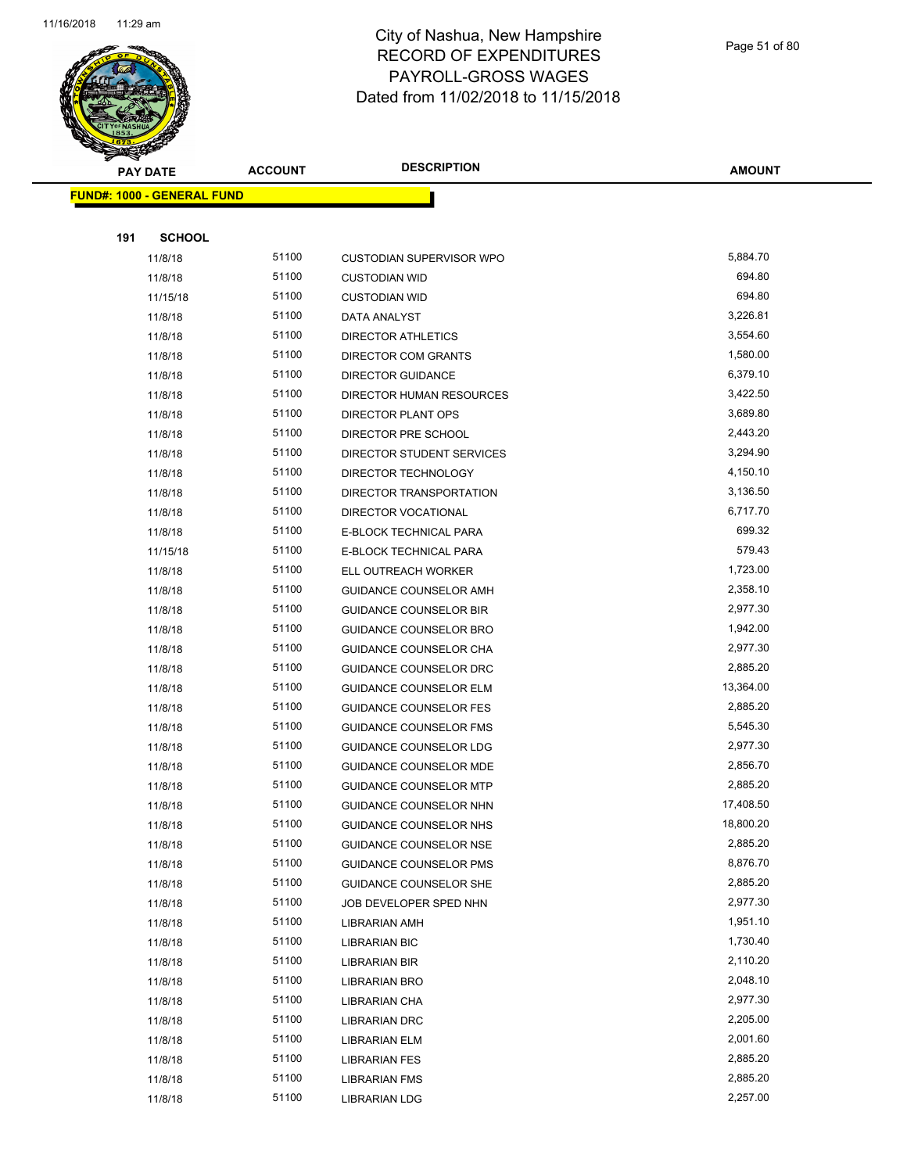

**FUND#: 1000 -**

**191** 

#### City of Nashua, New Hampshire RECORD OF EXPENDITURES PAYROLL-GROSS WAGES Dated from 11/02/2018 to 11/15/2018

| PAY DATE |                             | <b>ACCOUNT</b> | <b>DESCRIPTION</b>              | <b>AMOUNT</b> |
|----------|-----------------------------|----------------|---------------------------------|---------------|
|          | <u> 1000 - GENERAL FUND</u> |                |                                 |               |
|          |                             |                |                                 |               |
| 191      | <b>SCHOOL</b>               |                |                                 |               |
|          | 11/8/18                     | 51100          | <b>CUSTODIAN SUPERVISOR WPO</b> | 5,884.70      |
|          | 11/8/18                     | 51100          | <b>CUSTODIAN WID</b>            | 694.80        |
|          | 11/15/18                    | 51100          | <b>CUSTODIAN WID</b>            | 694.80        |
|          | 11/8/18                     | 51100          | DATA ANALYST                    | 3,226.81      |
|          | 11/8/18                     | 51100          | DIRECTOR ATHLETICS              | 3,554.60      |
|          | 11/8/18                     | 51100          | <b>DIRECTOR COM GRANTS</b>      | 1,580.00      |
|          | 11/8/18                     | 51100          | <b>DIRECTOR GUIDANCE</b>        | 6,379.10      |
|          | 11/8/18                     | 51100          | DIRECTOR HUMAN RESOURCES        | 3,422.50      |
|          | 11/8/18                     | 51100          | DIRECTOR PLANT OPS              | 3,689.80      |
|          | 11/8/18                     | 51100          | DIRECTOR PRE SCHOOL             | 2,443.20      |
|          | 11/8/18                     | 51100          | DIRECTOR STUDENT SERVICES       | 3,294.90      |
|          | 11/8/18                     | 51100          | DIRECTOR TECHNOLOGY             | 4,150.10      |
|          | 11/8/18                     | 51100          | DIRECTOR TRANSPORTATION         | 3,136.50      |
|          | 11/8/18                     | 51100          | DIRECTOR VOCATIONAL             | 6,717.70      |
|          | 11/8/18                     | 51100          | E-BLOCK TECHNICAL PARA          | 699.32        |
|          | 11/15/18                    | 51100          | E-BLOCK TECHNICAL PARA          | 579.43        |
|          | 11/8/18                     | 51100          | ELL OUTREACH WORKER             | 1,723.00      |
|          | 11/8/18                     | 51100          | GUIDANCE COUNSELOR AMH          | 2,358.10      |
|          | 11/8/18                     | 51100          | <b>GUIDANCE COUNSELOR BIR</b>   | 2,977.30      |
|          | 11/8/18                     | 51100          | <b>GUIDANCE COUNSELOR BRO</b>   | 1,942.00      |
|          | 11/8/18                     | 51100          | <b>GUIDANCE COUNSELOR CHA</b>   | 2,977.30      |
|          | 11/8/18                     | 51100          | <b>GUIDANCE COUNSELOR DRC</b>   | 2,885.20      |
|          | 11/8/18                     | 51100          | <b>GUIDANCE COUNSELOR ELM</b>   | 13,364.00     |
|          | 11/8/18                     | 51100          | <b>GUIDANCE COUNSELOR FES</b>   | 2,885.20      |
|          | 11/8/18                     | 51100          | <b>GUIDANCE COUNSELOR FMS</b>   | 5,545.30      |
|          | 11/8/18                     | 51100          | GUIDANCE COUNSELOR LDG          | 2,977.30      |
|          | 11/8/18                     | 51100          | <b>GUIDANCE COUNSELOR MDE</b>   | 2,856.70      |
|          | 11/8/18                     | 51100          | <b>GUIDANCE COUNSELOR MTP</b>   | 2,885.20      |
|          | 11/8/18                     | 51100          | GUIDANCE COUNSELOR NHN          | 17,408.50     |
|          | 11/8/18                     | 51100          | GUIDANCE COUNSELOR NHS          | 18,800.20     |
|          | 11/8/18                     | 51100          | GUIDANCE COUNSELOR NSE          | 2,885.20      |
|          | 11/8/18                     | 51100          | <b>GUIDANCE COUNSELOR PMS</b>   | 8,876.70      |
|          | 11/8/18                     | 51100          | <b>GUIDANCE COUNSELOR SHE</b>   | 2,885.20      |
|          | 11/8/18                     | 51100          | JOB DEVELOPER SPED NHN          | 2,977.30      |

11/8/18 51100 LIBRARIAN AMH 11/8/18 51100 LIBRARIAN BIC 1,730.40 11/8/18 51100 LIBRARIAN BIR 2,110.20 11/8/18 51100 LIBRARIAN BRO 2,048.10 11/8/18 51100 LIBRARIAN CHA 2,977.30 11/8/18 51100 LIBRARIAN DRC 2,205.00 11/8/18 51100 LIBRARIAN ELM 2,001.60 11/8/18 51100 LIBRARIAN FES 2,885.20 11/8/18 51100 LIBRARIAN FMS 2,885.20 11/8/18 51100 LIBRARIAN LDG 2,257.00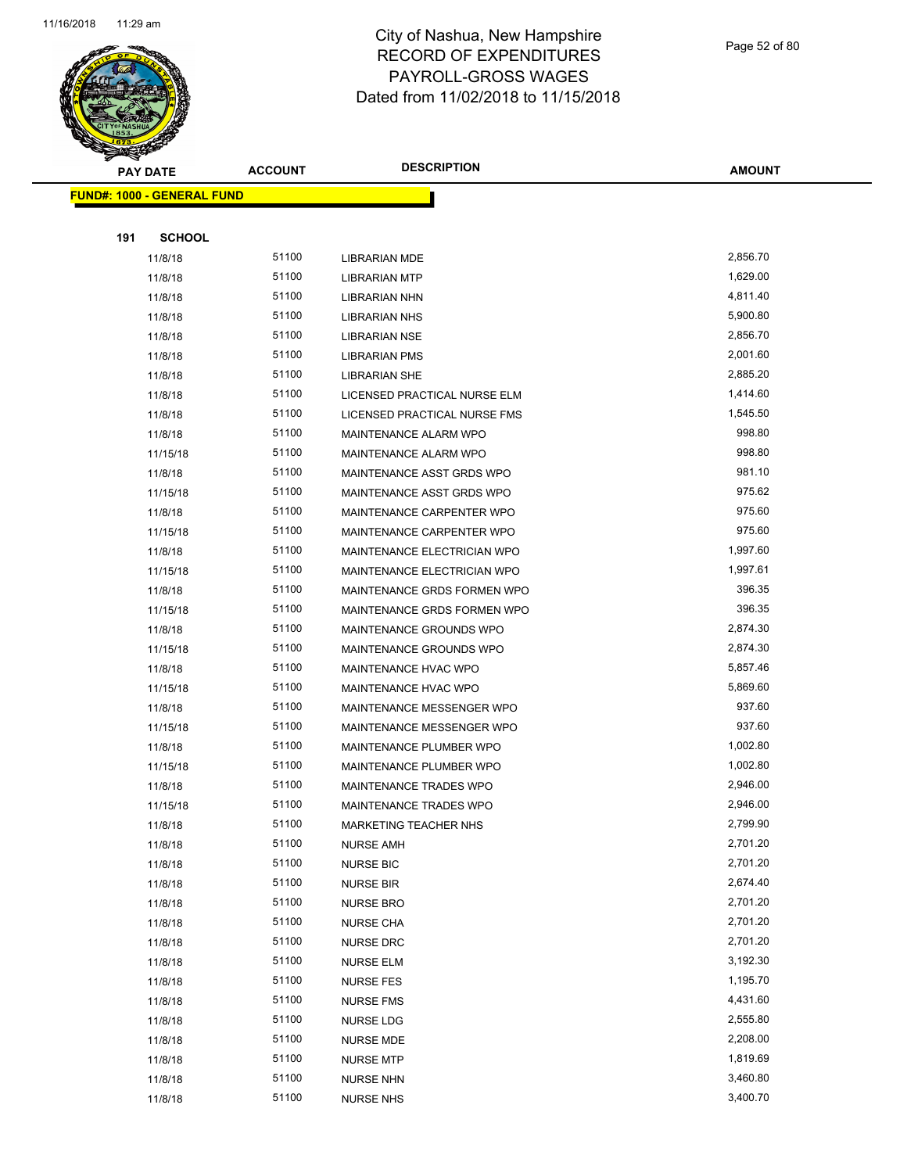

# City of Nashua, New Hampshire RECORD OF EXPENDITURES PAYROLL-GROSS WAGES

Page 52 of 80

Dated from 11/02/2018 to 11/15/2018 **PAY DATE ACCOUNT DESCRIPTION AMOUNT** h

|     | <b>FUND#: 1000 - GENERAL FUND</b> |       |                              |          |
|-----|-----------------------------------|-------|------------------------------|----------|
|     |                                   |       |                              |          |
| 191 | <b>SCHOOL</b>                     |       |                              |          |
|     | 11/8/18                           | 51100 | <b>LIBRARIAN MDE</b>         | 2,856.70 |
|     | 11/8/18                           | 51100 | <b>LIBRARIAN MTP</b>         | 1,629.00 |
|     | 11/8/18                           | 51100 | <b>LIBRARIAN NHN</b>         | 4,811.40 |
|     | 11/8/18                           | 51100 | <b>LIBRARIAN NHS</b>         | 5,900.80 |
|     | 11/8/18                           | 51100 | <b>LIBRARIAN NSE</b>         | 2,856.70 |
|     | 11/8/18                           | 51100 | <b>LIBRARIAN PMS</b>         | 2,001.60 |
|     | 11/8/18                           | 51100 | <b>LIBRARIAN SHE</b>         | 2,885.20 |
|     | 11/8/18                           | 51100 | LICENSED PRACTICAL NURSE ELM | 1,414.60 |
|     | 11/8/18                           | 51100 | LICENSED PRACTICAL NURSE FMS | 1,545.50 |
|     | 11/8/18                           | 51100 | MAINTENANCE ALARM WPO        | 998.80   |
|     | 11/15/18                          | 51100 | MAINTENANCE ALARM WPO        | 998.80   |
|     | 11/8/18                           | 51100 | MAINTENANCE ASST GRDS WPO    | 981.10   |
|     | 11/15/18                          | 51100 | MAINTENANCE ASST GRDS WPO    | 975.62   |
|     | 11/8/18                           | 51100 | MAINTENANCE CARPENTER WPO    | 975.60   |
|     | 11/15/18                          | 51100 | MAINTENANCE CARPENTER WPO    | 975.60   |
|     | 11/8/18                           | 51100 | MAINTENANCE ELECTRICIAN WPO  | 1,997.60 |
|     | 11/15/18                          | 51100 | MAINTENANCE ELECTRICIAN WPO  | 1,997.61 |
|     | 11/8/18                           | 51100 | MAINTENANCE GRDS FORMEN WPO  | 396.35   |
|     | 11/15/18                          | 51100 | MAINTENANCE GRDS FORMEN WPO  | 396.35   |
|     | 11/8/18                           | 51100 | MAINTENANCE GROUNDS WPO      | 2,874.30 |
|     | 11/15/18                          | 51100 | MAINTENANCE GROUNDS WPO      | 2,874.30 |
|     | 11/8/18                           | 51100 | MAINTENANCE HVAC WPO         | 5,857.46 |
|     | 11/15/18                          | 51100 | MAINTENANCE HVAC WPO         | 5,869.60 |
|     | 11/8/18                           | 51100 | MAINTENANCE MESSENGER WPO    | 937.60   |
|     | 11/15/18                          | 51100 | MAINTENANCE MESSENGER WPO    | 937.60   |
|     | 11/8/18                           | 51100 | MAINTENANCE PLUMBER WPO      | 1,002.80 |
|     | 11/15/18                          | 51100 | MAINTENANCE PLUMBER WPO      | 1,002.80 |
|     | 11/8/18                           | 51100 | MAINTENANCE TRADES WPO       | 2,946.00 |
|     | 11/15/18                          | 51100 | MAINTENANCE TRADES WPO       | 2,946.00 |
|     | 11/8/18                           | 51100 | MARKETING TEACHER NHS        | 2,799.90 |
|     | 11/8/18                           | 51100 | <b>NURSE AMH</b>             | 2,701.20 |
|     | 11/8/18                           | 51100 | <b>NURSE BIC</b>             | 2,701.20 |
|     | 11/8/18                           | 51100 | <b>NURSE BIR</b>             | 2,674.40 |
|     | 11/8/18                           | 51100 | <b>NURSE BRO</b>             | 2,701.20 |
|     | 11/8/18                           | 51100 | <b>NURSE CHA</b>             | 2,701.20 |
|     | 11/8/18                           | 51100 | <b>NURSE DRC</b>             | 2,701.20 |
|     | 11/8/18                           | 51100 | <b>NURSE ELM</b>             | 3,192.30 |
|     | 11/8/18                           | 51100 | <b>NURSE FES</b>             | 1,195.70 |
|     | 11/8/18                           | 51100 | <b>NURSE FMS</b>             | 4,431.60 |
|     | 11/8/18                           | 51100 | <b>NURSE LDG</b>             | 2,555.80 |
|     | 11/8/18                           | 51100 | <b>NURSE MDE</b>             | 2,208.00 |
|     | 11/8/18                           | 51100 | <b>NURSE MTP</b>             | 1,819.69 |
|     | 11/8/18                           | 51100 | <b>NURSE NHN</b>             | 3,460.80 |
|     | 11/8/18                           | 51100 | <b>NURSE NHS</b>             | 3,400.70 |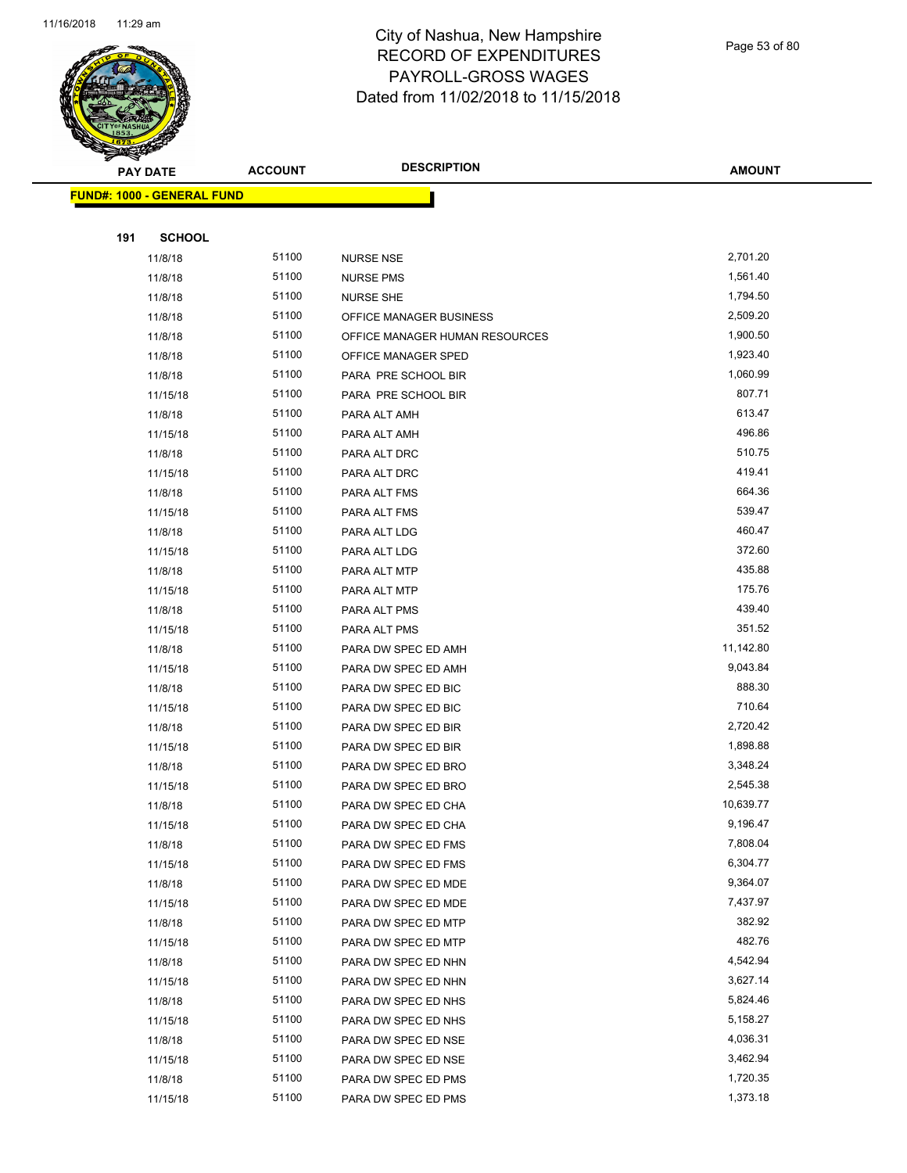

Page 53 of 80

| <b>PAY DATE</b>                   | <b>ACCOUNT</b> | <b>DESCRIPTION</b>                         | <b>AMOUNT</b>        |
|-----------------------------------|----------------|--------------------------------------------|----------------------|
| <b>FUND#: 1000 - GENERAL FUND</b> |                |                                            |                      |
|                                   |                |                                            |                      |
| 191<br><b>SCHOOL</b>              |                |                                            |                      |
| 11/8/18                           | 51100          | <b>NURSE NSE</b>                           | 2,701.20             |
| 11/8/18                           | 51100          | <b>NURSE PMS</b>                           | 1,561.40             |
| 11/8/18                           | 51100          | <b>NURSE SHE</b>                           | 1,794.50             |
| 11/8/18                           | 51100          | OFFICE MANAGER BUSINESS                    | 2,509.20             |
| 11/8/18                           | 51100          | OFFICE MANAGER HUMAN RESOURCES             | 1,900.50             |
| 11/8/18                           | 51100          | OFFICE MANAGER SPED                        | 1,923.40             |
| 11/8/18                           | 51100          | PARA PRE SCHOOL BIR                        | 1,060.99             |
| 11/15/18                          | 51100          | PARA PRE SCHOOL BIR                        | 807.71               |
| 11/8/18                           | 51100          | PARA ALT AMH                               | 613.47               |
| 11/15/18                          | 51100          | PARA ALT AMH                               | 496.86               |
| 11/8/18                           | 51100          | PARA ALT DRC                               | 510.75               |
| 11/15/18                          | 51100          | PARA ALT DRC                               | 419.41               |
| 11/8/18                           | 51100          | PARA ALT FMS                               | 664.36               |
| 11/15/18                          | 51100          | PARA ALT FMS                               | 539.47               |
| 11/8/18                           | 51100          | PARA ALT LDG                               | 460.47               |
| 11/15/18                          | 51100          | PARA ALT LDG                               | 372.60               |
| 11/8/18                           | 51100          | PARA ALT MTP                               | 435.88               |
| 11/15/18                          | 51100          | PARA ALT MTP                               | 175.76               |
| 11/8/18                           | 51100          | PARA ALT PMS                               | 439.40               |
| 11/15/18                          | 51100          | PARA ALT PMS                               | 351.52               |
| 11/8/18                           | 51100          | PARA DW SPEC ED AMH                        | 11,142.80            |
| 11/15/18                          | 51100          | PARA DW SPEC ED AMH                        | 9,043.84             |
| 11/8/18                           | 51100          | PARA DW SPEC ED BIC                        | 888.30               |
| 11/15/18                          | 51100          | PARA DW SPEC ED BIC                        | 710.64               |
| 11/8/18                           | 51100          | PARA DW SPEC ED BIR                        | 2,720.42             |
| 11/15/18                          | 51100          | PARA DW SPEC ED BIR                        | 1,898.88             |
| 11/8/18                           | 51100          | PARA DW SPEC ED BRO                        | 3,348.24             |
| 11/15/18                          | 51100          | PARA DW SPEC ED BRO                        | 2,545.38             |
| 11/8/18                           | 51100          | PARA DW SPEC ED CHA                        | 10,639.77            |
| 11/15/18                          | 51100          | PARA DW SPEC ED CHA                        | 9,196.47             |
| 11/8/18                           | 51100          | PARA DW SPEC ED FMS                        | 7,808.04             |
| 11/15/18                          | 51100          | PARA DW SPEC ED FMS                        | 6,304.77             |
| 11/8/18                           | 51100          | PARA DW SPEC ED MDE                        | 9,364.07             |
| 11/15/18                          | 51100          | PARA DW SPEC ED MDE                        | 7,437.97             |
| 11/8/18                           | 51100          | PARA DW SPEC ED MTP                        | 382.92               |
| 11/15/18                          | 51100          | PARA DW SPEC ED MTP                        | 482.76               |
| 11/8/18                           | 51100          | PARA DW SPEC ED NHN                        | 4,542.94             |
| 11/15/18                          | 51100          | PARA DW SPEC ED NHN                        | 3,627.14             |
| 11/8/18                           | 51100          | PARA DW SPEC ED NHS                        | 5,824.46             |
| 11/15/18                          | 51100<br>51100 | PARA DW SPEC ED NHS                        | 5,158.27<br>4,036.31 |
| 11/8/18<br>11/15/18               | 51100          | PARA DW SPEC ED NSE<br>PARA DW SPEC ED NSE | 3,462.94             |
| 11/8/18                           | 51100          | PARA DW SPEC ED PMS                        | 1,720.35             |
| 11/15/18                          | 51100          | PARA DW SPEC ED PMS                        | 1,373.18             |
|                                   |                |                                            |                      |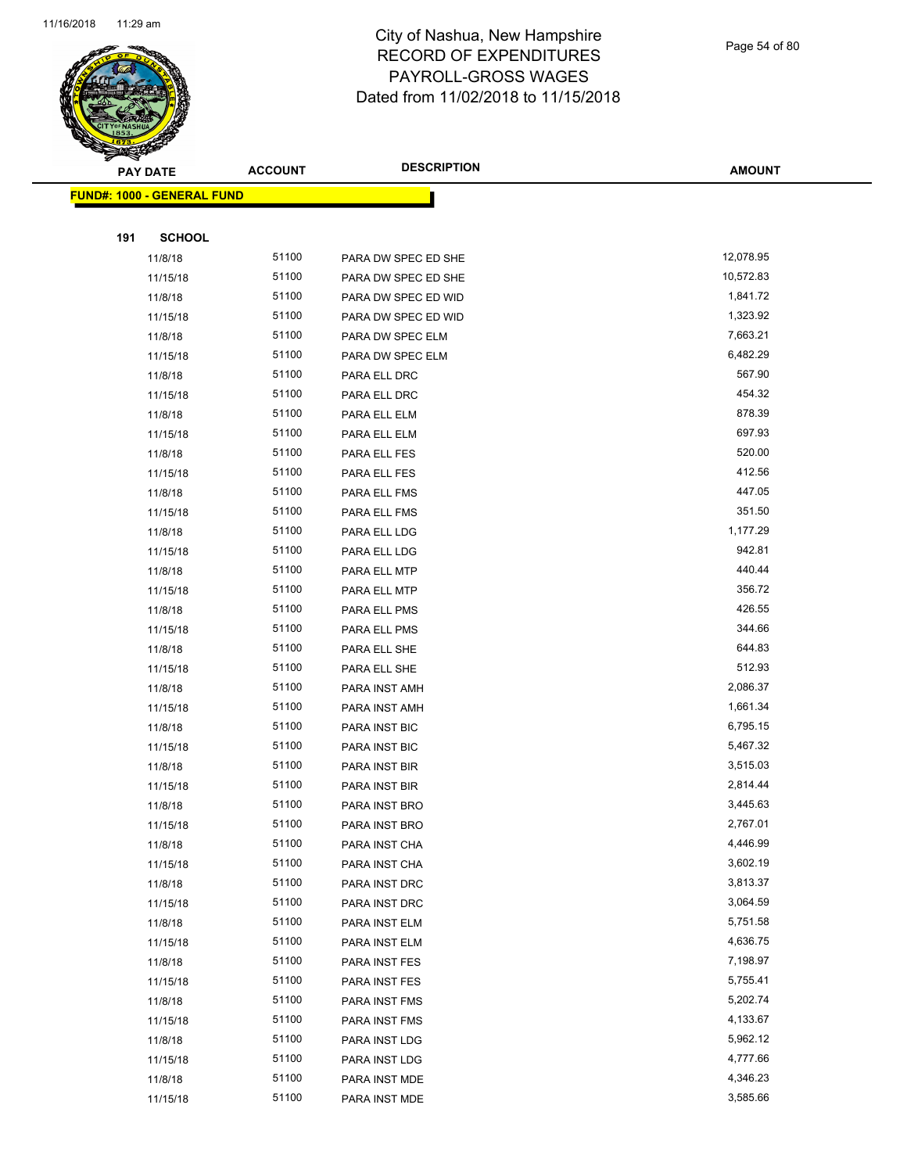

Page 54 of 80

| <b>PAY DATE</b>                   | <b>ACCOUNT</b> | <b>DESCRIPTION</b>             | <b>AMOUNT</b>        |
|-----------------------------------|----------------|--------------------------------|----------------------|
| <b>FUND#: 1000 - GENERAL FUND</b> |                |                                |                      |
|                                   |                |                                |                      |
| 191<br><b>SCHOOL</b>              |                |                                |                      |
| 11/8/18                           | 51100          | PARA DW SPEC ED SHE            | 12,078.95            |
| 11/15/18                          | 51100          | PARA DW SPEC ED SHE            | 10,572.83            |
| 11/8/18                           | 51100          | PARA DW SPEC ED WID            | 1,841.72             |
| 11/15/18                          | 51100          | PARA DW SPEC ED WID            | 1,323.92             |
| 11/8/18                           | 51100          | PARA DW SPEC ELM               | 7,663.21             |
| 11/15/18                          | 51100          | PARA DW SPEC ELM               | 6,482.29             |
| 11/8/18                           | 51100          | PARA ELL DRC                   | 567.90               |
| 11/15/18                          | 51100          | PARA ELL DRC                   | 454.32               |
| 11/8/18                           | 51100          | PARA ELL ELM                   | 878.39               |
| 11/15/18                          | 51100          | PARA ELL ELM                   | 697.93               |
| 11/8/18                           | 51100          | PARA ELL FES                   | 520.00               |
| 11/15/18                          | 51100          | PARA ELL FES                   | 412.56               |
| 11/8/18                           | 51100          | PARA ELL FMS                   | 447.05               |
| 11/15/18                          | 51100          | PARA ELL FMS                   | 351.50               |
| 11/8/18                           | 51100          | PARA ELL LDG                   | 1,177.29             |
| 11/15/18                          | 51100          | PARA ELL LDG                   | 942.81               |
| 11/8/18                           | 51100          | PARA ELL MTP                   | 440.44               |
| 11/15/18                          | 51100          | PARA ELL MTP                   | 356.72               |
| 11/8/18                           | 51100          | PARA ELL PMS                   | 426.55               |
| 11/15/18                          | 51100          | PARA ELL PMS                   | 344.66               |
| 11/8/18                           | 51100          | PARA ELL SHE                   | 644.83               |
| 11/15/18                          | 51100          | PARA ELL SHE                   | 512.93               |
| 11/8/18                           | 51100          | PARA INST AMH                  | 2,086.37             |
| 11/15/18                          | 51100          | PARA INST AMH                  | 1,661.34             |
| 11/8/18                           | 51100          | PARA INST BIC                  | 6,795.15             |
| 11/15/18                          | 51100          | PARA INST BIC                  | 5,467.32             |
| 11/8/18                           | 51100          | PARA INST BIR                  | 3,515.03             |
| 11/15/18                          | 51100          | PARA INST BIR                  | 2,814.44             |
| 11/8/18                           | 51100          | PARA INST BRO                  | 3,445.63             |
| 11/15/18                          | 51100          | PARA INST BRO                  | 2,767.01             |
| 11/8/18                           | 51100          | PARA INST CHA                  | 4,446.99             |
| 11/15/18                          | 51100          | PARA INST CHA                  | 3,602.19             |
| 11/8/18                           | 51100          | PARA INST DRC                  | 3,813.37             |
| 11/15/18                          | 51100          | PARA INST DRC                  | 3,064.59             |
| 11/8/18                           | 51100<br>51100 | PARA INST ELM                  | 5,751.58             |
| 11/15/18<br>11/8/18               | 51100          | PARA INST ELM<br>PARA INST FES | 4,636.75<br>7,198.97 |
| 11/15/18                          | 51100          | PARA INST FES                  | 5,755.41             |
| 11/8/18                           | 51100          | PARA INST FMS                  | 5,202.74             |
| 11/15/18                          | 51100          |                                | 4,133.67             |
| 11/8/18                           | 51100          | PARA INST FMS<br>PARA INST LDG | 5,962.12             |
| 11/15/18                          | 51100          | PARA INST LDG                  | 4,777.66             |
| 11/8/18                           | 51100          | PARA INST MDE                  | 4,346.23             |
| 11/15/18                          | 51100          | PARA INST MDE                  | 3,585.66             |
|                                   |                |                                |                      |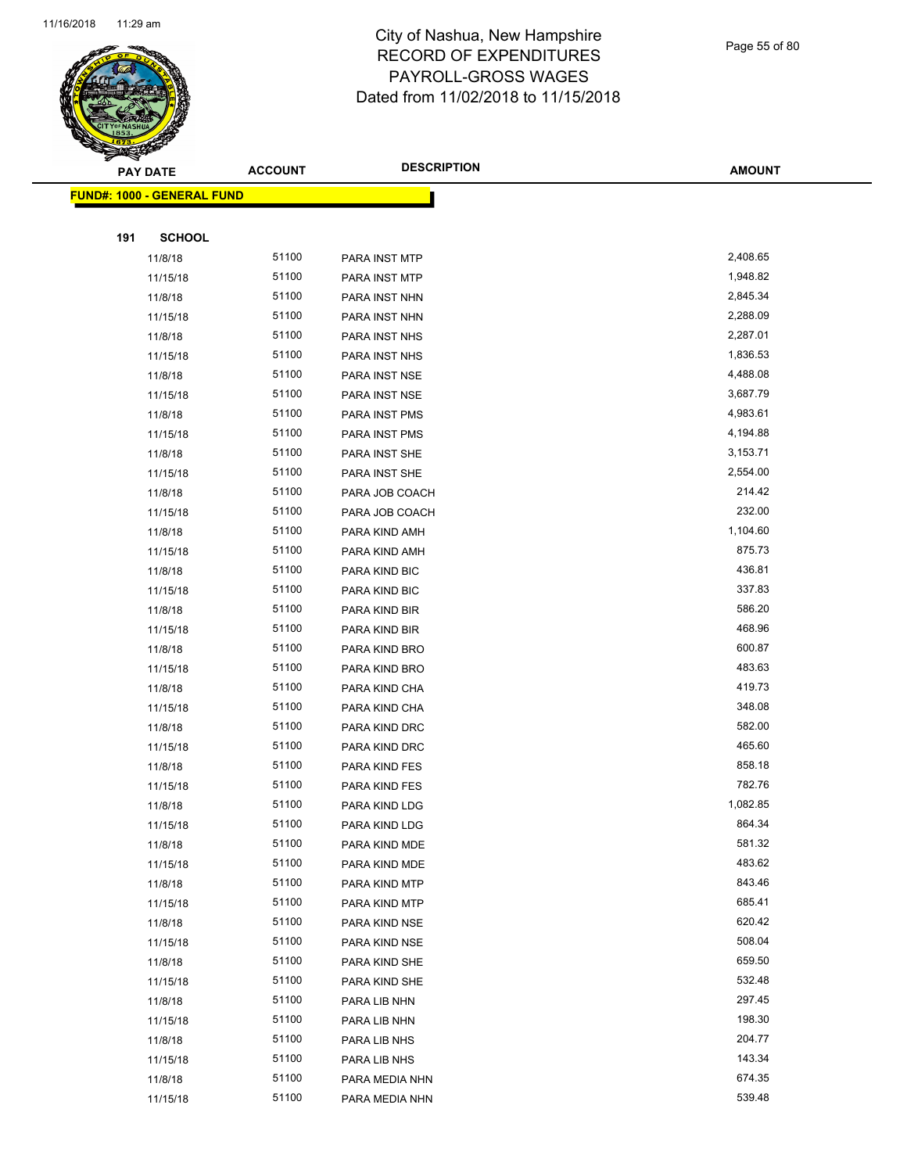

Page 55 of 80

|     | <b>PAY DATE</b>                   | <b>ACCOUNT</b> | <b>DESCRIPTION</b>           | <b>AMOUNT</b>    |
|-----|-----------------------------------|----------------|------------------------------|------------------|
|     | <b>FUND#: 1000 - GENERAL FUND</b> |                |                              |                  |
|     |                                   |                |                              |                  |
| 191 | <b>SCHOOL</b>                     |                |                              |                  |
|     | 11/8/18                           | 51100          | PARA INST MTP                | 2,408.65         |
|     | 11/15/18                          | 51100          | PARA INST MTP                | 1,948.82         |
|     | 11/8/18                           | 51100          | PARA INST NHN                | 2,845.34         |
|     | 11/15/18                          | 51100          | PARA INST NHN                | 2,288.09         |
|     | 11/8/18                           | 51100          | PARA INST NHS                | 2,287.01         |
|     | 11/15/18                          | 51100          | PARA INST NHS                | 1,836.53         |
|     | 11/8/18                           | 51100          | PARA INST NSE                | 4,488.08         |
|     | 11/15/18                          | 51100          | PARA INST NSE                | 3,687.79         |
|     | 11/8/18                           | 51100          | PARA INST PMS                | 4,983.61         |
|     | 11/15/18                          | 51100          | PARA INST PMS                | 4,194.88         |
|     | 11/8/18                           | 51100          | PARA INST SHE                | 3,153.71         |
|     | 11/15/18                          | 51100          | PARA INST SHE                | 2,554.00         |
|     | 11/8/18                           | 51100          | PARA JOB COACH               | 214.42           |
|     | 11/15/18                          | 51100          | PARA JOB COACH               | 232.00           |
|     | 11/8/18                           | 51100          | PARA KIND AMH                | 1,104.60         |
|     | 11/15/18                          | 51100          | PARA KIND AMH                | 875.73           |
|     | 11/8/18                           | 51100          | PARA KIND BIC                | 436.81           |
|     | 11/15/18                          | 51100          | PARA KIND BIC                | 337.83           |
|     | 11/8/18                           | 51100          | PARA KIND BIR                | 586.20           |
|     | 11/15/18                          | 51100          | PARA KIND BIR                | 468.96           |
|     | 11/8/18                           | 51100          | PARA KIND BRO                | 600.87           |
|     | 11/15/18                          | 51100          | PARA KIND BRO                | 483.63           |
|     | 11/8/18                           | 51100          | PARA KIND CHA                | 419.73           |
|     | 11/15/18                          | 51100          | PARA KIND CHA                | 348.08           |
|     | 11/8/18                           | 51100          | PARA KIND DRC                | 582.00           |
|     | 11/15/18                          | 51100          | PARA KIND DRC                | 465.60           |
|     | 11/8/18                           | 51100          | PARA KIND FES                | 858.18           |
|     | 11/15/18                          | 51100          | PARA KIND FES                | 782.76           |
|     | 11/8/18                           | 51100          | PARA KIND LDG                | 1,082.85         |
|     | 11/15/18                          | 51100          | PARA KIND LDG                | 864.34           |
|     | 11/8/18                           | 51100          | PARA KIND MDE                | 581.32           |
|     | 11/15/18                          | 51100          | PARA KIND MDE                | 483.62           |
|     | 11/8/18                           | 51100          | PARA KIND MTP                | 843.46           |
|     | 11/15/18                          | 51100          | PARA KIND MTP                | 685.41           |
|     | 11/8/18                           | 51100          | PARA KIND NSE                | 620.42<br>508.04 |
|     | 11/15/18                          | 51100<br>51100 | PARA KIND NSE                | 659.50           |
|     | 11/8/18                           |                | PARA KIND SHE                | 532.48           |
|     | 11/15/18                          | 51100<br>51100 | PARA KIND SHE                | 297.45           |
|     | 11/8/18                           | 51100          | PARA LIB NHN                 | 198.30           |
|     | 11/15/18<br>11/8/18               | 51100          | PARA LIB NHN<br>PARA LIB NHS | 204.77           |
|     | 11/15/18                          | 51100          | PARA LIB NHS                 | 143.34           |
|     | 11/8/18                           | 51100          | PARA MEDIA NHN               | 674.35           |
|     | 11/15/18                          | 51100          | PARA MEDIA NHN               | 539.48           |
|     |                                   |                |                              |                  |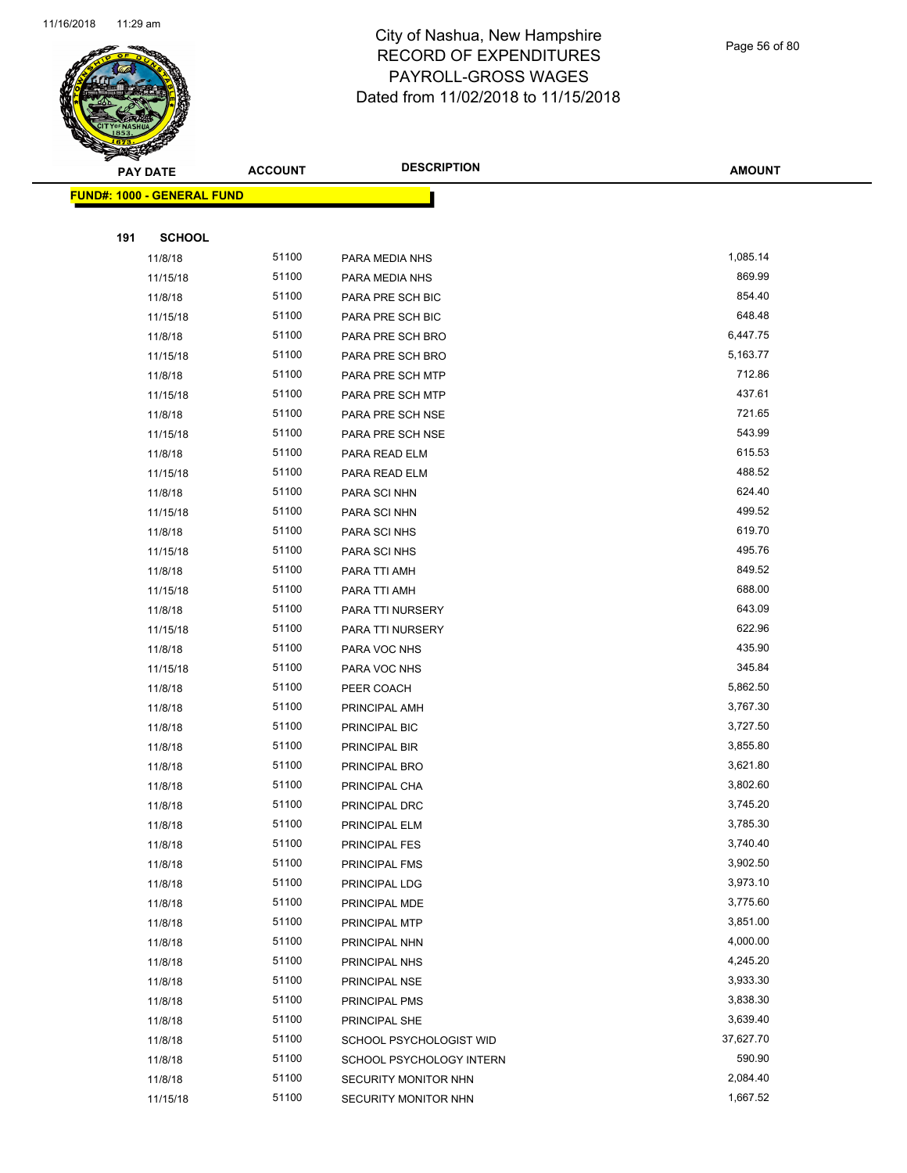

Page 56 of 80

| PAY DATE                          | <b>ACCOUNT</b> | <b>DESCRIPTION</b>       | <b>AMOUNT</b> |
|-----------------------------------|----------------|--------------------------|---------------|
| <b>FUND#: 1000 - GENERAL FUND</b> |                |                          |               |
|                                   |                |                          |               |
| 191<br><b>SCHOOL</b>              |                |                          |               |
| 11/8/18                           | 51100          | PARA MEDIA NHS           | 1,085.14      |
| 11/15/18                          | 51100          | PARA MEDIA NHS           | 869.99        |
| 11/8/18                           | 51100          | PARA PRE SCH BIC         | 854.40        |
| 11/15/18                          | 51100          | PARA PRE SCH BIC         | 648.48        |
| 11/8/18                           | 51100          | PARA PRE SCH BRO         | 6,447.75      |
| 11/15/18                          | 51100          | PARA PRE SCH BRO         | 5,163.77      |
| 11/8/18                           | 51100          | PARA PRE SCH MTP         | 712.86        |
| 11/15/18                          | 51100          | PARA PRE SCH MTP         | 437.61        |
| 11/8/18                           | 51100          | PARA PRE SCH NSE         | 721.65        |
| 11/15/18                          | 51100          | PARA PRE SCH NSE         | 543.99        |
| 11/8/18                           | 51100          | PARA READ ELM            | 615.53        |
| 11/15/18                          | 51100          | PARA READ ELM            | 488.52        |
| 11/8/18                           | 51100          | PARA SCI NHN             | 624.40        |
| 11/15/18                          | 51100          | PARA SCI NHN             | 499.52        |
| 11/8/18                           | 51100          | PARA SCI NHS             | 619.70        |
| 11/15/18                          | 51100          | PARA SCI NHS             | 495.76        |
| 11/8/18                           | 51100          | PARA TTI AMH             | 849.52        |
| 11/15/18                          | 51100          | PARA TTI AMH             | 688.00        |
| 11/8/18                           | 51100          | PARA TTI NURSERY         | 643.09        |
| 11/15/18                          | 51100          | PARA TTI NURSERY         | 622.96        |
| 11/8/18                           | 51100          | PARA VOC NHS             | 435.90        |
| 11/15/18                          | 51100          | PARA VOC NHS             | 345.84        |
| 11/8/18                           | 51100          | PEER COACH               | 5,862.50      |
| 11/8/18                           | 51100          | PRINCIPAL AMH            | 3,767.30      |
| 11/8/18                           | 51100          | PRINCIPAL BIC            | 3,727.50      |
| 11/8/18                           | 51100          | PRINCIPAL BIR            | 3,855.80      |
| 11/8/18                           | 51100          | PRINCIPAL BRO            | 3,621.80      |
| 11/8/18                           | 51100          | PRINCIPAL CHA            | 3,802.60      |
| 11/8/18                           | 51100          | PRINCIPAL DRC            | 3,745.20      |
| 11/8/18                           | 51100          | PRINCIPAL ELM            | 3,785.30      |
| 11/8/18                           | 51100          | PRINCIPAL FES            | 3,740.40      |
| 11/8/18                           | 51100          | PRINCIPAL FMS            | 3,902.50      |
| 11/8/18                           | 51100          | PRINCIPAL LDG            | 3,973.10      |
| 11/8/18                           | 51100          | PRINCIPAL MDE            | 3,775.60      |
| 11/8/18                           | 51100          | PRINCIPAL MTP            | 3,851.00      |
| 11/8/18                           | 51100          | PRINCIPAL NHN            | 4,000.00      |
| 11/8/18                           | 51100          | PRINCIPAL NHS            | 4,245.20      |
| 11/8/18                           | 51100          | PRINCIPAL NSE            | 3,933.30      |
| 11/8/18                           | 51100          | PRINCIPAL PMS            | 3,838.30      |
| 11/8/18                           | 51100          | PRINCIPAL SHE            | 3,639.40      |
| 11/8/18                           | 51100          | SCHOOL PSYCHOLOGIST WID  | 37,627.70     |
| 11/8/18                           | 51100          | SCHOOL PSYCHOLOGY INTERN | 590.90        |
| 11/8/18                           | 51100          | SECURITY MONITOR NHN     | 2,084.40      |
| 11/15/18                          | 51100          | SECURITY MONITOR NHN     | 1,667.52      |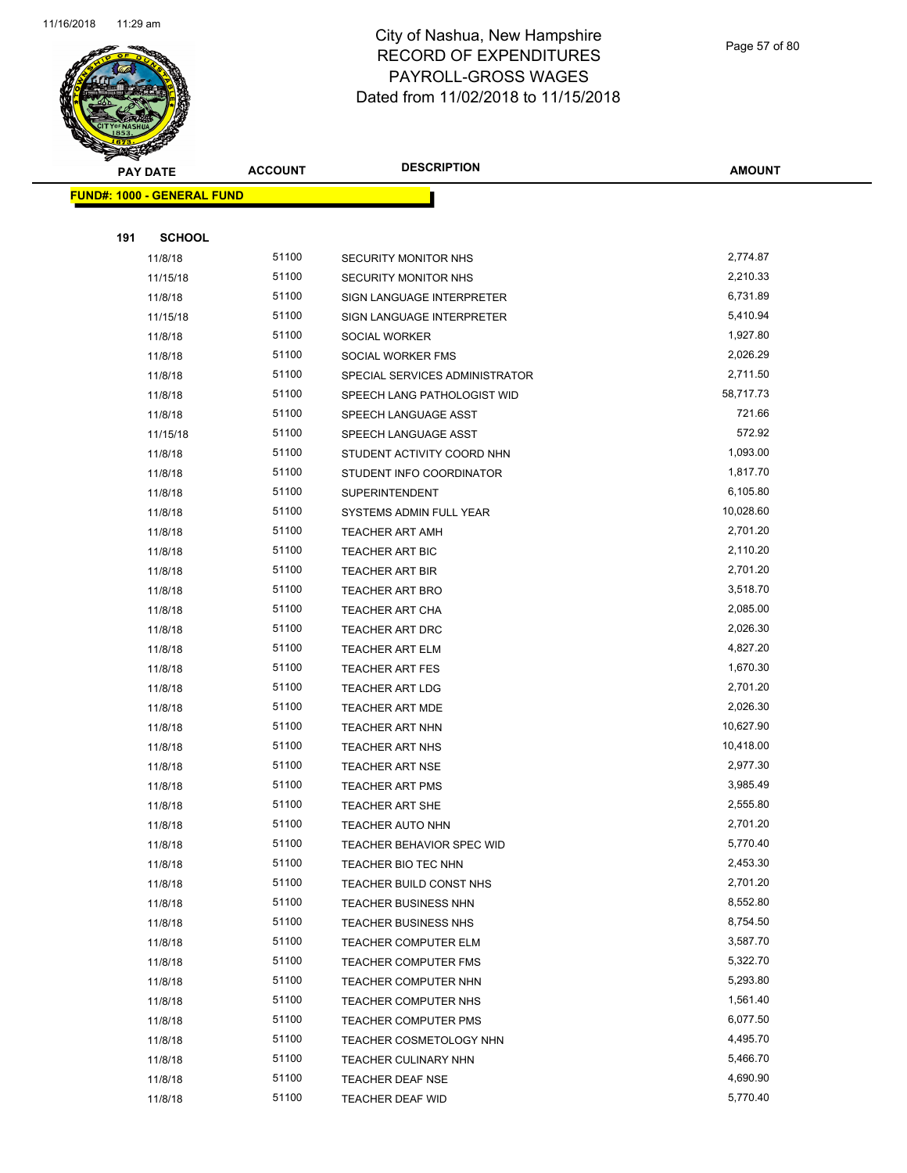

Page 57 of 80

|     | <b>PAY DATE</b>                   | <b>ACCOUNT</b> | <b>DESCRIPTION</b>                               | <b>AMOUNT</b> |
|-----|-----------------------------------|----------------|--------------------------------------------------|---------------|
|     | <b>FUND#: 1000 - GENERAL FUND</b> |                |                                                  |               |
|     |                                   |                |                                                  |               |
| 191 | <b>SCHOOL</b>                     |                |                                                  |               |
|     | 11/8/18                           | 51100          | SECURITY MONITOR NHS                             | 2,774.87      |
|     | 11/15/18                          | 51100          | <b>SECURITY MONITOR NHS</b>                      | 2,210.33      |
|     | 11/8/18                           | 51100          | SIGN LANGUAGE INTERPRETER                        | 6,731.89      |
|     | 11/15/18                          | 51100          | SIGN LANGUAGE INTERPRETER                        | 5,410.94      |
|     | 11/8/18                           | 51100          | SOCIAL WORKER                                    | 1,927.80      |
|     | 11/8/18                           | 51100          | SOCIAL WORKER FMS                                | 2,026.29      |
|     | 11/8/18                           | 51100          | SPECIAL SERVICES ADMINISTRATOR                   | 2,711.50      |
|     | 11/8/18                           | 51100          | SPEECH LANG PATHOLOGIST WID                      | 58,717.73     |
|     | 11/8/18                           | 51100          | SPEECH LANGUAGE ASST                             | 721.66        |
|     | 11/15/18                          | 51100          | SPEECH LANGUAGE ASST                             | 572.92        |
|     | 11/8/18                           | 51100          | STUDENT ACTIVITY COORD NHN                       | 1,093.00      |
|     | 11/8/18                           | 51100          | STUDENT INFO COORDINATOR                         | 1,817.70      |
|     |                                   | 51100          |                                                  | 6,105.80      |
|     | 11/8/18                           | 51100          | <b>SUPERINTENDENT</b><br>SYSTEMS ADMIN FULL YEAR | 10,028.60     |
|     | 11/8/18                           | 51100          |                                                  | 2,701.20      |
|     | 11/8/18                           | 51100          | <b>TEACHER ART AMH</b><br><b>TEACHER ART BIC</b> | 2,110.20      |
|     | 11/8/18                           | 51100          |                                                  | 2,701.20      |
|     | 11/8/18                           | 51100          | TEACHER ART BIR                                  | 3,518.70      |
|     | 11/8/18                           | 51100          | TEACHER ART BRO                                  | 2,085.00      |
|     | 11/8/18                           | 51100          | TEACHER ART CHA                                  | 2,026.30      |
|     | 11/8/18                           | 51100          | TEACHER ART DRC<br><b>TEACHER ART ELM</b>        | 4,827.20      |
|     | 11/8/18                           | 51100          |                                                  | 1,670.30      |
|     | 11/8/18                           | 51100          | <b>TEACHER ART FES</b>                           | 2,701.20      |
|     | 11/8/18                           | 51100          | <b>TEACHER ART LDG</b>                           | 2,026.30      |
|     | 11/8/18                           | 51100          | <b>TEACHER ART MDE</b>                           | 10,627.90     |
|     | 11/8/18                           | 51100          | TEACHER ART NHN<br>TEACHER ART NHS               | 10,418.00     |
|     | 11/8/18                           | 51100          |                                                  | 2,977.30      |
|     | 11/8/18                           | 51100          | <b>TEACHER ART NSE</b>                           | 3,985.49      |
|     | 11/8/18<br>11/8/18                | 51100          | <b>TEACHER ART PMS</b><br><b>TEACHER ART SHE</b> | 2,555.80      |
|     |                                   | 51100          | TEACHER AUTO NHN                                 | 2,701.20      |
|     | 11/8/18<br>11/8/18                | 51100          | TEACHER BEHAVIOR SPEC WID                        | 5,770.40      |
|     | 11/8/18                           | 51100          | TEACHER BIO TEC NHN                              | 2,453.30      |
|     | 11/8/18                           | 51100          | TEACHER BUILD CONST NHS                          | 2,701.20      |
|     | 11/8/18                           | 51100          | TEACHER BUSINESS NHN                             | 8,552.80      |
|     | 11/8/18                           | 51100          | TEACHER BUSINESS NHS                             | 8,754.50      |
|     | 11/8/18                           | 51100          | TEACHER COMPUTER ELM                             | 3,587.70      |
|     | 11/8/18                           | 51100          | TEACHER COMPUTER FMS                             | 5,322.70      |
|     | 11/8/18                           | 51100          | TEACHER COMPUTER NHN                             | 5,293.80      |
|     | 11/8/18                           | 51100          | TEACHER COMPUTER NHS                             | 1,561.40      |
|     | 11/8/18                           | 51100          | <b>TEACHER COMPUTER PMS</b>                      | 6,077.50      |
|     | 11/8/18                           | 51100          | TEACHER COSMETOLOGY NHN                          | 4,495.70      |
|     | 11/8/18                           | 51100          | TEACHER CULINARY NHN                             | 5,466.70      |
|     | 11/8/18                           | 51100          | <b>TEACHER DEAF NSE</b>                          | 4,690.90      |
|     | 11/8/18                           | 51100          | TEACHER DEAF WID                                 | 5,770.40      |
|     |                                   |                |                                                  |               |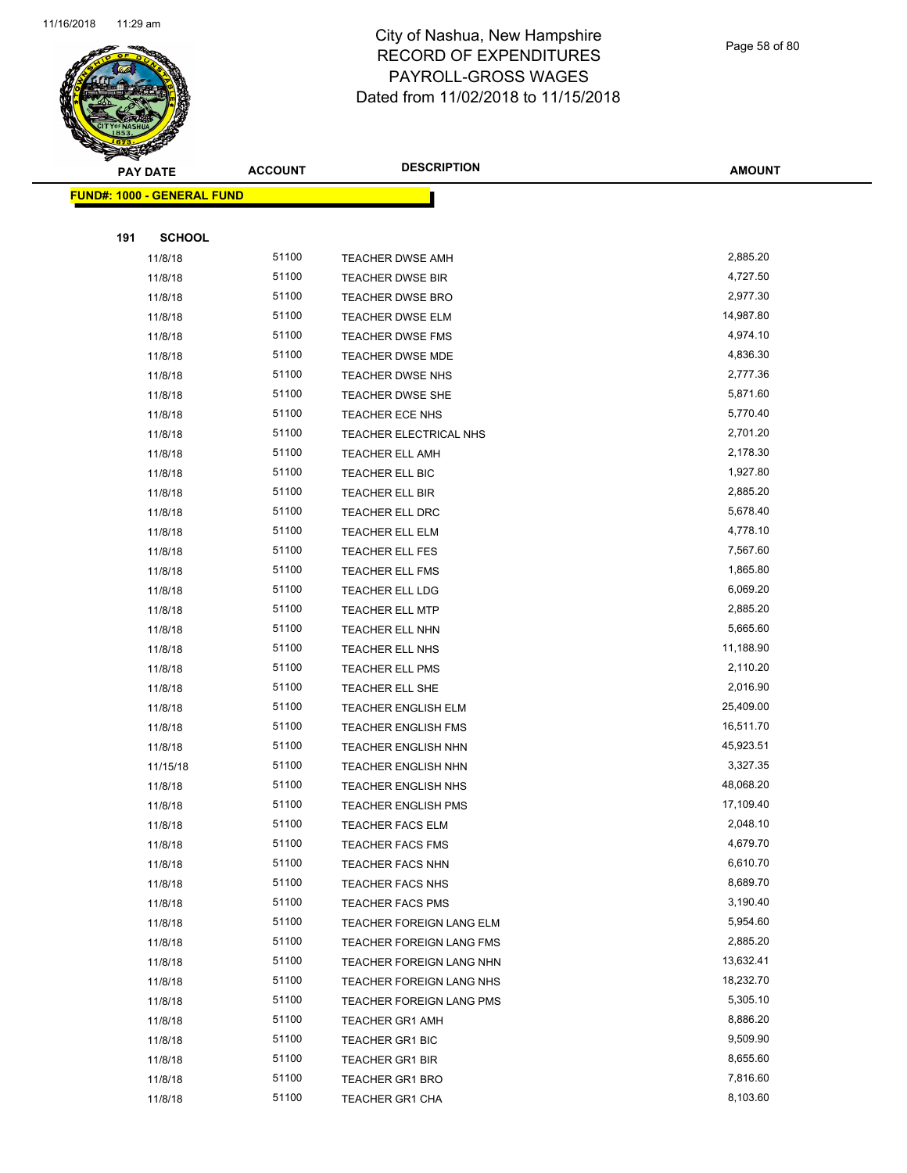

Page 58 of 80

| <b>PAY DATE</b>                   | <b>ACCOUNT</b> | <b>DESCRIPTION</b>         | <b>AMOUNT</b> |
|-----------------------------------|----------------|----------------------------|---------------|
| <b>FUND#: 1000 - GENERAL FUND</b> |                |                            |               |
|                                   |                |                            |               |
| 191<br><b>SCHOOL</b>              |                |                            |               |
| 11/8/18                           | 51100          | <b>TEACHER DWSE AMH</b>    | 2,885.20      |
| 11/8/18                           | 51100          | <b>TEACHER DWSE BIR</b>    | 4,727.50      |
| 11/8/18                           | 51100          | TEACHER DWSE BRO           | 2,977.30      |
| 11/8/18                           | 51100          | <b>TEACHER DWSE ELM</b>    | 14,987.80     |
| 11/8/18                           | 51100          | <b>TEACHER DWSE FMS</b>    | 4,974.10      |
| 11/8/18                           | 51100          | <b>TEACHER DWSE MDE</b>    | 4,836.30      |
| 11/8/18                           | 51100          | TEACHER DWSE NHS           | 2,777.36      |
| 11/8/18                           | 51100          | TEACHER DWSE SHE           | 5,871.60      |
| 11/8/18                           | 51100          | <b>TEACHER ECE NHS</b>     | 5,770.40      |
| 11/8/18                           | 51100          | TEACHER ELECTRICAL NHS     | 2,701.20      |
| 11/8/18                           | 51100          | <b>TEACHER ELL AMH</b>     | 2,178.30      |
| 11/8/18                           | 51100          | <b>TEACHER ELL BIC</b>     | 1,927.80      |
| 11/8/18                           | 51100          | <b>TEACHER ELL BIR</b>     | 2,885.20      |
| 11/8/18                           | 51100          | <b>TEACHER ELL DRC</b>     | 5,678.40      |
| 11/8/18                           | 51100          | <b>TEACHER ELL ELM</b>     | 4,778.10      |
| 11/8/18                           | 51100          | <b>TEACHER ELL FES</b>     | 7,567.60      |
| 11/8/18                           | 51100          | <b>TEACHER ELL FMS</b>     | 1,865.80      |
| 11/8/18                           | 51100          | <b>TEACHER ELL LDG</b>     | 6,069.20      |
| 11/8/18                           | 51100          | <b>TEACHER ELL MTP</b>     | 2,885.20      |
| 11/8/18                           | 51100          | <b>TEACHER ELL NHN</b>     | 5,665.60      |
| 11/8/18                           | 51100          | <b>TEACHER ELL NHS</b>     | 11,188.90     |
| 11/8/18                           | 51100          | <b>TEACHER ELL PMS</b>     | 2,110.20      |
| 11/8/18                           | 51100          | <b>TEACHER ELL SHE</b>     | 2,016.90      |
| 11/8/18                           | 51100          | <b>TEACHER ENGLISH ELM</b> | 25,409.00     |
| 11/8/18                           | 51100          | TEACHER ENGLISH FMS        | 16,511.70     |
| 11/8/18                           | 51100          | TEACHER ENGLISH NHN        | 45,923.51     |
| 11/15/18                          | 51100          | TEACHER ENGLISH NHN        | 3,327.35      |
| 11/8/18                           | 51100          | <b>TEACHER ENGLISH NHS</b> | 48,068.20     |
| 11/8/18                           | 51100          | <b>TEACHER ENGLISH PMS</b> | 17,109.40     |
| 11/8/18                           | 51100          | <b>TEACHER FACS ELM</b>    | 2,048.10      |
| 11/8/18                           | 51100          | <b>TEACHER FACS FMS</b>    | 4,679.70      |
| 11/8/18                           | 51100          | <b>TEACHER FACS NHN</b>    | 6,610.70      |
| 11/8/18                           | 51100          | <b>TEACHER FACS NHS</b>    | 8,689.70      |
| 11/8/18                           | 51100          | <b>TEACHER FACS PMS</b>    | 3,190.40      |
| 11/8/18                           | 51100          | TEACHER FOREIGN LANG ELM   | 5,954.60      |
| 11/8/18                           | 51100          | TEACHER FOREIGN LANG FMS   | 2,885.20      |
| 11/8/18                           | 51100          | TEACHER FOREIGN LANG NHN   | 13,632.41     |
| 11/8/18                           | 51100          | TEACHER FOREIGN LANG NHS   | 18,232.70     |
| 11/8/18                           | 51100          | TEACHER FOREIGN LANG PMS   | 5,305.10      |
| 11/8/18                           | 51100          | <b>TEACHER GR1 AMH</b>     | 8,886.20      |
| 11/8/18                           | 51100          | TEACHER GR1 BIC            | 9,509.90      |
| 11/8/18                           | 51100          | TEACHER GR1 BIR            | 8,655.60      |
| 11/8/18                           | 51100          | <b>TEACHER GR1 BRO</b>     | 7,816.60      |
| 11/8/18                           | 51100          | <b>TEACHER GR1 CHA</b>     | 8,103.60      |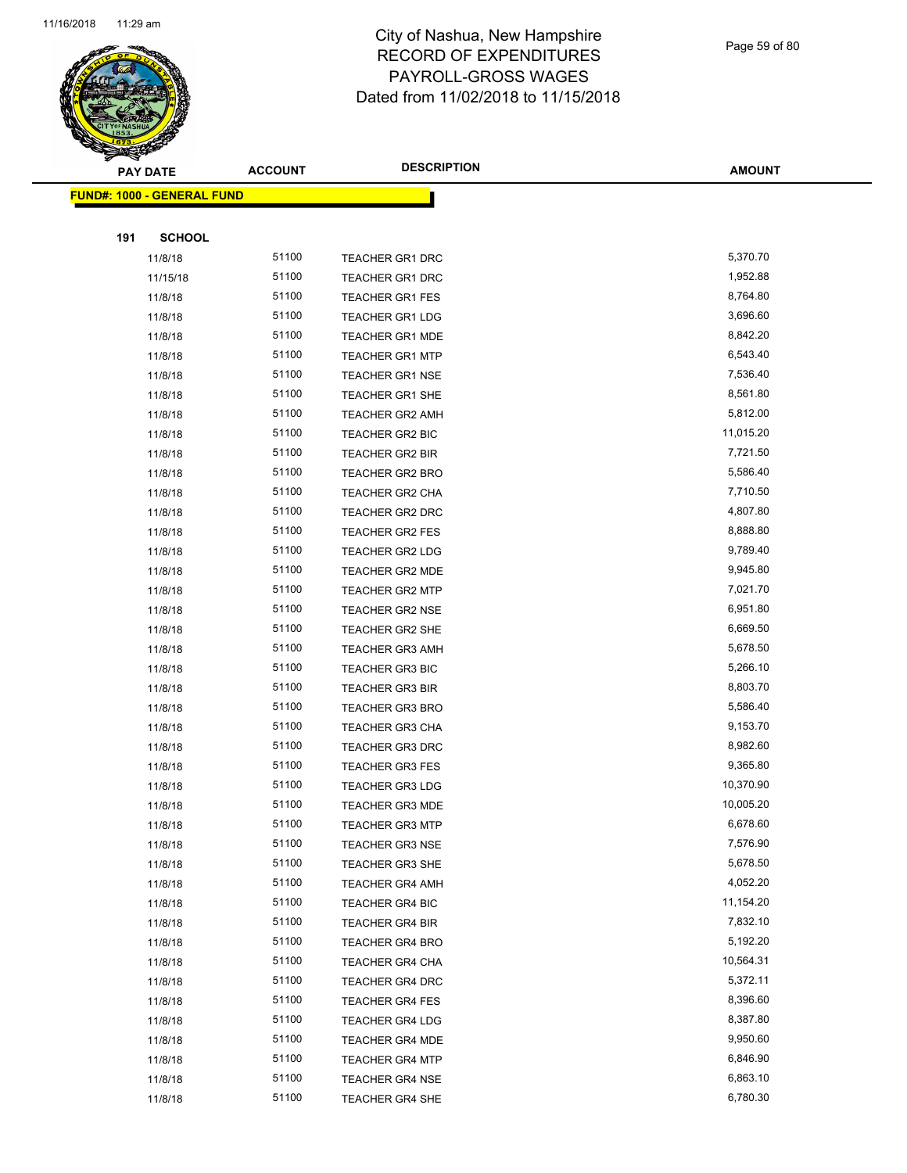

Page 59 of 80

|     | <b>PAY DATE</b>                   | <b>ACCOUNT</b> | <b>DESCRIPTION</b>     | <b>AMOUNT</b> |
|-----|-----------------------------------|----------------|------------------------|---------------|
|     | <b>FUND#: 1000 - GENERAL FUND</b> |                |                        |               |
|     |                                   |                |                        |               |
| 191 | <b>SCHOOL</b>                     |                |                        |               |
|     | 11/8/18                           | 51100          | <b>TEACHER GR1 DRC</b> | 5,370.70      |
|     | 11/15/18                          | 51100          | <b>TEACHER GR1 DRC</b> | 1,952.88      |
|     | 11/8/18                           | 51100          | TEACHER GR1 FES        | 8,764.80      |
|     | 11/8/18                           | 51100          | <b>TEACHER GR1 LDG</b> | 3,696.60      |
|     | 11/8/18                           | 51100          | <b>TEACHER GR1 MDE</b> | 8,842.20      |
|     | 11/8/18                           | 51100          | <b>TEACHER GR1 MTP</b> | 6,543.40      |
|     | 11/8/18                           | 51100          | <b>TEACHER GR1 NSE</b> | 7,536.40      |
|     | 11/8/18                           | 51100          | <b>TEACHER GR1 SHE</b> | 8,561.80      |
|     | 11/8/18                           | 51100          | TEACHER GR2 AMH        | 5,812.00      |
|     | 11/8/18                           | 51100          | TEACHER GR2 BIC        | 11,015.20     |
|     | 11/8/18                           | 51100          | TEACHER GR2 BIR        | 7,721.50      |
|     | 11/8/18                           | 51100          | <b>TEACHER GR2 BRO</b> | 5,586.40      |
|     | 11/8/18                           | 51100          | <b>TEACHER GR2 CHA</b> | 7,710.50      |
|     | 11/8/18                           | 51100          | TEACHER GR2 DRC        | 4,807.80      |
|     | 11/8/18                           | 51100          | TEACHER GR2 FES        | 8,888.80      |
|     | 11/8/18                           | 51100          | <b>TEACHER GR2 LDG</b> | 9,789.40      |
|     | 11/8/18                           | 51100          | <b>TEACHER GR2 MDE</b> | 9,945.80      |
|     | 11/8/18                           | 51100          | <b>TEACHER GR2 MTP</b> | 7,021.70      |
|     | 11/8/18                           | 51100          | <b>TEACHER GR2 NSE</b> | 6,951.80      |
|     | 11/8/18                           | 51100          | <b>TEACHER GR2 SHE</b> | 6,669.50      |
|     | 11/8/18                           | 51100          | <b>TEACHER GR3 AMH</b> | 5,678.50      |
|     | 11/8/18                           | 51100          | <b>TEACHER GR3 BIC</b> | 5,266.10      |
|     | 11/8/18                           | 51100          | <b>TEACHER GR3 BIR</b> | 8,803.70      |
|     | 11/8/18                           | 51100          | <b>TEACHER GR3 BRO</b> | 5,586.40      |
|     | 11/8/18                           | 51100          | <b>TEACHER GR3 CHA</b> | 9,153.70      |
|     | 11/8/18                           | 51100          | TEACHER GR3 DRC        | 8,982.60      |
|     | 11/8/18                           | 51100          | <b>TEACHER GR3 FES</b> | 9,365.80      |
|     | 11/8/18                           | 51100          | <b>TEACHER GR3 LDG</b> | 10,370.90     |
|     | 11/8/18                           | 51100          | TEACHER GR3 MDE        | 10,005.20     |
|     | 11/8/18                           | 51100          | <b>TEACHER GR3 MTP</b> | 6,678.60      |
|     | 11/8/18                           | 51100          | <b>TEACHER GR3 NSE</b> | 7,576.90      |
|     | 11/8/18                           | 51100          | <b>TEACHER GR3 SHE</b> | 5,678.50      |
|     | 11/8/18                           | 51100          | <b>TEACHER GR4 AMH</b> | 4,052.20      |
|     | 11/8/18                           | 51100          | TEACHER GR4 BIC        | 11,154.20     |
|     | 11/8/18                           | 51100          | <b>TEACHER GR4 BIR</b> | 7,832.10      |
|     | 11/8/18                           | 51100          | <b>TEACHER GR4 BRO</b> | 5,192.20      |
|     | 11/8/18                           | 51100          | <b>TEACHER GR4 CHA</b> | 10,564.31     |
|     | 11/8/18                           | 51100          | <b>TEACHER GR4 DRC</b> | 5,372.11      |
|     | 11/8/18                           | 51100          | TEACHER GR4 FES        | 8,396.60      |
|     | 11/8/18                           | 51100          | <b>TEACHER GR4 LDG</b> | 8,387.80      |
|     | 11/8/18                           | 51100          | <b>TEACHER GR4 MDE</b> | 9,950.60      |
|     | 11/8/18                           | 51100          | <b>TEACHER GR4 MTP</b> | 6,846.90      |
|     | 11/8/18                           | 51100          | <b>TEACHER GR4 NSE</b> | 6,863.10      |
|     | 11/8/18                           | 51100          | TEACHER GR4 SHE        | 6,780.30      |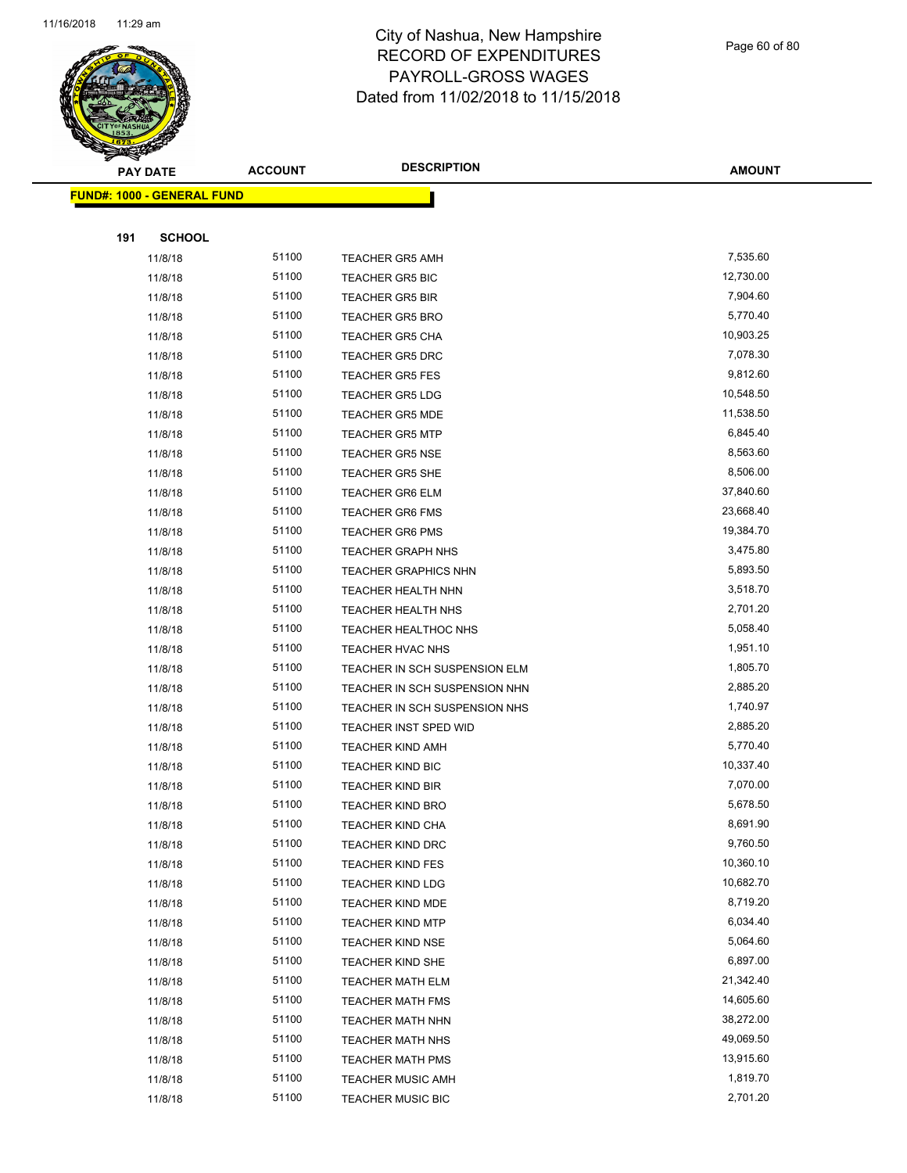

Page 60 of 80

| $\tilde{\phantom{a}}$ | <b>PAY DATE</b>                   | <b>ACCOUNT</b> | <b>DESCRIPTION</b>                                 | <b>AMOUNT</b>        |
|-----------------------|-----------------------------------|----------------|----------------------------------------------------|----------------------|
|                       | <b>FUND#: 1000 - GENERAL FUND</b> |                |                                                    |                      |
|                       |                                   |                |                                                    |                      |
| 191                   | <b>SCHOOL</b>                     |                |                                                    |                      |
|                       | 11/8/18                           | 51100          | <b>TEACHER GR5 AMH</b>                             | 7,535.60             |
|                       | 11/8/18                           | 51100          | <b>TEACHER GR5 BIC</b>                             | 12,730.00            |
|                       | 11/8/18                           | 51100          | <b>TEACHER GR5 BIR</b>                             | 7,904.60             |
|                       | 11/8/18                           | 51100          | <b>TEACHER GR5 BRO</b>                             | 5,770.40             |
|                       | 11/8/18                           | 51100          | <b>TEACHER GR5 CHA</b>                             | 10,903.25            |
|                       | 11/8/18                           | 51100          | <b>TEACHER GR5 DRC</b>                             | 7,078.30             |
|                       | 11/8/18                           | 51100          | <b>TEACHER GR5 FES</b>                             | 9,812.60             |
|                       | 11/8/18                           | 51100          | <b>TEACHER GR5 LDG</b>                             | 10,548.50            |
|                       | 11/8/18                           | 51100          | <b>TEACHER GR5 MDE</b>                             | 11,538.50            |
|                       | 11/8/18                           | 51100          | <b>TEACHER GR5 MTP</b>                             | 6,845.40             |
|                       | 11/8/18                           | 51100          | <b>TEACHER GR5 NSE</b>                             | 8,563.60             |
|                       | 11/8/18                           | 51100          | <b>TEACHER GR5 SHE</b>                             | 8,506.00             |
|                       | 11/8/18                           | 51100          | <b>TEACHER GR6 ELM</b>                             | 37,840.60            |
|                       | 11/8/18                           | 51100          | <b>TEACHER GR6 FMS</b>                             | 23,668.40            |
|                       | 11/8/18                           | 51100          | <b>TEACHER GR6 PMS</b>                             | 19,384.70            |
|                       | 11/8/18                           | 51100          | TEACHER GRAPH NHS                                  | 3,475.80             |
|                       | 11/8/18                           | 51100          | <b>TEACHER GRAPHICS NHN</b>                        | 5,893.50             |
|                       | 11/8/18                           | 51100          | TEACHER HEALTH NHN                                 | 3,518.70             |
|                       | 11/8/18                           | 51100          | TEACHER HEALTH NHS                                 | 2,701.20             |
|                       | 11/8/18                           | 51100          | TEACHER HEALTHOC NHS                               | 5,058.40             |
|                       | 11/8/18                           | 51100          | TEACHER HVAC NHS                                   | 1,951.10             |
|                       | 11/8/18                           | 51100          | TEACHER IN SCH SUSPENSION ELM                      | 1,805.70             |
|                       | 11/8/18                           | 51100          | TEACHER IN SCH SUSPENSION NHN                      | 2,885.20             |
|                       | 11/8/18                           | 51100          | TEACHER IN SCH SUSPENSION NHS                      | 1,740.97             |
|                       | 11/8/18                           | 51100          | TEACHER INST SPED WID                              | 2,885.20             |
|                       | 11/8/18                           | 51100          | <b>TEACHER KIND AMH</b>                            | 5,770.40             |
|                       | 11/8/18                           | 51100          | <b>TEACHER KIND BIC</b>                            | 10,337.40            |
|                       | 11/8/18                           | 51100          | <b>TEACHER KIND BIR</b>                            | 7,070.00             |
|                       | 11/8/18                           | 51100          | <b>TEACHER KIND BRO</b>                            | 5,678.50             |
|                       | 11/8/18                           | 51100          | <b>TEACHER KIND CHA</b>                            | 8,691.90             |
|                       | 11/8/18                           | 51100          | <b>TEACHER KIND DRC</b>                            | 9,760.50             |
|                       | 11/8/18                           | 51100          | <b>TEACHER KIND FES</b>                            | 10,360.10            |
|                       | 11/8/18                           | 51100          | <b>TEACHER KIND LDG</b>                            | 10,682.70            |
|                       | 11/8/18                           | 51100          | <b>TEACHER KIND MDE</b>                            | 8,719.20             |
|                       | 11/8/18                           | 51100<br>51100 | <b>TEACHER KIND MTP</b>                            | 6,034.40<br>5,064.60 |
|                       | 11/8/18<br>11/8/18                | 51100          | <b>TEACHER KIND NSE</b><br><b>TEACHER KIND SHE</b> | 6,897.00             |
|                       | 11/8/18                           | 51100          | <b>TEACHER MATH ELM</b>                            | 21,342.40            |
|                       | 11/8/18                           | 51100          | <b>TEACHER MATH FMS</b>                            | 14,605.60            |
|                       | 11/8/18                           | 51100          | <b>TEACHER MATH NHN</b>                            | 38,272.00            |
|                       | 11/8/18                           | 51100          | <b>TEACHER MATH NHS</b>                            | 49,069.50            |
|                       | 11/8/18                           | 51100          | <b>TEACHER MATH PMS</b>                            | 13,915.60            |
|                       | 11/8/18                           | 51100          | <b>TEACHER MUSIC AMH</b>                           | 1,819.70             |
|                       | 11/8/18                           | 51100          | <b>TEACHER MUSIC BIC</b>                           | 2,701.20             |
|                       |                                   |                |                                                    |                      |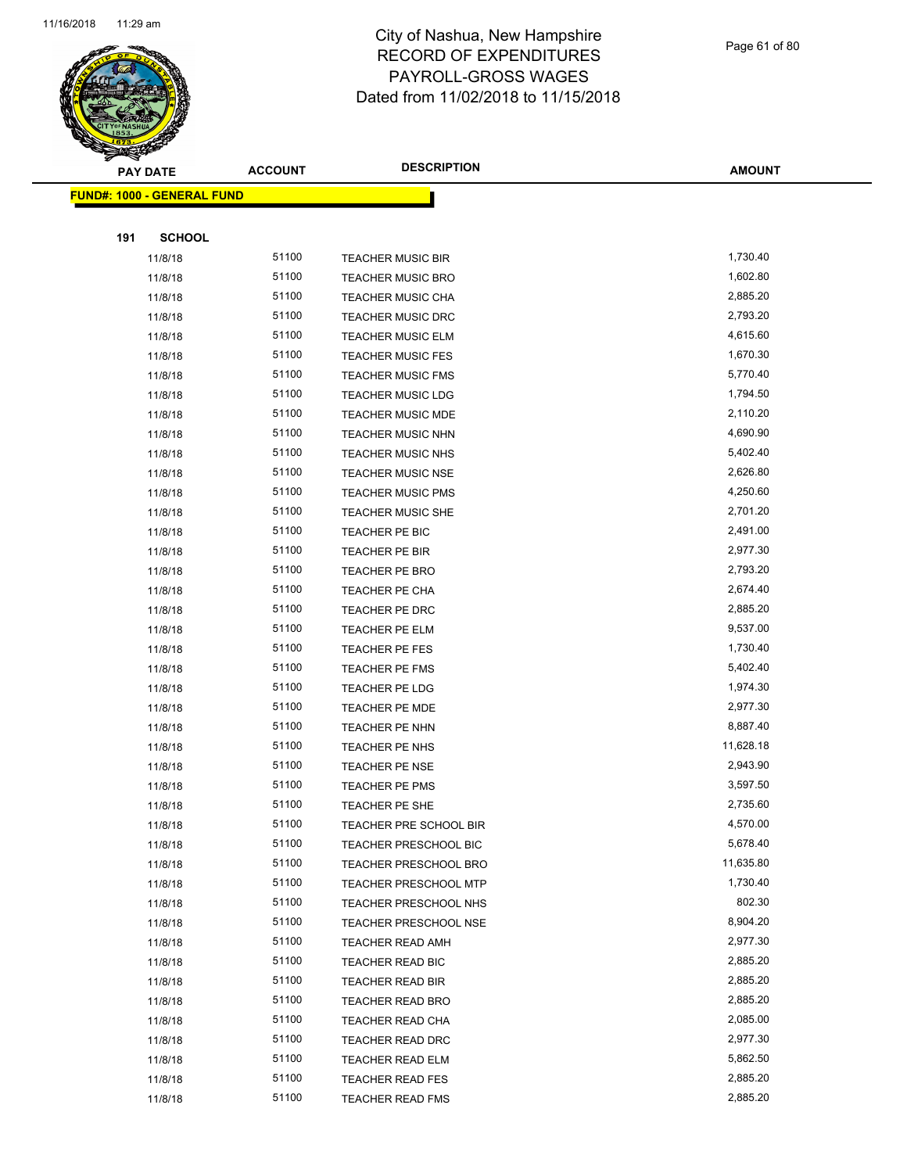

**FUND#: 1000 - GENERAL FUND**

#### City of Nashua, New Hampshire RECORD OF EXPENDITURES PAYROLL-GROSS WAGES Dated from 11/02/2018 to 11/15/2018

Page 61 of 80

**AMOUNT**

**191 SCHOOL** 11/8/18 51100 TEACHER MUSIC BIR 1,730.40 11/8/18 51100 TEACHER MUSIC BRO 1,602.80 11/8/18 51100 TEACHER MUSIC CHA 2,885.20 11/8/18 51100 TEACHER MUSIC DRC 2,793.20 11/8/18 51100 TEACHER MUSIC ELM 4,615.60 11/8/18 51100 TEACHER MUSIC FES 1,670.30 11/8/18 5770.40 11/8/18 51100 TEACHER MUSIC LDG 1,794.50 11/8/18 51100 TEACHER MUSIC MDE 2,110.20 11/8/18 51100 TEACHER MUSIC NHN 4,690.90 11/8/18 51100 TEACHER MUSIC NHS 5,402.40 11/8/18 51100 TEACHER MUSIC NSE 2,626.80 11/8/18 51100 TEACHER MUSIC PMS 4,250.60 11/8/18 51100 TEACHER MUSIC SHE 2,701.20 11/8/18 51100 TEACHER PE BIC 2,491.00 11/8/18 51100 TEACHER PE BIR 2,977.30 11/8/18 51100 TEACHER PE BRO 2,793.20 11/8/18 51100 TEACHER PE CHA 2,674.40 11/8/18 51100 TEACHER PE DRC 2,885.20 11/8/18 51100 TEACHER PE ELM 9,537.00 11/8/18 51100 TEACHER PE FES 1,730.40 11/8/18 51100 TEACHER PE FMS 5,402.40 11/8/18 51100 TEACHER PE LDG 1,974.30 11/8/18 51100 TEACHER PE MDE 2,977.30 11/8/18 51100 TEACHER PE NHN 6,887.40 11/8/18 51100 TEACHER PE NHS 11,628.18 11/8/18 51100 TEACHER PE NSE 2,943.90 11/8/18 51100 TEACHER PE PMS 3,597.50 11/8/18 51100 TEACHER PE SHE 2,735.60 11/8/18 51100 TEACHER PRE SCHOOL BIR 4,570.00 11/8/18 5,678.40 51100 TEACHER PRESCHOOL BIC 5,678.40 11/8/18 51100 TEACHER PRESCHOOL BRO 11,635.80 11/8/18 51100 TEACHER PRESCHOOL MTP 1,730.40 11/8/18 51100 TEACHER PRESCHOOL NHS 802.30 11/8/18 51100 TEACHER PRESCHOOL NSE 6,904.20 11/8/18 51100 TEACHER READ AMH 2,977.30 11/8/18 51100 TEACHER READ BIC 2,885.20 11/8/18 51100 TEACHER READ BIR 2,885.20 11/8/18 51100 TEACHER READ BRO 2,885.20 11/8/18 51100 TEACHER READ CHA 2,085.00 11/8/18 51100 TEACHER READ DRC 2,977.30 11/8/18 5,862.50 51100 TEACHER READ ELM 5,862.50 11/8/18 51100 TEACHER READ FES 2,885.20 11/8/18 51100 TEACHER READ FMS 2,885.20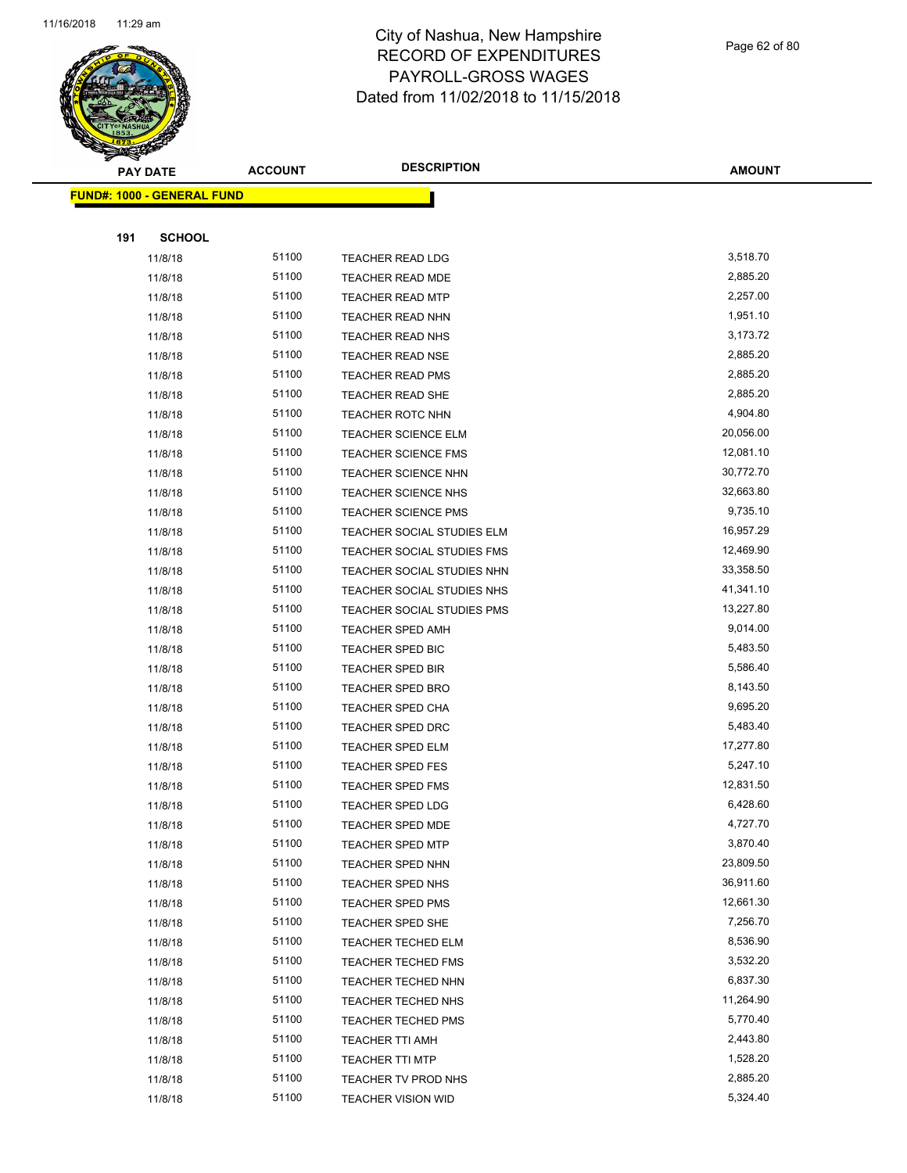

**FUND#: 1000 - GENERAL FUND**

**191 SCHOOL**

#### City of Nashua, New Hampshire RECORD OF EXPENDITURES PAYROLL-GROSS WAGES Dated from 11/02/2018 to 11/15/2018

**AMOUNT PAY DATE ACCOUNT DESCRIPTION** 11/8/18 51100 TEACHER READ LDG 3,518.70 11/8/18 51100 TEACHER READ MDE 2,885.20 11/8/18 51100 TEACHER READ MTP 2,257.00 11/8/18 51100 TEACHER READ NHN 1,951.10

| 11/8/18 | 51100 | <b>TEACHER READ NHS</b>    | 3,173.72  |
|---------|-------|----------------------------|-----------|
| 11/8/18 | 51100 | <b>TEACHER READ NSE</b>    | 2,885.20  |
| 11/8/18 | 51100 | <b>TEACHER READ PMS</b>    | 2,885.20  |
| 11/8/18 | 51100 | TEACHER READ SHE           | 2,885.20  |
| 11/8/18 | 51100 | <b>TEACHER ROTC NHN</b>    | 4,904.80  |
| 11/8/18 | 51100 | <b>TEACHER SCIENCE ELM</b> | 20,056.00 |
| 11/8/18 | 51100 | <b>TEACHER SCIENCE FMS</b> | 12,081.10 |
| 11/8/18 | 51100 | <b>TEACHER SCIENCE NHN</b> | 30,772.70 |
| 11/8/18 | 51100 | <b>TEACHER SCIENCE NHS</b> | 32,663.80 |
| 11/8/18 | 51100 | <b>TEACHER SCIENCE PMS</b> | 9,735.10  |
| 11/8/18 | 51100 | TEACHER SOCIAL STUDIES ELM | 16,957.29 |
| 11/8/18 | 51100 | TEACHER SOCIAL STUDIES FMS | 12,469.90 |
| 11/8/18 | 51100 | TEACHER SOCIAL STUDIES NHN | 33,358.50 |
| 11/8/18 | 51100 | TEACHER SOCIAL STUDIES NHS | 41,341.10 |
| 11/8/18 | 51100 | TEACHER SOCIAL STUDIES PMS | 13,227.80 |
| 11/8/18 | 51100 | <b>TEACHER SPED AMH</b>    | 9,014.00  |
| 11/8/18 | 51100 | <b>TEACHER SPED BIC</b>    | 5,483.50  |
| 11/8/18 | 51100 | <b>TEACHER SPED BIR</b>    | 5,586.40  |
| 11/8/18 | 51100 | <b>TEACHER SPED BRO</b>    | 8,143.50  |
| 11/8/18 | 51100 | TEACHER SPED CHA           | 9,695.20  |
| 11/8/18 | 51100 | <b>TEACHER SPED DRC</b>    | 5,483.40  |
| 11/8/18 | 51100 | <b>TEACHER SPED ELM</b>    | 17,277.80 |
| 11/8/18 | 51100 | <b>TEACHER SPED FES</b>    | 5,247.10  |
| 11/8/18 | 51100 | TEACHER SPED FMS           | 12,831.50 |
| 11/8/18 | 51100 | <b>TEACHER SPED LDG</b>    | 6,428.60  |
| 11/8/18 | 51100 | TEACHER SPED MDE           | 4,727.70  |
| 11/8/18 | 51100 | <b>TEACHER SPED MTP</b>    | 3,870.40  |
| 11/8/18 | 51100 | <b>TEACHER SPED NHN</b>    | 23,809.50 |
| 11/8/18 | 51100 | <b>TEACHER SPED NHS</b>    | 36,911.60 |
| 11/8/18 | 51100 | TEACHER SPED PMS           | 12,661.30 |
| 11/8/18 | 51100 | TEACHER SPED SHE           | 7,256.70  |
| 11/8/18 | 51100 | <b>TEACHER TECHED ELM</b>  | 8,536.90  |
| 11/8/18 | 51100 | <b>TEACHER TECHED FMS</b>  | 3,532.20  |
| 11/8/18 | 51100 | TEACHER TECHED NHN         | 6,837.30  |
| 11/8/18 | 51100 | TEACHER TECHED NHS         | 11,264.90 |
| 11/8/18 | 51100 | <b>TEACHER TECHED PMS</b>  | 5,770.40  |
| 11/8/18 | 51100 | <b>TEACHER TTI AMH</b>     | 2,443.80  |
| 11/8/18 | 51100 | <b>TEACHER TTI MTP</b>     | 1,528.20  |
| 11/8/18 | 51100 | TEACHER TV PROD NHS        | 2,885.20  |
| 11/8/18 | 51100 | <b>TEACHER VISION WID</b>  | 5,324.40  |
|         |       |                            |           |

Page 62 of 80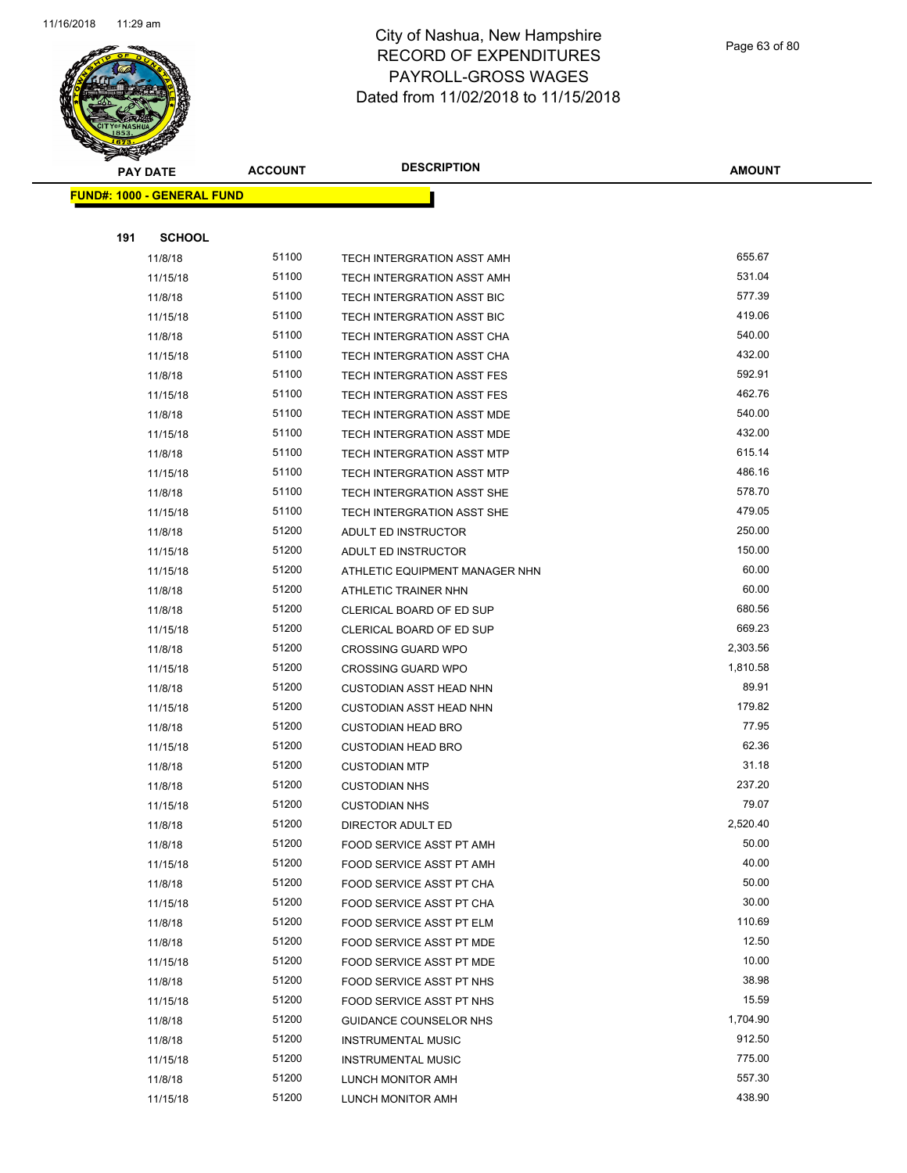

Page 63 of 80

| <b>PAY DATE</b>                   | <b>ACCOUNT</b> | <b>DESCRIPTION</b>                | <b>AMOUNT</b> |
|-----------------------------------|----------------|-----------------------------------|---------------|
| <b>FUND#: 1000 - GENERAL FUND</b> |                |                                   |               |
|                                   |                |                                   |               |
| 191<br><b>SCHOOL</b>              |                |                                   |               |
| 11/8/18                           | 51100          | TECH INTERGRATION ASST AMH        | 655.67        |
| 11/15/18                          | 51100          | TECH INTERGRATION ASST AMH        | 531.04        |
| 11/8/18                           | 51100          | TECH INTERGRATION ASST BIC        | 577.39        |
| 11/15/18                          | 51100          | TECH INTERGRATION ASST BIC        | 419.06        |
| 11/8/18                           | 51100          | TECH INTERGRATION ASST CHA        | 540.00        |
| 11/15/18                          | 51100          | TECH INTERGRATION ASST CHA        | 432.00        |
| 11/8/18                           | 51100          | TECH INTERGRATION ASST FES        | 592.91        |
| 11/15/18                          | 51100          | TECH INTERGRATION ASST FES        | 462.76        |
| 11/8/18                           | 51100          | TECH INTERGRATION ASST MDE        | 540.00        |
| 11/15/18                          | 51100          | TECH INTERGRATION ASST MDE        | 432.00        |
| 11/8/18                           | 51100          | TECH INTERGRATION ASST MTP        | 615.14        |
| 11/15/18                          | 51100          | <b>TECH INTERGRATION ASST MTP</b> | 486.16        |
| 11/8/18                           | 51100          | TECH INTERGRATION ASST SHE        | 578.70        |
| 11/15/18                          | 51100          | TECH INTERGRATION ASST SHE        | 479.05        |
| 11/8/18                           | 51200          | ADULT ED INSTRUCTOR               | 250.00        |
| 11/15/18                          | 51200          | ADULT ED INSTRUCTOR               | 150.00        |
| 11/15/18                          | 51200          | ATHLETIC EQUIPMENT MANAGER NHN    | 60.00         |
| 11/8/18                           | 51200          | ATHLETIC TRAINER NHN              | 60.00         |
| 11/8/18                           | 51200          | CLERICAL BOARD OF ED SUP          | 680.56        |
| 11/15/18                          | 51200          | CLERICAL BOARD OF ED SUP          | 669.23        |
| 11/8/18                           | 51200          | <b>CROSSING GUARD WPO</b>         | 2,303.56      |
| 11/15/18                          | 51200          | <b>CROSSING GUARD WPO</b>         | 1,810.58      |
| 11/8/18                           | 51200          | <b>CUSTODIAN ASST HEAD NHN</b>    | 89.91         |
| 11/15/18                          | 51200          | <b>CUSTODIAN ASST HEAD NHN</b>    | 179.82        |
| 11/8/18                           | 51200          | <b>CUSTODIAN HEAD BRO</b>         | 77.95         |
| 11/15/18                          | 51200          | <b>CUSTODIAN HEAD BRO</b>         | 62.36         |
| 11/8/18                           | 51200          | <b>CUSTODIAN MTP</b>              | 31.18         |
| 11/8/18                           | 51200          | <b>CUSTODIAN NHS</b>              | 237.20        |
| 11/15/18                          | 51200          | <b>CUSTODIAN NHS</b>              | 79.07         |
| 11/8/18                           | 51200          | DIRECTOR ADULT ED                 | 2,520.40      |
| 11/8/18                           | 51200          | FOOD SERVICE ASST PT AMH          | 50.00         |
| 11/15/18                          | 51200          | FOOD SERVICE ASST PT AMH          | 40.00         |
| 11/8/18                           | 51200          | FOOD SERVICE ASST PT CHA          | 50.00         |
| 11/15/18                          | 51200          | FOOD SERVICE ASST PT CHA          | 30.00         |
| 11/8/18                           | 51200          | FOOD SERVICE ASST PT ELM          | 110.69        |
| 11/8/18                           | 51200          | FOOD SERVICE ASST PT MDE          | 12.50         |
| 11/15/18                          | 51200          | FOOD SERVICE ASST PT MDE          | 10.00         |
| 11/8/18                           | 51200          | FOOD SERVICE ASST PT NHS          | 38.98         |
| 11/15/18                          | 51200          | FOOD SERVICE ASST PT NHS          | 15.59         |
| 11/8/18                           | 51200          | GUIDANCE COUNSELOR NHS            | 1,704.90      |
| 11/8/18                           | 51200          | <b>INSTRUMENTAL MUSIC</b>         | 912.50        |
| 11/15/18                          | 51200          | <b>INSTRUMENTAL MUSIC</b>         | 775.00        |
| 11/8/18                           | 51200          | LUNCH MONITOR AMH                 | 557.30        |
| 11/15/18                          | 51200          | LUNCH MONITOR AMH                 | 438.90        |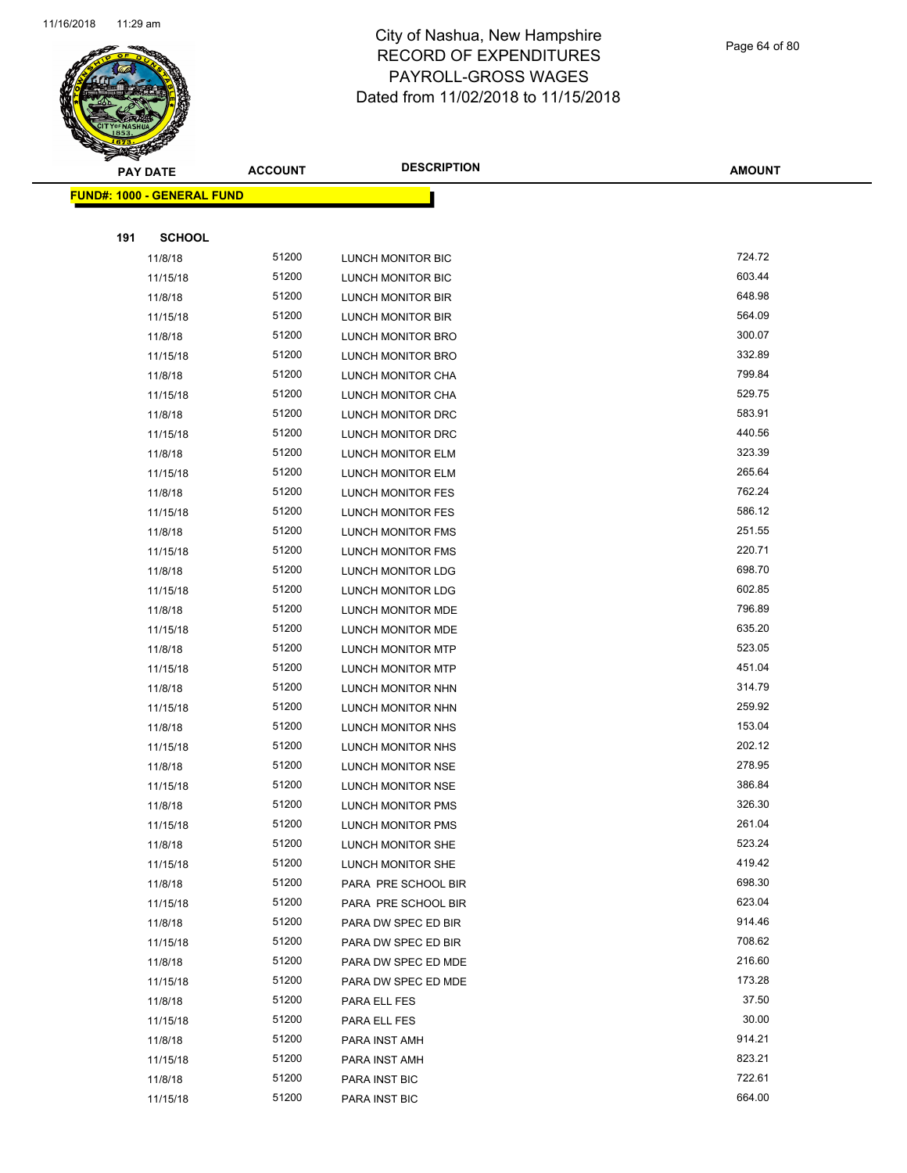

Page 64 of 80

|     | <b>PAY DATE</b>                   | <b>ACCOUNT</b> | <b>DESCRIPTION</b>       | <b>AMOUNT</b> |
|-----|-----------------------------------|----------------|--------------------------|---------------|
|     | <b>FUND#: 1000 - GENERAL FUND</b> |                |                          |               |
|     |                                   |                |                          |               |
| 191 | <b>SCHOOL</b>                     |                |                          |               |
|     | 11/8/18                           | 51200          | LUNCH MONITOR BIC        | 724.72        |
|     | 11/15/18                          | 51200          | LUNCH MONITOR BIC        | 603.44        |
|     | 11/8/18                           | 51200          | LUNCH MONITOR BIR        | 648.98        |
|     | 11/15/18                          | 51200          | LUNCH MONITOR BIR        | 564.09        |
|     | 11/8/18                           | 51200          | <b>LUNCH MONITOR BRO</b> | 300.07        |
|     | 11/15/18                          | 51200          | LUNCH MONITOR BRO        | 332.89        |
|     | 11/8/18                           | 51200          | LUNCH MONITOR CHA        | 799.84        |
|     | 11/15/18                          | 51200          | LUNCH MONITOR CHA        | 529.75        |
|     | 11/8/18                           | 51200          | LUNCH MONITOR DRC        | 583.91        |
|     | 11/15/18                          | 51200          | LUNCH MONITOR DRC        | 440.56        |
|     | 11/8/18                           | 51200          | LUNCH MONITOR ELM        | 323.39        |
|     | 11/15/18                          | 51200          | LUNCH MONITOR ELM        | 265.64        |
|     | 11/8/18                           | 51200          | <b>LUNCH MONITOR FES</b> | 762.24        |
|     | 11/15/18                          | 51200          | <b>LUNCH MONITOR FES</b> | 586.12        |
|     | 11/8/18                           | 51200          | LUNCH MONITOR FMS        | 251.55        |
|     | 11/15/18                          | 51200          | LUNCH MONITOR FMS        | 220.71        |
|     | 11/8/18                           | 51200          | LUNCH MONITOR LDG        | 698.70        |
|     | 11/15/18                          | 51200          | LUNCH MONITOR LDG        | 602.85        |
|     | 11/8/18                           | 51200          | LUNCH MONITOR MDE        | 796.89        |
|     | 11/15/18                          | 51200          | LUNCH MONITOR MDE        | 635.20        |
|     | 11/8/18                           | 51200          | LUNCH MONITOR MTP        | 523.05        |
|     | 11/15/18                          | 51200          | LUNCH MONITOR MTP        | 451.04        |
|     | 11/8/18                           | 51200          | LUNCH MONITOR NHN        | 314.79        |
|     | 11/15/18                          | 51200          | LUNCH MONITOR NHN        | 259.92        |
|     | 11/8/18                           | 51200          | LUNCH MONITOR NHS        | 153.04        |
|     | 11/15/18                          | 51200          | LUNCH MONITOR NHS        | 202.12        |
|     | 11/8/18                           | 51200          | LUNCH MONITOR NSE        | 278.95        |
|     | 11/15/18                          | 51200          | LUNCH MONITOR NSE        | 386.84        |
|     | 11/8/18                           | 51200          | <b>LUNCH MONITOR PMS</b> | 326.30        |
|     | 11/15/18                          | 51200          | LUNCH MONITOR PMS        | 261.04        |
|     | 11/8/18                           | 51200          | LUNCH MONITOR SHE        | 523.24        |
|     | 11/15/18                          | 51200          | LUNCH MONITOR SHE        | 419.42        |
|     | 11/8/18                           | 51200          | PARA PRE SCHOOL BIR      | 698.30        |
|     | 11/15/18                          | 51200          | PARA PRE SCHOOL BIR      | 623.04        |
|     | 11/8/18                           | 51200          | PARA DW SPEC ED BIR      | 914.46        |
|     | 11/15/18                          | 51200          | PARA DW SPEC ED BIR      | 708.62        |
|     | 11/8/18                           | 51200          | PARA DW SPEC ED MDE      | 216.60        |
|     | 11/15/18                          | 51200          | PARA DW SPEC ED MDE      | 173.28        |
|     | 11/8/18                           | 51200          | PARA ELL FES             | 37.50         |
|     | 11/15/18                          | 51200          | PARA ELL FES             | 30.00         |
|     | 11/8/18                           | 51200          | PARA INST AMH            | 914.21        |
|     | 11/15/18                          | 51200          | PARA INST AMH            | 823.21        |
|     | 11/8/18                           | 51200          | PARA INST BIC            | 722.61        |
|     | 11/15/18                          | 51200          | PARA INST BIC            | 664.00        |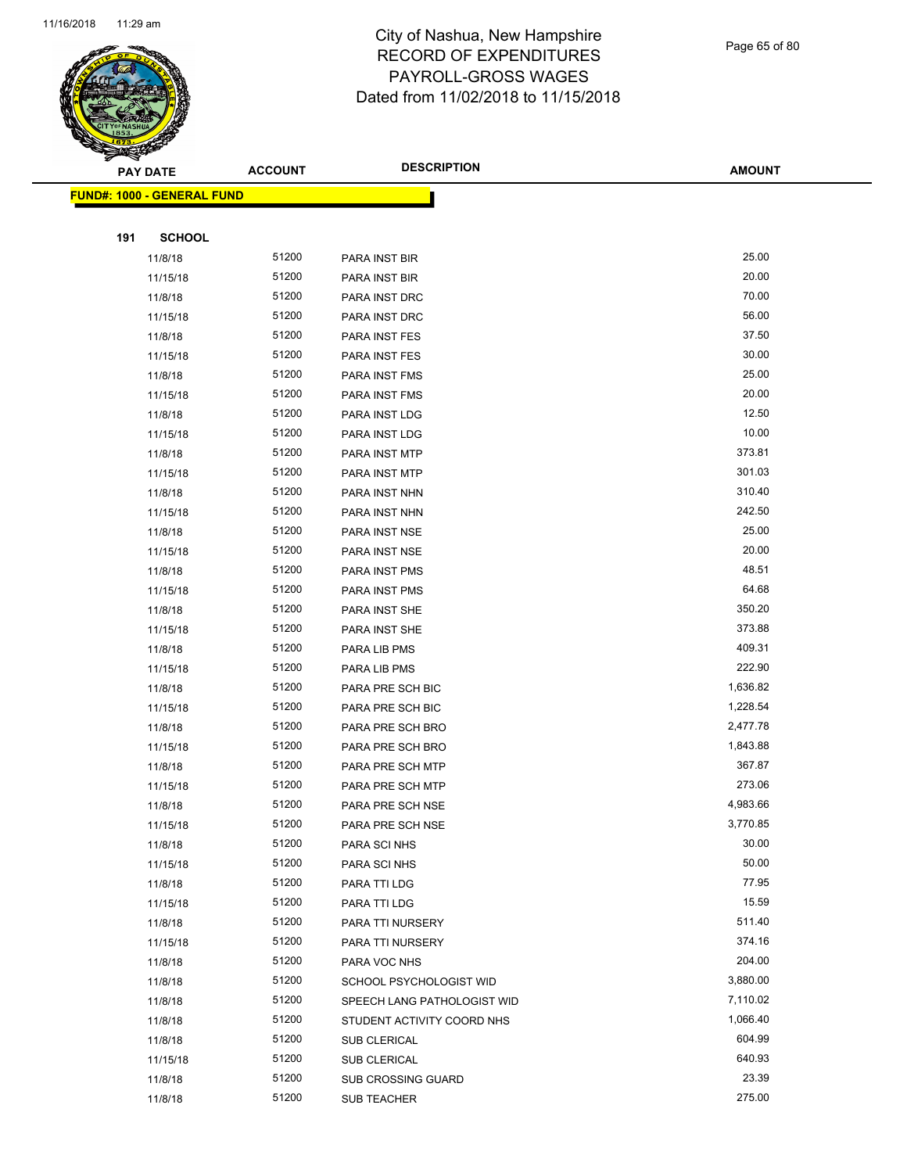

Page 65 of 80

|     | <b>PAY DATE</b>                   | <b>ACCOUNT</b> | <b>DESCRIPTION</b>                         | <b>AMOUNT</b>      |
|-----|-----------------------------------|----------------|--------------------------------------------|--------------------|
|     | <b>FUND#: 1000 - GENERAL FUND</b> |                |                                            |                    |
|     |                                   |                |                                            |                    |
| 191 | <b>SCHOOL</b>                     |                |                                            |                    |
|     | 11/8/18                           | 51200          | PARA INST BIR                              | 25.00              |
|     | 11/15/18                          | 51200          | PARA INST BIR                              | 20.00              |
|     | 11/8/18                           | 51200          | PARA INST DRC                              | 70.00              |
|     | 11/15/18                          | 51200          | PARA INST DRC                              | 56.00              |
|     | 11/8/18                           | 51200          | PARA INST FES                              | 37.50              |
|     | 11/15/18                          | 51200          | PARA INST FES                              | 30.00              |
|     | 11/8/18                           | 51200          | <b>PARA INST FMS</b>                       | 25.00              |
|     | 11/15/18                          | 51200          | <b>PARA INST FMS</b>                       | 20.00              |
|     | 11/8/18                           | 51200          | PARA INST LDG                              | 12.50              |
|     | 11/15/18                          | 51200          | PARA INST LDG                              | 10.00              |
|     | 11/8/18                           | 51200          | PARA INST MTP                              | 373.81             |
|     | 11/15/18                          | 51200          | PARA INST MTP                              | 301.03             |
|     | 11/8/18                           | 51200          | PARA INST NHN                              | 310.40             |
|     | 11/15/18                          | 51200          | PARA INST NHN                              | 242.50             |
|     | 11/8/18                           | 51200          | PARA INST NSE                              | 25.00              |
|     | 11/15/18                          | 51200          | PARA INST NSE                              | 20.00              |
|     | 11/8/18                           | 51200          | PARA INST PMS                              | 48.51              |
|     | 11/15/18                          | 51200          | PARA INST PMS                              | 64.68              |
|     | 11/8/18                           | 51200          | PARA INST SHE                              | 350.20             |
|     | 11/15/18                          | 51200          | PARA INST SHE                              | 373.88             |
|     | 11/8/18                           | 51200          | PARA LIB PMS                               | 409.31             |
|     | 11/15/18                          | 51200          | PARA LIB PMS                               | 222.90             |
|     | 11/8/18                           | 51200          | PARA PRE SCH BIC                           | 1,636.82           |
|     | 11/15/18                          | 51200          | PARA PRE SCH BIC                           | 1,228.54           |
|     | 11/8/18                           | 51200          | PARA PRE SCH BRO                           | 2,477.78           |
|     | 11/15/18                          | 51200          | PARA PRE SCH BRO                           | 1,843.88           |
|     | 11/8/18                           | 51200          | PARA PRE SCH MTP                           | 367.87             |
|     | 11/15/18                          | 51200          | PARA PRE SCH MTP                           | 273.06             |
|     | 11/8/18                           | 51200          | PARA PRE SCH NSE                           | 4,983.66           |
|     | 11/15/18                          | 51200          | PARA PRE SCH NSE                           | 3,770.85           |
|     | 11/8/18                           | 51200          | PARA SCI NHS                               | 30.00              |
|     | 11/15/18                          | 51200          | PARA SCI NHS                               | 50.00              |
|     | 11/8/18                           | 51200          | PARA TTI LDG                               | 77.95              |
|     | 11/15/18                          | 51200          | PARA TTI LDG                               | 15.59              |
|     | 11/8/18                           | 51200          | PARA TTI NURSERY                           | 511.40             |
|     | 11/15/18                          | 51200          | PARA TTI NURSERY                           | 374.16             |
|     | 11/8/18                           | 51200          | PARA VOC NHS                               | 204.00             |
|     | 11/8/18                           | 51200<br>51200 | SCHOOL PSYCHOLOGIST WID                    | 3,880.00           |
|     | 11/8/18                           | 51200          | SPEECH LANG PATHOLOGIST WID                | 7,110.02           |
|     | 11/8/18<br>11/8/18                | 51200          | STUDENT ACTIVITY COORD NHS                 | 1,066.40<br>604.99 |
|     | 11/15/18                          | 51200          | <b>SUB CLERICAL</b><br><b>SUB CLERICAL</b> | 640.93             |
|     | 11/8/18                           | 51200          | <b>SUB CROSSING GUARD</b>                  | 23.39              |
|     | 11/8/18                           | 51200          | SUB TEACHER                                | 275.00             |
|     |                                   |                |                                            |                    |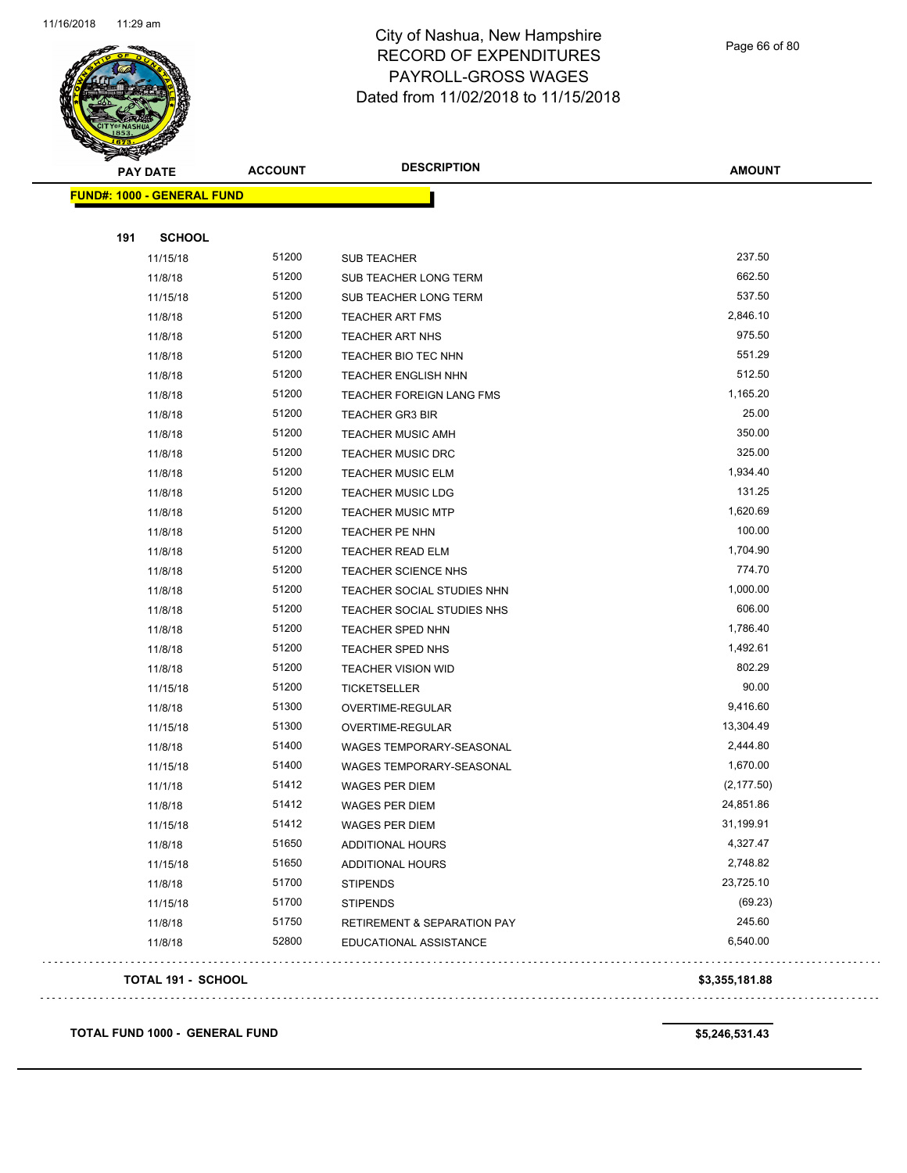

Page 66 of 80

| <b>PAY DATE</b>                   | <b>ACCOUNT</b> | <b>DESCRIPTION</b>                     | <b>AMOUNT</b>  |
|-----------------------------------|----------------|----------------------------------------|----------------|
| <b>FUND#: 1000 - GENERAL FUND</b> |                |                                        |                |
|                                   |                |                                        |                |
| 191<br><b>SCHOOL</b>              |                |                                        |                |
| 11/15/18                          | 51200          | <b>SUB TEACHER</b>                     | 237.50         |
| 11/8/18                           | 51200          | SUB TEACHER LONG TERM                  | 662.50         |
| 11/15/18                          | 51200          | SUB TEACHER LONG TERM                  | 537.50         |
| 11/8/18                           | 51200          | <b>TEACHER ART FMS</b>                 | 2,846.10       |
| 11/8/18                           | 51200          | <b>TEACHER ART NHS</b>                 | 975.50         |
| 11/8/18                           | 51200          | TEACHER BIO TEC NHN                    | 551.29         |
| 11/8/18                           | 51200          | <b>TEACHER ENGLISH NHN</b>             | 512.50         |
| 11/8/18                           | 51200          | TEACHER FOREIGN LANG FMS               | 1,165.20       |
| 11/8/18                           | 51200          | <b>TEACHER GR3 BIR</b>                 | 25.00          |
| 11/8/18                           | 51200          | <b>TEACHER MUSIC AMH</b>               | 350.00         |
| 11/8/18                           | 51200          | <b>TEACHER MUSIC DRC</b>               | 325.00         |
| 11/8/18                           | 51200          | <b>TEACHER MUSIC ELM</b>               | 1,934.40       |
| 11/8/18                           | 51200          | <b>TEACHER MUSIC LDG</b>               | 131.25         |
| 11/8/18                           | 51200          | <b>TEACHER MUSIC MTP</b>               | 1,620.69       |
| 11/8/18                           | 51200          | TEACHER PE NHN                         | 100.00         |
| 11/8/18                           | 51200          | TEACHER READ ELM                       | 1,704.90       |
| 11/8/18                           | 51200          | TEACHER SCIENCE NHS                    | 774.70         |
| 11/8/18                           | 51200          | TEACHER SOCIAL STUDIES NHN             | 1,000.00       |
| 11/8/18                           | 51200          | TEACHER SOCIAL STUDIES NHS             | 606.00         |
| 11/8/18                           | 51200          | TEACHER SPED NHN                       | 1,786.40       |
| 11/8/18                           | 51200          | TEACHER SPED NHS                       | 1,492.61       |
| 11/8/18                           | 51200          | <b>TEACHER VISION WID</b>              | 802.29         |
| 11/15/18                          | 51200          | TICKETSELLER                           | 90.00          |
| 11/8/18                           | 51300          | OVERTIME-REGULAR                       | 9,416.60       |
| 11/15/18                          | 51300          | OVERTIME-REGULAR                       | 13,304.49      |
| 11/8/18                           | 51400          | WAGES TEMPORARY-SEASONAL               | 2,444.80       |
| 11/15/18                          | 51400          | WAGES TEMPORARY-SEASONAL               | 1,670.00       |
| 11/1/18                           | 51412          | WAGES PER DIEM                         | (2, 177.50)    |
| 11/8/18                           | 51412          | <b>WAGES PER DIEM</b>                  | 24,851.86      |
| 11/15/18                          | 51412          | WAGES PER DIEM                         | 31,199.91      |
| 11/8/18                           | 51650          | ADDITIONAL HOURS                       | 4,327.47       |
| 11/15/18                          | 51650          | ADDITIONAL HOURS                       | 2,748.82       |
| 11/8/18                           | 51700          | <b>STIPENDS</b>                        | 23,725.10      |
| 11/15/18                          | 51700          | <b>STIPENDS</b>                        | (69.23)        |
| 11/8/18                           | 51750          | <b>RETIREMENT &amp; SEPARATION PAY</b> | 245.60         |
| 11/8/18                           | 52800          | EDUCATIONAL ASSISTANCE                 | 6,540.00       |
| TOTAL 191 - SCHOOL                |                |                                        | \$3,355,181.88 |
| de elecciones e elecciones        |                |                                        |                |

**TOTAL FUND 1000 - GENERAL FUND \$5,246,531.43**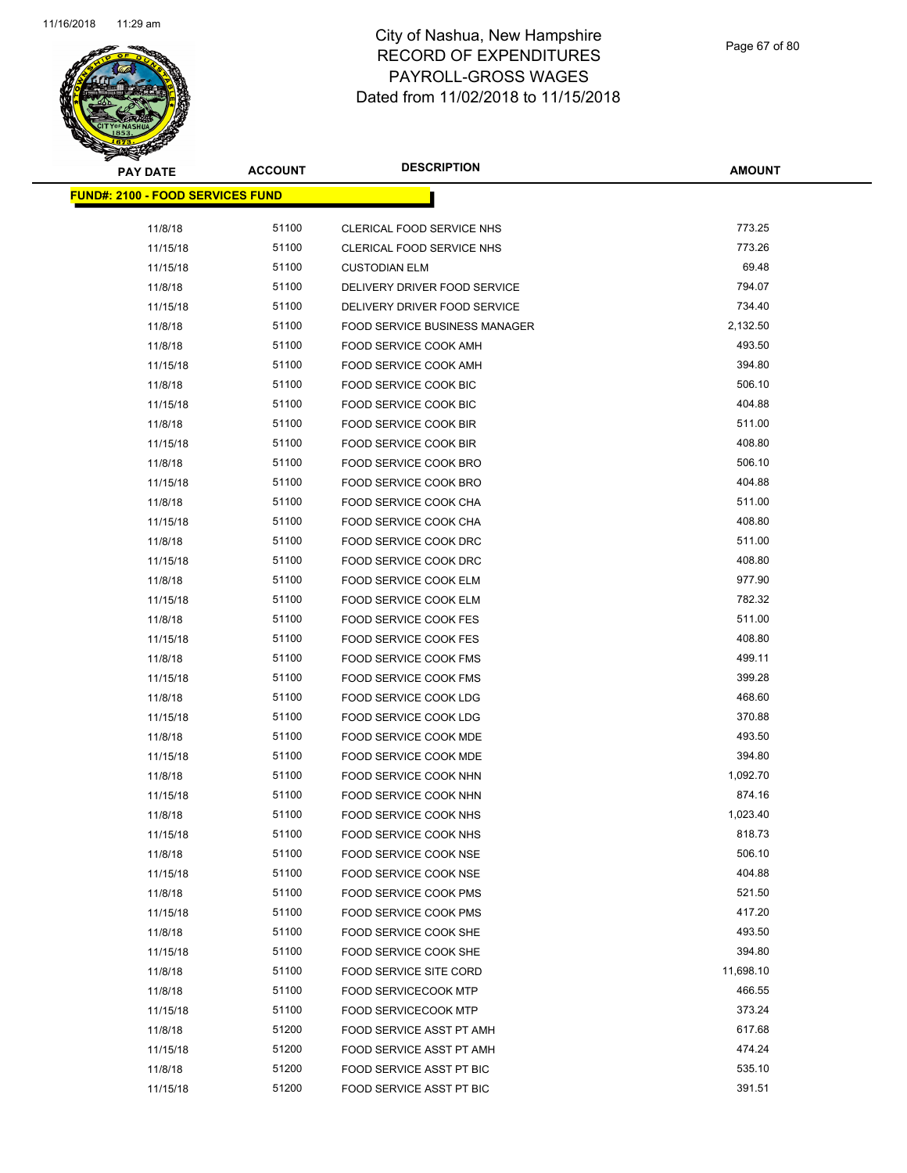

| <b>PAY DATE</b>                         | <b>ACCOUNT</b> | <b>DESCRIPTION</b>                   | <b>AMOUNT</b> |
|-----------------------------------------|----------------|--------------------------------------|---------------|
| <b>FUND#: 2100 - FOOD SERVICES FUND</b> |                |                                      |               |
| 11/8/18                                 | 51100          | CLERICAL FOOD SERVICE NHS            | 773.25        |
| 11/15/18                                | 51100          | CLERICAL FOOD SERVICE NHS            | 773.26        |
| 11/15/18                                | 51100          | <b>CUSTODIAN ELM</b>                 | 69.48         |
| 11/8/18                                 | 51100          | DELIVERY DRIVER FOOD SERVICE         | 794.07        |
| 11/15/18                                | 51100          | DELIVERY DRIVER FOOD SERVICE         | 734.40        |
| 11/8/18                                 | 51100          | <b>FOOD SERVICE BUSINESS MANAGER</b> | 2,132.50      |
| 11/8/18                                 | 51100          | FOOD SERVICE COOK AMH                | 493.50        |
| 11/15/18                                | 51100          | FOOD SERVICE COOK AMH                | 394.80        |
| 11/8/18                                 | 51100          | FOOD SERVICE COOK BIC                | 506.10        |
| 11/15/18                                | 51100          | FOOD SERVICE COOK BIC                | 404.88        |
| 11/8/18                                 | 51100          | FOOD SERVICE COOK BIR                | 511.00        |
| 11/15/18                                | 51100          | FOOD SERVICE COOK BIR                | 408.80        |
| 11/8/18                                 | 51100          | <b>FOOD SERVICE COOK BRO</b>         | 506.10        |
| 11/15/18                                | 51100          | FOOD SERVICE COOK BRO                | 404.88        |
| 11/8/18                                 | 51100          | FOOD SERVICE COOK CHA                | 511.00        |
| 11/15/18                                | 51100          | FOOD SERVICE COOK CHA                | 408.80        |
| 11/8/18                                 | 51100          | FOOD SERVICE COOK DRC                | 511.00        |
| 11/15/18                                | 51100          | FOOD SERVICE COOK DRC                | 408.80        |
| 11/8/18                                 | 51100          | FOOD SERVICE COOK ELM                | 977.90        |
| 11/15/18                                | 51100          | FOOD SERVICE COOK ELM                | 782.32        |
| 11/8/18                                 | 51100          | FOOD SERVICE COOK FES                | 511.00        |
| 11/15/18                                | 51100          | FOOD SERVICE COOK FES                | 408.80        |
| 11/8/18                                 | 51100          | FOOD SERVICE COOK FMS                | 499.11        |
| 11/15/18                                | 51100          | FOOD SERVICE COOK FMS                | 399.28        |
| 11/8/18                                 | 51100          | FOOD SERVICE COOK LDG                | 468.60        |
| 11/15/18                                | 51100          | FOOD SERVICE COOK LDG                | 370.88        |
| 11/8/18                                 | 51100          | FOOD SERVICE COOK MDE                | 493.50        |
| 11/15/18                                | 51100          | <b>FOOD SERVICE COOK MDE</b>         | 394.80        |
| 11/8/18                                 | 51100          | FOOD SERVICE COOK NHN                | 1,092.70      |
| 11/15/18                                | 51100          | FOOD SERVICE COOK NHN                | 874.16        |
| 11/8/18                                 | 51100          | FOOD SERVICE COOK NHS                | 1,023.40      |
| 11/15/18                                | 51100          | FOOD SERVICE COOK NHS                | 818.73        |
| 11/8/18                                 | 51100          | <b>FOOD SERVICE COOK NSE</b>         | 506.10        |
| 11/15/18                                | 51100          | FOOD SERVICE COOK NSE                | 404.88        |
| 11/8/18                                 | 51100          | FOOD SERVICE COOK PMS                | 521.50        |
| 11/15/18                                | 51100          | FOOD SERVICE COOK PMS                | 417.20        |
| 11/8/18                                 | 51100          | FOOD SERVICE COOK SHE                | 493.50        |
| 11/15/18                                | 51100          | FOOD SERVICE COOK SHE                | 394.80        |
| 11/8/18                                 | 51100          | FOOD SERVICE SITE CORD               | 11,698.10     |
| 11/8/18                                 | 51100          | <b>FOOD SERVICECOOK MTP</b>          | 466.55        |
| 11/15/18                                | 51100          | <b>FOOD SERVICECOOK MTP</b>          | 373.24        |
| 11/8/18                                 | 51200          | FOOD SERVICE ASST PT AMH             | 617.68        |
| 11/15/18                                | 51200          | FOOD SERVICE ASST PT AMH             | 474.24        |
| 11/8/18                                 | 51200          | FOOD SERVICE ASST PT BIC             | 535.10        |
| 11/15/18                                | 51200          | FOOD SERVICE ASST PT BIC             | 391.51        |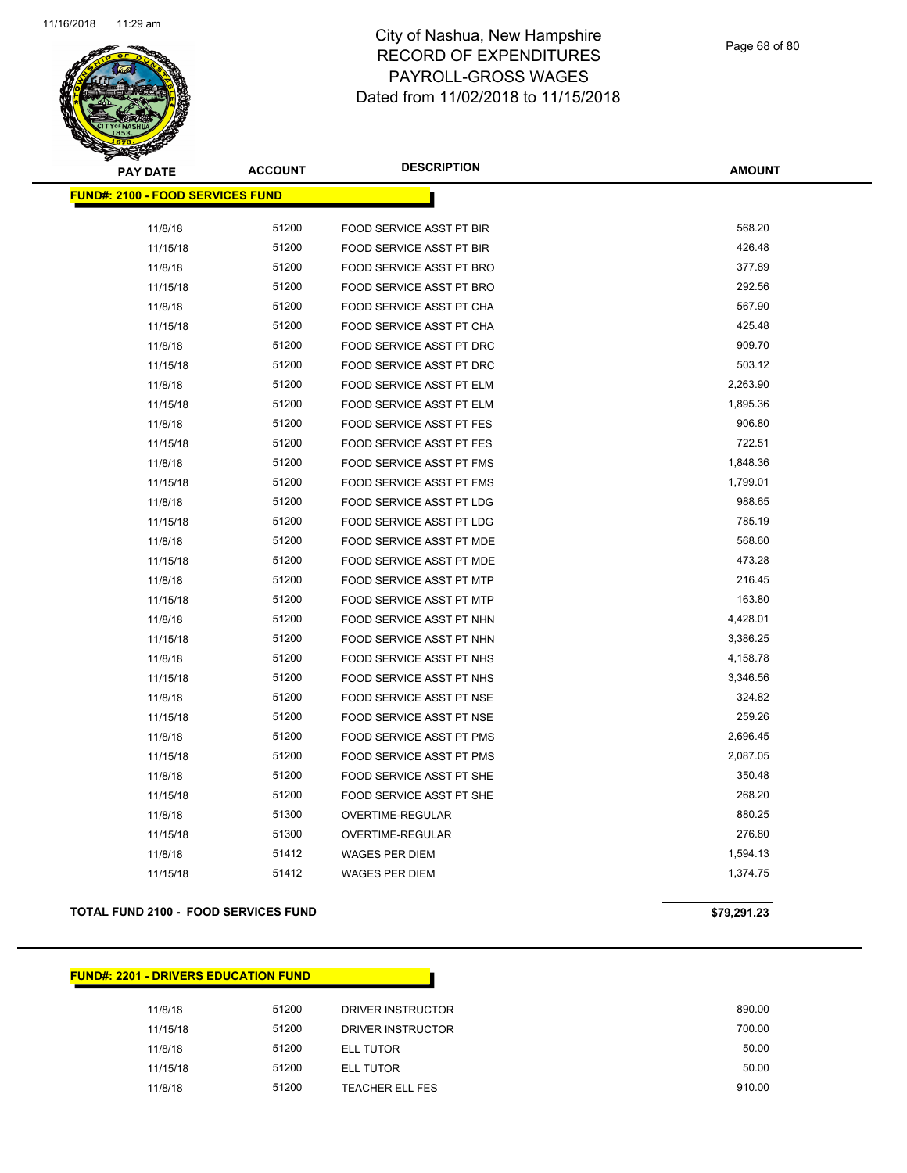

| <b>PAY DATE</b>                         | <b>ACCOUNT</b> | <b>DESCRIPTION</b>              | <b>AMOUNT</b> |
|-----------------------------------------|----------------|---------------------------------|---------------|
| <b>FUND#: 2100 - FOOD SERVICES FUND</b> |                |                                 |               |
|                                         |                |                                 |               |
| 11/8/18                                 | 51200          | FOOD SERVICE ASST PT BIR        | 568.20        |
| 11/15/18                                | 51200          | FOOD SERVICE ASST PT BIR        | 426.48        |
| 11/8/18                                 | 51200          | FOOD SERVICE ASST PT BRO        | 377.89        |
| 11/15/18                                | 51200          | FOOD SERVICE ASST PT BRO        | 292.56        |
| 11/8/18                                 | 51200          | FOOD SERVICE ASST PT CHA        | 567.90        |
| 11/15/18                                | 51200          | FOOD SERVICE ASST PT CHA        | 425.48        |
| 11/8/18                                 | 51200          | FOOD SERVICE ASST PT DRC        | 909.70        |
| 11/15/18                                | 51200          | FOOD SERVICE ASST PT DRC        | 503.12        |
| 11/8/18                                 | 51200          | FOOD SERVICE ASST PT ELM        | 2,263.90      |
| 11/15/18                                | 51200          | FOOD SERVICE ASST PT ELM        | 1,895.36      |
| 11/8/18                                 | 51200          | <b>FOOD SERVICE ASST PT FES</b> | 906.80        |
| 11/15/18                                | 51200          | FOOD SERVICE ASST PT FES        | 722.51        |
| 11/8/18                                 | 51200          | <b>FOOD SERVICE ASST PT FMS</b> | 1,848.36      |
| 11/15/18                                | 51200          | FOOD SERVICE ASST PT FMS        | 1,799.01      |
| 11/8/18                                 | 51200          | FOOD SERVICE ASST PT LDG        | 988.65        |
| 11/15/18                                | 51200          | FOOD SERVICE ASST PT LDG        | 785.19        |
| 11/8/18                                 | 51200          | FOOD SERVICE ASST PT MDE        | 568.60        |
| 11/15/18                                | 51200          | FOOD SERVICE ASST PT MDE        | 473.28        |
| 11/8/18                                 | 51200          | FOOD SERVICE ASST PT MTP        | 216.45        |
| 11/15/18                                | 51200          | FOOD SERVICE ASST PT MTP        | 163.80        |
| 11/8/18                                 | 51200          | FOOD SERVICE ASST PT NHN        | 4,428.01      |
| 11/15/18                                | 51200          | FOOD SERVICE ASST PT NHN        | 3,386.25      |
| 11/8/18                                 | 51200          | FOOD SERVICE ASST PT NHS        | 4,158.78      |
| 11/15/18                                | 51200          | FOOD SERVICE ASST PT NHS        | 3,346.56      |
| 11/8/18                                 | 51200          | FOOD SERVICE ASST PT NSE        | 324.82        |
| 11/15/18                                | 51200          | FOOD SERVICE ASST PT NSE        | 259.26        |
| 11/8/18                                 | 51200          | <b>FOOD SERVICE ASST PT PMS</b> | 2,696.45      |
| 11/15/18                                | 51200          | FOOD SERVICE ASST PT PMS        | 2,087.05      |
| 11/8/18                                 | 51200          | FOOD SERVICE ASST PT SHE        | 350.48        |
| 11/15/18                                | 51200          | FOOD SERVICE ASST PT SHE        | 268.20        |
| 11/8/18                                 | 51300          | OVERTIME-REGULAR                | 880.25        |
| 11/15/18                                | 51300          | OVERTIME-REGULAR                | 276.80        |
| 11/8/18                                 | 51412          | <b>WAGES PER DIEM</b>           | 1,594.13      |
| 11/15/18                                | 51412          | <b>WAGES PER DIEM</b>           | 1,374.75      |

#### **TOTAL FUND 2100 - FOOD SERVICES FUND \$79,291.23**

#### **FUND#: 2201 - DRIVERS EDUCATION FUND**

| 11/8/18  | 51200 | DRIVER INSTRUCTOR      | 890.00 |
|----------|-------|------------------------|--------|
| 11/15/18 | 51200 | DRIVER INSTRUCTOR      | 700.00 |
| 11/8/18  | 51200 | ELL TUTOR              | 50.00  |
| 11/15/18 | 51200 | ELL TUTOR              | 50.00  |
| 11/8/18  | 51200 | <b>TEACHER ELL FES</b> | 910.00 |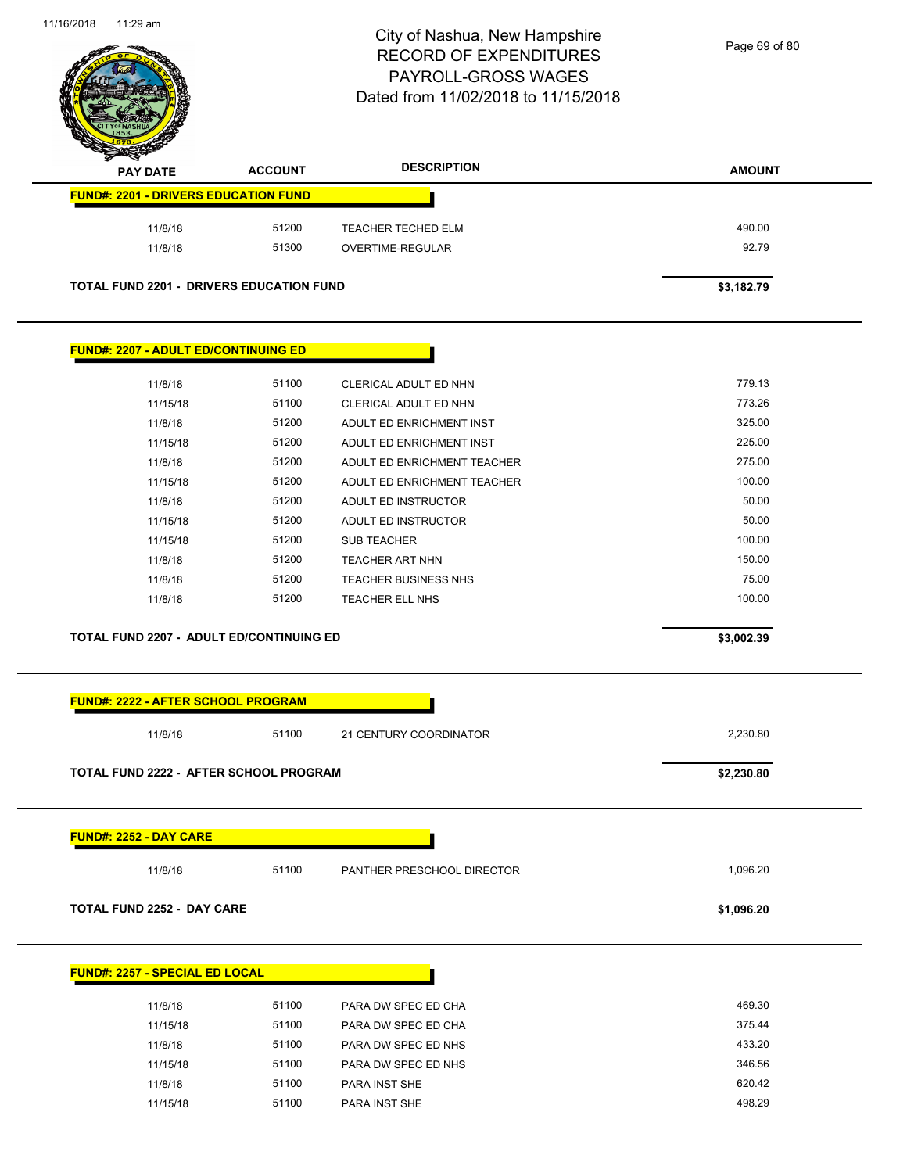

Page 69 of 80

| <b>PAY DATE</b>                                                                 | <b>ACCOUNT</b> | <b>DESCRIPTION</b>          | <b>AMOUNT</b> |
|---------------------------------------------------------------------------------|----------------|-----------------------------|---------------|
| <b>FUND#: 2201 - DRIVERS EDUCATION FUND</b>                                     |                |                             |               |
| 11/8/18                                                                         | 51200          | TEACHER TECHED ELM          | 490.00        |
| 11/8/18                                                                         | 51300          | OVERTIME-REGULAR            | 92.79         |
| <b>TOTAL FUND 2201 - DRIVERS EDUCATION FUND</b>                                 |                |                             | \$3,182.79    |
| <b>FUND#: 2207 - ADULT ED/CONTINUING ED</b>                                     |                |                             |               |
| 11/8/18                                                                         | 51100          | CLERICAL ADULT ED NHN       | 779.13        |
| 11/15/18                                                                        | 51100          | CLERICAL ADULT ED NHN       | 773.26        |
| 11/8/18                                                                         | 51200          | ADULT ED ENRICHMENT INST    | 325.00        |
| 11/15/18                                                                        | 51200          | ADULT ED ENRICHMENT INST    | 225.00        |
| 11/8/18                                                                         | 51200          | ADULT ED ENRICHMENT TEACHER | 275.00        |
| 11/15/18                                                                        | 51200          | ADULT ED ENRICHMENT TEACHER | 100.00        |
| 11/8/18                                                                         | 51200          | ADULT ED INSTRUCTOR         | 50.00         |
| 11/15/18                                                                        | 51200          | ADULT ED INSTRUCTOR         | 50.00         |
| 11/15/18                                                                        | 51200          | <b>SUB TEACHER</b>          | 100.00        |
| 11/8/18                                                                         | 51200          | <b>TEACHER ART NHN</b>      | 150.00        |
| 11/8/18                                                                         | 51200          | TEACHER BUSINESS NHS        | 75.00         |
| 11/8/18                                                                         | 51200          | <b>TEACHER ELL NHS</b>      | 100.00        |
| <b>TOTAL FUND 2207 - ADULT ED/CONTINUING ED</b>                                 |                |                             | \$3,002.39    |
| FUND#: 2222 - AFTER SCHOOL PROGRAM<br>11/8/18                                   | 51100          | 21 CENTURY COORDINATOR      | 2,230.80      |
| TOTAL FUND 2222 - AFTER SCHOOL PROGRAM                                          |                |                             | \$2,230.80    |
| <b>FUND#: 2252 - DAY CARE</b>                                                   |                |                             |               |
|                                                                                 |                |                             |               |
| 11/8/18                                                                         | 51100          | PANTHER PRESCHOOL DIRECTOR  | 1,096.20      |
|                                                                                 |                |                             | \$1,096.20    |
|                                                                                 |                |                             |               |
| 11/8/18                                                                         | 51100          | PARA DW SPEC ED CHA         | 469.30        |
| TOTAL FUND 2252 - DAY CARE<br><b>FUND#: 2257 - SPECIAL ED LOCAL</b><br>11/15/18 | 51100          | PARA DW SPEC ED CHA         | 375.44        |

11/15/18 51100 PARA DW SPEC ED NHS 346.56 11/8/18 51100 PARA INST SHE 620.42 11/15/18 51100 PARA INST SHE 498.29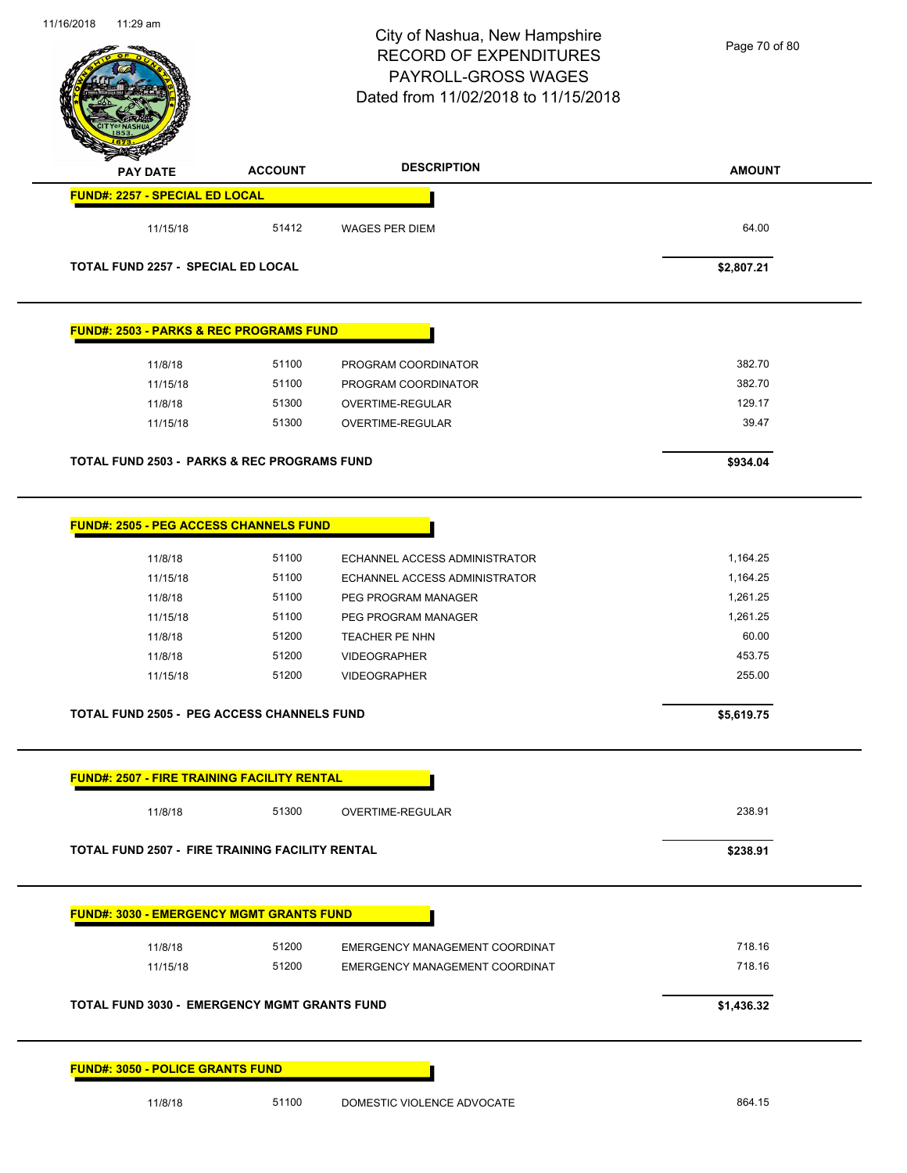# City of Nashua, New Hampshire RECORD OF EXPENDITURES PAYROLL-GROSS WAGES

Page 70 of 80

| <b>PAY DATE</b>                                        | <b>ACCOUNT</b> | <b>DESCRIPTION</b>             | <b>AMOUNT</b> |
|--------------------------------------------------------|----------------|--------------------------------|---------------|
| <b>FUND#: 2257 - SPECIAL ED LOCAL</b>                  |                |                                |               |
| 11/15/18                                               | 51412          | <b>WAGES PER DIEM</b>          | 64.00         |
| <b>TOTAL FUND 2257 - SPECIAL ED LOCAL</b>              |                |                                | \$2,807.21    |
| <b>FUND#: 2503 - PARKS &amp; REC PROGRAMS FUND</b>     |                |                                |               |
| 11/8/18                                                | 51100          | PROGRAM COORDINATOR            | 382.70        |
| 11/15/18                                               | 51100          | PROGRAM COORDINATOR            | 382.70        |
| 11/8/18                                                | 51300          | OVERTIME-REGULAR               | 129.17        |
| 11/15/18                                               | 51300          | OVERTIME-REGULAR               | 39.47         |
| TOTAL FUND 2503 - PARKS & REC PROGRAMS FUND            |                |                                | \$934.04      |
| <b>FUND#: 2505 - PEG ACCESS CHANNELS FUND</b>          |                |                                |               |
| 11/8/18                                                | 51100          | ECHANNEL ACCESS ADMINISTRATOR  | 1,164.25      |
| 11/15/18                                               | 51100          | ECHANNEL ACCESS ADMINISTRATOR  | 1,164.25      |
| 11/8/18                                                | 51100          | PEG PROGRAM MANAGER            | 1,261.25      |
| 11/15/18                                               | 51100          | PEG PROGRAM MANAGER            | 1,261.25      |
| 11/8/18                                                | 51200          | TEACHER PE NHN                 | 60.00         |
| 11/8/18                                                | 51200          | <b>VIDEOGRAPHER</b>            | 453.75        |
| 11/15/18                                               | 51200          | <b>VIDEOGRAPHER</b>            | 255.00        |
| <b>TOTAL FUND 2505 - PEG ACCESS CHANNELS FUND</b>      |                |                                | \$5,619.75    |
| <b>FUND#: 2507 - FIRE TRAINING FACILITY RENTAL</b>     |                |                                |               |
| 11/8/18                                                | 51300          | OVERTIME-REGULAR               | 238.91        |
| <b>TOTAL FUND 2507 - FIRE TRAINING FACILITY RENTAL</b> |                |                                | \$238.91      |
| <b>FUND#: 3030 - EMERGENCY MGMT GRANTS FUND</b>        |                |                                |               |
| 11/8/18                                                | 51200          | EMERGENCY MANAGEMENT COORDINAT | 718.16        |
| 11/15/18                                               | 51200          | EMERGENCY MANAGEMENT COORDINAT | 718.16        |
| <b>TOTAL FUND 3030 - EMERGENCY MGMT GRANTS FUND</b>    |                |                                | \$1,436.32    |

11/8/18 51100 DOMESTIC VIOLENCE ADVOCATE 864.15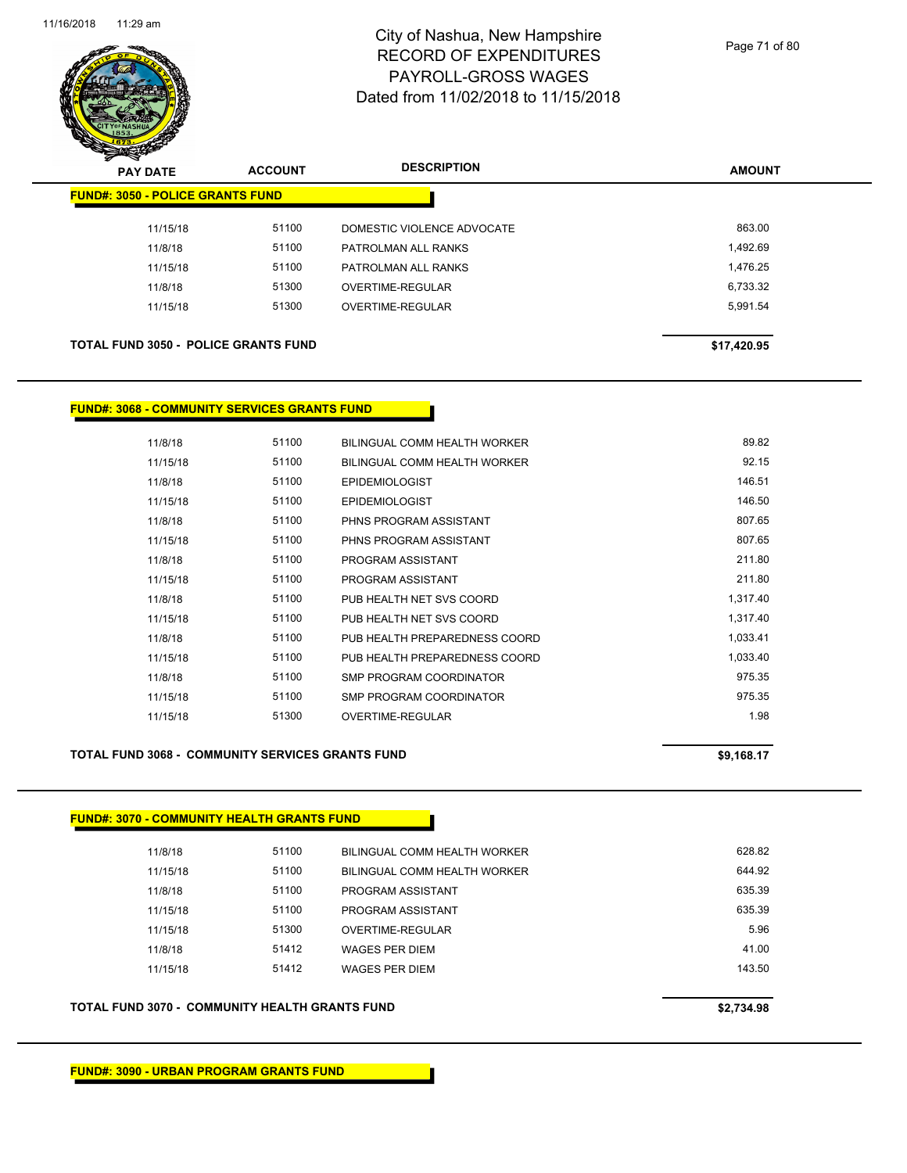

|                                         | <del>∽</del><br>$\tilde{\phantom{a}}$<br><b>PAY DATE</b> | <b>ACCOUNT</b> | <b>DESCRIPTION</b>         | <b>AMOUNT</b> |
|-----------------------------------------|----------------------------------------------------------|----------------|----------------------------|---------------|
| <b>FUND#: 3050 - POLICE GRANTS FUND</b> |                                                          |                |                            |               |
|                                         | 11/15/18                                                 | 51100          | DOMESTIC VIOLENCE ADVOCATE | 863.00        |
|                                         | 11/8/18                                                  | 51100          | PATROLMAN ALL RANKS        | 1,492.69      |
|                                         | 11/15/18                                                 | 51100          | PATROLMAN ALL RANKS        | 1,476.25      |
|                                         | 11/8/18                                                  | 51300          | OVERTIME-REGULAR           | 6,733.32      |
|                                         | 11/15/18                                                 | 51300          | OVERTIME-REGULAR           | 5,991.54      |
|                                         |                                                          |                |                            |               |
|                                         | <b>TOTAL FUND 3050 - POLICE GRANTS FUND</b>              |                |                            | \$17,420.95   |

#### **FUND#: 3068 - COMMUNITY SERVICES GRANTS FUND**

| 11/8/18  | 51100 | BILINGUAL COMM HEALTH WORKER  | 89.82    |
|----------|-------|-------------------------------|----------|
| 11/15/18 | 51100 | BILINGUAL COMM HEALTH WORKER  | 92.15    |
| 11/8/18  | 51100 | <b>EPIDEMIOLOGIST</b>         | 146.51   |
| 11/15/18 | 51100 | <b>EPIDEMIOLOGIST</b>         | 146.50   |
| 11/8/18  | 51100 | PHNS PROGRAM ASSISTANT        | 807.65   |
| 11/15/18 | 51100 | PHNS PROGRAM ASSISTANT        | 807.65   |
| 11/8/18  | 51100 | PROGRAM ASSISTANT             | 211.80   |
| 11/15/18 | 51100 | PROGRAM ASSISTANT             | 211.80   |
| 11/8/18  | 51100 | PUB HEALTH NET SVS COORD      | 1.317.40 |
| 11/15/18 | 51100 | PUB HEALTH NET SVS COORD      | 1,317.40 |
| 11/8/18  | 51100 | PUB HEALTH PREPAREDNESS COORD | 1,033.41 |
| 11/15/18 | 51100 | PUB HEALTH PREPAREDNESS COORD | 1,033.40 |
| 11/8/18  | 51100 | SMP PROGRAM COORDINATOR       | 975.35   |
| 11/15/18 | 51100 | SMP PROGRAM COORDINATOR       | 975.35   |
| 11/15/18 | 51300 | OVERTIME-REGULAR              | 1.98     |
|          |       |                               |          |

#### **TOTAL FUND 3068 - COMMUNITY SERVICES GRANTS FUND \$9,168.17**

# **FUND#: 3070 - COMMUNITY HEALTH GRANTS FUND**

| 11/8/18  | 51100 | BILINGUAL COMM HEALTH WORKER | 628.82 |
|----------|-------|------------------------------|--------|
| 11/15/18 | 51100 | BILINGUAL COMM HEALTH WORKER | 644.92 |
| 11/8/18  | 51100 | PROGRAM ASSISTANT            | 635.39 |
| 11/15/18 | 51100 | PROGRAM ASSISTANT            | 635.39 |
| 11/15/18 | 51300 | OVERTIME-REGULAR             | 5.96   |
| 11/8/18  | 51412 | <b>WAGES PER DIEM</b>        | 41.00  |
| 11/15/18 | 51412 | WAGES PER DIEM               | 143.50 |
|          |       |                              |        |

#### **TOTAL FUND 3070 - COMMUNITY HEALTH GRANTS FUND \$2,734.98**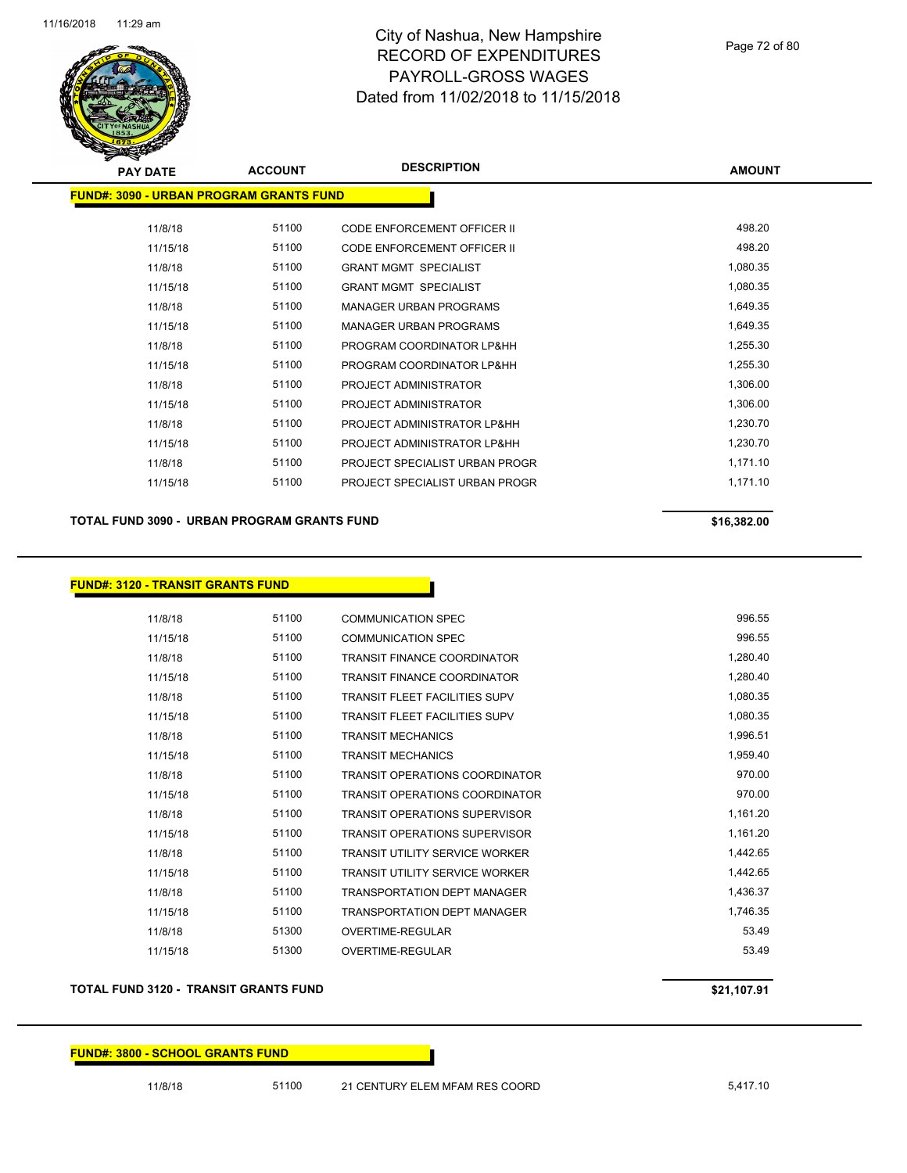

| <b>ACCOUNT</b> | <b>DESCRIPTION</b>                 | <b>AMOUNT</b>                                   |
|----------------|------------------------------------|-------------------------------------------------|
|                |                                    |                                                 |
| 51100          | <b>CODE ENFORCEMENT OFFICER II</b> | 498.20                                          |
| 51100          | <b>CODE ENFORCEMENT OFFICER II</b> | 498.20                                          |
| 51100          | <b>GRANT MGMT SPECIALIST</b>       | 1,080.35                                        |
| 51100          | <b>GRANT MGMT SPECIALIST</b>       | 1,080.35                                        |
| 51100          | <b>MANAGER URBAN PROGRAMS</b>      | 1,649.35                                        |
| 51100          | <b>MANAGER URBAN PROGRAMS</b>      | 1,649.35                                        |
| 51100          | PROGRAM COORDINATOR LP&HH          | 1,255.30                                        |
| 51100          | PROGRAM COORDINATOR LP&HH          | 1,255.30                                        |
| 51100          | PROJECT ADMINISTRATOR              | 1,306.00                                        |
| 51100          | PROJECT ADMINISTRATOR              | 1,306.00                                        |
| 51100          | PROJECT ADMINISTRATOR LP&HH        | 1,230.70                                        |
| 51100          | PROJECT ADMINISTRATOR LP&HH        | 1,230.70                                        |
| 51100          | PROJECT SPECIALIST URBAN PROGR     | 1,171.10                                        |
| 51100          | PROJECT SPECIALIST URBAN PROGR     | 1,171.10                                        |
|                |                                    | <u> FUND#: 3090 - URBAN PROGRAM GRANTS FUND</u> |

**TOTAL FUND 3090 - URBAN PROGRAM GRANTS FUND \$16,382.00** 

**FUND#: 3120 - TRANSIT GRANTS FUND**

| 11/8/18  | 51100 | <b>COMMUNICATION SPEC</b>             | 996.55   |
|----------|-------|---------------------------------------|----------|
| 11/15/18 | 51100 | <b>COMMUNICATION SPEC</b>             | 996.55   |
| 11/8/18  | 51100 | <b>TRANSIT FINANCE COORDINATOR</b>    | 1,280.40 |
| 11/15/18 | 51100 | <b>TRANSIT FINANCE COORDINATOR</b>    | 1,280.40 |
| 11/8/18  | 51100 | <b>TRANSIT FLEET FACILITIES SUPV</b>  | 1,080.35 |
| 11/15/18 | 51100 | <b>TRANSIT FLEET FACILITIES SUPV</b>  | 1,080.35 |
| 11/8/18  | 51100 | <b>TRANSIT MECHANICS</b>              | 1,996.51 |
| 11/15/18 | 51100 | <b>TRANSIT MECHANICS</b>              | 1,959.40 |
| 11/8/18  | 51100 | <b>TRANSIT OPERATIONS COORDINATOR</b> | 970.00   |
| 11/15/18 | 51100 | <b>TRANSIT OPERATIONS COORDINATOR</b> | 970.00   |
| 11/8/18  | 51100 | <b>TRANSIT OPERATIONS SUPERVISOR</b>  | 1,161.20 |
| 11/15/18 | 51100 | TRANSIT OPERATIONS SUPERVISOR         | 1,161.20 |
| 11/8/18  | 51100 | <b>TRANSIT UTILITY SERVICE WORKER</b> | 1,442.65 |
| 11/15/18 | 51100 | <b>TRANSIT UTILITY SERVICE WORKER</b> | 1,442.65 |
| 11/8/18  | 51100 | <b>TRANSPORTATION DEPT MANAGER</b>    | 1,436.37 |
| 11/15/18 | 51100 | <b>TRANSPORTATION DEPT MANAGER</b>    | 1,746.35 |
| 11/8/18  | 51300 | OVERTIME-REGULAR                      | 53.49    |
| 11/15/18 | 51300 | OVERTIME-REGULAR                      | 53.49    |

#### **TOTAL FUND 3120 - TRANSIT GRANTS FUND \$21,107.91**

#### **FUND#: 3800 - SCHOOL GRANTS FUND**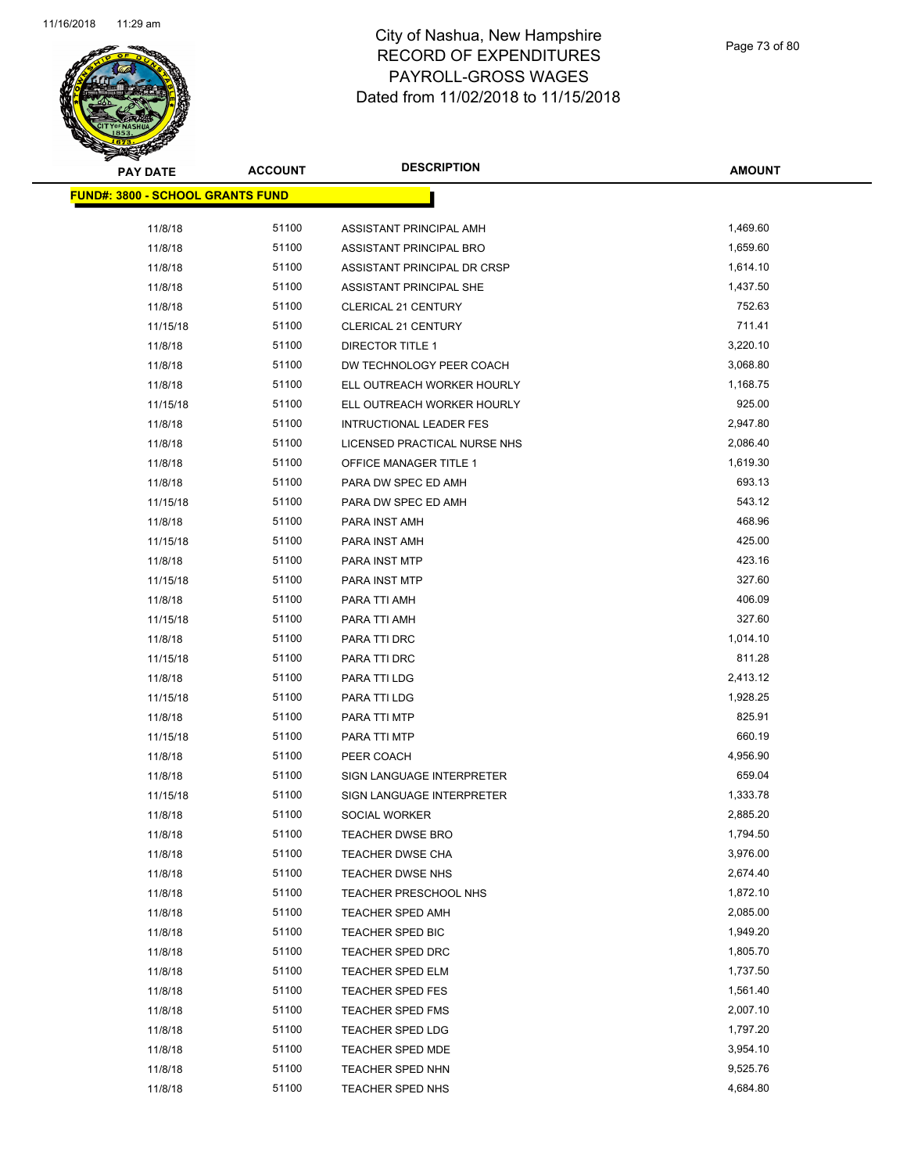

| <b>PAY DATE</b>                  | <b>ACCOUNT</b> | <b>DESCRIPTION</b>             | <b>AMOUNT</b> |
|----------------------------------|----------------|--------------------------------|---------------|
| FUND#: 3800 - SCHOOL GRANTS FUND |                |                                |               |
| 11/8/18                          | 51100          | ASSISTANT PRINCIPAL AMH        | 1,469.60      |
| 11/8/18                          | 51100          | ASSISTANT PRINCIPAL BRO        | 1,659.60      |
| 11/8/18                          | 51100          | ASSISTANT PRINCIPAL DR CRSP    | 1,614.10      |
| 11/8/18                          | 51100          | ASSISTANT PRINCIPAL SHE        | 1,437.50      |
| 11/8/18                          | 51100          | CLERICAL 21 CENTURY            | 752.63        |
| 11/15/18                         | 51100          | <b>CLERICAL 21 CENTURY</b>     | 711.41        |
| 11/8/18                          | 51100          | <b>DIRECTOR TITLE 1</b>        | 3,220.10      |
| 11/8/18                          | 51100          | DW TECHNOLOGY PEER COACH       | 3,068.80      |
| 11/8/18                          | 51100          | ELL OUTREACH WORKER HOURLY     | 1,168.75      |
| 11/15/18                         | 51100          | ELL OUTREACH WORKER HOURLY     | 925.00        |
| 11/8/18                          | 51100          | <b>INTRUCTIONAL LEADER FES</b> | 2,947.80      |
| 11/8/18                          | 51100          | LICENSED PRACTICAL NURSE NHS   | 2,086.40      |
| 11/8/18                          | 51100          | <b>OFFICE MANAGER TITLE 1</b>  | 1,619.30      |
| 11/8/18                          | 51100          | PARA DW SPEC ED AMH            | 693.13        |
| 11/15/18                         | 51100          | PARA DW SPEC ED AMH            | 543.12        |
| 11/8/18                          | 51100          | PARA INST AMH                  | 468.96        |
| 11/15/18                         | 51100          | PARA INST AMH                  | 425.00        |
| 11/8/18                          | 51100          | PARA INST MTP                  | 423.16        |
| 11/15/18                         | 51100          | PARA INST MTP                  | 327.60        |
| 11/8/18                          | 51100          | PARA TTI AMH                   | 406.09        |
| 11/15/18                         | 51100          | PARA TTI AMH                   | 327.60        |
| 11/8/18                          | 51100          | PARA TTI DRC                   | 1,014.10      |
| 11/15/18                         | 51100          | PARA TTI DRC                   | 811.28        |
| 11/8/18                          | 51100          | PARA TTI LDG                   | 2,413.12      |
| 11/15/18                         | 51100          | PARA TTI LDG                   | 1,928.25      |
| 11/8/18                          | 51100          | PARA TTI MTP                   | 825.91        |
| 11/15/18                         | 51100          | PARA TTI MTP                   | 660.19        |
| 11/8/18                          | 51100          | PEER COACH                     | 4,956.90      |
| 11/8/18                          | 51100          | SIGN LANGUAGE INTERPRETER      | 659.04        |
| 11/15/18                         | 51100          | SIGN LANGUAGE INTERPRETER      | 1,333.78      |
| 11/8/18                          | 51100          | SOCIAL WORKER                  | 2,885.20      |
| 11/8/18                          | 51100          | <b>TEACHER DWSE BRO</b>        | 1,794.50      |
| 11/8/18                          | 51100          | TEACHER DWSE CHA               | 3,976.00      |
| 11/8/18                          | 51100          | TEACHER DWSE NHS               | 2,674.40      |
| 11/8/18                          | 51100          | TEACHER PRESCHOOL NHS          | 1,872.10      |
| 11/8/18                          | 51100          | TEACHER SPED AMH               | 2,085.00      |
| 11/8/18                          | 51100          | TEACHER SPED BIC               | 1,949.20      |
| 11/8/18                          | 51100          | <b>TEACHER SPED DRC</b>        | 1,805.70      |
| 11/8/18                          | 51100          | TEACHER SPED ELM               | 1,737.50      |
| 11/8/18                          | 51100          | <b>TEACHER SPED FES</b>        | 1,561.40      |
| 11/8/18                          | 51100          | TEACHER SPED FMS               | 2,007.10      |
| 11/8/18                          | 51100          | TEACHER SPED LDG               | 1,797.20      |
| 11/8/18                          | 51100          | <b>TEACHER SPED MDE</b>        | 3,954.10      |
| 11/8/18                          | 51100          | TEACHER SPED NHN               | 9,525.76      |
| 11/8/18                          | 51100          | TEACHER SPED NHS               | 4,684.80      |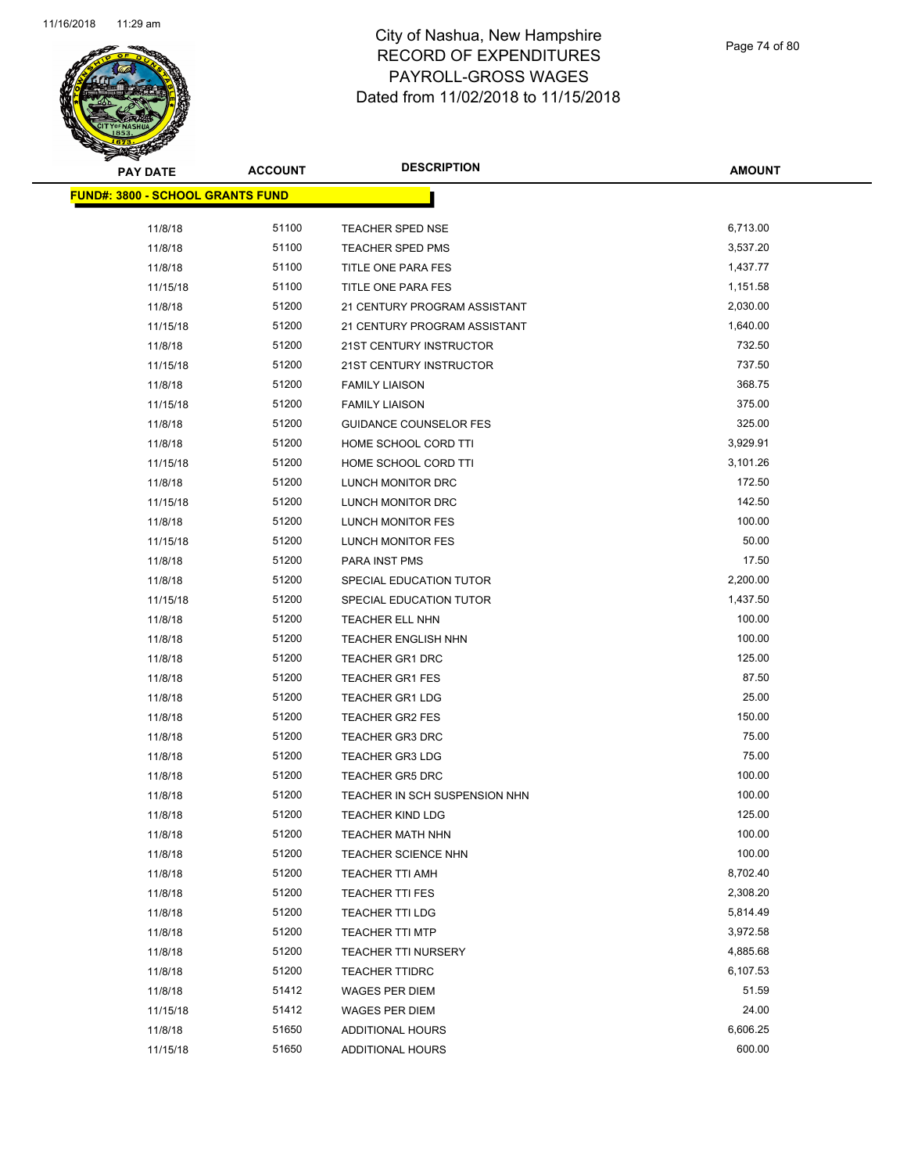

Page 74 of 80

| <b>PAY DATE</b>                         | <b>ACCOUNT</b> | <b>DESCRIPTION</b>            | <b>AMOUNT</b> |
|-----------------------------------------|----------------|-------------------------------|---------------|
| <b>FUND#: 3800 - SCHOOL GRANTS FUND</b> |                |                               |               |
|                                         |                |                               |               |
| 11/8/18                                 | 51100          | TEACHER SPED NSE              | 6,713.00      |
| 11/8/18                                 | 51100          | <b>TEACHER SPED PMS</b>       | 3,537.20      |
| 11/8/18                                 | 51100          | TITLE ONE PARA FES            | 1,437.77      |
| 11/15/18                                | 51100          | TITLE ONE PARA FES            | 1,151.58      |
| 11/8/18                                 | 51200          | 21 CENTURY PROGRAM ASSISTANT  | 2,030.00      |
| 11/15/18                                | 51200          | 21 CENTURY PROGRAM ASSISTANT  | 1,640.00      |
| 11/8/18                                 | 51200          | 21ST CENTURY INSTRUCTOR       | 732.50        |
| 11/15/18                                | 51200          | 21ST CENTURY INSTRUCTOR       | 737.50        |
| 11/8/18                                 | 51200          | <b>FAMILY LIAISON</b>         | 368.75        |
| 11/15/18                                | 51200          | <b>FAMILY LIAISON</b>         | 375.00        |
| 11/8/18                                 | 51200          | <b>GUIDANCE COUNSELOR FES</b> | 325.00        |
| 11/8/18                                 | 51200          | HOME SCHOOL CORD TTI          | 3,929.91      |
| 11/15/18                                | 51200          | HOME SCHOOL CORD TTI          | 3,101.26      |
| 11/8/18                                 | 51200          | LUNCH MONITOR DRC             | 172.50        |
| 11/15/18                                | 51200          | LUNCH MONITOR DRC             | 142.50        |
| 11/8/18                                 | 51200          | LUNCH MONITOR FES             | 100.00        |
| 11/15/18                                | 51200          | LUNCH MONITOR FES             | 50.00         |
| 11/8/18                                 | 51200          | PARA INST PMS                 | 17.50         |
| 11/8/18                                 | 51200          | SPECIAL EDUCATION TUTOR       | 2,200.00      |
| 11/15/18                                | 51200          | SPECIAL EDUCATION TUTOR       | 1,437.50      |
| 11/8/18                                 | 51200          | TEACHER ELL NHN               | 100.00        |
| 11/8/18                                 | 51200          | <b>TEACHER ENGLISH NHN</b>    | 100.00        |
| 11/8/18                                 | 51200          | <b>TEACHER GR1 DRC</b>        | 125.00        |
| 11/8/18                                 | 51200          | <b>TEACHER GR1 FES</b>        | 87.50         |
| 11/8/18                                 | 51200          | <b>TEACHER GR1 LDG</b>        | 25.00         |
| 11/8/18                                 | 51200          | <b>TEACHER GR2 FES</b>        | 150.00        |
| 11/8/18                                 | 51200          | <b>TEACHER GR3 DRC</b>        | 75.00         |
| 11/8/18                                 | 51200          | <b>TEACHER GR3 LDG</b>        | 75.00         |
| 11/8/18                                 | 51200          | <b>TEACHER GR5 DRC</b>        | 100.00        |
| 11/8/18                                 | 51200          | TEACHER IN SCH SUSPENSION NHN | 100.00        |
| 11/8/18                                 | 51200          | <b>TEACHER KIND LDG</b>       | 125.00        |
| 11/8/18                                 | 51200          | TEACHER MATH NHN              | 100.00        |
| 11/8/18                                 | 51200          | <b>TEACHER SCIENCE NHN</b>    | 100.00        |
| 11/8/18                                 | 51200          | TEACHER TTI AMH               | 8,702.40      |
| 11/8/18                                 | 51200          | <b>TEACHER TTI FES</b>        | 2,308.20      |
| 11/8/18                                 | 51200          | <b>TEACHER TTI LDG</b>        | 5,814.49      |
| 11/8/18                                 | 51200          | <b>TEACHER TTI MTP</b>        | 3,972.58      |
| 11/8/18                                 | 51200          | <b>TEACHER TTI NURSERY</b>    | 4,885.68      |
| 11/8/18                                 | 51200          | <b>TEACHER TTIDRC</b>         | 6,107.53      |
| 11/8/18                                 | 51412          | <b>WAGES PER DIEM</b>         | 51.59         |
| 11/15/18                                | 51412          | <b>WAGES PER DIEM</b>         | 24.00         |
| 11/8/18                                 | 51650          | <b>ADDITIONAL HOURS</b>       | 6,606.25      |
| 11/15/18                                | 51650          | ADDITIONAL HOURS              | 600.00        |
|                                         |                |                               |               |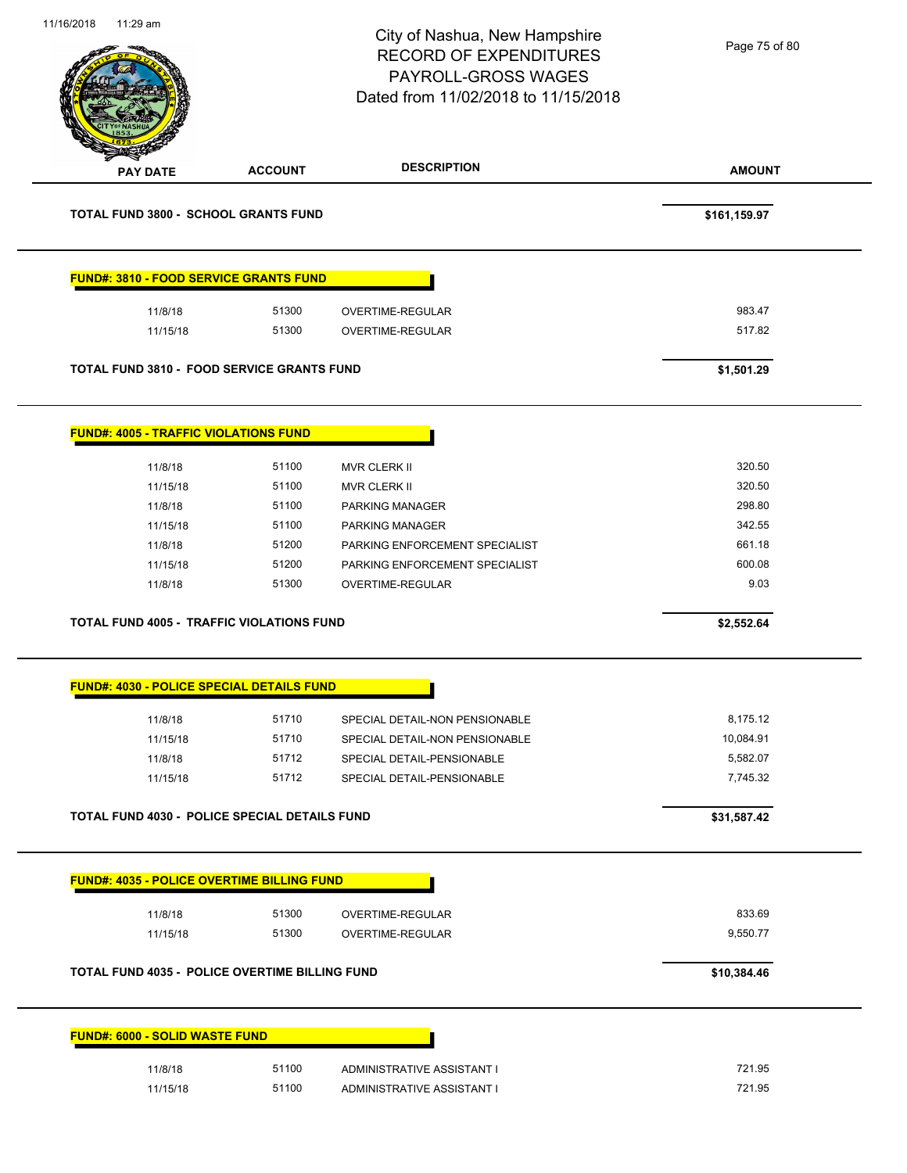| 11/16/2018 | 11:29 am                                     |                                                   | City of Nashua, New Hampshire<br><b>RECORD OF EXPENDITURES</b><br>PAYROLL-GROSS WAGES<br>Dated from 11/02/2018 to 11/15/2018 | Page 75 of 80      |
|------------|----------------------------------------------|---------------------------------------------------|------------------------------------------------------------------------------------------------------------------------------|--------------------|
|            | PAY DATE                                     | <b>ACCOUNT</b>                                    | <b>DESCRIPTION</b>                                                                                                           | <b>AMOUNT</b>      |
|            |                                              | <b>TOTAL FUND 3800 - SCHOOL GRANTS FUND</b>       |                                                                                                                              | \$161,159.97       |
|            |                                              | <b>FUND#: 3810 - FOOD SERVICE GRANTS FUND</b>     |                                                                                                                              |                    |
|            | 11/8/18                                      | 51300                                             | OVERTIME-REGULAR                                                                                                             | 983.47             |
|            | 11/15/18                                     | 51300                                             | OVERTIME-REGULAR                                                                                                             | 517.82             |
|            |                                              | <b>TOTAL FUND 3810 - FOOD SERVICE GRANTS FUND</b> |                                                                                                                              | \$1,501.29         |
|            | <b>FUND#: 4005 - TRAFFIC VIOLATIONS FUND</b> |                                                   |                                                                                                                              |                    |
|            | 11/8/18                                      | 51100                                             | <b>MVR CLERK II</b>                                                                                                          | 320.50             |
|            | 11/15/18                                     | 51100                                             | <b>MVR CLERK II</b>                                                                                                          | 320.50             |
|            | 11/8/18                                      | 51100                                             | PARKING MANAGER                                                                                                              | 298.80             |
|            | 11/15/18                                     | 51100                                             | PARKING MANAGER                                                                                                              | 342.55             |
|            | 11/8/18                                      | 51200                                             | PARKING ENFORCEMENT SPECIALIST                                                                                               | 661.18             |
|            | 11/15/18                                     | 51200                                             | PARKING ENFORCEMENT SPECIALIST                                                                                               | 600.08             |
|            | 11/8/18                                      | 51300                                             | OVERTIME-REGULAR                                                                                                             | 9.03               |
|            |                                              | <b>TOTAL FUND 4005 - TRAFFIC VIOLATIONS FUND</b>  |                                                                                                                              | \$2,552.64         |
|            |                                              | <b>FUND#: 4030 - POLICE SPECIAL DETAILS FUND</b>  |                                                                                                                              |                    |
|            | 11/8/18                                      | 51710                                             | SPECIAL DETAIL-NON PENSIONABLE                                                                                               | 8,175.12           |
|            | 11/15/18                                     | 51710                                             | SPECIAL DETAIL-NON PENSIONABLE                                                                                               | 10,084.91          |
|            | 11/8/18                                      | 51712                                             | SPECIAL DETAIL-PENSIONABLE                                                                                                   | 5,582.07           |
|            | 11/15/18                                     | 51712                                             | SPECIAL DETAIL-PENSIONABLE                                                                                                   | 7,745.32           |
|            |                                              | TOTAL FUND 4030 - POLICE SPECIAL DETAILS FUND     |                                                                                                                              | \$31,587.42        |
|            |                                              | <b>FUND#: 4035 - POLICE OVERTIME BILLING FUND</b> |                                                                                                                              |                    |
|            |                                              |                                                   |                                                                                                                              |                    |
|            | 11/8/18<br>11/15/18                          | 51300<br>51300                                    | OVERTIME-REGULAR<br>OVERTIME-REGULAR                                                                                         | 833.69<br>9,550.77 |
|            |                                              | TOTAL FUND 4035 - POLICE OVERTIME BILLING FUND    |                                                                                                                              | \$10,384.46        |
|            | <b>FUND#: 6000 - SOLID WASTE FUND</b>        |                                                   |                                                                                                                              |                    |
|            |                                              |                                                   |                                                                                                                              |                    |
|            | 11/8/18                                      | 51100                                             | ADMINISTRATIVE ASSISTANT I                                                                                                   | 721.95             |
|            | 11/15/18                                     | 51100                                             | ADMINISTRATIVE ASSISTANT I                                                                                                   | 721.95             |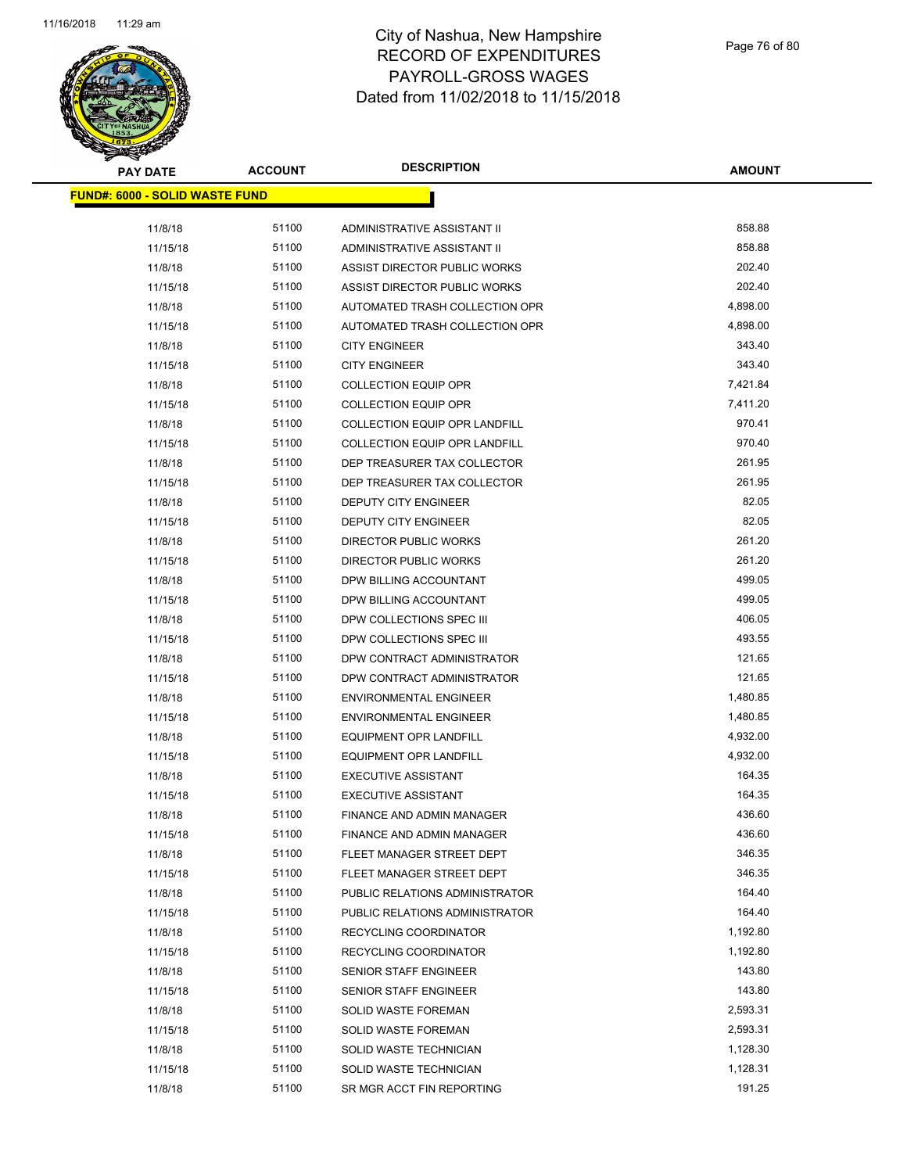

Page 76 of 80

| <b>PAY DATE</b>                       | <b>ACCOUNT</b> | <b>DESCRIPTION</b>                   | <b>AMOUNT</b> |
|---------------------------------------|----------------|--------------------------------------|---------------|
| <b>FUND#: 6000 - SOLID WASTE FUND</b> |                |                                      |               |
| 11/8/18                               | 51100          | ADMINISTRATIVE ASSISTANT II          | 858.88        |
| 11/15/18                              | 51100          | ADMINISTRATIVE ASSISTANT II          | 858.88        |
| 11/8/18                               | 51100          | ASSIST DIRECTOR PUBLIC WORKS         | 202.40        |
| 11/15/18                              | 51100          | ASSIST DIRECTOR PUBLIC WORKS         | 202.40        |
| 11/8/18                               | 51100          | AUTOMATED TRASH COLLECTION OPR       | 4,898.00      |
| 11/15/18                              | 51100          | AUTOMATED TRASH COLLECTION OPR       | 4,898.00      |
| 11/8/18                               | 51100          | <b>CITY ENGINEER</b>                 | 343.40        |
| 11/15/18                              | 51100          | <b>CITY ENGINEER</b>                 | 343.40        |
| 11/8/18                               | 51100          | <b>COLLECTION EQUIP OPR</b>          | 7,421.84      |
| 11/15/18                              | 51100          | <b>COLLECTION EQUIP OPR</b>          | 7,411.20      |
| 11/8/18                               | 51100          | COLLECTION EQUIP OPR LANDFILL        | 970.41        |
| 11/15/18                              | 51100          | <b>COLLECTION EQUIP OPR LANDFILL</b> | 970.40        |
| 11/8/18                               | 51100          | DEP TREASURER TAX COLLECTOR          | 261.95        |
| 11/15/18                              | 51100          | DEP TREASURER TAX COLLECTOR          | 261.95        |
| 11/8/18                               | 51100          | DEPUTY CITY ENGINEER                 | 82.05         |
| 11/15/18                              | 51100          | DEPUTY CITY ENGINEER                 | 82.05         |
| 11/8/18                               | 51100          | DIRECTOR PUBLIC WORKS                | 261.20        |
| 11/15/18                              | 51100          | <b>DIRECTOR PUBLIC WORKS</b>         | 261.20        |
| 11/8/18                               | 51100          | DPW BILLING ACCOUNTANT               | 499.05        |
| 11/15/18                              | 51100          | DPW BILLING ACCOUNTANT               | 499.05        |
| 11/8/18                               | 51100          | DPW COLLECTIONS SPEC III             | 406.05        |
| 11/15/18                              | 51100          | DPW COLLECTIONS SPEC III             | 493.55        |
| 11/8/18                               | 51100          | DPW CONTRACT ADMINISTRATOR           | 121.65        |
| 11/15/18                              | 51100          | DPW CONTRACT ADMINISTRATOR           | 121.65        |
| 11/8/18                               | 51100          | <b>ENVIRONMENTAL ENGINEER</b>        | 1,480.85      |
| 11/15/18                              | 51100          | <b>ENVIRONMENTAL ENGINEER</b>        | 1,480.85      |
| 11/8/18                               | 51100          | EQUIPMENT OPR LANDFILL               | 4,932.00      |
| 11/15/18                              | 51100          | <b>EQUIPMENT OPR LANDFILL</b>        | 4,932.00      |
| 11/8/18                               | 51100          | <b>EXECUTIVE ASSISTANT</b>           | 164.35        |
| 11/15/18                              | 51100          | <b>EXECUTIVE ASSISTANT</b>           | 164.35        |
| 11/8/18                               | 51100          | FINANCE AND ADMIN MANAGER            | 436.60        |
| 11/15/18                              | 51100          | FINANCE AND ADMIN MANAGER            | 436.60        |
| 11/8/18                               | 51100          | FLEET MANAGER STREET DEPT            | 346.35        |
| 11/15/18                              | 51100          | FLEET MANAGER STREET DEPT            | 346.35        |
| 11/8/18                               | 51100          | PUBLIC RELATIONS ADMINISTRATOR       | 164.40        |
| 11/15/18                              | 51100          | PUBLIC RELATIONS ADMINISTRATOR       | 164.40        |
| 11/8/18                               | 51100          | RECYCLING COORDINATOR                | 1,192.80      |
| 11/15/18                              | 51100          | RECYCLING COORDINATOR                | 1,192.80      |
| 11/8/18                               | 51100          | SENIOR STAFF ENGINEER                | 143.80        |
| 11/15/18                              | 51100          | <b>SENIOR STAFF ENGINEER</b>         | 143.80        |
| 11/8/18                               | 51100          | SOLID WASTE FOREMAN                  | 2,593.31      |
| 11/15/18                              | 51100          | SOLID WASTE FOREMAN                  | 2,593.31      |
| 11/8/18                               | 51100          | SOLID WASTE TECHNICIAN               | 1,128.30      |
| 11/15/18                              | 51100          | SOLID WASTE TECHNICIAN               | 1,128.31      |
| 11/8/18                               | 51100          | SR MGR ACCT FIN REPORTING            | 191.25        |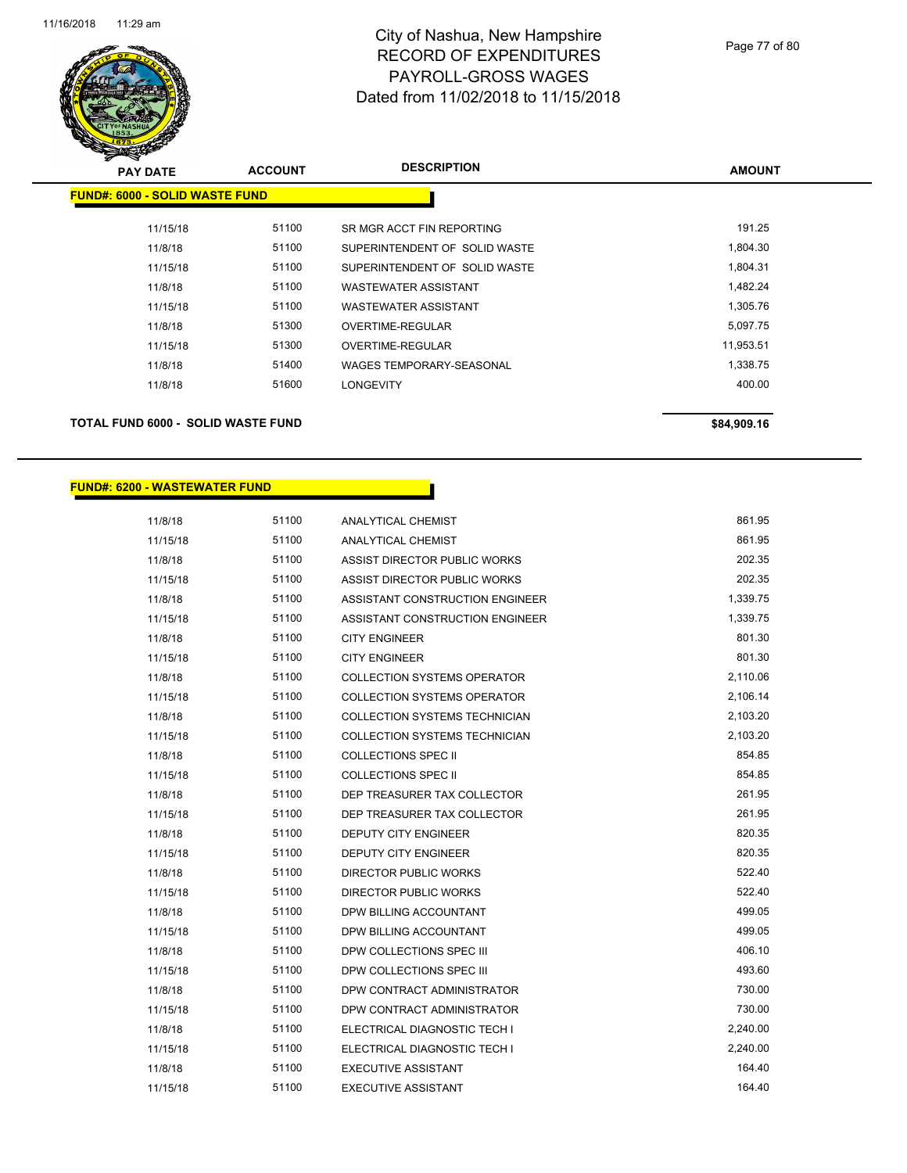

| <b>PAY DATE</b>                       | <b>ACCOUNT</b> | <b>DESCRIPTION</b>              | <b>AMOUNT</b> |
|---------------------------------------|----------------|---------------------------------|---------------|
| <b>FUND#: 6000 - SOLID WASTE FUND</b> |                |                                 |               |
| 11/15/18                              | 51100          | SR MGR ACCT FIN REPORTING       | 191.25        |
| 11/8/18                               | 51100          | SUPERINTENDENT OF SOLID WASTE   | 1,804.30      |
| 11/15/18                              | 51100          | SUPERINTENDENT OF SOLID WASTE   | 1,804.31      |
| 11/8/18                               | 51100          | <b>WASTEWATER ASSISTANT</b>     | 1,482.24      |
| 11/15/18                              | 51100          | <b>WASTEWATER ASSISTANT</b>     | 1,305.76      |
| 11/8/18                               | 51300          | OVERTIME-REGULAR                | 5,097.75      |
| 11/15/18                              | 51300          | OVERTIME-REGULAR                | 11,953.51     |
| 11/8/18                               | 51400          | <b>WAGES TEMPORARY-SEASONAL</b> | 1,338.75      |
| 11/8/18                               | 51600          | <b>LONGEVITY</b>                | 400.00        |
|                                       |                |                                 |               |

#### **TOTAL FUND 6000 - SOLID WASTE FUND \$84,909.16 \$84,909.16**

#### **FUND#: 6200 - WASTEWATER FUND**

| 11/8/18  | 51100 | <b>ANALYTICAL CHEMIST</b>            | 861.95   |
|----------|-------|--------------------------------------|----------|
| 11/15/18 | 51100 | ANALYTICAL CHEMIST                   | 861.95   |
| 11/8/18  | 51100 | ASSIST DIRECTOR PUBLIC WORKS         | 202.35   |
| 11/15/18 | 51100 | ASSIST DIRECTOR PUBLIC WORKS         | 202.35   |
| 11/8/18  | 51100 | ASSISTANT CONSTRUCTION ENGINEER      | 1,339.75 |
| 11/15/18 | 51100 | ASSISTANT CONSTRUCTION ENGINEER      | 1,339.75 |
| 11/8/18  | 51100 | <b>CITY ENGINEER</b>                 | 801.30   |
| 11/15/18 | 51100 | <b>CITY ENGINEER</b>                 | 801.30   |
| 11/8/18  | 51100 | <b>COLLECTION SYSTEMS OPERATOR</b>   | 2,110.06 |
| 11/15/18 | 51100 | <b>COLLECTION SYSTEMS OPERATOR</b>   | 2,106.14 |
| 11/8/18  | 51100 | <b>COLLECTION SYSTEMS TECHNICIAN</b> | 2,103.20 |
| 11/15/18 | 51100 | <b>COLLECTION SYSTEMS TECHNICIAN</b> | 2,103.20 |
| 11/8/18  | 51100 | <b>COLLECTIONS SPEC II</b>           | 854.85   |
| 11/15/18 | 51100 | <b>COLLECTIONS SPEC II</b>           | 854.85   |
| 11/8/18  | 51100 | DEP TREASURER TAX COLLECTOR          | 261.95   |
| 11/15/18 | 51100 | DEP TREASURER TAX COLLECTOR          | 261.95   |
| 11/8/18  | 51100 | <b>DEPUTY CITY ENGINEER</b>          | 820.35   |
| 11/15/18 | 51100 | <b>DEPUTY CITY ENGINEER</b>          | 820.35   |
| 11/8/18  | 51100 | <b>DIRECTOR PUBLIC WORKS</b>         | 522.40   |
| 11/15/18 | 51100 | DIRECTOR PUBLIC WORKS                | 522.40   |
| 11/8/18  | 51100 | DPW BILLING ACCOUNTANT               | 499.05   |
| 11/15/18 | 51100 | DPW BILLING ACCOUNTANT               | 499.05   |
| 11/8/18  | 51100 | DPW COLLECTIONS SPEC III             | 406.10   |
| 11/15/18 | 51100 | DPW COLLECTIONS SPEC III             | 493.60   |
| 11/8/18  | 51100 | DPW CONTRACT ADMINISTRATOR           | 730.00   |
| 11/15/18 | 51100 | DPW CONTRACT ADMINISTRATOR           | 730.00   |
| 11/8/18  | 51100 | ELECTRICAL DIAGNOSTIC TECH I         | 2,240.00 |
| 11/15/18 | 51100 | ELECTRICAL DIAGNOSTIC TECH I         | 2,240.00 |
| 11/8/18  | 51100 | <b>EXECUTIVE ASSISTANT</b>           | 164.40   |
| 11/15/18 | 51100 | <b>EXECUTIVE ASSISTANT</b>           | 164.40   |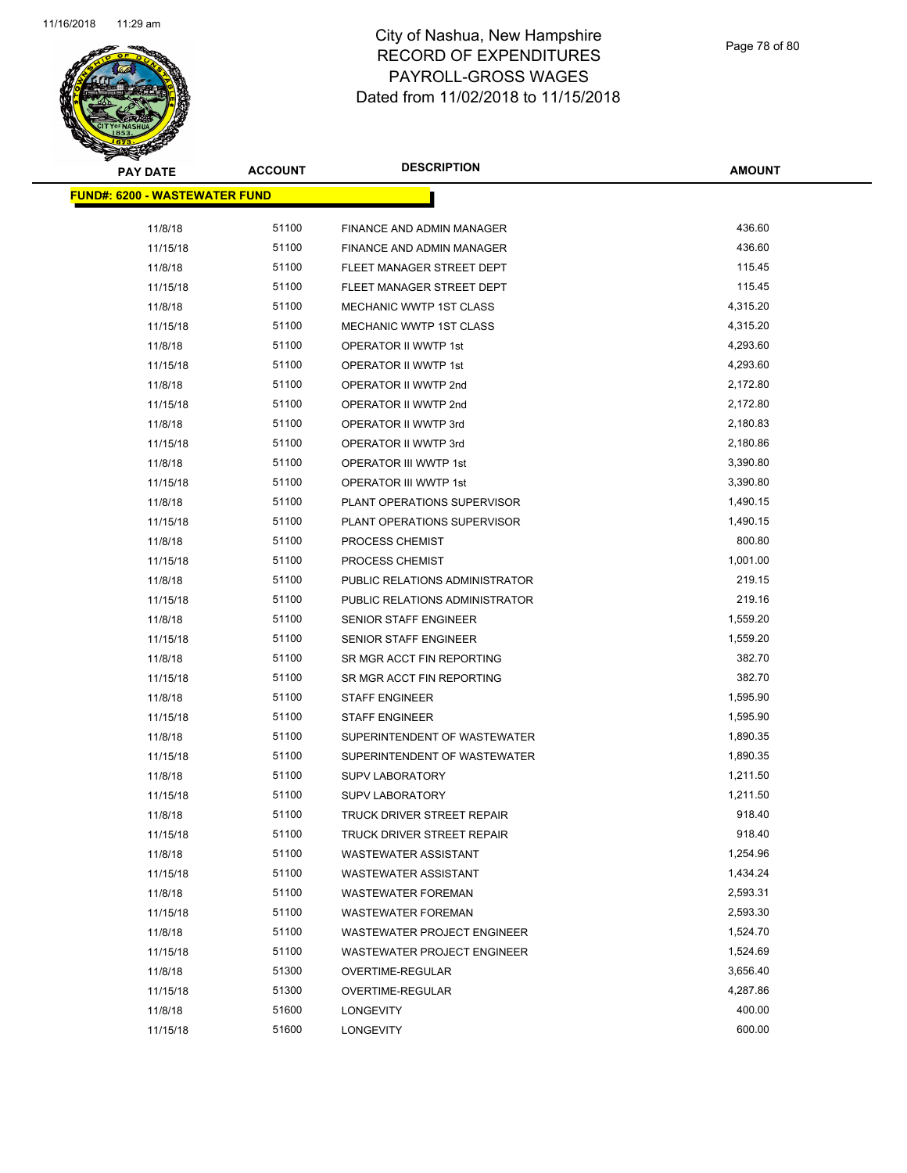

| <b>PAY DATE</b>                       | <b>ACCOUNT</b> | <b>DESCRIPTION</b>                 | <b>AMOUNT</b> |
|---------------------------------------|----------------|------------------------------------|---------------|
| <u> FUND#: 6200 - WASTEWATER FUND</u> |                |                                    |               |
| 11/8/18                               | 51100          | FINANCE AND ADMIN MANAGER          | 436.60        |
| 11/15/18                              | 51100          | FINANCE AND ADMIN MANAGER          | 436.60        |
| 11/8/18                               | 51100          | FLEET MANAGER STREET DEPT          | 115.45        |
| 11/15/18                              | 51100          | FLEET MANAGER STREET DEPT          | 115.45        |
| 11/8/18                               | 51100          | MECHANIC WWTP 1ST CLASS            | 4,315.20      |
| 11/15/18                              | 51100          | MECHANIC WWTP 1ST CLASS            | 4,315.20      |
| 11/8/18                               | 51100          | OPERATOR II WWTP 1st               | 4,293.60      |
| 11/15/18                              | 51100          | OPERATOR II WWTP 1st               | 4,293.60      |
| 11/8/18                               | 51100          | OPERATOR II WWTP 2nd               | 2,172.80      |
| 11/15/18                              | 51100          | OPERATOR II WWTP 2nd               | 2,172.80      |
| 11/8/18                               | 51100          | OPERATOR II WWTP 3rd               | 2,180.83      |
| 11/15/18                              | 51100          | OPERATOR II WWTP 3rd               | 2,180.86      |
| 11/8/18                               | 51100          | <b>OPERATOR III WWTP 1st</b>       | 3,390.80      |
| 11/15/18                              | 51100          | OPERATOR III WWTP 1st              | 3,390.80      |
| 11/8/18                               | 51100          | PLANT OPERATIONS SUPERVISOR        | 1,490.15      |
| 11/15/18                              | 51100          | PLANT OPERATIONS SUPERVISOR        | 1,490.15      |
| 11/8/18                               | 51100          | PROCESS CHEMIST                    | 800.80        |
| 11/15/18                              | 51100          | PROCESS CHEMIST                    | 1,001.00      |
| 11/8/18                               | 51100          | PUBLIC RELATIONS ADMINISTRATOR     | 219.15        |
| 11/15/18                              | 51100          | PUBLIC RELATIONS ADMINISTRATOR     | 219.16        |
| 11/8/18                               | 51100          | SENIOR STAFF ENGINEER              | 1,559.20      |
| 11/15/18                              | 51100          | <b>SENIOR STAFF ENGINEER</b>       | 1,559.20      |
| 11/8/18                               | 51100          | SR MGR ACCT FIN REPORTING          | 382.70        |
| 11/15/18                              | 51100          | SR MGR ACCT FIN REPORTING          | 382.70        |
| 11/8/18                               | 51100          | <b>STAFF ENGINEER</b>              | 1,595.90      |
| 11/15/18                              | 51100          | <b>STAFF ENGINEER</b>              | 1,595.90      |
| 11/8/18                               | 51100          | SUPERINTENDENT OF WASTEWATER       | 1,890.35      |
| 11/15/18                              | 51100          | SUPERINTENDENT OF WASTEWATER       | 1,890.35      |
| 11/8/18                               | 51100          | <b>SUPV LABORATORY</b>             | 1,211.50      |
| 11/15/18                              | 51100          | <b>SUPV LABORATORY</b>             | 1,211.50      |
| 11/8/18                               | 51100          | TRUCK DRIVER STREET REPAIR         | 918.40        |
| 11/15/18                              | 51100          | TRUCK DRIVER STREET REPAIR         | 918.40        |
| 11/8/18                               | 51100          | <b>WASTEWATER ASSISTANT</b>        | 1,254.96      |
| 11/15/18                              | 51100          | <b>WASTEWATER ASSISTANT</b>        | 1,434.24      |
| 11/8/18                               | 51100          | <b>WASTEWATER FOREMAN</b>          | 2,593.31      |
| 11/15/18                              | 51100          | <b>WASTEWATER FOREMAN</b>          | 2,593.30      |
| 11/8/18                               | 51100          | WASTEWATER PROJECT ENGINEER        | 1,524.70      |
| 11/15/18                              | 51100          | <b>WASTEWATER PROJECT ENGINEER</b> | 1,524.69      |
| 11/8/18                               | 51300          | OVERTIME-REGULAR                   | 3,656.40      |
| 11/15/18                              | 51300          | OVERTIME-REGULAR                   | 4,287.86      |
| 11/8/18                               | 51600          | <b>LONGEVITY</b>                   | 400.00        |
| 11/15/18                              | 51600          | <b>LONGEVITY</b>                   | 600.00        |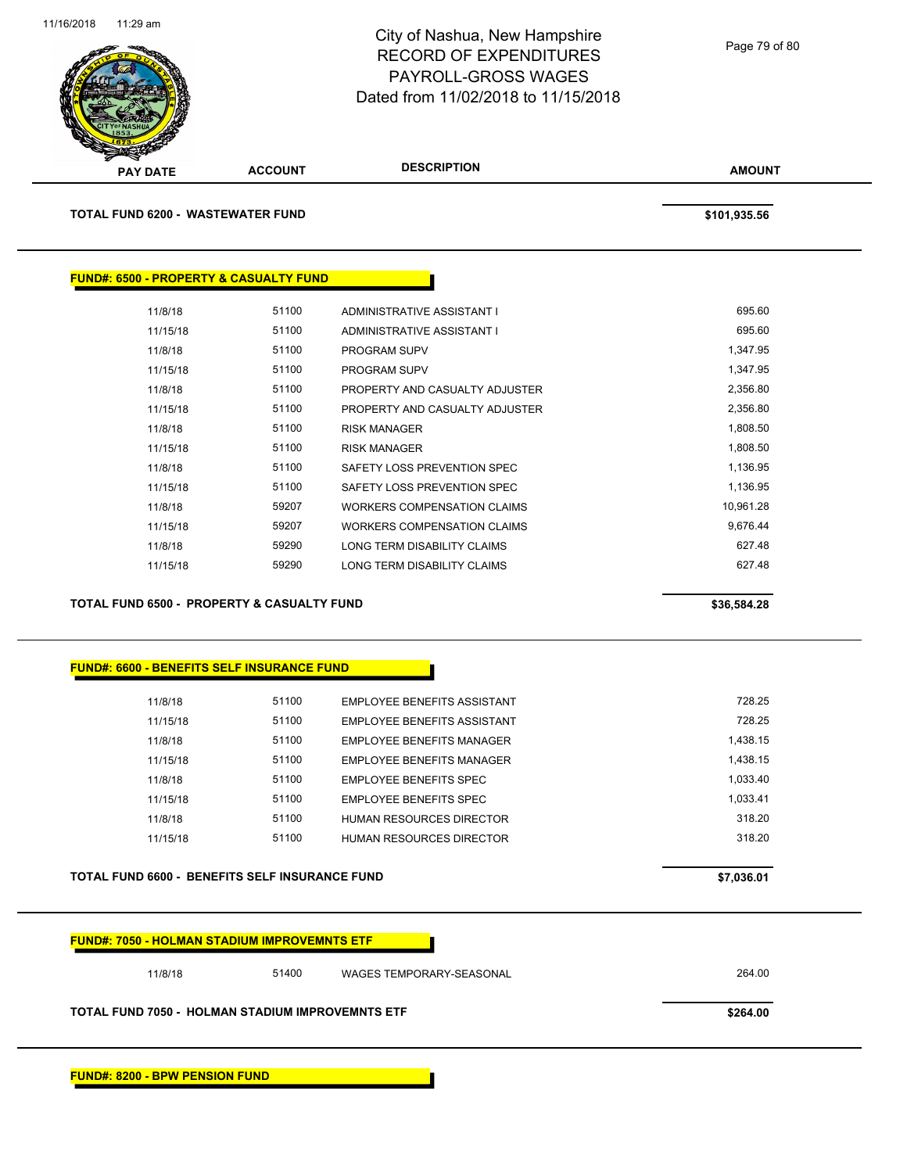

| <b>TOTAL FUND 6200 - WASTEWATER FUND</b>              |                                                   |                                    | \$101,935.56 |
|-------------------------------------------------------|---------------------------------------------------|------------------------------------|--------------|
|                                                       |                                                   |                                    |              |
|                                                       |                                                   |                                    |              |
|                                                       | <b>FUND#: 6500 - PROPERTY &amp; CASUALTY FUND</b> |                                    |              |
| 11/8/18                                               | 51100                                             | ADMINISTRATIVE ASSISTANT I         | 695.60       |
| 11/15/18                                              | 51100                                             | ADMINISTRATIVE ASSISTANT I         | 695.60       |
| 11/8/18                                               | 51100                                             | PROGRAM SUPV                       | 1,347.95     |
| 11/15/18                                              | 51100                                             | PROGRAM SUPV                       | 1,347.95     |
| 11/8/18                                               | 51100                                             | PROPERTY AND CASUALTY ADJUSTER     | 2,356.80     |
| 11/15/18                                              | 51100                                             | PROPERTY AND CASUALTY ADJUSTER     | 2,356.80     |
| 11/8/18                                               | 51100                                             | <b>RISK MANAGER</b>                | 1,808.50     |
| 11/15/18                                              | 51100                                             | <b>RISK MANAGER</b>                | 1,808.50     |
| 11/8/18                                               | 51100                                             | SAFETY LOSS PREVENTION SPEC        | 1,136.95     |
| 11/15/18                                              | 51100                                             | SAFETY LOSS PREVENTION SPEC        | 1,136.95     |
| 11/8/18                                               | 59207                                             | <b>WORKERS COMPENSATION CLAIMS</b> | 10,961.28    |
| 11/15/18                                              | 59207                                             | <b>WORKERS COMPENSATION CLAIMS</b> | 9,676.44     |
| 11/8/18                                               | 59290                                             | LONG TERM DISABILITY CLAIMS        | 627.48       |
| 11/15/18                                              | 59290                                             | LONG TERM DISABILITY CLAIMS        | 627.48       |
|                                                       |                                                   |                                    |              |
| <b>TOTAL FUND 6500 - PROPERTY &amp; CASUALTY FUND</b> |                                                   |                                    | \$36,584.28  |

| 11/8/18  | 51100 | EMPLOYEE BENEFITS ASSISTANT   | 728 25   |
|----------|-------|-------------------------------|----------|
| 11/15/18 | 51100 | EMPLOYEE BENEFITS ASSISTANT   | 728 25   |
| 11/8/18  | 51100 | EMPLOYEE BENEFITS MANAGER     | 1.438.15 |
| 11/15/18 | 51100 | EMPLOYEE BENEFITS MANAGER     | 1.438.15 |
| 11/8/18  | 51100 | EMPLOYEE BENEFITS SPEC        | 1.033.40 |
| 11/15/18 | 51100 | <b>EMPLOYEE BENEEITS SPEC</b> | 1.033.41 |
| 11/8/18  | 51100 | HUMAN RESOURCES DIRECTOR      | 318 20   |
| 11/15/18 | 51100 | HUMAN RESOURCES DIRECTOR      | 318 20   |
|          |       |                               |          |

**TOTAL FUND 6600 - BENEFITS SELF INSURANCE FUND \$7,036.01** 

| <b>FUND#: 7050 - HOLMAN STADIUM IMPROVEMNTS ETF</b>     |       |                          |          |
|---------------------------------------------------------|-------|--------------------------|----------|
| 11/8/18                                                 | 51400 | WAGES TEMPORARY-SEASONAL | 264.00   |
| <b>TOTAL FUND 7050 - HOLMAN STADIUM IMPROVEMNTS ETF</b> |       |                          | \$264.00 |